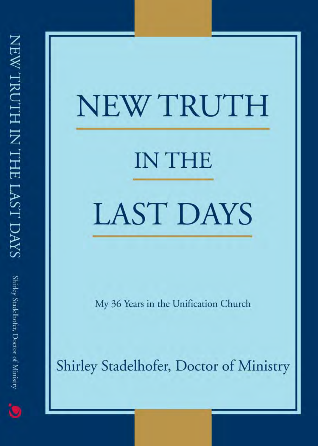## NEW TRUTH

## **IN THE**

# **LAST DAYS**

My 36 Years in the Unification Church

Shirley Stadelhofer, Doctor of Ministry

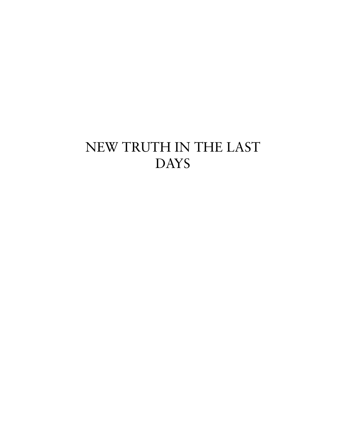### NEW TRUTH IN THE LAST DAYS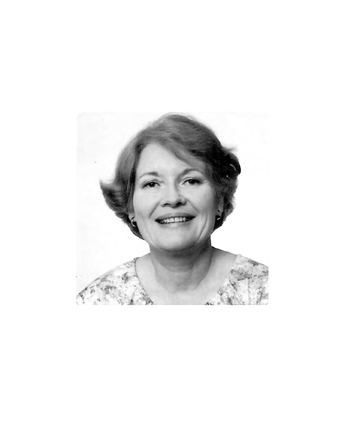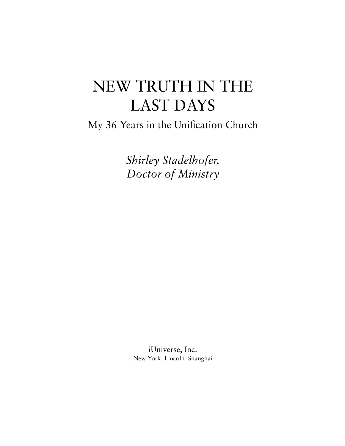## NEW TRUTH IN THE LAST DAYS

My 36 Years in the Unification Church

*Shirley Stadelhofer, Doctor of Ministry*

iUniverse, Inc. New York Lincoln Shanghai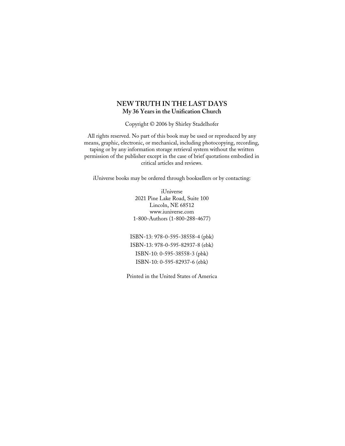#### **NEW TRUTH IN THE LAST DAYS My 36 Years in the Unification Church**

Copyright © 2006 by Shirley Stadelhofer

All rights reserved. No part of this book may be used or reproduced by any means, graphic, electronic, or mechanical, including photocopying, recording, taping or by any information storage retrieval system without the written permission of the publisher except in the case of brief quotations embodied in critical articles and reviews.

iUniverse books may be ordered through booksellers or by contacting:

iUniverse 2021 Pine Lake Road, Suite 100 Lincoln, NE 68512 www.iuniverse.com 1-800-Authors (1-800-288-4677)

ISBN-13: 978-0-595-38558-4 (pbk) ISBN-13: 978-0-595-82937-8 (ebk) ISBN-10: 0-595-38558-3 (pbk) ISBN-10: 0-595-82937-6 (ebk)

Printed in the United States of America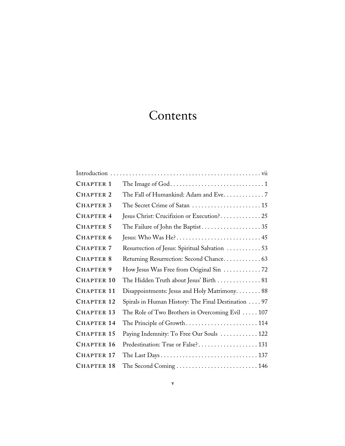### Contents

| <b>CHAPTER 1</b>  |                                                                              |
|-------------------|------------------------------------------------------------------------------|
| <b>CHAPTER 2</b>  | The Fall of Humankind: Adam and Eve. 7                                       |
| <b>CHAPTER 3</b>  | The Secret Crime of Satan  15                                                |
| <b>CHAPTER 4</b>  | Jesus Christ: Crucifixion or Execution? 25                                   |
| <b>CHAPTER 5</b>  | The Failure of John the Baptist35                                            |
| CHAPTER 6         |                                                                              |
| <b>CHAPTER 7</b>  | Resurrection of Jesus: Spiritual Salvation  53                               |
| <b>CHAPTER 8</b>  | Returning Resurrection: Second Chance 63                                     |
| CHAPTER 9         | How Jesus Was Free from Original Sin  72                                     |
| <b>CHAPTER 10</b> | The Hidden Truth about Jesus' Birth  81                                      |
| <b>CHAPTER 11</b> | Disappointments: Jesus and Holy Matrimony 88                                 |
| <b>CHAPTER 12</b> | Spirals in Human History: The Final Destination 97                           |
| <b>CHAPTER 13</b> | The Role of Two Brothers in Overcoming Evil $\dots$ 107                      |
| <b>CHAPTER 14</b> | The Principle of Growth114                                                   |
| <b>CHAPTER 15</b> | Paying Indemnity: To Free Our Souls  122                                     |
| <b>CHAPTER 16</b> | Predestination: True or False? 131                                           |
| CHAPTER 17        | The Last Days $\dots\dots\dots\dots\dots\dots\dots\dots\dots\dots\dots\dots$ |
| <b>CHAPTER 18</b> |                                                                              |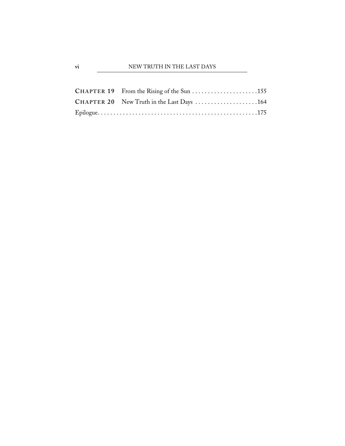| CHAPTER 20 New Truth in the Last Days 164 |  |
|-------------------------------------------|--|
|                                           |  |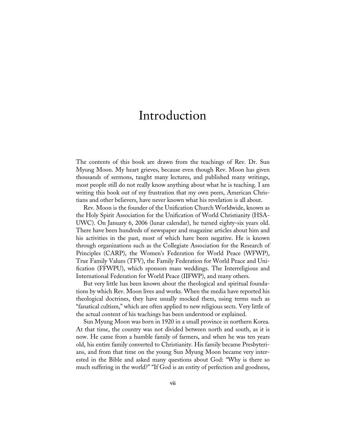#### Introduction

The contents of this book are drawn from the teachings of Rev. Dr. Sun Myung Moon. My heart grieves, because even though Rev. Moon has given thousands of sermons, taught many lectures, and published many writings, most people still do not really know anything about what he is teaching. I am writing this book out of my frustration that my own peers, American Christians and other believers, have never known what his revelation is all about.

Rev. Moon is the founder of the Unification Church Worldwide, known as the Holy Spirit Association for the Unification of World Christianity (HSA-UWC). On January 6, 2006 (lunar calendar), he turned eighty-six years old. There have been hundreds of newspaper and magazine articles about him and his activities in the past, most of which have been negative. He is known through organizations such as the Collegiate Association for the Research of Principles (CARP), the Women's Federation for World Peace (WFWP), True Family Values (TFV), the Family Federation for World Peace and Unification (FFWPU), which sponsors mass weddings. The Interreligious and International Federation for World Peace (IIFWP), and many others.

But very little has been known about the theological and spiritual foundations by which Rev. Moon lives and works. When the media have reported his theological doctrines, they have usually mocked them, using terms such as "fanatical cultism," which are often applied to new religious sects. Very little of the actual content of his teachings has been understood or explained.

Sun Myung Moon was born in 1920 in a small province in northern Korea. At that time, the country was not divided between north and south, as it is now. He came from a humble family of farmers, and when he was ten years old, his entire family converted to Christianity. His family became Presbyterians, and from that time on the young Sun Myung Moon became very interested in the Bible and asked many questions about God: "Why is there so much suffering in the world?" "If God is an entity of perfection and goodness,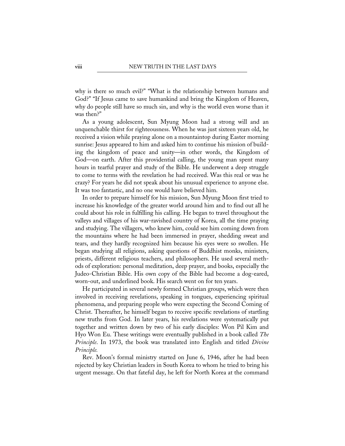why is there so much evil?" "What is the relationship between humans and God?" "If Jesus came to save humankind and bring the Kingdom of Heaven, why do people still have so much sin, and why is the world even worse than it was then?"

As a young adolescent, Sun Myung Moon had a strong will and an unquenchable thirst for righteousness. When he was just sixteen years old, he received a vision while praying alone on a mountaintop during Easter morning sunrise: Jesus appeared to him and asked him to continue his mission of building the kingdom of peace and unity—in other words, the Kingdom of God—on earth. After this providential calling, the young man spent many hours in tearful prayer and study of the Bible. He underwent a deep struggle to come to terms with the revelation he had received. Was this real or was he crazy? For years he did not speak about his unusual experience to anyone else. It was too fantastic, and no one would have believed him.

In order to prepare himself for his mission, Sun Myung Moon first tried to increase his knowledge of the greater world around him and to find out all he could about his role in fulfilling his calling. He began to travel throughout the valleys and villages of his war-ravished country of Korea, all the time praying and studying. The villagers, who knew him, could see him coming down from the mountains where he had been immersed in prayer, shedding sweat and tears, and they hardly recognized him because his eyes were so swollen. He began studying all religions, asking questions of Buddhist monks, ministers, priests, different religious teachers, and philosophers. He used several methods of exploration: personal meditation, deep prayer, and books, especially the Judeo-Christian Bible. His own copy of the Bible had become a dog-eared, worn-out, and underlined book. His search went on for ten years.

He participated in several newly formed Christian groups, which were then involved in receiving revelations, speaking in tongues, experiencing spiritual phenomena, and preparing people who were expecting the Second Coming of Christ. Thereafter, he himself began to receive specific revelations of startling new truths from God. In later years, his revelations were systematically put together and written down by two of his early disciples: Won Pil Kim and Hyo Won Eu. These writings were eventually published in a book called *The Principle*. In 1973, the book was translated into English and titled *Divine Principle.*

Rev. Moon's formal ministry started on June 6, 1946, after he had been rejected by key Christian leaders in South Korea to whom he tried to bring his urgent message. On that fateful day, he left for North Korea at the command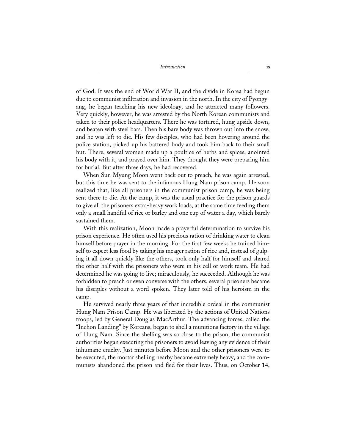*Introduction* **ix**

of God. It was the end of World War II, and the divide in Korea had begun due to communist infiltration and invasion in the north. In the city of Pyongyang, he began teaching his new ideology, and he attracted many followers. Very quickly, however, he was arrested by the North Korean communists and taken to their police headquarters. There he was tortured, hung upside down, and beaten with steel bars. Then his bare body was thrown out into the snow, and he was left to die. His few disciples, who had been hovering around the police station, picked up his battered body and took him back to their small hut. There, several women made up a poultice of herbs and spices, anointed his body with it, and prayed over him. They thought they were preparing him for burial. But after three days, he had recovered.

When Sun Myung Moon went back out to preach, he was again arrested, but this time he was sent to the infamous Hung Nam prison camp. He soon realized that, like all prisoners in the communist prison camp, he was being sent there to die. At the camp, it was the usual practice for the prison guards to give all the prisoners extra-heavy work loads, at the same time feeding them only a small handful of rice or barley and one cup of water a day, which barely sustained them.

With this realization, Moon made a prayerful determination to survive his prison experience. He often used his precious ration of drinking water to clean himself before prayer in the morning. For the first few weeks he trained himself to expect less food by taking his meager ration of rice and, instead of gulping it all down quickly like the others, took only half for himself and shared the other half with the prisoners who were in his cell or work team. He had determined he was going to live; miraculously, he succeeded. Although he was forbidden to preach or even converse with the others, several prisoners became his disciples without a word spoken. They later told of his heroism in the camp.

He survived nearly three years of that incredible ordeal in the communist Hung Nam Prison Camp. He was liberated by the actions of United Nations troops, led by General Douglas MacArthur. The advancing forces, called the "Inchon Landing" by Koreans, began to shell a munitions factory in the village of Hung Nam. Since the shelling was so close to the prison, the communist authorities began executing the prisoners to avoid leaving any evidence of their inhumane cruelty. Just minutes before Moon and the other prisoners were to be executed, the mortar shelling nearby became extremely heavy, and the communists abandoned the prison and fled for their lives. Thus, on October 14,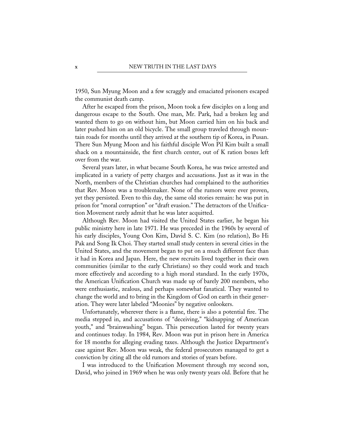1950, Sun Myung Moon and a few scraggly and emaciated prisoners escaped the communist death camp.

After he escaped from the prison, Moon took a few disciples on a long and dangerous escape to the South. One man, Mr. Park, had a broken leg and wanted them to go on without him, but Moon carried him on his back and later pushed him on an old bicycle. The small group traveled through mountain roads for months until they arrived at the southern tip of Korea, in Pusan. There Sun Myung Moon and his faithful disciple Won Pil Kim built a small shack on a mountainside, the first church center, out of K ration boxes left over from the war.

Several years later, in what became South Korea, he was twice arrested and implicated in a variety of petty charges and accusations. Just as it was in the North, members of the Christian churches had complained to the authorities that Rev. Moon was a troublemaker. None of the rumors were ever proven, yet they persisted. Even to this day, the same old stories remain: he was put in prison for "moral corruption" or "draft evasion." The detractors of the Unification Movement rarely admit that he was later acquitted.

Although Rev. Moon had visited the United States earlier, he began his public ministry here in late 1971. He was preceded in the 1960s by several of his early disciples, Young Oon Kim, David S. C. Kim (no relation), Bo Hi Pak and Song Ik Choi. They started small study centers in several cities in the United States, and the movement began to put on a much different face than it had in Korea and Japan. Here, the new recruits lived together in their own communities (similar to the early Christians) so they could work and teach more effectively and according to a high moral standard. In the early 1970s, the American Unification Church was made up of barely 200 members, who were enthusiastic, zealous, and perhaps somewhat fanatical. They wanted to change the world and to bring in the Kingdom of God on earth in their generation. They were later labeled "Moonies" by negative onlookers.

Unfortunately, wherever there is a flame, there is also a potential fire. The media stepped in, and accusations of "deceiving," "kidnapping of American youth," and "brainwashing" began. This persecution lasted for twenty years and continues today. In 1984, Rev. Moon was put in prison here in America for 18 months for alleging evading taxes. Although the Justice Department's case against Rev. Moon was weak, the federal prosecutors managed to get a conviction by citing all the old rumors and stories of years before.

I was introduced to the Unification Movement through my second son, David, who joined in 1969 when he was only twenty years old. Before that he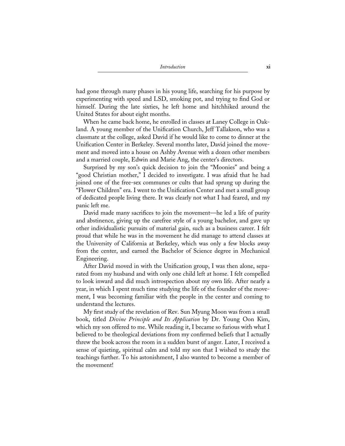had gone through many phases in his young life, searching for his purpose by experimenting with speed and LSD, smoking pot, and trying to find God or himself. During the late sixties, he left home and hitchhiked around the United States for about eight months.

When he came back home, he enrolled in classes at Laney College in Oakland. A young member of the Unification Church, Jeff Tallakson, who was a classmate at the college, asked David if he would like to come to dinner at the Unification Center in Berkeley. Several months later, David joined the movement and moved into a house on Ashby Avenue with a dozen other members and a married couple, Edwin and Marie Ang, the center's directors.

Surprised by my son's quick decision to join the "Moonies" and being a "good Christian mother," I decided to investigate. I was afraid that he had joined one of the free-sex communes or cults that had sprung up during the "Flower Children" era. I went to the Unification Center and met a small group of dedicated people living there. It was clearly not what I had feared, and my panic left me.

David made many sacrifices to join the movement—he led a life of purity and abstinence, giving up the carefree style of a young bachelor, and gave up other individualistic pursuits of material gain, such as a business career. I felt proud that while he was in the movement he did manage to attend classes at the University of California at Berkeley, which was only a few blocks away from the center, and earned the Bachelor of Science degree in Mechanical Engineering.

After David moved in with the Unification group, I was then alone, separated from my husband and with only one child left at home. I felt compelled to look inward and did much introspection about my own life. After nearly a year, in which I spent much time studying the life of the founder of the movement, I was becoming familiar with the people in the center and coming to understand the lectures.

My first study of the revelation of Rev. Sun Myung Moon was from a small book, titled *Divine Principle and Its Application* by Dr. Young Oon Kim, which my son offered to me. While reading it, I became so furious with what I believed to be theological deviations from my confirmed beliefs that I actually threw the book across the room in a sudden burst of anger. Later, I received a sense of quieting, spiritual calm and told my son that I wished to study the teachings further. To his astonishment, I also wanted to become a member of the movement!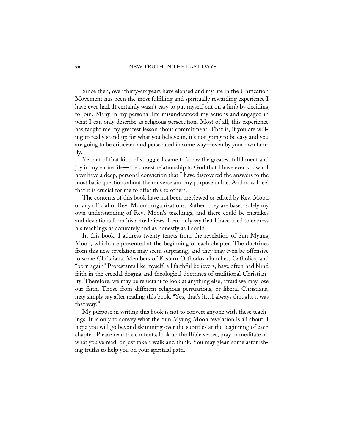Since then, over thirty-six years have elapsed and my life in the Unification Movement has been the most fulfilling and spiritually rewarding experience I have ever had. It certainly wasn't easy to put myself out on a limb by deciding to join. Many in my personal life misunderstood my actions and engaged in what I can only describe as religious persecution. Most of all, this experience has taught me my greatest lesson about commitment. That is, if you are willing to really stand up for what you believe in, it's not going to be easy and you are going to be criticized and persecuted in some way—even by your own family.

Yet out of that kind of struggle I came to know the greatest fulfillment and joy in my entire life—the closest relationship to God that I have ever known. I now have a deep, personal conviction that I have discovered the answers to the most basic questions about the universe and my purpose in life. And now I feel that it is crucial for me to offer this to others.

The contents of this book have not been previewed or edited by Rev. Moon or any official of Rev. Moon's organizations. Rather, they are based solely my own understanding of Rev. Moon's teachings, and there could be mistakes and deviations from his actual views. I can only say that I have tried to express his teachings as accurately and as honestly as I could.

In this book, I address twenty tenets from the revelation of Sun Myung Moon, which are presented at the beginning of each chapter. The doctrines from this new revelation may seem surprising, and they may even be offensive to some Christians. Members of Eastern Orthodox churches, Catholics, and "born again" Protestants like myself, all faithful believers, have often had blind faith in the creedal dogma and theological doctrines of traditional Christianity. Therefore, we may be reluctant to look at anything else, afraid we may lose our faith. Those from different religious persuasions, or liberal Christians, may simply say after reading this book, "Yes, that's it…I always thought it was that way!"

My purpose in writing this book is not to convert anyone with these teachings. It is only to convey what the Sun Myung Moon revelation is all about. I hope you will go beyond skimming over the subtitles at the beginning of each chapter. Please read the contents, look up the Bible verses, pray or meditate on what you've read, or just take a walk and think. You may glean some astonishing truths to help you on your spiritual path.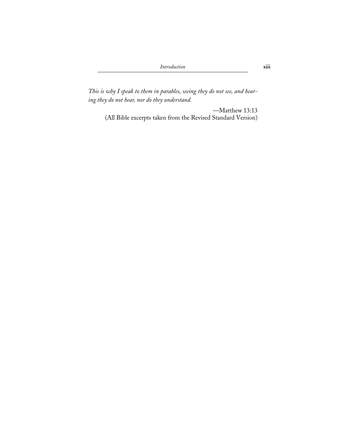*This is why I speak to them in parables, seeing they do not see, and hearing they do not hear, nor do they understand.*

—Matthew 13:13 (All Bible excerpts taken from the Revised Standard Version)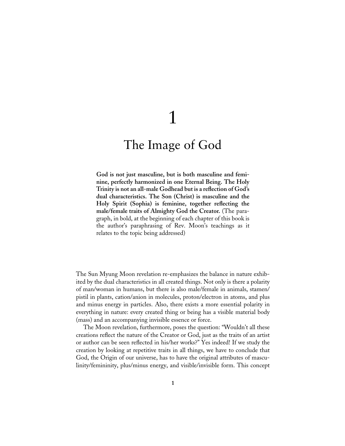## 1

#### The Image of God

**God is not just masculine, but is both masculine and feminine, perfectly harmonized in one Eternal Being. The Holy Trinity is not an all-male Godhead but is a reflection of God's dual characteristics. The Son (Christ) is masculine and the Holy Spirit (Sophia) is feminine, together reflecting the male/female traits of Almighty God the Creator.** (The paragraph, in bold, at the beginning of each chapter of this book is the author's paraphrasing of Rev. Moon's teachings as it relates to the topic being addressed)

The Sun Myung Moon revelation re-emphasizes the balance in nature exhibited by the dual characteristics in all created things. Not only is there a polarity of man/woman in humans, but there is also male/female in animals, stamen/ pistil in plants, cation/anion in molecules, proton/electron in atoms, and plus and minus energy in particles. Also, there exists a more essential polarity in everything in nature: every created thing or being has a visible material body (mass) and an accompanying invisible essence or force.

The Moon revelation, furthermore, poses the question: "Wouldn't all these creations reflect the nature of the Creator or God, just as the traits of an artist or author can be seen reflected in his/her works?" Yes indeed! If we study the creation by looking at repetitive traits in all things, we have to conclude that God, the Origin of our universe, has to have the original attributes of masculinity/femininity, plus/minus energy, and visible/invisible form. This concept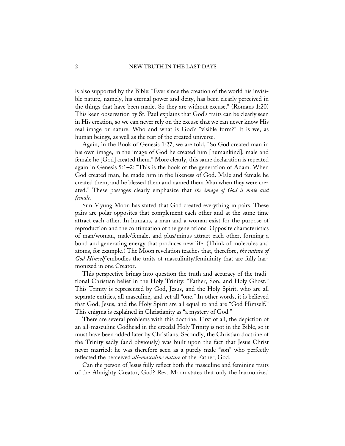is also supported by the Bible: "Ever since the creation of the world his invisible nature, namely, his eternal power and deity, has been clearly perceived in the things that have been made. So they are without excuse." (Romans 1:20) This keen observation by St. Paul explains that God's traits can be clearly seen in His creation, so we can never rely on the excuse that we can never know His real image or nature. Who and what is God's "visible form?" It is we, as human beings, as well as the rest of the created universe.

Again, in the Book of Genesis 1:27, we are told, "So God created man in his own image, in the image of God he created him [humankind], male and female he [God] created them." More clearly, this same declaration is repeated again in Genesis 5:1–2: "This is the book of the generation of Adam. When God created man, he made him in the likeness of God. Male and female he created them, and he blessed them and named them Man when they were created." These passages clearly emphasize that *the image of God is male and female*.

Sun Myung Moon has stated that God created everything in pairs. These pairs are polar opposites that complement each other and at the same time attract each other. In humans, a man and a woman exist for the purpose of reproduction and the continuation of the generations. Opposite characteristics of man/woman, male/female, and plus/minus attract each other, forming a bond and generating energy that produces new life. (Think of molecules and atoms, for example.) The Moon revelation teaches that, therefore, *the nature of God Himself* embodies the traits of masculinity/femininity that are fully harmonized in one Creator.

This perspective brings into question the truth and accuracy of the traditional Christian belief in the Holy Trinity: "Father, Son, and Holy Ghost." This Trinity is represented by God, Jesus, and the Holy Spirit, who are all separate entities, all masculine, and yet all "one." In other words, it is believed that God, Jesus, and the Holy Spirit are all equal to and are "God Himself." This enigma is explained in Christianity as "a mystery of God."

There are several problems with this doctrine. First of all, the depiction of an all-masculine Godhead in the creedal Holy Trinity is not in the Bible, so it must have been added later by Christians. Secondly, the Christian doctrine of the Trinity sadly (and obviously) was built upon the fact that Jesus Christ never married; he was therefore seen as a purely male "son" who perfectly reflected the perceived *all-masculine nature* of the Father, God.

Can the person of Jesus fully reflect both the masculine and feminine traits of the Almighty Creator, God? Rev. Moon states that only the harmonized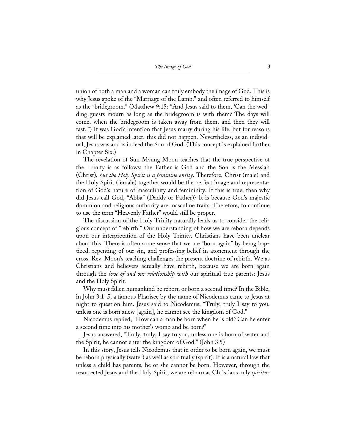union of both a man and a woman can truly embody the image of God. This is why Jesus spoke of the "Marriage of the Lamb," and often referred to himself as the "bridegroom." (Matthew 9:15: "And Jesus said to them, 'Can the wedding guests mourn as long as the bridegroom is with them? The days will come, when the bridegroom is taken away from them, and then they will fast.'") It was God's intention that Jesus marry during his life, but for reasons that will be explained later, this did not happen. Nevertheless, as an individual, Jesus was and is indeed the Son of God. (This concept is explained further in Chapter Six.)

The revelation of Sun Myung Moon teaches that the true perspective of the Trinity is as follows: the Father is God and the Son is the Messiah (Christ), *but the Holy Spirit is a feminine entity*. Therefore, Christ (male) and the Holy Spirit (female) together would be the perfect image and representation of God's nature of masculinity and femininity. If this is true, then why did Jesus call God, "Abba" (Daddy or Father)? It is because God's majestic dominion and religious authority are masculine traits. Therefore, to continue to use the term "Heavenly Father" would still be proper.

The discussion of the Holy Trinity naturally leads us to consider the religious concept of "rebirth." Our understanding of how we are reborn depends upon our interpretation of the Holy Trinity. Christians have been unclear about this. There is often some sense that we are "born again" by being baptized, repenting of our sin, and professing belief in atonement through the cross. Rev. Moon's teaching challenges the present doctrine of rebirth. We as Christians and believers actually have rebirth, because we are born again through the *love of and our relationship with* our spiritual true parents: Jesus and the Holy Spirit.

Why must fallen humankind be reborn or born a second time? In the Bible, in John 3:1–5, a famous Pharisee by the name of Nicodemus came to Jesus at night to question him. Jesus said to Nicodemus, "Truly, truly I say to you, unless one is born anew [again], he cannot see the kingdom of God."

Nicodemus replied, "How can a man be born when he is old? Can he enter a second time into his mother's womb and be born?"

Jesus answered, "Truly, truly, I say to you, unless one is born of water and the Spirit, he cannot enter the kingdom of God." (John 3:5)

In this story, Jesus tells Nicodemus that in order to be born again, we must be reborn physically (water) as well as spiritually (spirit). It is a natural law that unless a child has parents, he or she cannot be born. However, through the resurrected Jesus and the Holy Spirit, we are reborn as Christians only *spiritu-*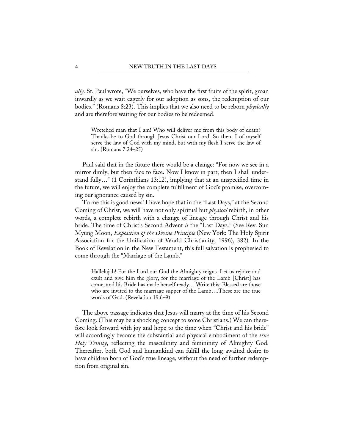*ally*. St. Paul wrote, "We ourselves, who have the first fruits of the spirit, groan inwardly as we wait eagerly for our adoption as sons, the redemption of our bodies." (Romans 8:23). This implies that we also need to be reborn *physically* and are therefore waiting for our bodies to be redeemed.

Wretched man that I am! Who will deliver me from this body of death? Thanks be to God through Jesus Christ our Lord! So then, I of myself serve the law of God with my mind, but with my flesh I serve the law of sin. (Romans 7:24–25)

Paul said that in the future there would be a change: "For now we see in a mirror dimly, but then face to face. Now I know in part; then I shall understand fully…" (1 Corinthians 13:12), implying that at an unspecified time in the future, we will enjoy the complete fulfillment of God's promise, overcoming our ignorance caused by sin.

To me this is good news! I have hope that in the "Last Days," at the Second Coming of Christ, we will have not only spiritual but *physical* rebirth, in other words, a complete rebirth with a change of lineage through Christ and his bride. The time of Christ's Second Advent *is* the "Last Days." (See Rev. Sun Myung Moon, *Exposition of the Divine Principle* (New York: The Holy Spirit Association for the Unification of World Christianity, 1996), 382). In the Book of Revelation in the New Testament, this full salvation is prophesied to come through the "Marriage of the Lamb."

Hallelujah! For the Lord our God the Almighty reigns. Let us rejoice and exult and give him the glory, for the marriage of the Lamb [Christ] has come, and his Bride has made herself ready….Write this: Blessed are those who are invited to the marriage supper of the Lamb….These are the true words of God. (Revelation 19:6–9)

The above passage indicates that Jesus will marry at the time of his Second Coming. (This may be a shocking concept to some Christians.) We can therefore look forward with joy and hope to the time when "Christ and his bride" will accordingly become the substantial and physical embodiment of the *true Holy Trinity*, reflecting the masculinity and femininity of Almighty God. Thereafter, both God and humankind can fulfill the long-awaited desire to have children born of God's true lineage, without the need of further redemption from original sin.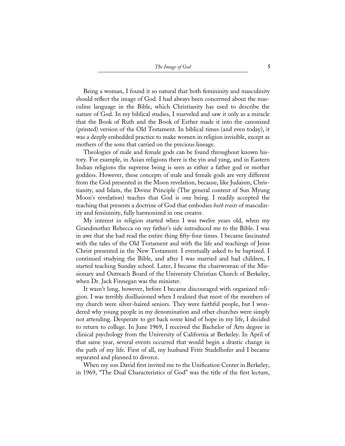Being a woman, I found it so natural that both femininity and masculinity should reflect the image of God. I had always been concerned about the masculine language in the Bible, which Christianity has used to describe the nature of God. In my biblical studies, I marveled and saw it only as a miracle that the Book of Ruth and the Book of Esther made it into the canonized (printed) version of the Old Testament. In biblical times (and even today), it was a deeply embedded practice to make women in religion invisible, except as mothers of the sons that carried on the precious lineage.

Theologies of male and female gods can be found throughout known history. For example, in Asian religions there is the yin and yang, and in Eastern Indian religions the supreme being is seen as either a father god or mother goddess. However, these concepts of male and female gods are very different from the God presented in the Moon revelation, because, like Judaism, Christianity, and Islam, the Divine Principle (The general content of Sun Myung Moon's revelation) teaches that God is one being. I readily accepted the teaching that presents a doctrine of God that embodies *both traits* of masculinity and femininity, fully harmonized in one creator.

My interest in religion started when I was twelve years old, when my Grandmother Rebecca on my father's side introduced me to the Bible. I was in awe that she had read the entire thing fifty-four times. I became fascinated with the tales of the Old Testament and with the life and teachings of Jesus Christ presented in the New Testament. I eventually asked to be baptized. I continued studying the Bible, and after I was married and had children, I started teaching Sunday school. Later, I became the chairwoman of the Missionary and Outreach Board of the University Christian Church of Berkeley, when Dr. Jack Finnegan was the minister.

It wasn't long, however, before I became discouraged with organized religion. I was terribly disillusioned when I realized that most of the members of my church were silver-haired seniors. They were faithful people, but I wondered why young people in my denomination and other churches were simply not attending. Desperate to get back some kind of hope in my life, I decided to return to college. In June 1969, I received the Bachelor of Arts degree in clinical psychology from the University of California at Berkeley. In April of that same year, several events occurred that would begin a drastic change in the path of my life. First of all, my husband Fritz Stadelhofer and I became separated and planned to divorce.

When my son David first invited me to the Unification Center in Berkeley, in 1969, "The Dual Characteristics of God" was the title of the first lecture,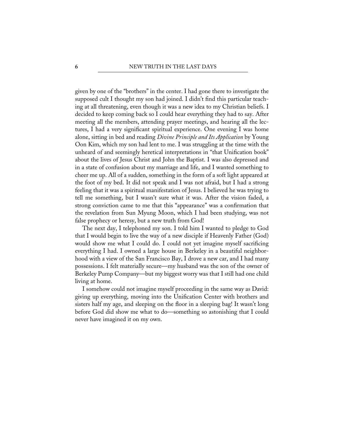given by one of the "brothers" in the center. I had gone there to investigate the supposed cult I thought my son had joined. I didn't find this particular teaching at all threatening, even though it was a new idea to my Christian beliefs. I decided to keep coming back so I could hear everything they had to say. After meeting all the members, attending prayer meetings, and hearing all the lectures, I had a very significant spiritual experience. One evening I was home alone, sitting in bed and reading *Divine Principle and Its Application* by Young Oon Kim, which my son had lent to me. I was struggling at the time with the unheard of and seemingly heretical interpretations in "that Unification book" about the lives of Jesus Christ and John the Baptist. I was also depressed and in a state of confusion about my marriage and life, and I wanted something to cheer me up. All of a sudden, something in the form of a soft light appeared at the foot of my bed. It did not speak and I was not afraid, but I had a strong feeling that it was a spiritual manifestation of Jesus. I believed he was trying to tell me something, but I wasn't sure what it was. After the vision faded, a strong conviction came to me that this "appearance" was a confirmation that the revelation from Sun Myung Moon, which I had been studying, was not false prophecy or heresy, but a new truth from God!

The next day, I telephoned my son. I told him I wanted to pledge to God that I would begin to live the way of a new disciple if Heavenly Father (God) would show me what I could do. I could not yet imagine myself sacrificing everything I had. I owned a large house in Berkeley in a beautiful neighborhood with a view of the San Francisco Bay, I drove a new car, and I had many possessions. I felt materially secure—my husband was the son of the owner of Berkeley Pump Company—but my biggest worry was that I still had one child living at home.

I somehow could not imagine myself proceeding in the same way as David: giving up everything, moving into the Unification Center with brothers and sisters half my age, and sleeping on the floor in a sleeping bag! It wasn't long before God did show me what to do—something so astonishing that I could never have imagined it on my own.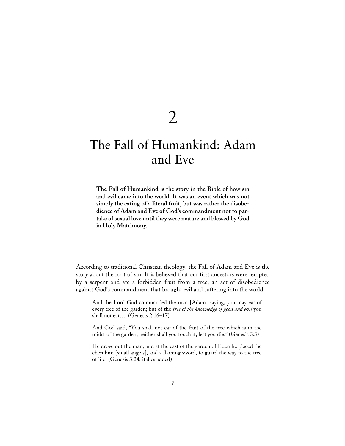## 2

#### The Fall of Humankind: Adam and Eve

**The Fall of Humankind is the story in the Bible of how sin and evil came into the world. It was an event which was not simply the eating of a literal fruit, but was rather the disobedience of Adam and Eve of God's commandment not to partake of sexual love until they were mature and blessed by God in Holy Matrimony.**

According to traditional Christian theology, the Fall of Adam and Eve is the story about the root of sin. It is believed that our first ancestors were tempted by a serpent and ate a forbidden fruit from a tree, an act of disobedience against God's commandment that brought evil and suffering into the world.

And the Lord God commanded the man [Adam] saying, you may eat of every tree of the garden; but of the *tree of the knowledge of good and evil* you shall not eat…. (Genesis 2:16–17)

And God said, "You shall not eat of the fruit of the tree which is in the midst of the garden, neither shall you touch it, lest you die." (Genesis 3:3)

He drove out the man; and at the east of the garden of Eden he placed the cherubim [small angels], and a flaming sword, to guard the way to the tree of life. (Genesis 3:24, italics added)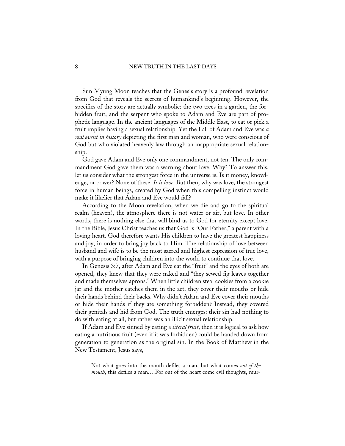Sun Myung Moon teaches that the Genesis story is a profound revelation from God that reveals the secrets of humankind's beginning. However, the specifics of the story are actually symbolic: the two trees in a garden, the forbidden fruit, and the serpent who spoke to Adam and Eve are part of prophetic language. In the ancient languages of the Middle East, to eat or pick a fruit implies having a sexual relationship. Yet the Fall of Adam and Eve was *a real event in history* depicting the first man and woman, who were conscious of God but who violated heavenly law through an inappropriate sexual relationship.

God gave Adam and Eve only one commandment, not ten. The only commandment God gave them was a warning about love. Why? To answer this, let us consider what the strongest force in the universe is. Is it money, knowledge, or power? None of these. *It is love*. But then, why was love, the strongest force in human beings, created by God when this compelling instinct would make it likelier that Adam and Eve would fall?

According to the Moon revelation, when we die and go to the spiritual realm (heaven), the atmosphere there is not water or air, but love. In other words, there is nothing else that will bind us to God for eternity except love. In the Bible, Jesus Christ teaches us that God is "Our Father," a parent with a loving heart. God therefore wants His children to have the greatest happiness and joy, in order to bring joy back to Him. The relationship of love between husband and wife is to be the most sacred and highest expression of true love, with a purpose of bringing children into the world to continue that love.

In Genesis 3:7, after Adam and Eve eat the "fruit" and the eyes of both are opened, they knew that they were naked and "they sewed fig leaves together and made themselves aprons." When little children steal cookies from a cookie jar and the mother catches them in the act, they cover their mouths or hide their hands behind their backs. Why didn't Adam and Eve cover their mouths or hide their hands if they ate something forbidden? Instead, they covered their genitals and hid from God. The truth emerges: their sin had nothing to do with eating at all, but rather was an illicit sexual relationship.

If Adam and Eve sinned by eating a *literal fruit*, then it is logical to ask how eating a nutritious fruit (even if it was forbidden) could be handed down from generation to generation as the original sin. In the Book of Matthew in the New Testament, Jesus says,

Not what goes into the mouth defiles a man, but what comes *out of the mouth*, this defiles a man.…For out of the heart come evil thoughts, mur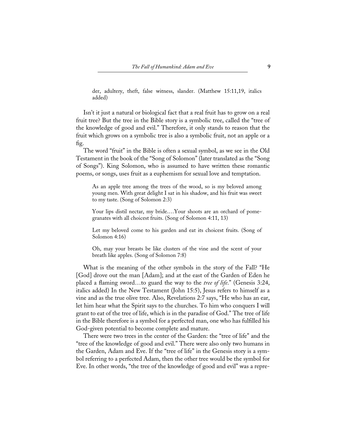der, adultery, theft, false witness, slander. (Matthew 15:11,19, italics added)

Isn't it just a natural or biological fact that a real fruit has to grow on a real fruit tree? But the tree in the Bible story is a symbolic tree, called the "tree of the knowledge of good and evil." Therefore, it only stands to reason that the fruit which grows on a symbolic tree is also a symbolic fruit, not an apple or a fig.

The word "fruit" in the Bible is often a sexual symbol, as we see in the Old Testament in the book of the "Song of Solomon" (later translated as the "Song of Songs"). King Solomon, who is assumed to have written these romantic poems, or songs, uses fruit as a euphemism for sexual love and temptation.

As an apple tree among the trees of the wood, so is my beloved among young men. With great delight I sat in his shadow, and his fruit was sweet to my taste. (Song of Solomon 2:3)

Your lips distil nectar, my bride.…Your shoots are an orchard of pomegranates with all choicest fruits. (Song of Solomon 4:11, 13)

Let my beloved come to his garden and eat its choicest fruits. (Song of Solomon 4:16)

Oh, may your breasts be like clusters of the vine and the scent of your breath like apples. (Song of Solomon 7:8)

What is the meaning of the other symbols in the story of the Fall? "He [God] drove out the man [Adam]; and at the east of the Garden of Eden he placed a flaming sword…to guard the way to the *tree of life*." (Genesis 3:24, italics added) In the New Testament (John 15:5), Jesus refers to himself as a vine and as the true olive tree. Also, Revelations 2:7 says, "He who has an ear, let him hear what the Spirit says to the churches. To him who conquers I will grant to eat of the tree of life, which is in the paradise of God." The tree of life in the Bible therefore is a symbol for a perfected man, one who has fulfilled his God-given potential to become complete and mature.

There were two trees in the center of the Garden: the "tree of life" and the "tree of the knowledge of good and evil." There were also only two humans in the Garden, Adam and Eve. If the "tree of life" in the Genesis story is a symbol referring to a perfected Adam, then the other tree would be the symbol for Eve. In other words, "the tree of the knowledge of good and evil" was a repre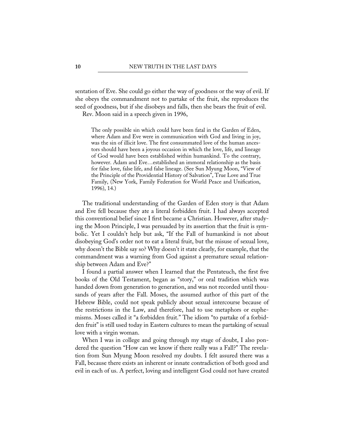sentation of Eve. She could go either the way of goodness or the way of evil. If she obeys the commandment not to partake of the fruit, she reproduces the seed of goodness, but if she disobeys and falls, then she bears the fruit of evil.

Rev. Moon said in a speech given in 1996,

The only possible sin which could have been fatal in the Garden of Eden, where Adam and Eve were in communication with God and living in joy, was the sin of illicit love. The first consummated love of the human ancestors should have been a joyous occasion in which the love, life, and lineage of God would have been established within humankind. To the contrary, however. Adam and Eve…established an immoral relationship as the basis for false love, false life, and false lineage. (See Sun Myung Moon, "View of the Principle of the Providential History of Salvation", True Love and True Family, (New York, Family Federation for World Peace and Unification, 1996), 14.)

The traditional understanding of the Garden of Eden story is that Adam and Eve fell because they ate a literal forbidden fruit. I had always accepted this conventional belief since I first became a Christian. However, after studying the Moon Principle, I was persuaded by its assertion that the fruit is symbolic. Yet I couldn't help but ask, "If the Fall of humankind is not about disobeying God's order not to eat a literal fruit, but the misuse of sexual love, why doesn't the Bible say so? Why doesn't it state clearly, for example, that the commandment was a warning from God against a premature sexual relationship between Adam and Eve?"

I found a partial answer when I learned that the Pentateuch, the first five books of the Old Testament, began as "story," or oral tradition which was handed down from generation to generation, and was not recorded until thousands of years after the Fall. Moses, the assumed author of this part of the Hebrew Bible, could not speak publicly about sexual intercourse because of the restrictions in the Law, and therefore, had to use metaphors or euphemisms. Moses called it "a forbidden fruit." The idiom "to partake of a forbidden fruit" is still used today in Eastern cultures to mean the partaking of sexual love with a virgin woman.

When I was in college and going through my stage of doubt, I also pondered the question "How can we know if there really was a Fall?" The revelation from Sun Myung Moon resolved my doubts. I felt assured there was a Fall, because there exists an inherent or innate contradiction of both good and evil in each of us. A perfect, loving and intelligent God could not have created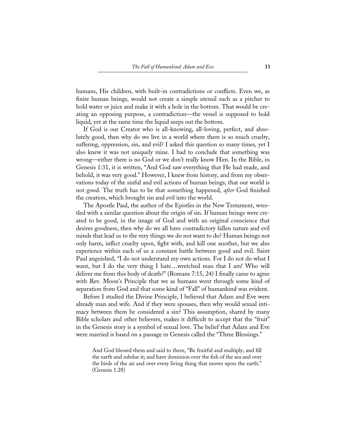humans, His children, with built-in contradictions or conflicts. Even we, as finite human beings, would not create a simple utensil such as a pitcher to hold water or juice and make it with a hole in the bottom. That would be creating an opposing purpose, a contradiction—the vessel is supposed to hold liquid, yet at the same time the liquid seeps out the bottom.

If God is our Creator who is all-knowing, all-loving, perfect, and absolutely good, then why do we live in a world where there is so much cruelty, suffering, oppression, sin, and evil? I asked this question so many times, yet I also knew it was not uniquely mine. I had to conclude that something was wrong—either there is no God or we don't really know Him. In the Bible, in Genesis 1:31, it is written, "And God saw everything that He had made, and behold, it was very good." However, I knew from history, and from my observations today of the sinful and evil actions of human beings, that our world is not good. The truth has to be that something happened, *after* God finished the creation, which brought sin and evil into the world.

The Apostle Paul, the author of the Epistles in the New Testament, wrestled with a similar question about the origin of sin. If human beings were created to be good, in the image of God and with an original conscience that desires goodness, then why do we all have contradictory fallen nature and evil minds that lead us to the very things we do not want to do? Human beings not only harm, inflict cruelty upon, fight with, and kill one another, but we also experience within each of us a constant battle between good and evil. Saint Paul anguished, "I do not understand my own actions. For I do not do what I want, but I do the very thing I hate…wretched man that I am! Who will deliver me from this body of death?" (Romans 7:15, 24) I finally came to agree with Rev. Moon's Principle that we as humans went through some kind of separation from God and that some kind of "Fall" of humankind was evident.

Before I studied the Divine Principle, I believed that Adam and Eve were already man and wife. And if they were spouses, then why would sexual intimacy between them be considered a sin? This assumption, shared by many Bible scholars and other believers, makes it difficult to accept that the "fruit" in the Genesis story is a symbol of sexual love. The belief that Adam and Eve were married is based on a passage in Genesis called the "Three Blessings."

And God blessed them and said to them, "Be fruitful and multiply, and fill the earth and subdue it; and have dominion over the fish of the sea and over the birds of the air and over every living thing that moves upon the earth." (Genesis 1:28)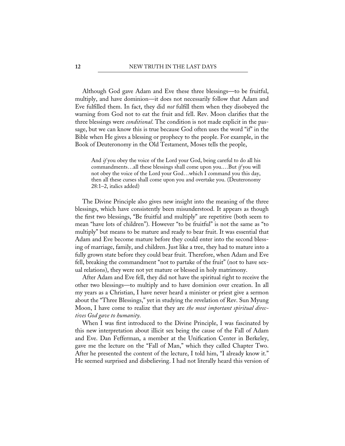Although God gave Adam and Eve these three blessings—to be fruitful, multiply, and have dominion—it does not necessarily follow that Adam and Eve fulfilled them. In fact, they did *not* fulfill them when they disobeyed the warning from God not to eat the fruit and fell. Rev. Moon clarifies that the three blessings were *conditional*. The condition is not made explicit in the passage, but we can know this is true because God often uses the word "if" in the Bible when He gives a blessing or prophecy to the people. For example, in the Book of Deuteronomy in the Old Testament, Moses tells the people,

And *if* you obey the voice of the Lord your God, being careful to do all his commandments…all these blessings shall come upon you.…But *if* you will not obey the voice of the Lord your God…which I command you this day, then all these curses shall come upon you and overtake you. (Deuteronomy 28:1–2, italics added)

The Divine Principle also gives new insight into the meaning of the three blessings, which have consistently been misunderstood. It appears as though the first two blessings, "Be fruitful and multiply" are repetitive (both seem to mean "have lots of children"). However "to be fruitful" is not the same as "to multiply" but means to be mature and ready to bear fruit. It was essential that Adam and Eve become mature before they could enter into the second blessing of marriage, family, and children. Just like a tree, they had to mature into a fully grown state before they could bear fruit. Therefore, when Adam and Eve fell, breaking the commandment "not to partake of the fruit" (not to have sexual relations), they were not yet mature or blessed in holy matrimony.

After Adam and Eve fell, they did not have the spiritual right to receive the other two blessings—to multiply and to have dominion over creation. In all my years as a Christian, I have never heard a minister or priest give a sermon about the "Three Blessings," yet in studying the revelation of Rev. Sun Myung Moon, I have come to realize that they are *the most important spiritual directives God gave to humanity*.

When I was first introduced to the Divine Principle, I was fascinated by this new interpretation about illicit sex being the cause of the Fall of Adam and Eve. Dan Fefferman, a member at the Unification Center in Berkeley, gave me the lecture on the "Fall of Man," which they called Chapter Two. After he presented the content of the lecture, I told him, "I already know it." He seemed surprised and disbelieving. I had not literally heard this version of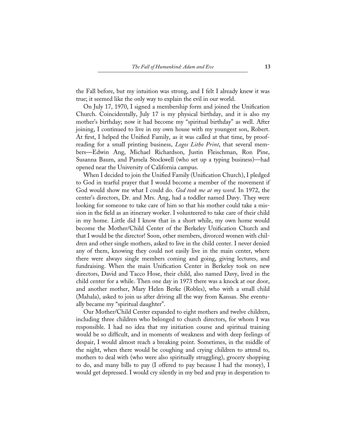the Fall before, but my intuition was strong, and I felt I already knew it was true; it seemed like the only way to explain the evil in our world.

On July 17, 1970, I signed a membership form and joined the Unification Church. Coincidentally, July 17 is my physical birthday, and it is also my mother's birthday; now it had become my "spiritual birthday" as well. After joining, I continued to live in my own house with my youngest son, Robert. At first, I helped the Unified Family, as it was called at that time, by proofreading for a small printing business, *Logos Litho Print*, that several members—Edwin Ang, Michael Richardson, Justin Fleischman, Ron Pine, Susanna Baum, and Pamela Stockwell (who set up a typing business)—had opened near the University of California campus.

When I decided to join the Unified Family (Unification Church), I pledged to God in tearful prayer that I would become a member of the movement if God would show me what I could do. *God took me at my word*. In 1972, the center's directors, Dr. and Mrs. Ang, had a toddler named Davy. They were looking for someone to take care of him so that his mother could take a mission in the field as an itinerary worker. I volunteered to take care of their child in my home. Little did I know that in a short while, my own home would become the Mother/Child Center of the Berkeley Unification Church and that I would be the director! Soon, other members, divorced women with children and other single mothers, asked to live in the child center. I never denied any of them, knowing they could not easily live in the main center, where there were always single members coming and going, giving lectures, and fundraising. When the main Unification Center in Berkeley took on new directors, David and Tacco Hose, their child, also named Davy, lived in the child center for a while. Then one day in 1973 there was a knock at our door, and another mother, Mary Helen Berke (Robles), who with a small child (Mahala), asked to join us after driving all the way from Kansas. She eventually became my "spiritual daughter".

Our Mother/Child Center expanded to eight mothers and twelve children, including three children who belonged to church directors, for whom I was responsible. I had no idea that my initiation course and spiritual training would be so difficult, and in moments of weakness and with deep feelings of despair, I would almost reach a breaking point. Sometimes, in the middle of the night, when there would be coughing and crying children to attend to, mothers to deal with (who were also spiritually struggling), grocery shopping to do, and many bills to pay (I offered to pay because I had the money), I would get depressed. I would cry silently in my bed and pray in desperation to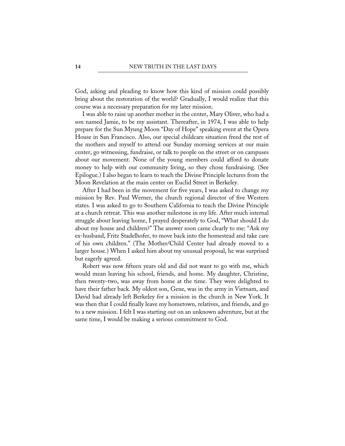God, asking and pleading to know how this kind of mission could possibly bring about the restoration of the world? Gradually, I would realize that this course was a necessary preparation for my later mission.

I was able to raise up another mother in the center, Mary Oliver, who had a son named Jamie, to be my assistant. Thereafter, in 1974, I was able to help prepare for the Sun Myung Moon "Day of Hope" speaking event at the Opera House in San Francisco. Also, our special childcare situation freed the rest of the mothers and myself to attend our Sunday morning services at our main center, go witnessing, fundraise, or talk to people on the street or on campuses about our movement. None of the young members could afford to donate money to help with our community living, so they chose fundraising. (See Epilogue.) I also began to learn to teach the Divine Principle lectures from the Moon Revelation at the main center on Euclid Street in Berkeley.

After I had been in the movement for five years, I was asked to change my mission by Rev. Paul Werner, the church regional director of five Western states. I was asked to go to Southern California to teach the Divine Principle at a church retreat. This was another milestone in my life. After much internal struggle about leaving home, I prayed desperately to God, "What should I do about my house and children?" The answer soon came clearly to me: "Ask my ex-husband, Fritz Stadelhofer, to move back into the homestead and take care of his own children." (The Mother/Child Center had already moved to a larger house.) When I asked him about my unusual proposal, he was surprised but eagerly agreed.

Robert was now fifteen years old and did not want to go with me, which would mean leaving his school, friends, and home. My daughter, Christine, then twenty-two, was away from home at the time. They were delighted to have their father back. My oldest son, Gene, was in the army in Vietnam, and David had already left Berkeley for a mission in the church in New York. It was then that I could finally leave my hometown, relatives, and friends, and go to a new mission. I felt I was starting out on an unknown adventure, but at the same time, I would be making a serious commitment to God.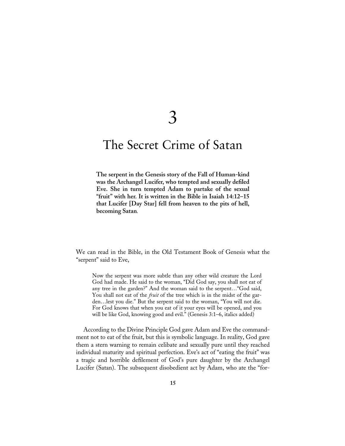3

#### The Secret Crime of Satan

**The serpent in the Genesis story of the Fall of Human-kind was the Archangel Lucifer, who tempted and sexually defiled Eve. She in turn tempted Adam to partake of the sexual "fruit" with her. It is written in the Bible in Isaiah 14:12–15 that Lucifer [Day Star] fell from heaven to the pits of hell, becoming Satan***.*

We can read in the Bible, in the Old Testament Book of Genesis what the "serpent" said to Eve,

Now the serpent was more subtle than any other wild creature the Lord God had made. He said to the woman, "Did God say, you shall not eat of any tree in the garden?" And the woman said to the serpent…"God said, You shall not eat of the *fruit* of the tree which is in the midst of the garden…lest you die." But the serpent said to the woman, "You will not die. For God knows that when you eat of it your eyes will be opened, and you will be like God, knowing good and evil." (Genesis 3:1–6, italics added)

According to the Divine Principle God gave Adam and Eve the commandment not to eat of the fruit, but this is symbolic language. In reality, God gave them a stern warning to remain celibate and sexually pure until they reached individual maturity and spiritual perfection. Eve's act of "eating the fruit" was a tragic and horrible defilement of God's pure daughter by the Archangel Lucifer (Satan). The subsequent disobedient act by Adam, who ate the "for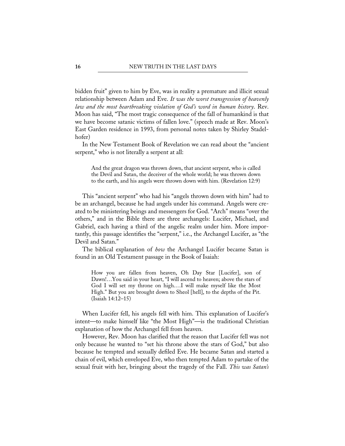bidden fruit" given to him by Eve, was in reality a premature and illicit sexual relationship between Adam and Eve. *It was the worst transgression of heavenly law and the most heartbreaking violation of God's word in human history*. Rev. Moon has said, "The most tragic consequence of the fall of humankind is that we have become satanic victims of fallen love." (speech made at Rev. Moon's East Garden residence in 1993, from personal notes taken by Shirley Stadelhofer)

In the New Testament Book of Revelation we can read about the "ancient serpent," who is not literally a serpent at all:

And the great dragon was thrown down, that ancient serpent, who is called the Devil and Satan, the deceiver of the whole world; he was thrown down to the earth, and his angels were thrown down with him. (Revelation 12:9)

This "ancient serpent" who had his "angels thrown down with him" had to be an archangel, because he had angels under his command. Angels were created to be ministering beings and messengers for God. "Arch" means "over the others," and in the Bible there are three archangels: Lucifer, Michael, and Gabriel, each having a third of the angelic realm under him. More importantly, this passage identifies the "serpent," i.e., the Archangel Lucifer, as "the Devil and Satan."

The biblical explanation of *how* the Archangel Lucifer became Satan is found in an Old Testament passage in the Book of Isaiah:

How you are fallen from heaven, Oh Day Star [Lucifer], son of Dawn!…You said in your heart, "I will ascend to heaven; above the stars of God I will set my throne on high.…I will make myself like the Most High." But you are brought down to Sheol [hell], to the depths of the Pit. (Isaiah 14:12–15)

When Lucifer fell, his angels fell with him. This explanation of Lucifer's intent—to make himself like "the Most High"—is the traditional Christian explanation of how the Archangel fell from heaven.

However, Rev. Moon has clarified that the reason that Lucifer fell was not only because he wanted to "set his throne above the stars of God," but also because he tempted and sexually defiled Eve. He became Satan and started a chain of evil, which enveloped Eve, who then tempted Adam to partake of the sexual fruit with her, bringing about the tragedy of the Fall. *This was Satan's*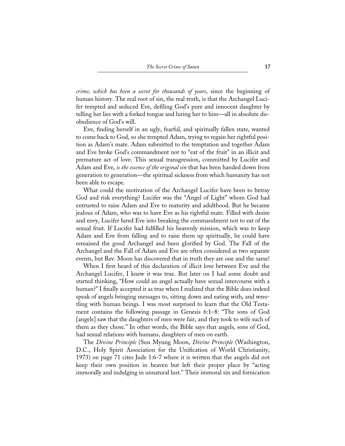*crime, which has been a secret for thousands of years*, since the beginning of human history. The real root of sin, the real truth, is that the Archangel Lucifer tempted and seduced Eve, defiling God's pure and innocent daughter by telling her lies with a forked tongue and luring her to him—all in absolute disobedience of God's will.

Eve, finding herself in an ugly, fearful, and spiritually fallen state, wanted to come back to God, so she tempted Adam, trying to regain her rightful position as Adam's mate. Adam submitted to the temptation and together Adam and Eve broke God's commandment not to "eat of the fruit" in an illicit and premature act of love. This sexual transgression, committed by Lucifer and Adam and Eve, *is the essence of the original sin* that has been handed down from generation to generation—the spiritual sickness from which humanity has not been able to escape.

What could the motivation of the Archangel Lucifer have been to betray God and risk everything? Lucifer was the "Angel of Light" whom God had entrusted to raise Adam and Eve to maturity and adulthood. But he became jealous of Adam, who was to have Eve as his rightful mate. Filled with desire and envy, Lucifer lured Eve into breaking the commandment not to eat of the sexual fruit. If Lucifer had fulfilled his heavenly mission, which was to keep Adam and Eve from falling and to raise them up spiritually, he could have remained the good Archangel and been glorified by God. The Fall of the Archangel and the Fall of Adam and Eve are often considered as two separate events, but Rev. Moon has discovered that in truth they are one and the same!

When I first heard of this declaration of illicit love between Eve and the Archangel Lucifer, I knew it was true. But later on I had some doubt and started thinking, "How could an angel actually have sexual intercourse with a human?" I finally accepted it as true when I realized that the Bible does indeed speak of angels bringing messages to, sitting down and eating with, and wrestling with human beings. I was most surprised to learn that the Old Testament contains the following passage in Genesis 6:1–8: "The sons of God [angels] saw that the daughters of men were fair, and they took to wife such of them as they chose." In other words, the Bible says that angels, sons of God, had sexual relations with humans, daughters of men on earth.

The *Divine Principle* (Sun Myung Moon, *Divine Principle* (Washington, D.C., Holy Spirit Association for the Unification of World Christianity, 1973) on page 71 cites Jude 1:6-7 where it is written that the angels did not keep their own position in heaven but left their proper place by "acting immorally and indulging in unnatural lust." Their immoral sin and fornication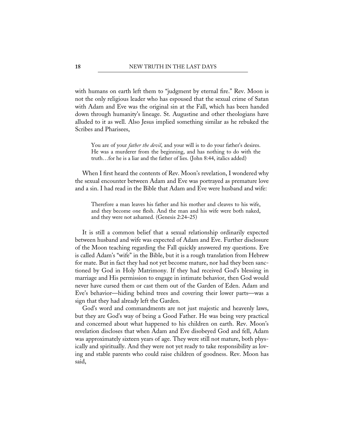with humans on earth left them to "judgment by eternal fire." Rev. Moon is not the only religious leader who has espoused that the sexual crime of Satan with Adam and Eve was the original sin at the Fall, which has been handed down through humanity's lineage. St. Augustine and other theologians have alluded to it as well. Also Jesus implied something similar as he rebuked the Scribes and Pharisees,

You are of your *father the devil*, and your will is to do your father's desires. He was a murderer from the beginning, and has nothing to do with the truth…for he is a liar and the father of lies. (John 8:44, italics added)

When I first heard the contents of Rev. Moon's revelation, I wondered why the sexual encounter between Adam and Eve was portrayed as premature love and a sin. I had read in the Bible that Adam and Eve were husband and wife:

Therefore a man leaves his father and his mother and cleaves to his wife, and they become one flesh. And the man and his wife were both naked, and they were not ashamed. (Genesis 2:24–25)

It is still a common belief that a sexual relationship ordinarily expected between husband and wife was expected of Adam and Eve. Further disclosure of the Moon teaching regarding the Fall quickly answered my questions. Eve is called Adam's "wife" in the Bible, but it is a rough translation from Hebrew for mate. But in fact they had not yet become mature, nor had they been sanctioned by God in Holy Matrimony. If they had received God's blessing in marriage and His permission to engage in intimate behavior, then God would never have cursed them or cast them out of the Garden of Eden. Adam and Eve's behavior—hiding behind trees and covering their lower parts—was a sign that they had already left the Garden.

God's word and commandments are not just majestic and heavenly laws, but they are God's way of being a Good Father. He was being very practical and concerned about what happened to his children on earth. Rev. Moon's revelation discloses that when Adam and Eve disobeyed God and fell, Adam was approximately sixteen years of age. They were still not mature, both physically and spiritually. And they were not yet ready to take responsibility as loving and stable parents who could raise children of goodness. Rev. Moon has said,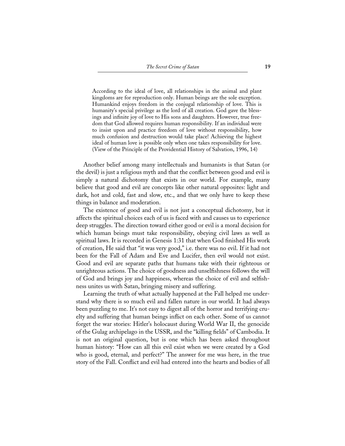According to the ideal of love, all relationships in the animal and plant kingdoms are for reproduction only. Human beings are the sole exception. Humankind enjoys freedom in the conjugal relationship of love. This is humanity's special privilege as the lord of all creation. God gave the blessings and infinite joy of love to His sons and daughters. However, true freedom that God allowed requires human responsibility. If an individual were to insist upon and practice freedom of love without responsibility, how much confusion and destruction would take place! Achieving the highest ideal of human love is possible only when one takes responsibility for love. (View of the Principle of the Providential History of Salvation, 1996, 14)

Another belief among many intellectuals and humanists is that Satan (or the devil) is just a religious myth and that the conflict between good and evil is simply a natural dichotomy that exists in our world. For example, many believe that good and evil are concepts like other natural opposites: light and dark, hot and cold, fast and slow, etc., and that we only have to keep these things in balance and moderation.

The existence of good and evil is not just a conceptual dichotomy, but it affects the spiritual choices each of us is faced with and causes us to experience deep struggles. The direction toward either good or evil is a moral decision for which human beings must take responsibility, obeying civil laws as well as spiritual laws. It is recorded in Genesis 1:31 that when God finished His work of creation, He said that "it was very good," i.e. there was no evil. If it had not been for the Fall of Adam and Eve and Lucifer, then evil would not exist. Good and evil are separate paths that humans take with their righteous or unrighteous actions. The choice of goodness and unselfishness follows the will of God and brings joy and happiness, whereas the choice of evil and selfishness unites us with Satan, bringing misery and suffering.

Learning the truth of what actually happened at the Fall helped me understand why there is so much evil and fallen nature in our world. It had always been puzzling to me. It's not easy to digest all of the horror and terrifying cruelty and suffering that human beings inflict on each other. Some of us cannot forget the war stories: Hitler's holocaust during World War II, the genocide of the Gulag archipelago in the USSR, and the "killing fields" of Cambodia. It is not an original question, but is one which has been asked throughout human history: "How can all this evil exist when we were created by a God who is good, eternal, and perfect?" The answer for me was here, in the true story of the Fall. Conflict and evil had entered into the hearts and bodies of all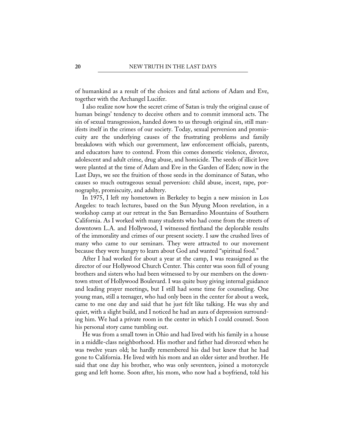of humankind as a result of the choices and fatal actions of Adam and Eve, together with the Archangel Lucifer.

I also realize now how the secret crime of Satan is truly the original cause of human beings' tendency to deceive others and to commit immoral acts. The sin of sexual transgression, handed down to us through original sin, still manifests itself in the crimes of our society. Today, sexual perversion and promiscuity are the underlying causes of the frustrating problems and family breakdown with which our government, law enforcement officials, parents, and educators have to contend. From this comes domestic violence, divorce, adolescent and adult crime, drug abuse, and homicide. The seeds of illicit love were planted at the time of Adam and Eve in the Garden of Eden; now in the Last Days, we see the fruition of those seeds in the dominance of Satan, who causes so much outrageous sexual perversion: child abuse, incest, rape, pornography, promiscuity, and adultery.

In 1975, I left my hometown in Berkeley to begin a new mission in Los Angeles: to teach lectures, based on the Sun Myung Moon revelation, in a workshop camp at our retreat in the San Bernardino Mountains of Southern California. As I worked with many students who had come from the streets of downtown L.A. and Hollywood, I witnessed firsthand the deplorable results of the immorality and crimes of our present society. I saw the crushed lives of many who came to our seminars. They were attracted to our movement because they were hungry to learn about God and wanted "spiritual food."

After I had worked for about a year at the camp, I was reassigned as the director of our Hollywood Church Center. This center was soon full of young brothers and sisters who had been witnessed to by our members on the downtown street of Hollywood Boulevard. I was quite busy giving internal guidance and leading prayer meetings, but I still had some time for counseling. One young man, still a teenager, who had only been in the center for about a week, came to me one day and said that he just felt like talking. He was shy and quiet, with a slight build, and I noticed he had an aura of depression surrounding him. We had a private room in the center in which I could counsel. Soon his personal story came tumbling out.

He was from a small town in Ohio and had lived with his family in a house in a middle-class neighborhood. His mother and father had divorced when he was twelve years old; he hardly remembered his dad but knew that he had gone to California. He lived with his mom and an older sister and brother. He said that one day his brother, who was only seventeen, joined a motorcycle gang and left home. Soon after, his mom, who now had a boyfriend, told his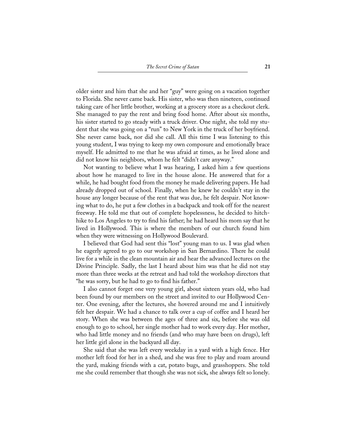older sister and him that she and her "guy" were going on a vacation together to Florida. She never came back. His sister, who was then nineteen, continued taking care of her little brother, working at a grocery store as a checkout clerk. She managed to pay the rent and bring food home. After about six months, his sister started to go steady with a truck driver. One night, she told my student that she was going on a "run" to New York in the truck of her boyfriend. She never came back, nor did she call. All this time I was listening to this young student, I was trying to keep my own composure and emotionally brace myself. He admitted to me that he was afraid at times, as he lived alone and did not know his neighbors, whom he felt "didn't care anyway."

Not wanting to believe what I was hearing, I asked him a few questions about how he managed to live in the house alone. He answered that for a while, he had bought food from the money he made delivering papers. He had already dropped out of school. Finally, when he knew he couldn't stay in the house any longer because of the rent that was due, he felt despair. Not knowing what to do, he put a few clothes in a backpack and took off for the nearest freeway. He told me that out of complete hopelessness, he decided to hitchhike to Los Angeles to try to find his father; he had heard his mom say that he lived in Hollywood. This is where the members of our church found him when they were witnessing on Hollywood Boulevard.

I believed that God had sent this "lost" young man to us. I was glad when he eagerly agreed to go to our workshop in San Bernardino. There he could live for a while in the clean mountain air and hear the advanced lectures on the Divine Principle. Sadly, the last I heard about him was that he did not stay more than three weeks at the retreat and had told the workshop directors that "he was sorry, but he had to go to find his father."

I also cannot forget one very young girl, about sixteen years old, who had been found by our members on the street and invited to our Hollywood Center. One evening, after the lectures, she hovered around me and I intuitively felt her despair. We had a chance to talk over a cup of coffee and I heard her story. When she was between the ages of three and six, before she was old enough to go to school, her single mother had to work every day. Her mother, who had little money and no friends (and who may have been on drugs), left her little girl alone in the backyard all day.

She said that she was left every weekday in a yard with a high fence. Her mother left food for her in a shed, and she was free to play and roam around the yard, making friends with a cat, potato bugs, and grasshoppers. She told me she could remember that though she was not sick, she always felt so lonely.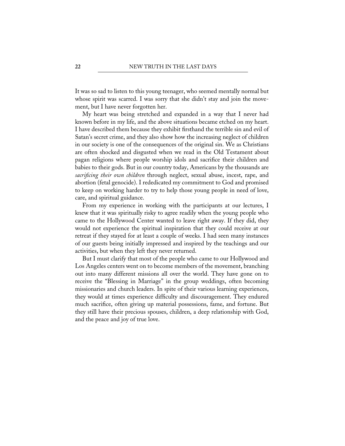It was so sad to listen to this young teenager, who seemed mentally normal but whose spirit was scarred. I was sorry that she didn't stay and join the movement, but I have never forgotten her.

My heart was being stretched and expanded in a way that I never had known before in my life, and the above situations became etched on my heart. I have described them because they exhibit firsthand the terrible sin and evil of Satan's secret crime, and they also show how the increasing neglect of children in our society is one of the consequences of the original sin. We as Christians are often shocked and disgusted when we read in the Old Testament about pagan religions where people worship idols and sacrifice their children and babies to their gods. But in our country today, Americans by the thousands are *sacrificing their own children* through neglect, sexual abuse, incest, rape, and abortion (fetal genocide). I rededicated my commitment to God and promised to keep on working harder to try to help those young people in need of love, care, and spiritual guidance.

From my experience in working with the participants at our lectures, I knew that it was spiritually risky to agree readily when the young people who came to the Hollywood Center wanted to leave right away. If they did, they would not experience the spiritual inspiration that they could receive at our retreat if they stayed for at least a couple of weeks. I had seen many instances of our guests being initially impressed and inspired by the teachings and our activities, but when they left they never returned.

But I must clarify that most of the people who came to our Hollywood and Los Angeles centers went on to become members of the movement, branching out into many different missions all over the world. They have gone on to receive the "Blessing in Marriage" in the group weddings, often becoming missionaries and church leaders. In spite of their various learning experiences, they would at times experience difficulty and discouragement. They endured much sacrifice, often giving up material possessions, fame, and fortune. But they still have their precious spouses, children, a deep relationship with God, and the peace and joy of true love.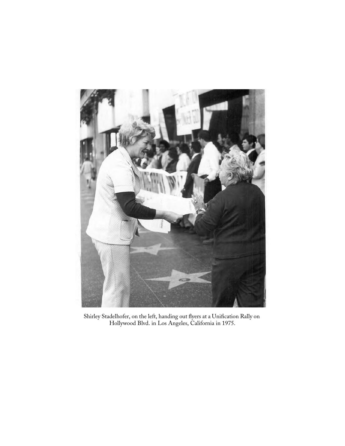

Shirley Stadelhofer, on the left, handing out flyers at a Unification Rally on Hollywood Blvd. in Los Angeles, California in 1975.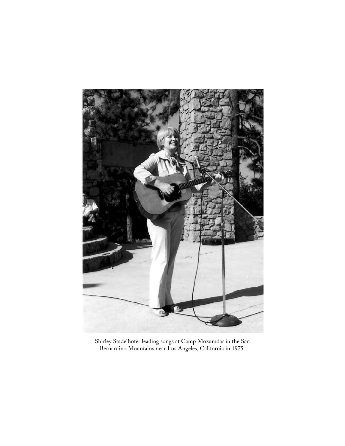

Shirley Stadelhofer leading songs at Camp Mozumdar in the San Bernardino Mountains near Los Angeles, California in 1975.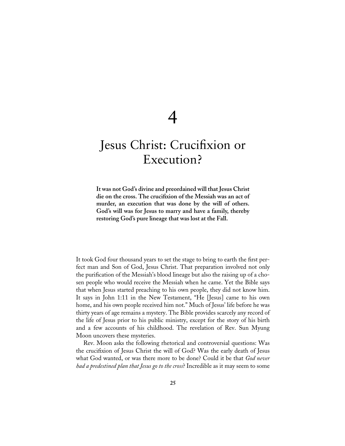# 4

## Jesus Christ: Crucifixion or Execution?

**It was not God's divine and preordained will that Jesus Christ die on the cross. The crucifixion of the Messiah was an act of murder, an execution that was done by the will of others. God's will was for Jesus to marry and have a family, thereby restoring God's pure lineage that was lost at the Fall.**

It took God four thousand years to set the stage to bring to earth the first perfect man and Son of God, Jesus Christ. That preparation involved not only the purification of the Messiah's blood lineage but also the raising up of a chosen people who would receive the Messiah when he came. Yet the Bible says that when Jesus started preaching to his own people, they did not know him. It says in John 1:11 in the New Testament, "He [Jesus] came to his own home, and his own people received him not." Much of Jesus' life before he was thirty years of age remains a mystery. The Bible provides scarcely any record of the life of Jesus prior to his public ministry, except for the story of his birth and a few accounts of his childhood. The revelation of Rev. Sun Myung Moon uncovers these mysteries.

Rev. Moon asks the following rhetorical and controversial questions: Was the crucifixion of Jesus Christ the will of God? Was the early death of Jesus what God wanted, or was there more to be done? Could it be that *God never had a predestined plan that Jesus go to the cross*? Incredible as it may seem to some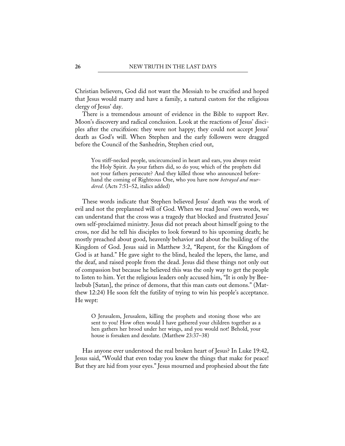Christian believers, God did not want the Messiah to be crucified and hoped that Jesus would marry and have a family, a natural custom for the religious clergy of Jesus' day.

There is a tremendous amount of evidence in the Bible to support Rev. Moon's discovery and radical conclusion. Look at the reactions of Jesus' disciples after the crucifixion: they were not happy; they could not accept Jesus' death as God's will. When Stephen and the early followers were dragged before the Council of the Sanhedrin, Stephen cried out,

You stiff-necked people, uncircumcised in heart and ears, you always resist the Holy Spirit. As your fathers did, so do you; which of the prophets did not your fathers persecute? And they killed those who announced beforehand the coming of Righteous One, who you have now *betrayed and murdered*. (Acts 7:51–52, italics added)

These words indicate that Stephen believed Jesus' death was the work of evil and not the preplanned will of God. When we read Jesus' own words, we can understand that the cross was a tragedy that blocked and frustrated Jesus' own self-proclaimed ministry. Jesus did not preach about himself going to the cross, nor did he tell his disciples to look forward to his upcoming death; he mostly preached about good, heavenly behavior and about the building of the Kingdom of God. Jesus said in Matthew 3:2, "Repent, for the Kingdom of God is at hand." He gave sight to the blind, healed the lepers, the lame, and the deaf, and raised people from the dead. Jesus did these things not only out of compassion but because he believed this was the only way to get the people to listen to him. Yet the religious leaders only accused him, "It is only by Beelzebub [Satan], the prince of demons, that this man casts out demons." (Matthew 12:24) He soon felt the futility of trying to win his people's acceptance. He wept:

O Jerusalem, Jerusalem, killing the prophets and stoning those who are sent to you! How often would I have gathered your children together as a hen gathers her brood under her wings, and you would not! Behold, your house is forsaken and desolate. (Matthew 23:37–38)

Has anyone ever understood the real broken heart of Jesus? In Luke 19:42, Jesus said, "Would that even today you knew the things that make for peace! But they are hid from your eyes." Jesus mourned and prophesied about the fate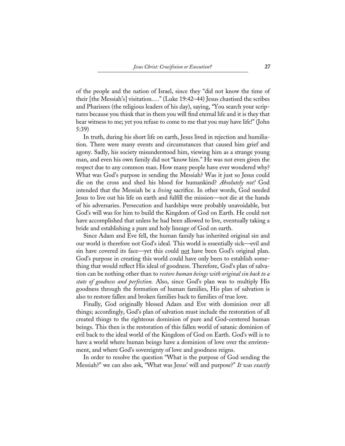of the people and the nation of Israel, since they "did not know the time of their [the Messiah's] visitation.…" (Luke 19:42–44) Jesus chastised the scribes and Pharisees (the religious leaders of his day), saying, "You search your scriptures because you think that in them you will find eternal life and it is they that bear witness to me; yet you refuse to come to me that you may have life!" (John 5:39)

In truth, during his short life on earth, Jesus lived in rejection and humiliation. There were many events and circumstances that caused him grief and agony. Sadly, his society misunderstood him, viewing him as a strange young man, and even his own family did not "know him." He was not even given the respect due to any common man. How many people have ever wondered why? What was God's purpose in sending the Messiah? Was it just so Jesus could die on the cross and shed his blood for humankind? *Absolutely not!* God intended that the Messiah be a *living* sacrifice. In other words, God needed Jesus to live out his life on earth and fulfill the mission—not die at the hands of his adversaries. Persecution and hardships were probably unavoidable, but God's will was for him to build the Kingdom of God on Earth. He could not have accomplished that unless he had been allowed to live, eventually taking a bride and establishing a pure and holy lineage of God on earth.

Since Adam and Eve fell, the human family has inherited original sin and our world is therefore not God's ideal. This world is essentially sick—evil and sin have covered its face—yet this could <u>not</u> have been God's original plan. God's purpose in creating this world could have only been to establish something that would reflect His ideal of goodness. Therefore, God's plan of salvation can be nothing other than to *restore human beings with original sin back to a state of goodness and perfection.* Also, since God's plan was to multiply His goodness through the formation of human families, His plan of salvation is also to restore fallen and broken families back to families of true love.

Finally, God originally blessed Adam and Eve with dominion over all things; accordingly, God's plan of salvation must include the restoration of all created things to the righteous dominion of pure and God-centered human beings. This then is the restoration of this fallen world of satanic dominion of evil back to the ideal world of the Kingdom of God on Earth. God's will is to have a world where human beings have a dominion of love over the environment, and where God's sovereignty of love and goodness reigns.

In order to resolve the question "What is the purpose of God sending the Messiah?" we can also ask, "What was Jesus' will and purpose?" *It was exactly*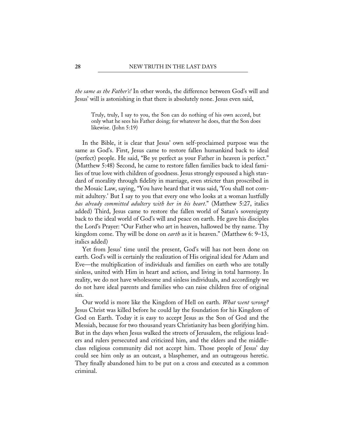*the same as the Father's!* In other words, the difference between God's will and Jesus' will is astonishing in that there is absolutely none. Jesus even said,

Truly, truly, I say to you, the Son can do nothing of his own accord, but only what he sees his Father doing; for whatever he does, that the Son does likewise. (John 5:19)

In the Bible, it is clear that Jesus' own self-proclaimed purpose was the same as God's. First, Jesus came to restore fallen humankind back to ideal (perfect) people. He said, "Be ye perfect as your Father in heaven is perfect." (Matthew 5:48) Second, he came to restore fallen families back to ideal families of true love with children of goodness. Jesus strongly espoused a high standard of morality through fidelity in marriage, even stricter than proscribed in the Mosaic Law, saying, "You have heard that it was said, 'You shall not commit adultery.' But I say to you that every one who looks at a woman lustfully *has already committed adultery with her in his heart*." (Matthew 5:27, italics added) Third, Jesus came to restore the fallen world of Satan's sovereignty back to the ideal world of God's will and peace on earth. He gave his disciples the Lord's Prayer: "Our Father who art in heaven, hallowed be thy name. Thy kingdom come. Thy will be done on *earth* as it is heaven." (Matthew 6: 9–13, italics added)

Yet from Jesus' time until the present, God's will has not been done on earth. God's will is certainly the realization of His original ideal for Adam and Eve—the multiplication of individuals and families on earth who are totally sinless, united with Him in heart and action, and living in total harmony. In reality, we do not have wholesome and sinless individuals, and accordingly we do not have ideal parents and families who can raise children free of original sin.

Our world is more like the Kingdom of Hell on earth. *What went wrong?* Jesus Christ was killed before he could lay the foundation for his Kingdom of God on Earth. Today it is easy to accept Jesus as the Son of God and the Messiah, because for two thousand years Christianity has been glorifying him. But in the days when Jesus walked the streets of Jerusalem, the religious leaders and rulers persecuted and criticized him, and the elders and the middleclass religious community did not accept him. Those people of Jesus' day could see him only as an outcast, a blasphemer, and an outrageous heretic. They finally abandoned him to be put on a cross and executed as a common criminal.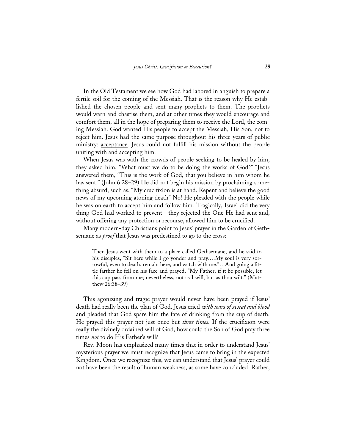In the Old Testament we see how God had labored in anguish to prepare a fertile soil for the coming of the Messiah. That is the reason why He established the chosen people and sent many prophets to them. The prophets would warn and chastise them, and at other times they would encourage and comfort them, all in the hope of preparing them to receive the Lord, the coming Messiah. God wanted His people to accept the Messiah, His Son, not to reject him. Jesus had the same purpose throughout his three years of public ministry: acceptance. Jesus could not fulfill his mission without the people uniting with and accepting him.

When Jesus was with the crowds of people seeking to be healed by him, they asked him, "What must we do to be doing the works of God?" "Jesus answered them, "This is the work of God, that you believe in him whom he has sent." (John 6:28–29) He did not begin his mission by proclaiming something absurd, such as, "My crucifixion is at hand. Repent and believe the good news of my upcoming atoning death" No! He pleaded with the people while he was on earth to accept him and follow him. Tragically, Israel did the very thing God had worked to prevent—they rejected the One He had sent and, without offering any protection or recourse, allowed him to be crucified.

Many modern-day Christians point to Jesus' prayer in the Garden of Gethsemane as *proof* that Jesus was predestined to go to the cross:

Then Jesus went with them to a place called Gethsemane, and he said to his disciples, "Sit here while I go yonder and pray....My soul is very sorrowful, even to death; remain here, and watch with me."…And going a little farther he fell on his face and prayed, "My Father, if it be possible, let this cup pass from me; nevertheless, not as I will, but as thou wilt." (Matthew 26:38–39)

This agonizing and tragic prayer would never have been prayed if Jesus' death had really been the plan of God. Jesus cried *with tears of sweat and blood* and pleaded that God spare him the fate of drinking from the cup of death. He prayed this prayer not just once but *three times*. If the crucifixion were really the divinely ordained will of God, how could the Son of God pray three times *not* to do His Father's will?

Rev. Moon has emphasized many times that in order to understand Jesus' mysterious prayer we must recognize that Jesus came to bring in the expected Kingdom. Once we recognize this, we can understand that Jesus' prayer could not have been the result of human weakness, as some have concluded. Rather,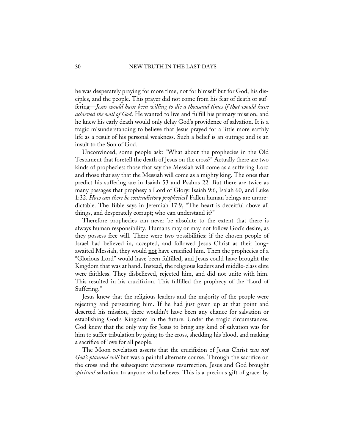he was desperately praying for more time, not for himself but for God, his disciples, and the people. This prayer did not come from his fear of death or suffering—*Jesus would have been willing to die a thousand times if that would have achieved the will of God*. He wanted to live and fulfill his primary mission, and he knew his early death would only delay God's providence of salvation. It is a tragic misunderstanding to believe that Jesus prayed for a little more earthly life as a result of his personal weakness. Such a belief is an outrage and is an insult to the Son of God.

Unconvinced, some people ask: "What about the prophecies in the Old Testament that foretell the death of Jesus on the cross?" Actually there are two kinds of prophecies: those that say the Messiah will come as a suffering Lord and those that say that the Messiah will come as a mighty king. The ones that predict his suffering are in Isaiah 53 and Psalms 22. But there are twice as many passages that prophesy a Lord of Glory: Isaiah 9:6, Isaiah 60, and Luke 1:32. *How can there be contradictory prophecies?* Fallen human beings are unpredictable. The Bible says in Jeremiah 17:9, "The heart is deceitful above all things, and desperately corrupt; who can understand it?"

Therefore prophecies can never be absolute to the extent that there is always human responsibility. Humans may or may not follow God's desire, as they possess free will. There were two possibilities: if the chosen people of Israel had believed in, accepted, and followed Jesus Christ as their longawaited Messiah, they would not have crucified him. Then the prophecies of a "Glorious Lord" would have been fulfilled, and Jesus could have brought the Kingdom that was at hand. Instead, the religious leaders and middle-class elite were faithless. They disbelieved, rejected him, and did not unite with him. This resulted in his crucifixion. This fulfilled the prophecy of the "Lord of Suffering."

Jesus knew that the religious leaders and the majority of the people were rejecting and persecuting him. If he had just given up at that point and deserted his mission, there wouldn't have been any chance for salvation or establishing God's Kingdom in the future. Under the tragic circumstances, God knew that the only way for Jesus to bring any kind of salvation was for him to suffer tribulation by going to the cross, shedding his blood, and making a sacrifice of love for all people.

The Moon revelation asserts that the crucifixion of Jesus Christ *was not God's planned will* but was a painful alternate course. Through the sacrifice on the cross and the subsequent victorious resurrection, Jesus and God brought *spiritual* salvation to anyone who believes. This is a precious gift of grace: by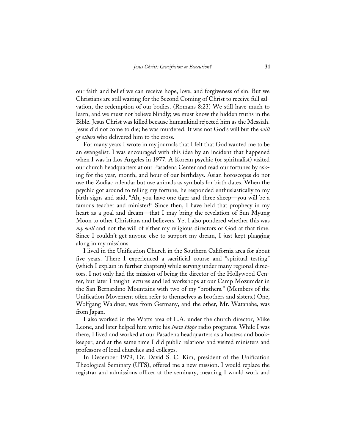our faith and belief we can receive hope, love, and forgiveness of sin. But we Christians are still waiting for the Second Coming of Christ to receive full salvation, the redemption of our bodies. (Romans 8:23) We still have much to learn, and we must not believe blindly; we must know the hidden truths in the Bible. Jesus Christ was killed because humankind rejected him as the Messiah. Jesus did not come to die; he was murdered. It was not God's will but the *will of others* who delivered him to the cross.

For many years I wrote in my journals that I felt that God wanted me to be an evangelist. I was encouraged with this idea by an incident that happened when I was in Los Angeles in 1977. A Korean psychic (or spiritualist) visited our church headquarters at our Pasadena Center and read our fortunes by asking for the year, month, and hour of our birthdays. Asian horoscopes do not use the Zodiac calendar but use animals as symbols for birth dates. When the psychic got around to telling my fortune, he responded enthusiastically to my birth signs and said, "Ah, you have one tiger and three sheep—you will be a famous teacher and minister!" Since then, I have held that prophecy in my heart as a goal and dream—that I may bring the revelation of Sun Myung Moon to other Christians and believers. Yet I also pondered whether this was *my will* and not the will of either my religious directors or God at that time. Since I couldn't get anyone else to support my dream, I just kept plugging along in my missions.

I lived in the Unification Church in the Southern California area for about five years. There I experienced a sacrificial course and "spiritual testing" (which I explain in further chapters) while serving under many regional directors. I not only had the mission of being the director of the Hollywood Center, but later I taught lectures and led workshops at our Camp Mozumdar in the San Bernardino Mountains with two of my "brothers." (Members of the Unification Movement often refer to themselves as brothers and sisters.) One, Wolfgang Waldner, was from Germany, and the other, Mr. Watanabe, was from Japan.

I also worked in the Watts area of L.A. under the church director, Mike Leone, and later helped him write his *New Hope* radio programs. While I was there, I lived and worked at our Pasadena headquarters as a hostess and bookkeeper, and at the same time I did public relations and visited ministers and professors of local churches and colleges.

In December 1979, Dr. David S. C. Kim, president of the Unification Theological Seminary (UTS), offered me a new mission. I would replace the registrar and admissions officer at the seminary, meaning I would work and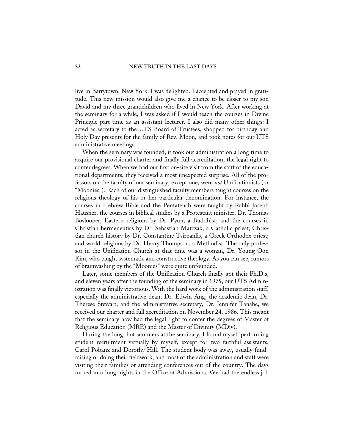live in Barrytown, New York. I was delighted. I accepted and prayed in gratitude. This new mission would also give me a chance to be closer to my son David and my three grandchildren who lived in New York. After working at the seminary for a while, I was asked if I would teach the courses in Divine Principle part time as an assistant lecturer. I also did many other things: I acted as secretary to the UTS Board of Trustees, shopped for birthday and Holy Day presents for the family of Rev. Moon, and took notes for our UTS administrative meetings.

When the seminary was founded, it took our administration a long time to acquire our provisional charter and finally full accreditation, the legal right to confer degrees. When we had our first on-site visit from the staff of the educational departments, they received a most unexpected surprise. All of the professors on the faculty of our seminary, except one, were *not* Unificationists (or "Moonies"). Each of our distinguished faculty members taught courses on the religious theology of his or her particular denomination. For instance, the courses in Hebrew Bible and the Pentateuch were taught by Rabbi Joseph Hausner; the courses in biblical studies by a Protestant minister, Dr. Thomas Boslooper; Eastern religions by Dr. Pyun, a Buddhist; and the courses in Christian hermeneutics by Dr. Sebastian Matczak, a Catholic priest; Christian church history by Dr. Constantine Tsirpanlis, a Greek Orthodox priest; and world religions by Dr. Henry Thompson, a Methodist. The only professor in the Unification Church at that time was a woman, Dr. Young Oon Kim, who taught systematic and constructive theology. As you can see, rumors of brainwashing by the "Moonies" were quite unfounded.

Later, some members of the Unification Church finally got their Ph.D.s, and eleven years after the founding of the seminary in 1975, our UTS Administration was finally victorious. With the hard work of the administration staff, especially the administrative dean, Dr. Edwin Ang, the academic dean, Dr. Therese Stewart, and the administrative secretary, Dr. Jennifer Tanabe, we received our charter and full accreditation on November 24, 1986. This meant that the seminary now had the legal right to confer the degrees of Master of Religious Education (MRE) and the Master of Divinity (MDiv).

During the long, hot summers at the seminary, I found myself performing student recruitment virtually by myself, except for two faithful assistants, Carol Pobanz and Dorothy Hill. The student body was away, usually fundraising or doing their fieldwork, and most of the administration and staff were visiting their families or attending conferences out of the country. The days turned into long nights in the Office of Admissions. We had the endless job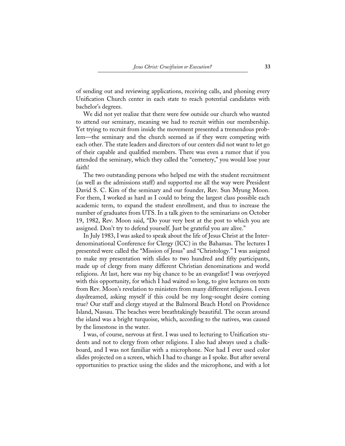of sending out and reviewing applications, receiving calls, and phoning every Unification Church center in each state to reach potential candidates with bachelor's degrees.

We did not yet realize that there were few outside our church who wanted to attend our seminary, meaning we had to recruit within our membership. Yet trying to recruit from inside the movement presented a tremendous problem—the seminary and the church seemed as if they were competing with each other. The state leaders and directors of our centers did not want to let go of their capable and qualified members. There was even a rumor that if you attended the seminary, which they called the "cemetery," you would lose your faith!

The two outstanding persons who helped me with the student recruitment (as well as the admissions staff) and supported me all the way were President David S. C. Kim of the seminary and our founder, Rev. Sun Myung Moon. For them, I worked as hard as I could to bring the largest class possible each academic term, to expand the student enrollment, and thus to increase the number of graduates from UTS. In a talk given to the seminarians on October 19, 1982, Rev. Moon said, "Do your very best at the post to which you are assigned. Don't try to defend yourself. Just be grateful you are alive."

In July 1983, I was asked to speak about the life of Jesus Christ at the Interdenominational Conference for Clergy (ICC) in the Bahamas. The lectures I presented were called the "Mission of Jesus" and "Christology." I was assigned to make my presentation with slides to two hundred and fifty participants, made up of clergy from many different Christian denominations and world religions. At last, here was my big chance to be an evangelist! I was overjoyed with this opportunity, for which I had waited so long, to give lectures on texts from Rev. Moon's revelation to ministers from many different religions. I even daydreamed, asking myself if this could be my long-sought desire coming true? Our staff and clergy stayed at the Balmoral Beach Hotel on Providence Island, Nassau. The beaches were breathtakingly beautiful. The ocean around the island was a bright turquoise, which, according to the natives, was caused by the limestone in the water.

I was, of course, nervous at first. I was used to lecturing to Unification students and not to clergy from other religions. I also had always used a chalkboard, and I was not familiar with a microphone. Nor had I ever used color slides projected on a screen, which I had to change as I spoke. But after several opportunities to practice using the slides and the microphone, and with a lot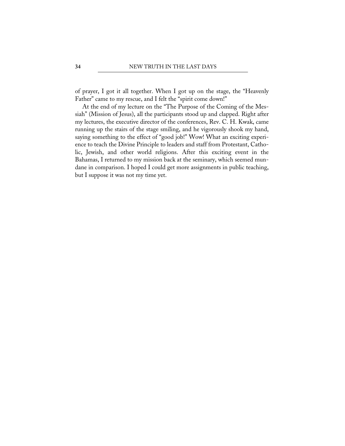of prayer, I got it all together. When I got up on the stage, the "Heavenly Father" came to my rescue, and I felt the "spirit come down!"

At the end of my lecture on the "The Purpose of the Coming of the Messiah" (Mission of Jesus), all the participants stood up and clapped. Right after my lectures, the executive director of the conferences, Rev. C. H. Kwak, came running up the stairs of the stage smiling, and he vigorously shook my hand, saying something to the effect of "good job!" Wow! What an exciting experience to teach the Divine Principle to leaders and staff from Protestant, Catholic, Jewish, and other world religions. After this exciting event in the Bahamas, I returned to my mission back at the seminary, which seemed mundane in comparison. I hoped I could get more assignments in public teaching, but I suppose it was not my time yet.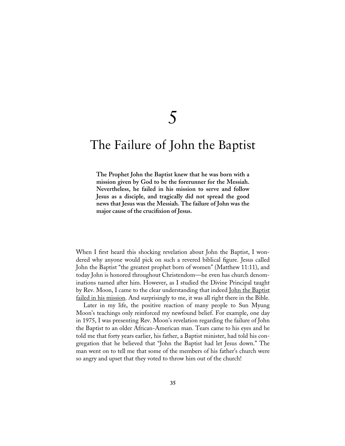5

### The Failure of John the Baptist

**The Prophet John the Baptist knew that he was born with a mission given by God to be the forerunner for the Messiah. Nevertheless, he failed in his mission to serve and follow Jesus as a disciple, and tragically did not spread the good news that Jesus was the Messiah. The failure of John was the major cause of the crucifixion of Jesus.**

When I first heard this shocking revelation about John the Baptist, I wondered why anyone would pick on such a revered biblical figure. Jesus called John the Baptist "the greatest prophet born of women" (Matthew 11:11), and today John is honored throughout Christendom—he even has church denominations named after him. However, as I studied the Divine Principal taught by Rev. Moon, I came to the clear understanding that indeed John the Baptist failed in his mission. And surprisingly to me, it was all right there in the Bible.

Later in my life, the positive reaction of many people to Sun Myung Moon's teachings only reinforced my newfound belief. For example, one day in 1975, I was presenting Rev. Moon's revelation regarding the failure of John the Baptist to an older African-American man. Tears came to his eyes and he told me that forty years earlier, his father, a Baptist minister, had told his congregation that he believed that "John the Baptist had let Jesus down." The man went on to tell me that some of the members of his father's church were so angry and upset that they voted to throw him out of the church!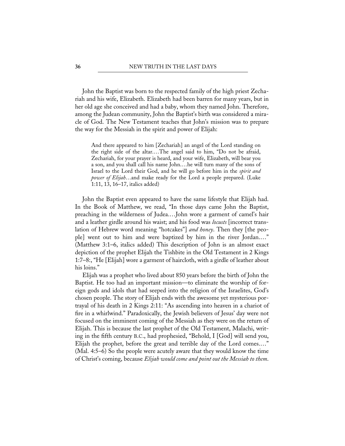John the Baptist was born to the respected family of the high priest Zechariah and his wife, Elizabeth. Elizabeth had been barren for many years, but in her old age she conceived and had a baby, whom they named John. Therefore, among the Judean community, John the Baptist's birth was considered a miracle of God. The New Testament teaches that John's mission was to prepare the way for the Messiah in the spirit and power of Elijah:

And there appeared to him [Zechariah] an angel of the Lord standing on the right side of the altar.…The angel said to him, "Do not be afraid, Zechariah, for your prayer is heard, and your wife, Elizabeth, will bear you a son, and you shall call his name John.…he will turn many of the sons of Israel to the Lord their God, and he will go before him in the *spirit and power of Elijah*…and make ready for the Lord a people prepared. (Luke 1:11, 13, 16–17, italics added)

John the Baptist even appeared to have the same lifestyle that Elijah had. In the Book of Matthew, we read, "In those days came John the Baptist, preaching in the wilderness of Judea.…John wore a garment of camel's hair and a leather girdle around his waist; and his food was *locusts* [incorrect translation of Hebrew word meaning "hotcakes"] *and honey*. Then they [the people] went out to him and were baptized by him in the river Jordan.…" (Matthew 3:1–6, italics added) This description of John is an almost exact depiction of the prophet Elijah the Tishbite in the Old Testament in 2 Kings 1:7–8:, "He [Elijah] wore a garment of haircloth, with a girdle of leather about his loins."

Elijah was a prophet who lived about 850 years before the birth of John the Baptist. He too had an important mission—to eliminate the worship of foreign gods and idols that had seeped into the religion of the Israelites, God's chosen people. The story of Elijah ends with the awesome yet mysterious portrayal of his death in 2 Kings 2:11: "As ascending into heaven in a chariot of fire in a whirlwind." Paradoxically, the Jewish believers of Jesus' day were not focused on the imminent coming of the Messiah as they were on the return of Elijah. This is because the last prophet of the Old Testament, Malachi, writing in the fifth century B.C., had prophesied, "Behold, I [God] will send you, Elijah the prophet, before the great and terrible day of the Lord comes.…" (Mal. 4:5–6) So the people were acutely aware that they would know the time of Christ's coming, because *Elijah would come and point out the Messiah to them*.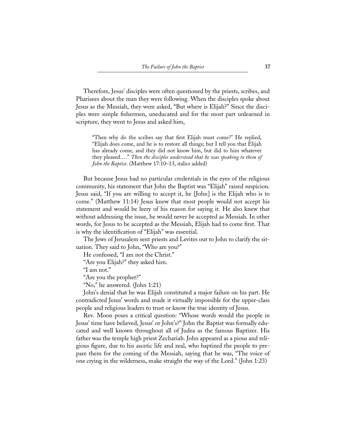Therefore, Jesus' disciples were often questioned by the priests, scribes, and Pharisees about the man they were following. When the disciples spoke about Jesus as the Messiah, they were asked, "But where is Elijah?" Since the disciples were simple fishermen, uneducated and for the most part unlearned in scripture, they went to Jesus and asked him,

"Then why do the scribes say that first Elijah must come?" He replied, "Elijah does come, and he is to restore all things; but I tell you that Elijah has already come, and they did not know him, but did to him whatever they pleased.…" *Then the disciples understood that he was speaking to them of John the Baptist*. (Matthew 17:10–13, italics added)

But because Jesus had no particular credentials in the eyes of the religious community, his statement that John the Baptist was "Elijah" raised suspicion. Jesus said, "If you are willing to accept it, he [John] is the Elijah who is to come." (Matthew 11:14) Jesus knew that most people would not accept his statement and would be leery of his reason for saying it. He also knew that without addressing the issue, he would never be accepted as Messiah. In other words, for Jesus to be accepted as the Messiah, Elijah had to come first. That is why the identification of "Elijah" was essential.

The Jews of Jerusalem sent priests and Levites out to John to clarify the situation. They said to John, "Who are you?"

He confessed, "I am not the Christ."

"Are you Elijah?" they asked him.

"I am not."

"Are you the prophet?"

"No," he answered. (John 1:21)

John's denial that he was Elijah constituted a major failure on his part. He contradicted Jesus' words and made it virtually impossible for the upper-class people and religious leaders to trust or know the true identity of Jesus.

Rev. Moon poses a critical question: "Whose words would the people in Jesus' time have believed, Jesus' or John's?" John the Baptist was formally educated and well known throughout all of Judea as the famous Baptizer. His father was the temple high priest Zechariah. John appeared as a pious and religious figure, due to his ascetic life and zeal, who baptized the people to prepare them for the coming of the Messiah, saying that he was, "The voice of one crying in the wilderness, make straight the way of the Lord." (John 1:23)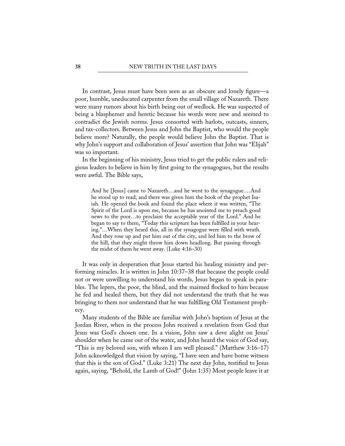In contrast, Jesus must have been seen as an obscure and lonely figure—a poor, humble, uneducated carpenter from the small village of Nazareth. There were many rumors about his birth being out of wedlock. He was suspected of being a blasphemer and heretic because his words were new and seemed to contradict the Jewish norms. Jesus consorted with harlots, outcasts, sinners, and tax-collectors. Between Jesus and John the Baptist, who would the people believe more? Naturally, the people would believe John the Baptist. That is why John's support and collaboration of Jesus' assertion that John was "Elijah" was so important.

In the beginning of his ministry, Jesus tried to get the public rulers and religious leaders to believe in him by first going to the synagogues, but the results were awful. The Bible says,

And he [Jesus] came to Nazareth…and he went to the synagogue.…And he stood up to read; and there was given him the book of the prophet Isaiah. He opened the book and found the place where it was written, "The Spirit of the Lord is upon me, because he has anointed me to preach good news to the poor…to proclaim the acceptable year of the Lord." And he began to say to them, "Today this scripture has been fulfilled in your hearing."…When they heard this, all in the synagogue were filled with wrath. And they rose up and put him out of the city, and led him to the brow of the hill, that they might throw him down headlong. But passing through the midst of them he went away. (Luke 4:16–30)

It was only in desperation that Jesus started his healing ministry and performing miracles. It is written in John 10:37–38 that because the people could not or were unwilling to understand his words, Jesus began to speak in parables. The lepers, the poor, the blind, and the maimed flocked to him because he fed and healed them, but they did not understand the truth that he was bringing to them nor understand that he was fulfilling Old Testament prophecy.

Many students of the Bible are familiar with John's baptism of Jesus at the Jordan River, when in the process John received a revelation from God that Jesus was God's chosen one. In a vision, John saw a dove alight on Jesus' shoulder when he came out of the water, and John heard the voice of God say, "This is my beloved son, with whom I am well pleased." (Matthew 3:16–17) John acknowledged that vision by saying, "I have seen and have borne witness that this is the son of God." (Luke 3:21) The next day John, testified to Jesus again, saying, "Behold, the Lamb of God!" (John 1:35) Most people leave it at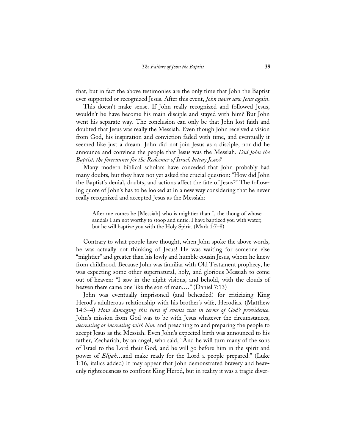that, but in fact the above testimonies are the only time that John the Baptist ever supported or recognized Jesus. After this event, *John never saw Jesus again*.

This doesn't make sense. If John really recognized and followed Jesus, wouldn't he have become his main disciple and stayed with him? But John went his separate way. The conclusion can only be that John lost faith and doubted that Jesus was really the Messiah. Even though John received a vision from God, his inspiration and conviction faded with time, and eventually it seemed like just a dream. John did not join Jesus as a disciple, nor did he announce and convince the people that Jesus was the Messiah. *Did John the Baptist, the forerunner for the Redeemer of Israel, betray Jesus?*

Many modern biblical scholars have conceded that John probably had many doubts, but they have not yet asked the crucial question: "How did John the Baptist's denial, doubts, and actions affect the fate of Jesus?" The following quote of John's has to be looked at in a new way considering that he never really recognized and accepted Jesus as the Messiah:

After me comes he [Messiah] who is mightier than I, the thong of whose sandals I am not worthy to stoop and untie. I have baptized you with water; but he will baptize you with the Holy Spirit. (Mark 1:7–8)

Contrary to what people have thought, when John spoke the above words, he was actually not thinking of Jesus! He was waiting for someone else "mightier" and greater than his lowly and humble cousin Jesus, whom he knew from childhood. Because John was familiar with Old Testament prophecy, he was expecting some other supernatural, holy, and glorious Messiah to come out of heaven: "I saw in the night visions, and behold, with the clouds of heaven there came one like the son of man.…" (Daniel 7:13)

John was eventually imprisoned (and beheaded) for criticizing King Herod's adulterous relationship with his brother's wife, Herodias. (Matthew 14:3–4) *How damaging this turn of events was in terms of God's providence*. John's mission from God was to be with Jesus whatever the circumstances, *decreasing or increasing with him*, and preaching to and preparing the people to accept Jesus as the Messiah. Even John's expected birth was announced to his father, Zechariah, by an angel, who said, "And he will turn many of the sons of Israel to the Lord their God, and he will go before him in the spirit and power of *Elijah*…and make ready for the Lord a people prepared." (Luke 1:16, italics added) It may appear that John demonstrated bravery and heavenly righteousness to confront King Herod, but in reality it was a tragic diver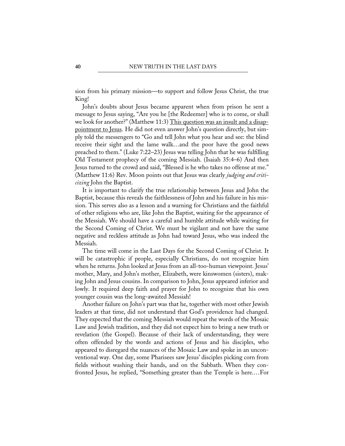sion from his primary mission—to support and follow Jesus Christ, the true King!

John's doubts about Jesus became apparent when from prison he sent a message to Jesus saying, "Are you he [the Redeemer] who is to come, or shall we look for another?" (Matthew 11:3) This question was an insult and a disappointment to Jesus. He did not even answer John's question directly, but simply told the messengers to "Go and tell John what you hear and see: the blind receive their sight and the lame walk…and the poor have the good news preached to them." (Luke 7:22–23) Jesus was telling John that he was fulfilling Old Testament prophecy of the coming Messiah. (Isaiah 35:4–6) And then Jesus turned to the crowd and said, "Blessed is he who takes no offense at me." (Matthew 11:6) Rev. Moon points out that Jesus was clearly *judging and criticizing* John the Baptist.

It is important to clarify the true relationship between Jesus and John the Baptist, because this reveals the faithlessness of John and his failure in his mission. This serves also as a lesson and a warning for Christians and the faithful of other religions who are, like John the Baptist, waiting for the appearance of the Messiah. We should have a careful and humble attitude while waiting for the Second Coming of Christ. We must be vigilant and not have the same negative and reckless attitude as John had toward Jesus, who was indeed the Messiah.

The time will come in the Last Days for the Second Coming of Christ. It will be catastrophic if people, especially Christians, do not recognize him when he returns. John looked at Jesus from an all-too-human viewpoint. Jesus' mother, Mary, and John's mother, Elizabeth, were kinswomen (sisters), making John and Jesus cousins. In comparison to John, Jesus appeared inferior and lowly. It required deep faith and prayer for John to recognize that his own younger cousin was the long-awaited Messiah!

Another failure on John's part was that he, together with most other Jewish leaders at that time, did not understand that God's providence had changed. They expected that the coming Messiah would repeat the words of the Mosaic Law and Jewish tradition, and they did not expect him to bring a new truth or revelation (the Gospel). Because of their lack of understanding, they were often offended by the words and actions of Jesus and his disciples, who appeared to disregard the nuances of the Mosaic Law and spoke in an unconventional way. One day, some Pharisees saw Jesus' disciples picking corn from fields without washing their hands, and on the Sabbath. When they confronted Jesus, he replied, "Something greater than the Temple is here.…For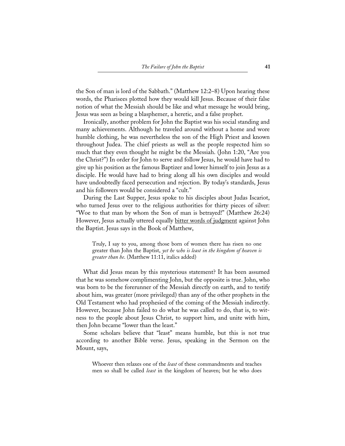the Son of man is lord of the Sabbath." (Matthew 12:2–8) Upon hearing these words, the Pharisees plotted how they would kill Jesus. Because of their false notion of what the Messiah should be like and what message he would bring, Jesus was seen as being a blasphemer, a heretic, and a false prophet.

Ironically, another problem for John the Baptist was his social standing and many achievements. Although he traveled around without a home and wore humble clothing, he was nevertheless the son of the High Priest and known throughout Judea. The chief priests as well as the people respected him so much that they even thought he might be the Messiah. (John 1:20, "Are you the Christ?") In order for John to serve and follow Jesus, he would have had to give up his position as the famous Baptizer and lower himself to join Jesus as a disciple. He would have had to bring along all his own disciples and would have undoubtedly faced persecution and rejection. By today's standards, Jesus and his followers would be considered a "cult."

During the Last Supper, Jesus spoke to his disciples about Judas Iscariot, who turned Jesus over to the religious authorities for thirty pieces of silver: "Woe to that man by whom the Son of man is betrayed!" (Matthew 26:24) However, Jesus actually uttered equally bitter words of judgment against John the Baptist. Jesus says in the Book of Matthew,

Truly, I say to you, among those born of women there has risen no one greater than John the Baptist, *yet he who is least in the kingdom of heaven is greater than he*. (Matthew 11:11, italics added)

What did Jesus mean by this mysterious statement? It has been assumed that he was somehow complimenting John, but the opposite is true. John, who was born to be the forerunner of the Messiah directly on earth, and to testify about him, was greater (more privileged) than any of the other prophets in the Old Testament who had prophesied of the coming of the Messiah indirectly. However, because John failed to do what he was called to do, that is, to witness to the people about Jesus Christ, to support him, and unite with him, then John became "lower than the least."

Some scholars believe that "least" means humble, but this is not true according to another Bible verse. Jesus, speaking in the Sermon on the Mount, says,

Whoever then relaxes one of the *least* of these commandments and teaches men so shall be called *least* in the kingdom of heaven; but he who does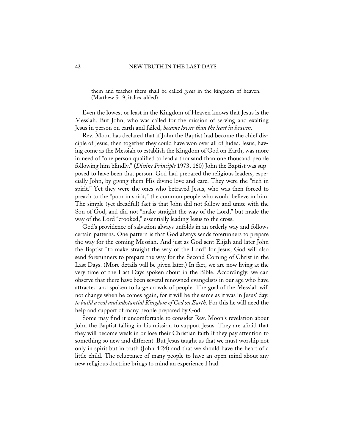them and teaches them shall be called *great* in the kingdom of heaven. (Matthew 5:19, italics added)

Even the lowest or least in the Kingdom of Heaven knows that Jesus is the Messiah. But John, who was called for the mission of serving and exalting Jesus in person on earth and failed, *became lower than the least in heaven*.

Rev. Moon has declared that if John the Baptist had become the chief disciple of Jesus, then together they could have won over all of Judea. Jesus, having come as the Messiah to establish the Kingdom of God on Earth, was more in need of "one person qualified to lead a thousand than one thousand people following him blindly." (*Divine Principle* 1973, 160) John the Baptist was supposed to have been that person. God had prepared the religious leaders, especially John, by giving them His divine love and care. They were the "rich in spirit." Yet they were the ones who betrayed Jesus, who was then forced to preach to the "poor in spirit," the common people who would believe in him. The simple (yet dreadful) fact is that John did not follow and unite with the Son of God, and did not "make straight the way of the Lord," but made the way of the Lord "crooked," essentially leading Jesus to the cross.

God's providence of salvation always unfolds in an orderly way and follows certain patterns. One pattern is that God always sends forerunners to prepare the way for the coming Messiah. And just as God sent Elijah and later John the Baptist "to make straight the way of the Lord" for Jesus, God will also send forerunners to prepare the way for the Second Coming of Christ in the Last Days. (More details will be given later.) In fact, we are now living at the very time of the Last Days spoken about in the Bible. Accordingly, we can observe that there have been several renowned evangelists in our age who have attracted and spoken to large crowds of people. The goal of the Messiah will not change when he comes again, for it will be the same as it was in Jesus' day: *to build a real and substantial Kingdom of God on Earth*. For this he will need the help and support of many people prepared by God.

Some may find it uncomfortable to consider Rev. Moon's revelation about John the Baptist failing in his mission to support Jesus. They are afraid that they will become weak in or lose their Christian faith if they pay attention to something so new and different. But Jesus taught us that we must worship not only in spirit but in truth (John 4:24) and that we should have the heart of a little child. The reluctance of many people to have an open mind about any new religious doctrine brings to mind an experience I had.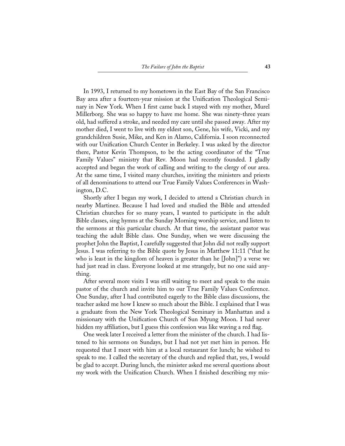In 1993, I returned to my hometown in the East Bay of the San Francisco Bay area after a fourteen-year mission at the Unification Theological Seminary in New York. When I first came back I stayed with my mother, Murel Millerborg. She was so happy to have me home. She was ninety-three years old, had suffered a stroke, and needed my care until she passed away. After my mother died, I went to live with my eldest son, Gene, his wife, Vicki, and my grandchildren Susie, Mike, and Ken in Alamo, California. I soon reconnected with our Unification Church Center in Berkeley. I was asked by the director there, Pastor Kevin Thompson, to be the acting coordinator of the "True Family Values" ministry that Rev. Moon had recently founded. I gladly accepted and began the work of calling and writing to the clergy of our area. At the same time, I visited many churches, inviting the ministers and priests of all denominations to attend our True Family Values Conferences in Washington, D.C.

Shortly after I began my work, I decided to attend a Christian church in nearby Martinez. Because I had loved and studied the Bible and attended Christian churches for so many years, I wanted to participate in the adult Bible classes, sing hymns at the Sunday Morning worship service, and listen to the sermons at this particular church. At that time, the assistant pastor was teaching the adult Bible class. One Sunday, when we were discussing the prophet John the Baptist, I carefully suggested that John did not really support Jesus. I was referring to the Bible quote by Jesus in Matthew 11:11 ("that he who is least in the kingdom of heaven is greater than he [John]") a verse we had just read in class. Everyone looked at me strangely, but no one said anything.

After several more visits I was still waiting to meet and speak to the main pastor of the church and invite him to our True Family Values Conference. One Sunday, after I had contributed eagerly to the Bible class discussions, the teacher asked me how I knew so much about the Bible. I explained that I was a graduate from the New York Theological Seminary in Manhattan and a missionary with the Unification Church of Sun Myung Moon. I had never hidden my affiliation, but I guess this confession was like waving a red flag.

One week later I received a letter from the minister of the church. I had listened to his sermons on Sundays, but I had not yet met him in person. He requested that I meet with him at a local restaurant for lunch; he wished to speak to me. I called the secretary of the church and replied that, yes, I would be glad to accept. During lunch, the minister asked me several questions about my work with the Unification Church. When I finished describing my mis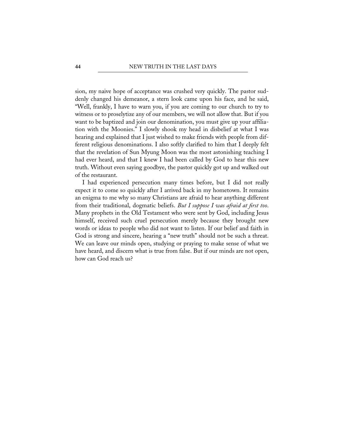sion, my naive hope of acceptance was crushed very quickly. The pastor suddenly changed his demeanor, a stern look came upon his face, and he said, "Well, frankly, I have to warn you, if you are coming to our church to try to witness or to proselytize any of our members, we will not allow that. But if you want to be baptized and join our denomination, you must give up your affiliation with the Moonies." I slowly shook my head in disbelief at what I was hearing and explained that I just wished to make friends with people from different religious denominations. I also softly clarified to him that I deeply felt that the revelation of Sun Myung Moon was the most astonishing teaching I had ever heard, and that I knew I had been called by God to hear this new truth. Without even saying goodbye, the pastor quickly got up and walked out of the restaurant.

I had experienced persecution many times before, but I did not really expect it to come so quickly after I arrived back in my hometown. It remains an enigma to me why so many Christians are afraid to hear anything different from their traditional, dogmatic beliefs. *But I suppose I was afraid at first too*. Many prophets in the Old Testament who were sent by God, including Jesus himself, received such cruel persecution merely because they brought new words or ideas to people who did not want to listen. If our belief and faith in God is strong and sincere, hearing a "new truth" should not be such a threat. We can leave our minds open, studying or praying to make sense of what we have heard, and discern what is true from false. But if our minds are not open, how can God reach us?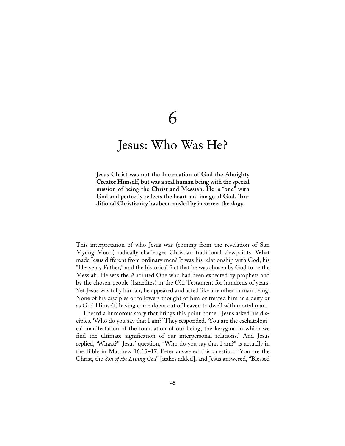# 6

#### Jesus: Who Was He?

**Jesus Christ was not the Incarnation of God the Almighty Creator Himself, but was a real human being with the special mission of being the Christ and Messiah. He is "one" with God and perfectly reflects the heart and image of God. Traditional Christianity has been misled by incorrect theology.**

This interpretation of who Jesus was (coming from the revelation of Sun Myung Moon) radically challenges Christian traditional viewpoints. What made Jesus different from ordinary men? It was his relationship with God, his "Heavenly Father," and the historical fact that he was chosen by God to be the Messiah. He was the Anointed One who had been expected by prophets and by the chosen people (Israelites) in the Old Testament for hundreds of years. Yet Jesus was fully human; he appeared and acted like any other human being. None of his disciples or followers thought of him or treated him as a deity or as God Himself, having come down out of heaven to dwell with mortal man.

I heard a humorous story that brings this point home: "Jesus asked his disciples, 'Who do you say that I am?' They responded, 'You are the eschatological manifestation of the foundation of our being, the kerygma in which we find the ultimate signification of our interpersonal relations.' And Jesus replied, 'Whaat?'" Jesus' question, "Who do you say that I am?" is actually in the Bible in Matthew 16:15–17. Peter answered this question: "You are the Christ, the *Son of the Living God*" [italics added], and Jesus answered, "Blessed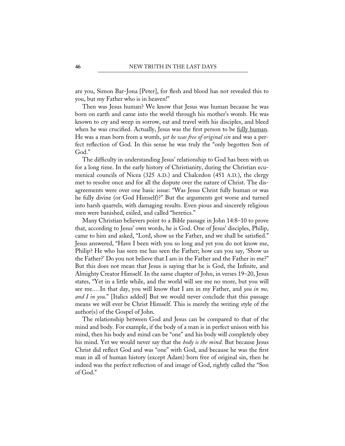are you, Simon Bar-Jona [Peter], for flesh and blood has not revealed this to you, but my Father who is in heaven!"

Then was Jesus human? We know that Jesus was human because he was born on earth and came into the world through his mother's womb. He was known to cry and weep in sorrow, eat and travel with his disciples, and bleed when he was crucified. Actually, Jesus was the first person to be fully human. He was a man born from a womb, *yet he was free of original sin* and was a perfect reflection of God. In this sense he was truly the "only begotten Son of God."

The difficulty in understanding Jesus' relationship to God has been with us for a long time. In the early history of Christianity, during the Christian ecumenical councils of Nicea (325 A.D.) and Chalcedon (451 A.D.), the clergy met to resolve once and for all the dispute over the nature of Christ. The disagreements were over one basic issue: "Was Jesus Christ fully human or was he fully divine (or God Himself)?" But the arguments got worse and turned into harsh quarrels, with damaging results. Even pious and sincerely religious men were banished, exiled, and called "heretics."

Many Christian believers point to a Bible passage in John 14:8–10 to prove that, according to Jesus' own words, he is God. One of Jesus' disciples, Philip, came to him and asked, "Lord, show us the Father, and we shall be satisfied." Jesus answered, "Have I been with you so long and yet you do not know me, Philip? He who has seen me has seen the Father; how can you say, 'Show us the Father?' Do you not believe that I am in the Father and the Father in me?" But this does not mean that Jesus is saying that he is God, the Infinite, and Almighty Creator Himself. In the same chapter of John, in verses 19–20, Jesus states, "Yet in a little while, and the world will see me no more, but you will see me.…In that day, you will know that I am in my Father, and *you in me, and I in you*." [Italics added] But we would never conclude that this passage means we will ever be Christ Himself. This is merely the writing style of the author(s) of the Gospel of John.

The relationship between God and Jesus can be compared to that of the mind and body. For example, if the body of a man is in perfect unison with his mind, then his body and mind can be "one" and his body will completely obey his mind. Yet we would never say that the *body is the mind*. But because Jesus Christ did reflect God and was "one" with God, and because he was the first man in all of human history (except Adam) born free of original sin, then he indeed was the perfect reflection of and image of God, rightly called the "Son of God."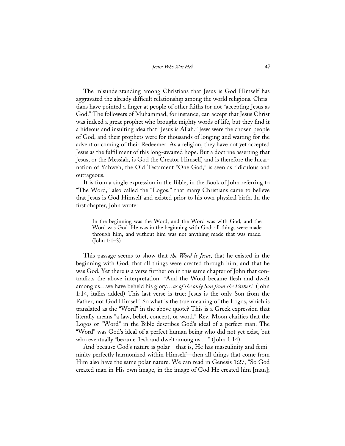The misunderstanding among Christians that Jesus is God Himself has aggravated the already difficult relationship among the world religions. Christians have pointed a finger at people of other faiths for not "accepting Jesus as God." The followers of Muhammad, for instance, can accept that Jesus Christ was indeed a great prophet who brought mighty words of life, but they find it a hideous and insulting idea that "Jesus is Allah." Jews were the chosen people of God, and their prophets were for thousands of longing and waiting for the advent or coming of their Redeemer. As a religion, they have not yet accepted Jesus as the fulfillment of this long-awaited hope. But a doctrine asserting that Jesus, or the Messiah, is God the Creator Himself, and is therefore the Incarnation of Yahweh, the Old Testament "One God," is seen as ridiculous and outrageous.

It is from a single expression in the Bible, in the Book of John referring to "The Word," also called the "Logos," that many Christians came to believe that Jesus is God Himself and existed prior to his own physical birth. In the first chapter, John wrote:

In the beginning was the Word, and the Word was with God, and the Word was God. He was in the beginning with God; all things were made through him, and without him was not anything made that was made. (John 1:1–3)

This passage seems to show that *the Word is Jesus*, that he existed in the beginning with God, that all things were created through him, and that he was God. Yet there is a verse further on in this same chapter of John that contradicts the above interpretation: "And the Word became flesh and dwelt among us…we have beheld his glory…*as of the only Son from the Father*." (John 1:14, italics added) This last verse is true: Jesus is the only Son from the Father, not God Himself. So what is the true meaning of the Logos, which is translated as the "Word" in the above quote? This is a Greek expression that literally means "a law, belief, concept, or word." Rev. Moon clarifies that the Logos or "Word" in the Bible describes God's ideal of a perfect man. The "Word" was God's ideal of a perfect human being who did not yet exist, but who eventually "became flesh and dwelt among us.…" (John 1:14)

And because God's nature is polar—that is, He has masculinity and femininity perfectly harmonized within Himself—then all things that come from Him also have the same polar nature. We can read in Genesis 1:27, "So God created man in His own image, in the image of God He created him [man];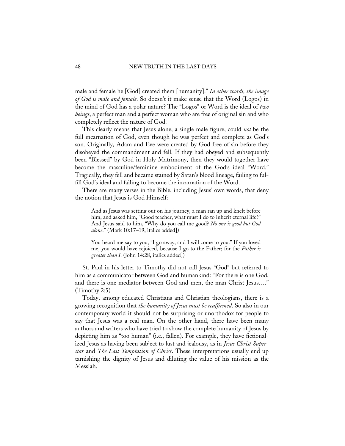male and female he [God] created them [humanity]." *In other words, the image of God is male and female*. So doesn't it make sense that the Word (Logos) in the mind of God has a polar nature? The "Logos" or Word is the ideal of *two beings*, a perfect man and a perfect woman who are free of original sin and who completely reflect the nature of God!

This clearly means that Jesus alone, a single male figure, could *not* be the full incarnation of God, even though he was perfect and complete as God's son. Originally, Adam and Eve were created by God free of sin before they disobeyed the commandment and fell. If they had obeyed and subsequently been "Blessed" by God in Holy Matrimony, then they would together have become the masculine/feminine embodiment of the God's ideal "Word." Tragically, they fell and became stained by Satan's blood lineage, failing to fulfill God's ideal and failing to become the incarnation of the Word.

There are many verses in the Bible, including Jesus' own words, that deny the notion that Jesus is God Himself:

And as Jesus was setting out on his journey, a man ran up and knelt before him, and asked him, "Good teacher, what must I do to inherit eternal life?" And Jesus said to him, "Why do you call me good? *No one is good but God alone*." (Mark 10:17–19, italics added])

You heard me say to you, "I go away, and I will come to you." If you loved me, you would have rejoiced, because I go to the Father; for the *Father is greater than I*. (John 14:28, italics added])

St. Paul in his letter to Timothy did not call Jesus "God" but referred to him as a communicator between God and humankind: "For there is one God, and there is one mediator between God and men, the man Christ Jesus.…" (Timothy 2:5)

Today, among educated Christians and Christian theologians, there is a growing recognition that *the humanity of Jesus must be reaffirmed*. So also in our contemporary world it should not be surprising or unorthodox for people to say that Jesus was a real man. On the other hand, there have been many authors and writers who have tried to show the complete humanity of Jesus by depicting him as "too human" (i.e., fallen). For example, they have fictionalized Jesus as having been subject to lust and jealousy, as in *Jesus Christ Superstar* and *The Last Temptation of Christ*. These interpretations usually end up tarnishing the dignity of Jesus and diluting the value of his mission as the Messiah.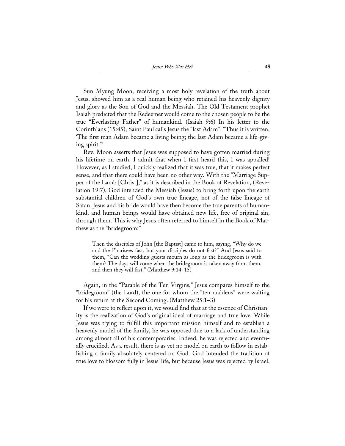Sun Myung Moon, receiving a most holy revelation of the truth about Jesus, showed him as a real human being who retained his heavenly dignity and glory as the Son of God and the Messiah. The Old Testament prophet Isaiah predicted that the Redeemer would come to the chosen people to be the true "Everlasting Father" of humankind. (Isaiah 9:6) In his letter to the Corinthians (15:45), Saint Paul calls Jesus the "last Adam": "Thus it is written, 'The first man Adam became a living being; the last Adam became a life-giving spirit.'"

Rev. Moon asserts that Jesus was supposed to have gotten married during his lifetime on earth. I admit that when I first heard this, I was appalled! However, as I studied, I quickly realized that it was true, that it makes perfect sense, and that there could have been no other way. With the "Marriage Supper of the Lamb [Christ]," as it is described in the Book of Revelation, (Revelation 19:7), God intended the Messiah (Jesus) to bring forth upon the earth substantial children of God's own true lineage, not of the false lineage of Satan. Jesus and his bride would have then become the true parents of humankind, and human beings would have obtained new life, free of original sin, through them. This is why Jesus often referred to himself in the Book of Matthew as the "bridegroom:"

Then the disciples of John [the Baptist] came to him, saying, "Why do we and the Pharisees fast, but your disciples do not fast?" And Jesus said to them, "Can the wedding guests mourn as long as the bridegroom is with them? The days will come when the bridegroom is taken away from them, and then they will fast." (Matthew 9:14–15)

Again, in the "Parable of the Ten Virgins," Jesus compares himself to the "bridegroom" (the Lord), the one for whom the "ten maidens" were waiting for his return at the Second Coming. (Matthew 25:1–3)

If we were to reflect upon it, we would find that at the essence of Christianity is the realization of God's original ideal of marriage and true love. While Jesus was trying to fulfill this important mission himself and to establish a heavenly model of the family, he was opposed due to a lack of understanding among almost all of his contemporaries. Indeed, he was rejected and eventually crucified. As a result, there is as yet no model on earth to follow in establishing a family absolutely centered on God. God intended the tradition of true love to blossom fully in Jesus' life, but because Jesus was rejected by Israel,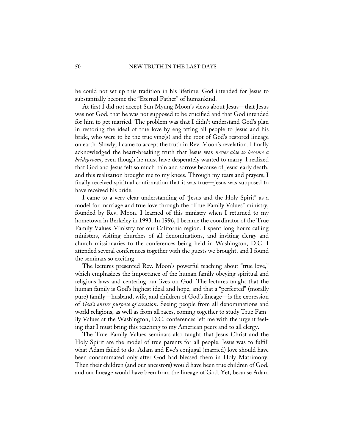he could not set up this tradition in his lifetime. God intended for Jesus to substantially become the "Eternal Father" of humankind.

At first I did not accept Sun Myung Moon's views about Jesus—that Jesus was not God, that he was not supposed to be crucified and that God intended for him to get married. The problem was that I didn't understand God's plan in restoring the ideal of true love by engrafting all people to Jesus and his bride, who were to be the true vine(s) and the root of God's restored lineage on earth. Slowly, I came to accept the truth in Rev. Moon's revelation. I finally acknowledged the heart-breaking truth that Jesus was *never able to become a bridegroom*, even though he must have desperately wanted to marry. I realized that God and Jesus felt so much pain and sorrow because of Jesus' early death, and this realization brought me to my knees. Through my tears and prayers, I finally received spiritual confirmation that it was true—Jesus was supposed to have received his bride.

I came to a very clear understanding of "Jesus and the Holy Spirit" as a model for marriage and true love through the "True Family Values" ministry, founded by Rev. Moon. I learned of this ministry when I returned to my hometown in Berkeley in 1993. In 1996, I became the coordinator of the True Family Values Ministry for our California region. I spent long hours calling ministers, visiting churches of all denominations, and inviting clergy and church missionaries to the conferences being held in Washington, D.C. I attended several conferences together with the guests we brought, and I found the seminars so exciting.

The lectures presented Rev. Moon's powerful teaching about "true love," which emphasizes the importance of the human family obeying spiritual and religious laws and centering our lives on God. The lectures taught that the human family is God's highest ideal and hope, and that a "perfected" (morally pure) family—husband, wife, and children of God's lineage—is the expression of *God's entire purpose of creation*. Seeing people from all denominations and world religions, as well as from all races, coming together to study True Family Values at the Washington, D.C. conferences left me with the urgent feeling that I must bring this teaching to my American peers and to all clergy.

The True Family Values seminars also taught that Jesus Christ and the Holy Spirit are the model of true parents for all people. Jesus was to fulfill what Adam failed to do. Adam and Eve's conjugal (married) love should have been consummated only after God had blessed them in Holy Matrimony. Then their children (and our ancestors) would have been true children of God, and our lineage would have been from the lineage of God. Yet, because Adam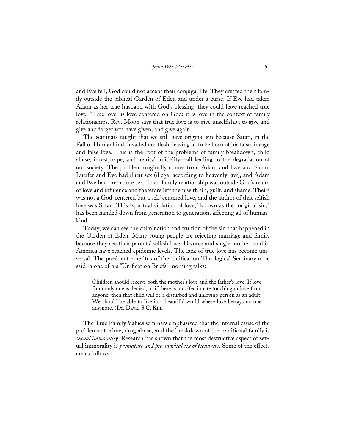and Eve fell, God could not accept their conjugal life. They created their family outside the biblical Garden of Eden and under a curse. If Eve had taken Adam as her true husband with God's blessing, they could have reached true love. "True love" is love centered on God; it is love in the context of family relationships. Rev. Moon says that true love is to give unselfishly; to give and give and forget you have given, and give again.

The seminars taught that we still have original sin because Satan, in the Fall of Humankind, invaded our flesh, leaving us to be born of his false lineage and false love. This is the root of the problems of family breakdown, child abuse, incest, rape, and marital infidelity—all leading to the degradation of our society. The problem originally comes from Adam and Eve and Satan. Lucifer and Eve had illicit sex (illegal according to heavenly law), and Adam and Eve had premature sex. Their family relationship was outside God's realm of love and influence and therefore left them with sin, guilt, and shame. Theirs was not a God-centered but a self-centered love, and the author of that selfish love was Satan. This "spiritual violation of love," known as the "original sin," has been handed down from generation to generation, affecting all of humankind.

Today, we can see the culmination and fruition of the sin that happened in the Garden of Eden. Many young people are rejecting marriage and family because they see their parents' selfish love. Divorce and single motherhood in America have reached epidemic levels. The lack of true love has become universal. The president emeritus of the Unification Theological Seminary once said in one of his "Unification Briefs" morning talks:

Children should receive both the mother's love and the father's love. If love from only one is denied, or if there is no affectionate touching or love from anyone, then that child will be a disturbed and unloving person as an adult. We should be able to live in a beautiful world where love betrays no one anymore. (Dr. David S.C. Kim)

The True Family Values seminars emphasized that the internal cause of the problems of crime, drug abuse, and the breakdown of the traditional family is *sexual immorality*. Research has shown that the most destructive aspect of sexual immorality is *premature and pre-marital sex of teenagers*. Some of the effects are as follows: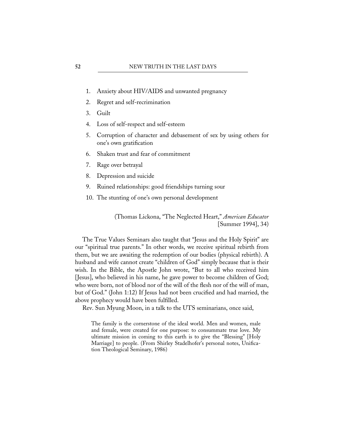- 1. Anxiety about HIV/AIDS and unwanted pregnancy
- 2. Regret and self-recrimination
- 3. Guilt
- 4. Loss of self-respect and self-esteem
- 5. Corruption of character and debasement of sex by using others for one's own gratification
- 6. Shaken trust and fear of commitment
- 7. Rage over betrayal
- 8. Depression and suicide
- 9. Ruined relationships: good friendships turning sour
- 10. The stunting of one's own personal development

(Thomas Lickona, "The Neglected Heart," *American Educator* [Summer 1994], 34)

The True Values Seminars also taught that "Jesus and the Holy Spirit" are our "spiritual true parents." In other words, we receive spiritual rebirth from them, but we are awaiting the redemption of our bodies (physical rebirth). A husband and wife cannot create "children of God" simply because that is their wish. In the Bible, the Apostle John wrote, "But to all who received him [Jesus], who believed in his name, he gave power to become children of God; who were born, not of blood nor of the will of the flesh nor of the will of man, but of God." (John 1:12) If Jesus had not been crucified and had married, the above prophecy would have been fulfilled.

Rev. Sun Myung Moon, in a talk to the UTS seminarians, once said,

The family is the cornerstone of the ideal world. Men and women, male and female, were created for one purpose: to consummate true love. My ultimate mission in coming to this earth is to give the "Blessing" [Holy Marriage] to people. (From Shirley Stadelhofer's personal notes, Unification Theological Seminary, 1986)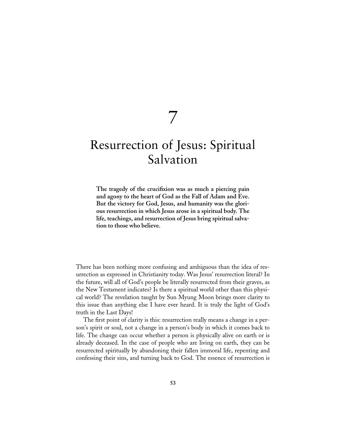# 7

## Resurrection of Jesus: Spiritual Salvation

**The tragedy of the crucifixion was as much a piercing pain and agony to the heart of God as the Fall of Adam and Eve. But the victory for God, Jesus, and humanity was the glorious resurrection in which Jesus arose in a spiritual body. The life, teachings, and resurrection of Jesus bring spiritual salvation to those who believe.**

There has been nothing more confusing and ambiguous than the idea of resurrection as expressed in Christianity today. Was Jesus' resurrection literal? In the future, will all of God's people be literally resurrected from their graves, as the New Testament indicates? Is there a spiritual world other than this physical world? The revelation taught by Sun Myung Moon brings more clarity to this issue than anything else I have ever heard. It is truly the light of God's truth in the Last Days!

The first point of clarity is this: resurrection really means a change in a person's spirit or soul, not a change in a person's body in which it comes back to life. The change can occur whether a person is physically alive on earth or is already deceased. In the case of people who are living on earth, they can be resurrected spiritually by abandoning their fallen immoral life, repenting and confessing their sins, and turning back to God. The essence of resurrection is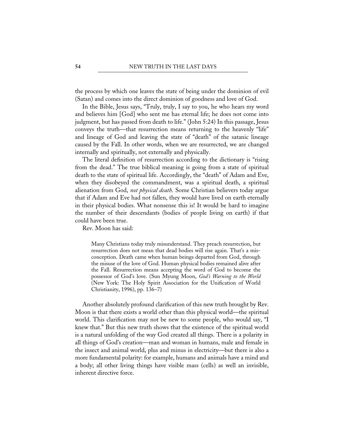the process by which one leaves the state of being under the dominion of evil (Satan) and comes into the direct dominion of goodness and love of God.

In the Bible, Jesus says, "Truly, truly, I say to you, he who hears my word and believes him [God] who sent me has eternal life; he does not come into judgment, but has passed from death to life." (John 5:24) In this passage, Jesus conveys the truth—that resurrection means returning to the heavenly "life" and lineage of God and leaving the state of "death" of the satanic lineage caused by the Fall. In other words, when we are resurrected, we are changed internally and spiritually, not externally and physically.

The literal definition of resurrection according to the dictionary is "rising from the dead." The true biblical meaning is going from a state of spiritual death to the state of spiritual life. Accordingly, the "death" of Adam and Eve, when they disobeyed the commandment, was a spiritual death, a spiritual alienation from God, *not physical death*. Some Christian believers today argue that if Adam and Eve had not fallen, they would have lived on earth eternally in their physical bodies. What nonsense this is! It would be hard to imagine the number of their descendants (bodies of people living on earth) if that could have been true.

Rev. Moon has said:

Many Christians today truly misunderstand. They preach resurrection, but resurrection does not mean that dead bodies will rise again. That's a misconception. Death came when human beings departed from God, through the misuse of the love of God. Human physical bodies remained alive after the Fall. Resurrection means accepting the word of God to become the possessor of God's love. (Sun Myung Moon, *God's Warning to the World* (New York: The Holy Spirit Association for the Unification of World Christianity, 1996), pp. 136–7)

Another absolutely profound clarification of this new truth brought by Rev. Moon is that there exists a world other than this physical world—the spiritual world. This clarification may not be new to some people, who would say, "I knew that." But this new truth shows that the existence of the spiritual world is a natural unfolding of the way God created all things. There is a polarity in all things of God's creation—man and woman in humans, male and female in the insect and animal world, plus and minus in electricity—but there is also a more fundamental polarity: for example, humans and animals have a mind and a body; all other living things have visible mass (cells) as well an invisible, inherent directive force.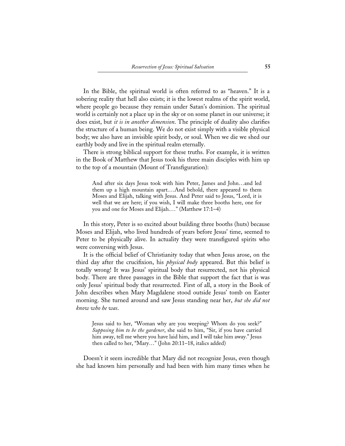In the Bible, the spiritual world is often referred to as "heaven." It is a sobering reality that hell also exists; it is the lowest realms of the spirit world, where people go because they remain under Satan's dominion. The spiritual world is certainly not a place up in the sky or on some planet in our universe; it does exist, but *it is in another dimension*. The principle of duality also clarifies the structure of a human being. We do not exist simply with a visible physical body; we also have an invisible spirit body, or soul. When we die we shed our earthly body and live in the spiritual realm eternally.

There is strong biblical support for these truths. For example, it is written in the Book of Matthew that Jesus took his three main disciples with him up to the top of a mountain (Mount of Transfiguration):

And after six days Jesus took with him Peter, James and John…and led them up a high mountain apart.…And behold, there appeared to them Moses and Elijah, talking with Jesus. And Peter said to Jesus, "Lord, it is well that we are here; if you wish, I will make three booths here, one for you and one for Moses and Elijah.…" (Matthew 17:1–4)

In this story, Peter is so excited about building three booths (huts) because Moses and Elijah, who lived hundreds of years before Jesus' time, seemed to Peter to be physically alive. In actuality they were transfigured spirits who were conversing with Jesus.

It is the official belief of Christianity today that when Jesus arose, on the third day after the crucifixion, his *physical body* appeared. But this belief is totally wrong! It was Jesus' spiritual body that resurrected, not his physical body. There are three passages in the Bible that support the fact that is was only Jesus' spiritual body that resurrected. First of all, a story in the Book of John describes when Mary Magdalene stood outside Jesus' tomb on Easter morning. She turned around and saw Jesus standing near her, *but she did not know who he was*.

Jesus said to her, "Woman why are you weeping? Whom do you seek?" *Supposing him to be the gardener*, she said to him, "Sir, if you have carried him away, tell me where you have laid him, and I will take him away." Jesus then called to her, "Mary…" (John 20:11–18, italics added)

Doesn't it seem incredible that Mary did not recognize Jesus, even though she had known him personally and had been with him many times when he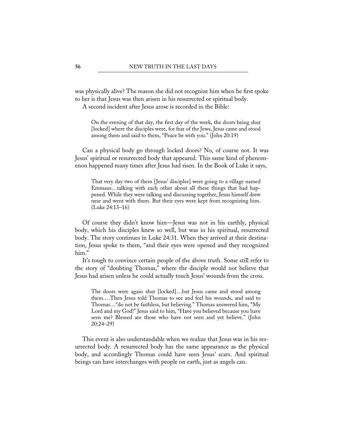was physically alive? The reason she did not recognize him when he first spoke to her is that Jesus was then arisen in his resurrected or spiritual body.

A second incident after Jesus arose is recorded in the Bible:

On the evening of that day, the first day of the week, the doors being shut [locked] where the disciples were, for fear of the Jews, Jesus came and stood among them and said to them, "Peace be with you." (John 20:19)

Can a physical body go through locked doors? No, of course not. It was Jesus' spiritual or resurrected body that appeared. This same kind of phenomenon happened many times after Jesus had risen. In the Book of Luke it says,

That very day two of them [Jesus' disciples] were going to a village named Emmaus…talking with each other about all these things that had happened. While they were talking and discussing together, Jesus himself drew near and went with them. But their eyes were kept from recognizing him. (Luke 24:13–16)

Of course they didn't know him—Jesus was not in his earthly, physical body, which his disciples knew so well, but was in his spiritual, resurrected body. The story continues in Luke 24:31. When they arrived at their destination, Jesus spoke to them, "and their eyes were opened and they recognized him."

It's tough to convince certain people of the above truth. Some still refer to the story of "doubting Thomas," where the disciple would not believe that Jesus had arisen unless he could actually touch Jesus' wounds from the cross.

The doors were again shut [locked]…but Jesus came and stood among them.…Then Jesus told Thomas to see and feel his wounds, and said to Thomas…"do not be faithless, but believing." Thomas answered him, "My Lord and my God!" Jesus said to him, "Have you believed because you have seen me? Blessed are those who have not seen and yet believe." (John 20:24–29)

This event is also understandable when we realize that Jesus was in his resurrected body. A resurrected body has the same appearance as the physical body, and accordingly Thomas could have seen Jesus' scars. And spiritual beings can have interchanges with people on earth, just as angels can.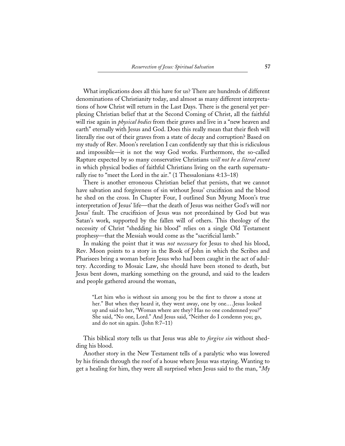What implications does all this have for us? There are hundreds of different denominations of Christianity today, and almost as many different interpretations of how Christ will return in the Last Days. There is the general yet perplexing Christian belief that at the Second Coming of Christ, all the faithful will rise again in *physical bodies* from their graves and live in a "new heaven and earth" eternally with Jesus and God. Does this really mean that their flesh will literally rise out of their graves from a state of decay and corruption? Based on my study of Rev. Moon's revelation I can confidently say that this is ridiculous and impossible—it is not the way God works. Furthermore, the so-called Rapture expected by so many conservative Christians *will not be a literal event* in which physical bodies of faithful Christians living on the earth supernaturally rise to "meet the Lord in the air." (1 Thessalonians 4:13–18)

There is another erroneous Christian belief that persists, that we cannot have salvation and forgiveness of sin without Jesus' crucifixion and the blood he shed on the cross. In Chapter Four, I outlined Sun Myung Moon's true interpretation of Jesus' life—that the death of Jesus was neither God's will nor Jesus' fault. The crucifixion of Jesus was not preordained by God but was Satan's work, supported by the fallen will of others. This theology of the necessity of Christ "shedding his blood" relies on a single Old Testament prophesy—that the Messiah would come as the "sacrificial lamb."

In making the point that it was *not necessary* for Jesus to shed his blood, Rev. Moon points to a story in the Book of John in which the Scribes and Pharisees bring a woman before Jesus who had been caught in the act of adultery. According to Mosaic Law, she should have been stoned to death, but Jesus bent down, marking something on the ground, and said to the leaders and people gathered around the woman,

"Let him who is without sin among you be the first to throw a stone at her." But when they heard it, they went away, one by one.…Jesus looked up and said to her, "Woman where are they? Has no one condemned you?" She said, "No one, Lord." And Jesus said, "Neither do I condemn you; go, and do not sin again. (John 8:7–11)

This biblical story tells us that Jesus was able to *forgive sin* without shedding his blood.

Another story in the New Testament tells of a paralytic who was lowered by his friends through the roof of a house where Jesus was staying. Wanting to get a healing for him, they were all surprised when Jesus said to the man, "*My*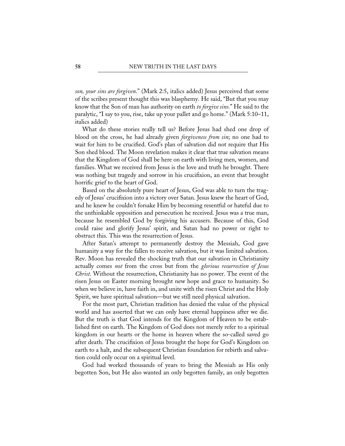*son, your sins are forgiven*." (Mark 2:5, italics added) Jesus perceived that some of the scribes present thought this was blasphemy. He said, "But that you may know that the Son of man has authority on earth *to forgive sins.*" He said to the paralytic, "I say to you, rise, take up your pallet and go home." (Mark 5:10–11, italics added)

What do these stories really tell us? Before Jesus had shed one drop of blood on the cross, he had already given *forgiveness from sin*; no one had to wait for him to be crucified. God's plan of salvation did not require that His Son shed blood. The Moon revelation makes it clear that true salvation means that the Kingdom of God shall be here on earth with living men, women, and families. What we received from Jesus is the love and truth he brought. There was nothing but tragedy and sorrow in his crucifixion, an event that brought horrific grief to the heart of God.

Based on the absolutely pure heart of Jesus, God was able to turn the tragedy of Jesus' crucifixion into a victory over Satan. Jesus knew the heart of God, and he knew he couldn't forsake Him by becoming resentful or hateful due to the unthinkable opposition and persecution he received. Jesus was a true man, because he resembled God by forgiving his accusers. Because of this, God could raise and glorify Jesus' spirit, and Satan had no power or right to obstruct this. This was the resurrection of Jesus*.*

After Satan's attempt to permanently destroy the Messiah, God gave humanity a way for the fallen to receive salvation, but it was limited salvation. Rev. Moon has revealed the shocking truth that our salvation in Christianity actually comes *not* from the cross but from the *glorious resurrection of Jesus Christ*. Without the resurrection, Christianity has no power. The event of the risen Jesus on Easter morning brought new hope and grace to humanity. So when we believe in, have faith in, and unite with the risen Christ and the Holy Spirit, we have spiritual salvation—but we still need physical salvation.

For the most part, Christian tradition has denied the value of the physical world and has asserted that we can only have eternal happiness after we die. But the truth is that God intends for the Kingdom of Heaven to be established first on earth. The Kingdom of God does not merely refer to a spiritual kingdom in our hearts or the home in heaven where the so-called saved go after death. The crucifixion of Jesus brought the hope for God's Kingdom on earth to a halt, and the subsequent Christian foundation for rebirth and salvation could only occur on a spiritual level.

God had worked thousands of years to bring the Messiah as His only begotten Son, but He also wanted an only begotten family, an only begotten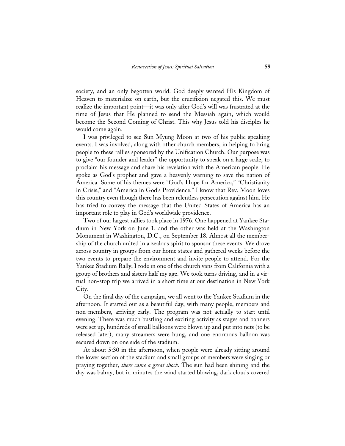society, and an only begotten world. God deeply wanted His Kingdom of Heaven to materialize on earth, but the crucifixion negated this. We must realize the important point—it was only after God's will was frustrated at the time of Jesus that He planned to send the Messiah again, which would become the Second Coming of Christ. This why Jesus told his disciples he would come again.

I was privileged to see Sun Myung Moon at two of his public speaking events. I was involved, along with other church members, in helping to bring people to these rallies sponsored by the Unification Church. Our purpose was to give "our founder and leader" the opportunity to speak on a large scale, to proclaim his message and share his revelation with the American people. He spoke as God's prophet and gave a heavenly warning to save the nation of America. Some of his themes were "God's Hope for America," "Christianity in Crisis," and "America in God's Providence." I know that Rev. Moon loves this country even though there has been relentless persecution against him. He has tried to convey the message that the United States of America has an important role to play in God's worldwide providence.

Two of our largest rallies took place in 1976. One happened at Yankee Stadium in New York on June 1, and the other was held at the Washington Monument in Washington, D.C., on September 18. Almost all the membership of the church united in a zealous spirit to sponsor these events. We drove across country in groups from our home states and gathered weeks before the two events to prepare the environment and invite people to attend. For the Yankee Stadium Rally, I rode in one of the church vans from California with a group of brothers and sisters half my age. We took turns driving, and in a virtual non-stop trip we arrived in a short time at our destination in New York City.

On the final day of the campaign, we all went to the Yankee Stadium in the afternoon. It started out as a beautiful day, with many people, members and non-members, arriving early. The program was not actually to start until evening. There was much bustling and exciting activity as stages and banners were set up, hundreds of small balloons were blown up and put into nets (to be released later), many streamers were hung, and one enormous balloon was secured down on one side of the stadium.

At about 5:30 in the afternoon, when people were already sitting around the lower section of the stadium and small groups of members were singing or praying together, *there came a great shock*. The sun had been shining and the day was balmy, but in minutes the wind started blowing, dark clouds covered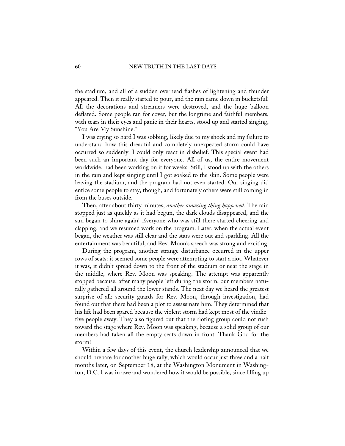the stadium, and all of a sudden overhead flashes of lightening and thunder appeared. Then it really started to pour, and the rain came down in bucketsful! All the decorations and streamers were destroyed, and the huge balloon deflated. Some people ran for cover, but the longtime and faithful members, with tears in their eyes and panic in their hearts, stood up and started singing, "You Are My Sunshine."

I was crying so hard I was sobbing, likely due to my shock and my failure to understand how this dreadful and completely unexpected storm could have occurred so suddenly. I could only react in disbelief. This special event had been such an important day for everyone. All of us, the entire movement worldwide, had been working on it for weeks. Still, I stood up with the others in the rain and kept singing until I got soaked to the skin. Some people were leaving the stadium, and the program had not even started. Our singing did entice some people to stay, though, and fortunately others were still coming in from the buses outside.

Then, after about thirty minutes, *another amazing thing happened*. The rain stopped just as quickly as it had begun, the dark clouds disappeared, and the sun began to shine again! Everyone who was still there started cheering and clapping, and we resumed work on the program. Later, when the actual event began, the weather was still clear and the stars were out and sparkling. All the entertainment was beautiful, and Rev. Moon's speech was strong and exciting.

During the program, another strange disturbance occurred in the upper rows of seats: it seemed some people were attempting to start a riot. Whatever it was, it didn't spread down to the front of the stadium or near the stage in the middle, where Rev. Moon was speaking. The attempt was apparently stopped because, after many people left during the storm, our members naturally gathered all around the lower stands. The next day we heard the greatest surprise of all: security guards for Rev. Moon, through investigation, had found out that there had been a plot to assassinate him. They determined that his life had been spared because the violent storm had kept most of the vindictive people away. They also figured out that the rioting group could not rush toward the stage where Rev. Moon was speaking, because a solid group of our members had taken all the empty seats down in front. Thank God for the storm!

Within a few days of this event, the church leadership announced that we should prepare for another huge rally, which would occur just three and a half months later, on September 18, at the Washington Monument in Washington, D.C. I was in awe and wondered how it would be possible, since filling up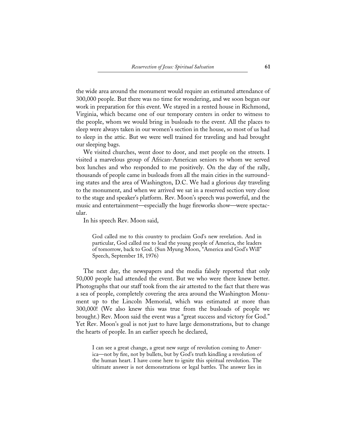the wide area around the monument would require an estimated attendance of 300,000 people. But there was no time for wondering, and we soon began our work in preparation for this event. We stayed in a rented house in Richmond, Virginia, which became one of our temporary centers in order to witness to the people, whom we would bring in busloads to the event. All the places to sleep were always taken in our women's section in the house, so most of us had to sleep in the attic. But we were well trained for traveling and had brought our sleeping bags.

We visited churches, went door to door, and met people on the streets. I visited a marvelous group of African-American seniors to whom we served box lunches and who responded to me positively. On the day of the rally, thousands of people came in busloads from all the main cities in the surrounding states and the area of Washington, D.C. We had a glorious day traveling to the monument, and when we arrived we sat in a reserved section very close to the stage and speaker's platform. Rev. Moon's speech was powerful, and the music and entertainment—especially the huge fireworks show—were spectacular.

In his speech Rev. Moon said,

God called me to this country to proclaim God's new revelation. And in particular, God called me to lead the young people of America, the leaders of tomorrow, back to God. (Sun Myung Moon, "America and God's Will" Speech, September 18, 1976)

The next day, the newspapers and the media falsely reported that only 50,000 people had attended the event. But we who were there knew better. Photographs that our staff took from the air attested to the fact that there was a sea of people, completely covering the area around the Washington Monument up to the Lincoln Memorial, which was estimated at more than 300,000! (We also knew this was true from the busloads of people we brought.) Rev. Moon said the event was a "great success and victory for God." Yet Rev. Moon's goal is not just to have large demonstrations, but to change the hearts of people. In an earlier speech he declared,

I can see a great change, a great new surge of revolution coming to America—not by fire, not by bullets, but by God's truth kindling a revolution of the human heart. I have come here to ignite this spiritual revolution. The ultimate answer is not demonstrations or legal battles. The answer lies in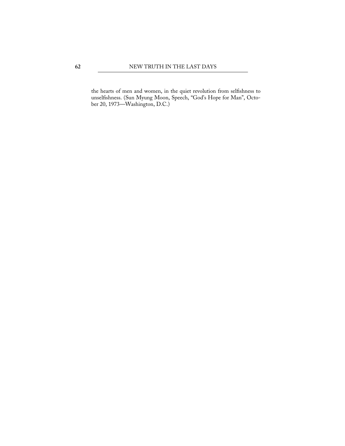the hearts of men and women, in the quiet revolution from selfishness to unselfishness. (Sun Myung Moon, Speech, "God's Hope for Man", October 20, 1973—Washington, D.C.)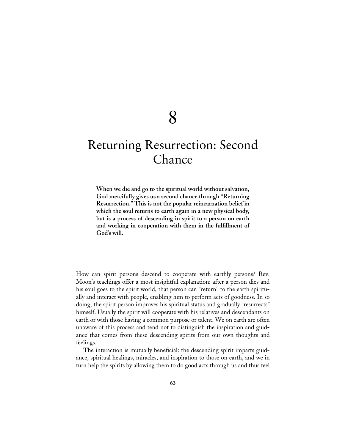### 8

### Returning Resurrection: Second Chance

**When we die and go to the spiritual world without salvation, God mercifully gives us a second chance through "Returning Resurrection." This is not the popular reincarnation belief in which the soul returns to earth again in a new physical body, but is a process of descending in spirit to a person on earth and working in cooperation with them in the fulfillment of God's will.**

How can spirit persons descend to cooperate with earthly persons? Rev. Moon's teachings offer a most insightful explanation: after a person dies and his soul goes to the spirit world, that person can "return" to the earth spiritually and interact with people, enabling him to perform acts of goodness. In so doing, the spirit person improves his spiritual status and gradually "resurrects" himself. Usually the spirit will cooperate with his relatives and descendants on earth or with those having a common purpose or talent. We on earth are often unaware of this process and tend not to distinguish the inspiration and guidance that comes from these descending spirits from our own thoughts and feelings.

The interaction is mutually beneficial: the descending spirit imparts guidance, spiritual healings, miracles, and inspiration to those on earth, and we in turn help the spirits by allowing them to do good acts through us and thus feel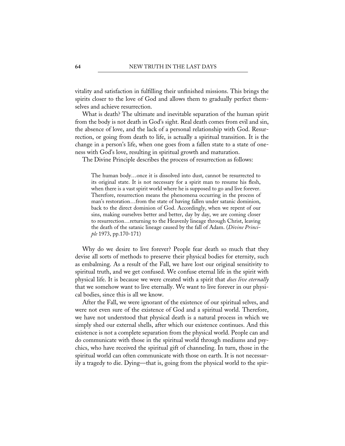vitality and satisfaction in fulfilling their unfinished missions. This brings the spirits closer to the love of God and allows them to gradually perfect themselves and achieve resurrection.

What is death? The ultimate and inevitable separation of the human spirit from the body is not death in God's sight. Real death comes from evil and sin, the absence of love, and the lack of a personal relationship with God. Resurrection, or going from death to life, is actually a spiritual transition. It is the change in a person's life, when one goes from a fallen state to a state of oneness with God's love, resulting in spiritual growth and maturation.

The Divine Principle describes the process of resurrection as follows:

The human body…once it is dissolved into dust, cannot be resurrected to its original state. It is not necessary for a spirit man to resume his flesh, when there is a vast spirit world where he is supposed to go and live forever. Therefore, resurrection means the phenomena occurring in the process of man's restoration…from the state of having fallen under satanic dominion, back to the direct dominion of God. Accordingly, when we repent of our sins, making ourselves better and better, day by day, we are coming closer to resurrection…returning to the Heavenly lineage through Christ, leaving the death of the satanic lineage caused by the fall of Adam. (*Divine Principle* 1973, pp.170-171)

Why do we desire to live forever? People fear death so much that they devise all sorts of methods to preserve their physical bodies for eternity, such as embalming. As a result of the Fall, we have lost our original sensitivity to spiritual truth, and we get confused. We confuse eternal life in the spirit with physical life. It is because we were created with a spirit that *does live eternally* that we somehow want to live eternally. We want to live forever in our physical bodies, since this is all we know.

After the Fall, we were ignorant of the existence of our spiritual selves, and were not even sure of the existence of God and a spiritual world. Therefore, we have not understood that physical death is a natural process in which we simply shed our external shells, after which our existence continues. And this existence is not a complete separation from the physical world. People can and do communicate with those in the spiritual world through mediums and psychics, who have received the spiritual gift of channeling. In turn, those in the spiritual world can often communicate with those on earth. It is not necessarily a tragedy to die. Dying—that is, going from the physical world to the spir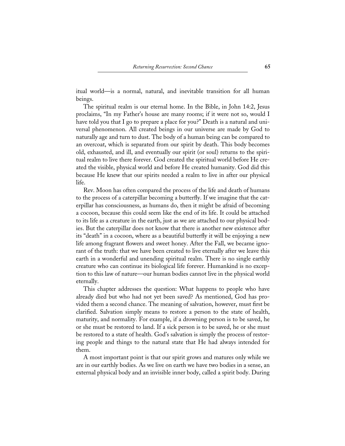itual world—is a normal, natural, and inevitable transition for all human beings.

The spiritual realm is our eternal home. In the Bible, in John 14:2, Jesus proclaims, "In my Father's house are many rooms; if it were not so, would I have told you that I go to prepare a place for you?" Death is a natural and universal phenomenon. All created beings in our universe are made by God to naturally age and turn to dust. The body of a human being can be compared to an overcoat, which is separated from our spirit by death. This body becomes old, exhausted, and ill, and eventually our spirit (or soul) returns to the spiritual realm to live there forever. God created the spiritual world before He created the visible, physical world and before He created humanity. God did this because He knew that our spirits needed a realm to live in after our physical life.

Rev. Moon has often compared the process of the life and death of humans to the process of a caterpillar becoming a butterfly. If we imagine that the caterpillar has consciousness, as humans do, then it might be afraid of becoming a cocoon, because this could seem like the end of its life. It could be attached to its life as a creature in the earth, just as we are attached to our physical bodies. But the caterpillar does not know that there is another new existence after its "death" in a cocoon, where as a beautiful butterfly it will be enjoying a new life among fragrant flowers and sweet honey. After the Fall, we became ignorant of the truth: that we have been created to live eternally after we leave this earth in a wonderful and unending spiritual realm. There is no single earthly creature who can continue its biological life forever. Humankind is no exception to this law of nature—our human bodies cannot live in the physical world eternally.

This chapter addresses the question: What happens to people who have already died but who had not yet been saved? As mentioned, God has provided them a second chance. The meaning of salvation, however, must first be clarified. Salvation simply means to restore a person to the state of health, maturity, and normality. For example, if a drowning person is to be saved, he or she must be restored to land. If a sick person is to be saved, he or she must be restored to a state of health. God's salvation is simply the process of restoring people and things to the natural state that He had always intended for them.

A most important point is that our spirit grows and matures only while we are in our earthly bodies. As we live on earth we have two bodies in a sense, an external physical body and an invisible inner body, called a spirit body. During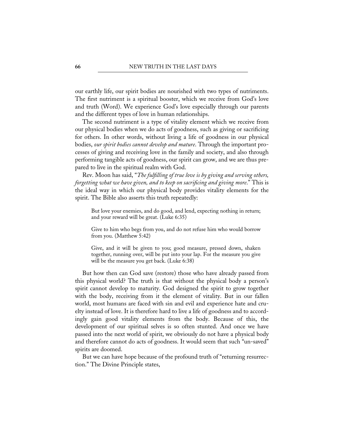our earthly life, our spirit bodies are nourished with two types of nutriments. The first nutriment is a spiritual booster, which we receive from God's love and truth (Word). We experience God's love especially through our parents and the different types of love in human relationships.

The second nutriment is a type of vitality element which we receive from our physical bodies when we do acts of goodness, such as giving or sacrificing for others. In other words, without living a life of goodness in our physical bodies, *our spirit bodies cannot develop and mature*. Through the important processes of giving and receiving love in the family and society, and also through performing tangible acts of goodness, our spirit can grow, and we are thus prepared to live in the spiritual realm with God.

Rev. Moon has said, "*The fulfilling of true love is by giving and serving others, forgetting what we have given, and to keep on sacrificing and giving more*." This is the ideal way in which our physical body provides vitality elements for the spirit. The Bible also asserts this truth repeatedly:

But love your enemies, and do good, and lend, expecting nothing in return; and your reward will be great. (Luke 6:35)

Give to him who begs from you, and do not refuse him who would borrow from you. (Matthew 5:42)

Give, and it will be given to you; good measure, pressed down, shaken together, running over, will be put into your lap. For the measure you give will be the measure you get back. (Luke 6:38)

But how then can God save (restore) those who have already passed from this physical world? The truth is that without the physical body a person's spirit cannot develop to maturity. God designed the spirit to grow together with the body, receiving from it the element of vitality. But in our fallen world, most humans are faced with sin and evil and experience hate and cruelty instead of love. It is therefore hard to live a life of goodness and to accordingly gain good vitality elements from the body. Because of this, the development of our spiritual selves is so often stunted. And once we have passed into the next world of spirit, we obviously do not have a physical body and therefore cannot do acts of goodness. It would seem that such "un-saved" spirits are doomed.

But we can have hope because of the profound truth of "returning resurrection." The Divine Principle states,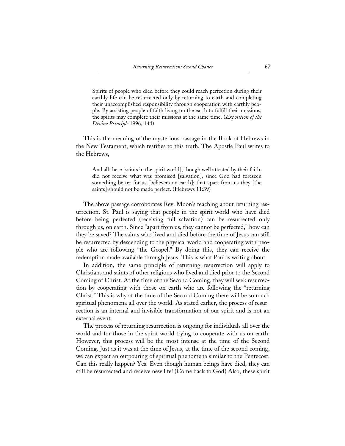Spirits of people who died before they could reach perfection during their earthly life can be resurrected only by returning to earth and completing their unaccomplished responsibility through cooperation with earthly people. By assisting people of faith living on the earth to fulfill their missions, the spirits may complete their missions at the same time. (*Exposition of the Divine Principle* 1996, 144)

This is the meaning of the mysterious passage in the Book of Hebrews in the New Testament, which testifies to this truth. The Apostle Paul writes to the Hebrews,

And all these [saints in the spirit world], though well attested by their faith, did not receive what was promised [salvation], since God had foreseen something better for us [believers on earth]; that apart from us they [the saints] should not be made perfect. (Hebrews 11:39)

The above passage corroborates Rev. Moon's teaching about returning resurrection. St. Paul is saying that people in the spirit world who have died before being perfected (receiving full salvation) can be resurrected only through us, on earth. Since "apart from us, they cannot be perfected," how can they be saved? The saints who lived and died before the time of Jesus can still be resurrected by descending to the physical world and cooperating with people who are following "the Gospel." By doing this, they can receive the redemption made available through Jesus. This is what Paul is writing about.

In addition, the same principle of returning resurrection will apply to Christians and saints of other religions who lived and died prior to the Second Coming of Christ. At the time of the Second Coming, they will seek resurrection by cooperating with those on earth who are following the "returning Christ." This is why at the time of the Second Coming there will be so much spiritual phenomena all over the world. As stated earlier, the process of resurrection is an internal and invisible transformation of our spirit and is not an external event.

The process of returning resurrection is ongoing for individuals all over the world and for those in the spirit world trying to cooperate with us on earth. However, this process will be the most intense at the time of the Second Coming. Just as it was at the time of Jesus, at the time of the second coming, we can expect an outpouring of spiritual phenomena similar to the Pentecost. Can this really happen? Yes! Even though human beings have died, they can still be resurrected and receive new life! (Come back to God) Also, these spirit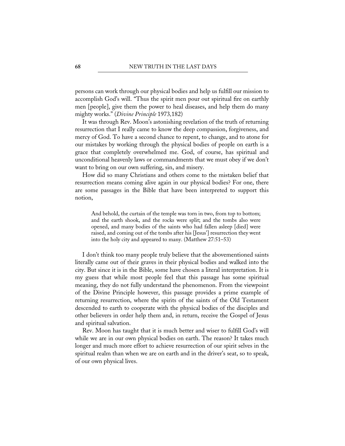persons can work through our physical bodies and help us fulfill our mission to accomplish God's will. "Thus the spirit men pour out spiritual fire on earthly men [people], give them the power to heal diseases, and help them do many mighty works." (*Divine Principle* 1973*,*182)

It was through Rev. Moon's astonishing revelation of the truth of returning resurrection that I really came to know the deep compassion, forgiveness, and mercy of God. To have a second chance to repent, to change, and to atone for our mistakes by working through the physical bodies of people on earth is a grace that completely overwhelmed me. God, of course, has spiritual and unconditional heavenly laws or commandments that we must obey if we don't want to bring on our own suffering, sin, and misery.

How did so many Christians and others come to the mistaken belief that resurrection means coming alive again in our physical bodies? For one, there are some passages in the Bible that have been interpreted to support this notion,

And behold, the curtain of the temple was torn in two, from top to bottom; and the earth shook, and the rocks were split; and the tombs also were opened, and many bodies of the saints who had fallen asleep [died] were raised, and coming out of the tombs after his [Jesus'] resurrection they went into the holy city and appeared to many. (Matthew 27:51–53)

I don't think too many people truly believe that the abovementioned saints literally came out of their graves in their physical bodies and walked into the city. But since it is in the Bible, some have chosen a literal interpretation. It is my guess that while most people feel that this passage has some spiritual meaning, they do not fully understand the phenomenon. From the viewpoint of the Divine Principle however, this passage provides a prime example of returning resurrection, where the spirits of the saints of the Old Testament descended to earth to cooperate with the physical bodies of the disciples and other believers in order help them and, in return, receive the Gospel of Jesus and spiritual salvation.

Rev. Moon has taught that it is much better and wiser to fulfill God's will while we are in our own physical bodies on earth. The reason? It takes much longer and much more effort to achieve resurrection of our spirit selves in the spiritual realm than when we are on earth and in the driver's seat, so to speak, of our own physical lives.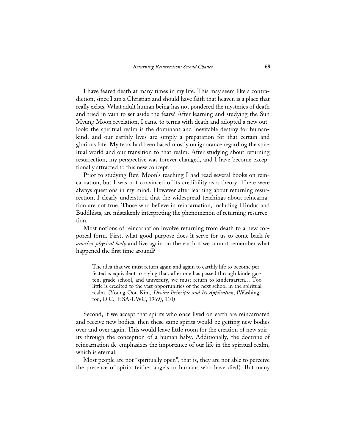I have feared death at many times in my life. This may seem like a contradiction, since I am a Christian and should have faith that heaven is a place that really exists. What adult human being has not pondered the mysteries of death and tried in vain to set aside the fears? After learning and studying the Sun Myung Moon revelation, I came to terms with death and adopted a new outlook: the spiritual realm is the dominant and inevitable destiny for humankind, and our earthly lives are simply a preparation for that certain and glorious fate. My fears had been based mostly on ignorance regarding the spiritual world and our transition to that realm. After studying about returning resurrection, my perspective was forever changed, and I have become exceptionally attracted to this new concept.

Prior to studying Rev. Moon's teaching I had read several books on reincarnation, but I was not convinced of its credibility as a theory. There were always questions in my mind. However after learning about returning resurrection, I clearly understood that the widespread teachings about reincarnation are not true. Those who believe in reincarnation, including Hindus and Buddhists, are mistakenly interpreting the phenomenon of returning resurrection.

Most notions of reincarnation involve returning from death to a new corporeal form. First, what good purpose does it serve for us to come back *in another physical body* and live again on the earth if we cannot remember what happened the first time around?

The idea that we must return again and again to earthly life to become perfected is equivalent to saying that, after one has passed through kindergarten, grade school, and university, we must return to kindergarten.…Too little is credited to the vast opportunities of the next school in the spiritual realm. (Young Oon Kim, *Divine Principle and Its Application*, (Washington, D.C.: HSA-UWC, 1969), 110)

Second, if we accept that spirits who once lived on earth are reincarnated and receive new bodies, then these same spirits would be getting new bodies over and over again. This would leave little room for the creation of new spirits through the conception of a human baby. Additionally, the doctrine of reincarnation de-emphasizes the importance of our life in the spiritual realm, which is eternal.

Most people are not "spiritually open", that is, they are not able to perceive the presence of spirits (either angels or humans who have died). But many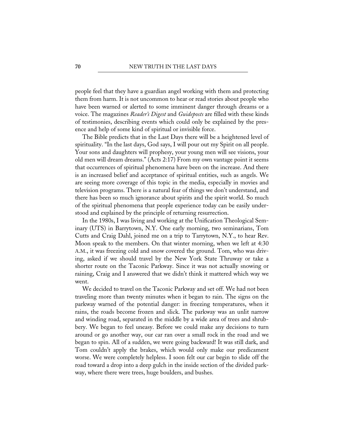people feel that they have a guardian angel working with them and protecting them from harm. It is not uncommon to hear or read stories about people who have been warned or alerted to some imminent danger through dreams or a voice. The magazines *Reader's Digest* and *Guideposts* are filled with these kinds of testimonies, describing events which could only be explained by the presence and help of some kind of spiritual or invisible force.

The Bible predicts that in the Last Days there will be a heightened level of spirituality. "In the last days, God says, I will pour out my Spirit on all people. Your sons and daughters will prophesy, your young men will see visions, your old men will dream dreams." (Acts 2:17) From my own vantage point it seems that occurrences of spiritual phenomena have been on the increase. And there is an increased belief and acceptance of spiritual entities, such as angels. We are seeing more coverage of this topic in the media, especially in movies and television programs. There is a natural fear of things we don't understand, and there has been so much ignorance about spirits and the spirit world. So much of the spiritual phenomena that people experience today can be easily understood and explained by the principle of returning resurrection.

In the 1980s, I was living and working at the Unification Theological Seminary (UTS) in Barrytown, N.Y. One early morning, two seminarians, Tom Cutts and Craig Dahl, joined me on a trip to Tarrytown, N.Y., to hear Rev. Moon speak to the members. On that winter morning, when we left at 4:30 A.M., it was freezing cold and snow covered the ground. Tom, who was driving, asked if we should travel by the New York State Thruway or take a shorter route on the Taconic Parkway. Since it was not actually snowing or raining, Craig and I answered that we didn't think it mattered which way we went.

We decided to travel on the Taconic Parkway and set off. We had not been traveling more than twenty minutes when it began to rain. The signs on the parkway warned of the potential danger: in freezing temperatures, when it rains, the roads become frozen and slick. The parkway was an unlit narrow and winding road, separated in the middle by a wide area of trees and shrubbery. We began to feel uneasy. Before we could make any decisions to turn around or go another way, our car ran over a small rock in the road and we began to spin. All of a sudden, we were going backward! It was still dark, and Tom couldn't apply the brakes, which would only make our predicament worse. We were completely helpless. I soon felt our car begin to slide off the road toward a drop into a deep gulch in the inside section of the divided parkway, where there were trees, huge boulders, and bushes.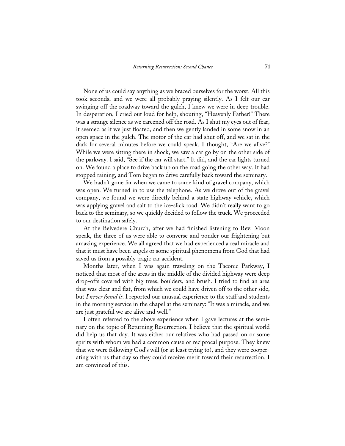None of us could say anything as we braced ourselves for the worst. All this took seconds, and we were all probably praying silently. As I felt our car swinging off the roadway toward the gulch, I knew we were in deep trouble. In desperation, I cried out loud for help, shouting, "Heavenly Father!" There was a strange silence as we careened off the road. As I shut my eyes out of fear, it seemed as if we just floated, and then we gently landed in some snow in an open space in the gulch. The motor of the car had shut off, and we sat in the dark for several minutes before we could speak. I thought, "Are we alive?" While we were sitting there in shock, we saw a car go by on the other side of the parkway. I said, "See if the car will start." It did, and the car lights turned on. We found a place to drive back up on the road going the other way. It had stopped raining, and Tom began to drive carefully back toward the seminary.

We hadn't gone far when we came to some kind of gravel company, which was open. We turned in to use the telephone. As we drove out of the gravel company, we found we were directly behind a state highway vehicle, which was applying gravel and salt to the ice-slick road. We didn't really want to go back to the seminary, so we quickly decided to follow the truck. We proceeded to our destination safely.

At the Belvedere Church, after we had finished listening to Rev. Moon speak, the three of us were able to converse and ponder our frightening but amazing experience. We all agreed that we had experienced a real miracle and that it must have been angels or some spiritual phenomena from God that had saved us from a possibly tragic car accident.

Months later, when I was again traveling on the Taconic Parkway, I noticed that most of the areas in the middle of the divided highway were deep drop-offs covered with big trees, boulders, and brush. I tried to find an area that was clear and flat, from which we could have driven off to the other side, but *I never found it*. I reported our unusual experience to the staff and students in the morning service in the chapel at the seminary: "It was a miracle, and we are just grateful we are alive and well."

I often referred to the above experience when I gave lectures at the seminary on the topic of Returning Resurrection. I believe that the spiritual world did help us that day. It was either our relatives who had passed on or some spirits with whom we had a common cause or reciprocal purpose. They knew that we were following God's will (or at least trying to), and they were cooperating with us that day so they could receive merit toward their resurrection. I am convinced of this.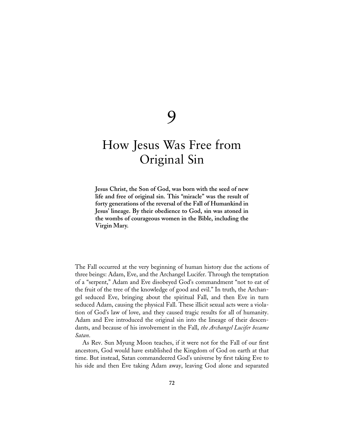### 9

### How Jesus Was Free from Original Sin

**Jesus Christ, the Son of God, was born with the seed of new life and free of original sin. This "miracle" was the result of forty generations of the reversal of the Fall of Humankind in Jesus' lineage. By their obedience to God, sin was atoned in the wombs of courageous women in the Bible, including the Virgin Mary.**

The Fall occurred at the very beginning of human history due the actions of three beings: Adam, Eve, and the Archangel Lucifer. Through the temptation of a "serpent," Adam and Eve disobeyed God's commandment "not to eat of the fruit of the tree of the knowledge of good and evil." In truth, the Archangel seduced Eve, bringing about the spiritual Fall, and then Eve in turn seduced Adam, causing the physical Fall. These illicit sexual acts were a violation of God's law of love, and they caused tragic results for all of humanity. Adam and Eve introduced the original sin into the lineage of their descendants, and because of his involvement in the Fall, *the Archangel Lucifer became Satan*.

As Rev. Sun Myung Moon teaches, if it were not for the Fall of our first ancestors, God would have established the Kingdom of God on earth at that time. But instead, Satan commandeered God's universe by first taking Eve to his side and then Eve taking Adam away, leaving God alone and separated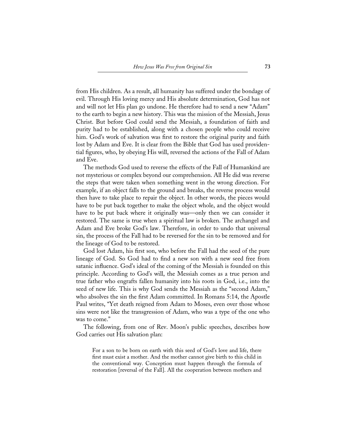from His children. As a result, all humanity has suffered under the bondage of evil. Through His loving mercy and His absolute determination, God has not and will not let His plan go undone. He therefore had to send a new "Adam" to the earth to begin a new history. This was the mission of the Messiah, Jesus Christ. But before God could send the Messiah, a foundation of faith and purity had to be established, along with a chosen people who could receive him. God's work of salvation was first to restore the original purity and faith lost by Adam and Eve. It is clear from the Bible that God has used providential figures, who, by obeying His will, reversed the actions of the Fall of Adam and Eve.

The methods God used to reverse the effects of the Fall of Humankind are not mysterious or complex beyond our comprehension. All He did was reverse the steps that were taken when something went in the wrong direction. For example, if an object falls to the ground and breaks, the reverse process would then have to take place to repair the object. In other words, the pieces would have to be put back together to make the object whole, and the object would have to be put back where it originally was—only then we can consider it restored. The same is true when a spiritual law is broken. The archangel and Adam and Eve broke God's law. Therefore, in order to undo that universal sin, the process of the Fall had to be reversed for the sin to be removed and for the lineage of God to be restored.

God lost Adam, his first son, who before the Fall had the seed of the pure lineage of God. So God had to find a new son with a new seed free from satanic influence. God's ideal of the coming of the Messiah is founded on this principle. According to God's will, the Messiah comes as a true person and true father who engrafts fallen humanity into his roots in God, i.e., into the seed of new life. This is why God sends the Messiah as the "second Adam," who absolves the sin the first Adam committed. In Romans 5:14, the Apostle Paul writes, "Yet death reigned from Adam to Moses, even over those whose sins were not like the transgression of Adam, who was a type of the one who was to come."

The following, from one of Rev. Moon's public speeches, describes how God carries out His salvation plan:

For a son to be born on earth with this seed of God's love and life, there first must exist a mother. And the mother cannot give birth to this child in the conventional way. Conception must happen through the formula of restoration [reversal of the Fall]. All the cooperation between mothers and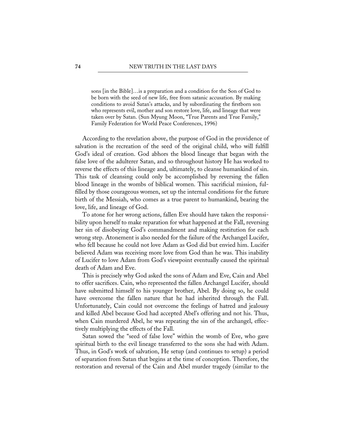sons [in the Bible]…is a preparation and a condition for the Son of God to be born with the seed of new life, free from satanic accusation. By making conditions to avoid Satan's attacks, and by subordinating the firstborn son who represents evil, mother and son restore love, life, and lineage that were taken over by Satan. (Sun Myung Moon, "True Parents and True Family," Family Federation for World Peace Conferences, 1996)

According to the revelation above, the purpose of God in the providence of salvation is the recreation of the seed of the original child, who will fulfill God's ideal of creation. God abhors the blood lineage that began with the false love of the adulterer Satan, and so throughout history He has worked to reverse the effects of this lineage and, ultimately, to cleanse humankind of sin. This task of cleansing could only be accomplished by reversing the fallen blood lineage in the wombs of biblical women. This sacrificial mission, fulfilled by those courageous women, set up the internal conditions for the future birth of the Messiah, who comes as a true parent to humankind, bearing the love, life, and lineage of God.

To atone for her wrong actions, fallen Eve should have taken the responsibility upon herself to make reparation for what happened at the Fall, reversing her sin of disobeying God's commandment and making restitution for each wrong step. Atonement is also needed for the failure of the Archangel Lucifer, who fell because he could not love Adam as God did but envied him. Lucifer believed Adam was receiving more love from God than he was. This inability of Lucifer to love Adam from God's viewpoint eventually caused the spiritual death of Adam and Eve.

This is precisely why God asked the sons of Adam and Eve, Cain and Abel to offer sacrifices. Cain, who represented the fallen Archangel Lucifer, should have submitted himself to his younger brother, Abel. By doing so, he could have overcome the fallen nature that he had inherited through the Fall. Unfortunately, Cain could not overcome the feelings of hatred and jealousy and killed Abel because God had accepted Abel's offering and not his. Thus, when Cain murdered Abel, he was repeating the sin of the archangel, effectively multiplying the effects of the Fall.

Satan sowed the "seed of false love" within the womb of Eve, who gave spiritual birth to the evil lineage transferred to the sons she had with Adam. Thus, in God's work of salvation, He setup (and continues to setup) a period of separation from Satan that begins at the time of conception. Therefore, the restoration and reversal of the Cain and Abel murder tragedy (similar to the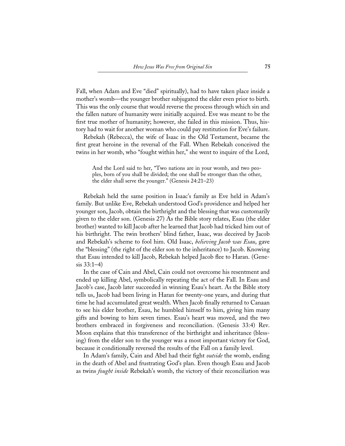Fall, when Adam and Eve "died" spiritually), had to have taken place inside a mother's womb—the younger brother subjugated the elder even prior to birth. This was the only course that would reverse the process through which sin and the fallen nature of humanity were initially acquired. Eve was meant to be the first true mother of humanity; however, she failed in this mission. Thus, history had to wait for another woman who could pay restitution for Eve's failure.

Rebekah (Rebecca), the wife of Isaac in the Old Testament, became the first great heroine in the reversal of the Fall. When Rebekah conceived the twins in her womb, who "fought within her," she went to inquire of the Lord,

And the Lord said to her, "Two nations are in your womb, and two peoples, born of you shall be divided; the one shall be stronger than the other, the elder shall serve the younger." (Genesis 24:21–23)

Rebekah held the same position in Isaac's family as Eve held in Adam's family. But unlike Eve, Rebekah understood God's providence and helped her younger son, Jacob, obtain the birthright and the blessing that was customarily given to the elder son. (Genesis 27) As the Bible story relates, Esau (the elder brother) wanted to kill Jacob after he learned that Jacob had tricked him out of his birthright. The twin brothers' blind father, Isaac, was deceived by Jacob and Rebekah's scheme to fool him. Old Isaac, *believing Jacob was Esau*, gave the "blessing" (the right of the elder son to the inheritance) to Jacob. Knowing that Esau intended to kill Jacob, Rebekah helped Jacob flee to Haran. (Genesis 33:1–4)

In the case of Cain and Abel, Cain could not overcome his resentment and ended up killing Abel, symbolically repeating the act of the Fall. In Esau and Jacob's case, Jacob later succeeded in winning Esau's heart. As the Bible story tells us, Jacob had been living in Haran for twenty-one years, and during that time he had accumulated great wealth. When Jacob finally returned to Canaan to see his elder brother, Esau, he humbled himself to him, giving him many gifts and bowing to him seven times. Esau's heart was moved, and the two brothers embraced in forgiveness and reconciliation. (Genesis 33:4) Rev. Moon explains that this transference of the birthright and inheritance (blessing) from the elder son to the younger was a most important victory for God, because it conditionally reversed the results of the Fall on a family level.

In Adam's family, Cain and Abel had their fight *outside* the womb, ending in the death of Abel and frustrating God's plan. Even though Esau and Jacob as twins *fought inside* Rebekah's womb, the victory of their reconciliation was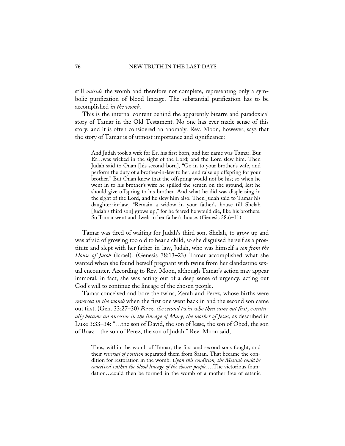still *outside* the womb and therefore not complete, representing only a symbolic purification of blood lineage. The substantial purification has to be accomplished *in the womb*.

This is the internal content behind the apparently bizarre and paradoxical story of Tamar in the Old Testament. No one has ever made sense of this story, and it is often considered an anomaly. Rev. Moon, however, says that the story of Tamar is of utmost importance and significance:

And Judah took a wife for Er, his first born, and her name was Tamar. But Er…was wicked in the sight of the Lord; and the Lord slew him. Then Judah said to Onan [his second-born], "Go in to your brother's wife, and perform the duty of a brother-in-law to her, and raise up offspring for your brother." But Onan knew that the offspring would not be his; so when he went in to his brother's wife he spilled the semen on the ground, lest he should give offspring to his brother. And what he did was displeasing in the sight of the Lord, and he slew him also. Then Judah said to Tamar his daughter-in-law, "Remain a widow in your father's house till Shelah [Judah's third son] grows up," for he feared he would die, like his brothers. So Tamar went and dwelt in her father's house. (Genesis 38:6–11)

Tamar was tired of waiting for Judah's third son, Shelah, to grow up and was afraid of growing too old to bear a child, so she disguised herself as a prostitute and slept with her father-in-law, Judah, who was himself *a son from the House of Jacob* (Israel). (Genesis 38:13–23) Tamar accomplished what she wanted when she found herself pregnant with twins from her clandestine sexual encounter. According to Rev. Moon, although Tamar's action may appear immoral, in fact, she was acting out of a deep sense of urgency, acting out God's will to continue the lineage of the chosen people.

Tamar conceived and bore the twins, Zerah and Perez, whose births were *reversed in the womb* when the first one went back in and the second son came out first. (Gen. 33:27–30) *Perez, the second twin who then came out first*, *eventually became an ancestor in the lineage of Mary, the mother of Jesus*, as described in Luke 3:33–34: "…the son of David, the son of Jesse, the son of Obed, the son of Boaz…the son of Perez, the son of Judah." Rev. Moon said,

Thus, within the womb of Tamar, the first and second sons fought, and their *reversal of position* separated them from Satan. That became the condition for restoration in the womb. *Upon this condition, the Messiah could be conceived within the blood lineage of the chosen people*.…The victorious foundation…could then be formed in the womb of a mother free of satanic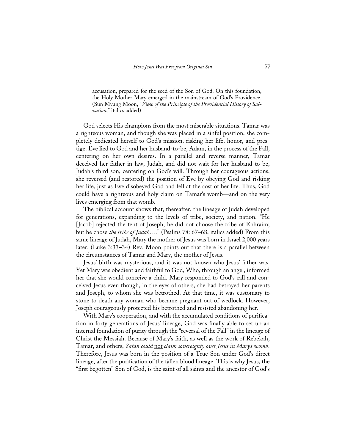accusation, prepared for the seed of the Son of God. On this foundation, the Holy Mother Mary emerged in the mainstream of God's Providence. (Sun Myung Moon, "*View of the Principle of the Providential History of Salvation*," italics added)

God selects His champions from the most miserable situations. Tamar was a righteous woman, and though she was placed in a sinful position, she completely dedicated herself to God's mission, risking her life, honor, and prestige. Eve lied to God and her husband-to-be, Adam, in the process of the Fall, centering on her own desires. In a parallel and reverse manner, Tamar deceived her father-in-law, Judah, and did not wait for her husband-to-be, Judah's third son, centering on God's will. Through her courageous actions, she reversed (and restored) the position of Eve by obeying God and risking her life, just as Eve disobeyed God and fell at the cost of her life. Thus, God could have a righteous and holy claim on Tamar's womb—and on the very lives emerging from that womb.

The biblical account shows that, thereafter, the lineage of Judah developed for generations, expanding to the levels of tribe, society, and nation. "He [Jacob] rejected the tent of Joseph, he did not choose the tribe of Ephraim; but he chose *the tribe of Judah*.…" (Psalms 78: 67–68, italics added) From this same lineage of Judah, Mary the mother of Jesus was born in Israel 2,000 years later. (Luke 3:33–34) Rev. Moon points out that there is a parallel between the circumstances of Tamar and Mary, the mother of Jesus.

Jesus' birth was mysterious, and it was not known who Jesus' father was. Yet Mary was obedient and faithful to God, Who, through an angel, informed her that she would conceive a child. Mary responded to God's call and conceived Jesus even though, in the eyes of others, she had betrayed her parents and Joseph, to whom she was betrothed. At that time, it was customary to stone to death any woman who became pregnant out of wedlock. However, Joseph courageously protected his betrothed and resisted abandoning her.

With Mary's cooperation, and with the accumulated conditions of purification in forty generations of Jesus' lineage, God was finally able to set up an internal foundation of purity through the "reversal of the Fall" in the lineage of Christ the Messiah. Because of Mary's faith, as well as the work of Rebekah, Tamar, and others, *Satan could* not *claim sovereignty over Jesus in Mary's womb*. Therefore, Jesus was born in the position of a True Son under God's direct lineage, after the purification of the fallen blood lineage. This is why Jesus, the "first begotten" Son of God, is the saint of all saints and the ancestor of God's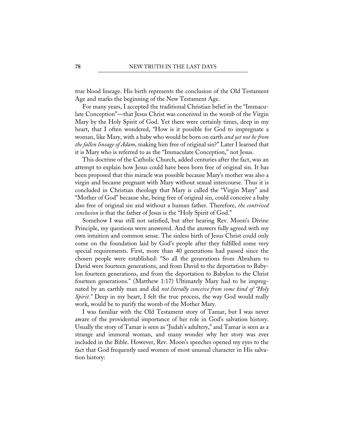true blood lineage. His birth represents the conclusion of the Old Testament Age and marks the beginning of the New Testament Age.

For many years, I accepted the traditional Christian belief in the "Immaculate Conception"—that Jesus Christ was conceived in the womb of the Virgin Mary by the Holy Spirit of God. Yet there were certainly times, deep in my heart, that I often wondered, "How is it possible for God to impregnate a woman, like Mary, with a baby who would be born on earth *and yet not be from the fallen lineage of Adam*, making him free of original sin?" Later I learned that it is Mary who is referred to as the "Immaculate Conception," not Jesus.

This doctrine of the Catholic Church, added centuries after the fact, was an attempt to explain how Jesus could have been born free of original sin. It has been proposed that this miracle was possible because Mary's mother was also a virgin and became pregnant with Mary without sexual intercourse. Thus it is concluded in Christian theology that Mary is called the "Virgin Mary" and "Mother of God" because she, being free of original sin, could conceive a baby also free of original sin and without a human father. Therefore, *the contrived conclusion* is that the father of Jesus is the "Holy Spirit of God."

Somehow I was still not satisfied, but after hearing Rev. Moon's Divine Principle, my questions were answered. And the answers fully agreed with my own intuition and common sense. The sinless birth of Jesus Christ could only come on the foundation laid by God's people after they fulfilled some very special requirements. First, more than 40 generations had passed since the chosen people were established: "So all the generations from Abraham to David were fourteen generations, and from David to the deportation to Babylon fourteen generations, and from the deportation to Babylon to the Christ fourteen generations." (Matthew 1:17) Ultimately Mary had to be impregnated by an earthly man and did *not literally conceive from some kind of "Holy Spirit.*" Deep in my heart, I felt the true process, the way God would really work, would be to purify the womb of the Mother Mary.

I was familiar with the Old Testament story of Tamar, but I was never aware of the providential importance of her role in God's salvation history. Usually the story of Tamar is seen as "Judah's adultery," and Tamar is seen as a strange and immoral woman, and many wonder why her story was ever included in the Bible. However, Rev. Moon's speeches opened my eyes to the fact that God frequently used women of most unusual character in His salvation history: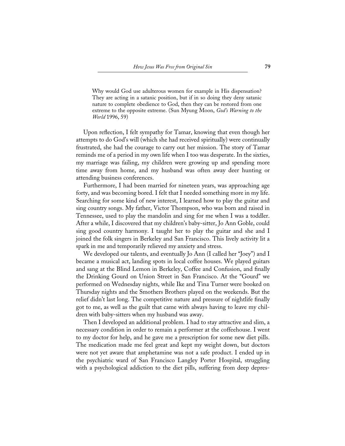Why would God use adulterous women for example in His dispensation? They are acting in a satanic position, but if in so doing they deny satanic nature to complete obedience to God, then they can be restored from one extreme to the opposite extreme. (Sun Myung Moon, *God's Warning to the World* 1996, 59)

Upon reflection, I felt sympathy for Tamar, knowing that even though her attempts to do God's will (which she had received spiritually) were continually frustrated, she had the courage to carry out her mission. The story of Tamar reminds me of a period in my own life when I too was desperate. In the sixties, my marriage was failing, my children were growing up and spending more time away from home, and my husband was often away deer hunting or attending business conferences.

Furthermore, I had been married for nineteen years, was approaching age forty, and was becoming bored. I felt that I needed something more in my life. Searching for some kind of new interest, I learned how to play the guitar and sing country songs. My father, Victor Thompson, who was born and raised in Tennessee, used to play the mandolin and sing for me when I was a toddler. After a while, I discovered that my children's baby-sitter, Jo Ann Goble, could sing good country harmony. I taught her to play the guitar and she and I joined the folk singers in Berkeley and San Francisco. This lively activity lit a spark in me and temporarily relieved my anxiety and stress.

We developed our talents, and eventually Jo Ann (I called her "Joey") and I became a musical act, landing spots in local coffee houses. We played guitars and sang at the Blind Lemon in Berkeley, Coffee and Confusion, and finally the Drinking Gourd on Union Street in San Francisco. At the "Gourd" we performed on Wednesday nights, while Ike and Tina Turner were booked on Thursday nights and the Smothers Brothers played on the weekends. But the relief didn't last long. The competitive nature and pressure of nightlife finally got to me, as well as the guilt that came with always having to leave my children with baby-sitters when my husband was away.

Then I developed an additional problem. I had to stay attractive and slim, a necessary condition in order to remain a performer at the coffeehouse. I went to my doctor for help, and he gave me a prescription for some new diet pills. The medication made me feel great and kept my weight down, but doctors were not yet aware that amphetamine was not a safe product. I ended up in the psychiatric ward of San Francisco Langley Porter Hospital, struggling with a psychological addiction to the diet pills, suffering from deep depres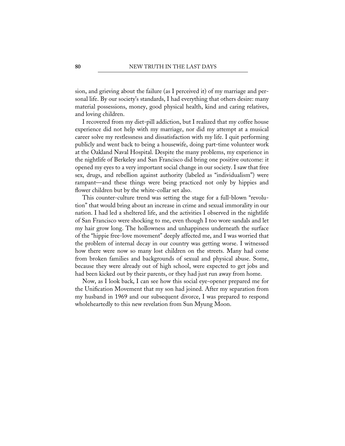sion, and grieving about the failure (as I perceived it) of my marriage and personal life. By our society's standards, I had everything that others desire: many material possessions, money, good physical health, kind and caring relatives, and loving children.

I recovered from my diet-pill addiction, but I realized that my coffee house experience did not help with my marriage, nor did my attempt at a musical career solve my restlessness and dissatisfaction with my life. I quit performing publicly and went back to being a housewife, doing part-time volunteer work at the Oakland Naval Hospital. Despite the many problems, my experience in the nightlife of Berkeley and San Francisco did bring one positive outcome: it opened my eyes to a very important social change in our society. I saw that free sex, drugs, and rebellion against authority (labeled as "individualism") were rampant—and these things were being practiced not only by hippies and flower children but by the white-collar set also.

This counter-culture trend was setting the stage for a full-blown "revolution" that would bring about an increase in crime and sexual immorality in our nation. I had led a sheltered life, and the activities I observed in the nightlife of San Francisco were shocking to me, even though I too wore sandals and let my hair grow long. The hollowness and unhappiness underneath the surface of the "hippie free-love movement" deeply affected me, and I was worried that the problem of internal decay in our country was getting worse. I witnessed how there were now so many lost children on the streets. Many had come from broken families and backgrounds of sexual and physical abuse. Some, because they were already out of high school, were expected to get jobs and had been kicked out by their parents, or they had just run away from home.

Now, as I look back, I can see how this social eye-opener prepared me for the Unification Movement that my son had joined. After my separation from my husband in 1969 and our subsequent divorce, I was prepared to respond wholeheartedly to this new revelation from Sun Myung Moon.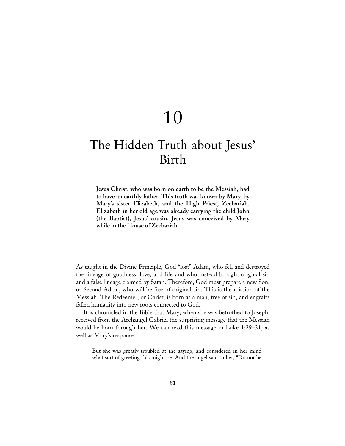# 10

### The Hidden Truth about Jesus' Birth

**Jesus Christ, who was born on earth to be the Messiah, had to have an earthly father. This truth was known by Mary, by Mary's sister Elizabeth, and the High Priest, Zechariah. Elizabeth in her old age was already carrying the child John (the Baptist), Jesus' cousin. Jesus was conceived by Mary while in the House of Zechariah.**

As taught in the Divine Principle, God "lost" Adam, who fell and destroyed the lineage of goodness, love, and life and who instead brought original sin and a false lineage claimed by Satan. Therefore, God must prepare a new Son, or Second Adam, who will be free of original sin. This is the mission of the Messiah. The Redeemer, or Christ, is born as a man, free of sin, and engrafts fallen humanity into new roots connected to God.

It is chronicled in the Bible that Mary, when she was betrothed to Joseph, received from the Archangel Gabriel the surprising message that the Messiah would be born through her. We can read this message in Luke 1:29–31, as well as Mary's response:

But she was greatly troubled at the saying, and considered in her mind what sort of greeting this might be. And the angel said to her, "Do not be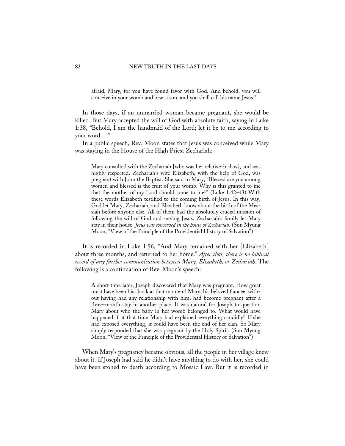afraid, Mary, for you have found favor with God. And behold, you will conceive in your womb and bear a son, and you shall call his name Jesus."

In those days, if an unmarried woman became pregnant, she would be killed. But Mary accepted the will of God with absolute faith, saying in Luke 1:38, "Behold, I am the handmaid of the Lord; let it be to me according to your word.…"

In a public speech, Rev. Moon states that Jesus was conceived while Mary was staying in the House of the High Priest Zechariah:

Mary consulted with the Zechariah [who was her relative-in-law], and was highly respected. Zechariah's wife Elizabeth, with the help of God, was pregnant with John the Baptist. She said to Mary, "Blessed are you among women and blessed is the fruit of your womb. Why is this granted to me that the mother of my Lord should come to me?" (Luke 1:42–43) With these words Elizabeth testified to the coming birth of Jesus. In this way, God let Mary, Zechariah, and Elizabeth know about the birth of the Messiah before anyone else. All of them had the absolutely crucial mission of following the will of God and serving Jesus. Zechariah's family let Mary stay in their house. *Jesus was conceived in the house of Zechariah*. (Sun Myung Moon, "View of the Principle of the Providential History of Salvation")

It is recorded in Luke 1:56, "And Mary remained with her [Elizabeth] about three months, and returned to her home." *After that, there is no biblical record of any further communication between Mary, Elizabeth, or Zechariah*. The following is a continuation of Rev. Moon's speech:

A short time later, Joseph discovered that Mary was pregnant. How great must have been his shock at that moment! Mary, his beloved fiancée, without having had any relationship with him, had become pregnant after a three-month stay in another place. It was natural for Joseph to question Mary about who the baby in her womb belonged to. What would have happened if at that time Mary had explained everything candidly? If she had exposed everything, it could have been the end of her clan. So Mary simply responded that she was pregnant by the Holy Spirit. (Sun Myung Moon, "View of the Principle of the Providential History of Salvation")

When Mary's pregnancy became obvious, all the people in her village knew about it. If Joseph had said he didn't have anything to do with her, she could have been stoned to death according to Mosaic Law. But it is recorded in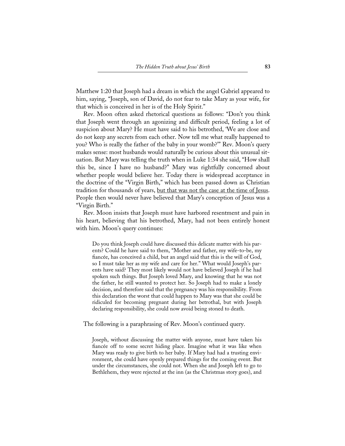Matthew 1:20 that Joseph had a dream in which the angel Gabriel appeared to him, saying, "Joseph, son of David, do not fear to take Mary as your wife, for that which is conceived in her is of the Holy Spirit."

Rev. Moon often asked rhetorical questions as follows: "Don't you think that Joseph went through an agonizing and difficult period, feeling a lot of suspicion about Mary? He must have said to his betrothed, 'We are close and do not keep any secrets from each other. Now tell me what really happened to you? Who is really the father of the baby in your womb?'" Rev. Moon's query makes sense: most husbands would naturally be curious about this unusual situation. But Mary was telling the truth when in Luke 1:34 she said, "How shall this be, since I have no husband?" Mary was rightfully concerned about whether people would believe her. Today there is widespread acceptance in the doctrine of the "Virgin Birth," which has been passed down as Christian tradition for thousands of years, but that was not the case at the time of Jesus. People then would never have believed that Mary's conception of Jesus was a "Virgin Birth."

Rev. Moon insists that Joseph must have harbored resentment and pain in his heart, believing that his betrothed, Mary, had not been entirely honest with him. Moon's query continues:

Do you think Joseph could have discussed this delicate matter with his parents? Could he have said to them, "Mother and father, my wife-to-be, my fiancée, has conceived a child, but an angel said that this is the will of God, so I must take her as my wife and care for her." What would Joseph's parents have said? They most likely would not have believed Joseph if he had spoken such things. But Joseph loved Mary, and knowing that he was not the father, he still wanted to protect her. So Joseph had to make a lonely decision, and therefore said that the pregnancy was his responsibility. From this declaration the worst that could happen to Mary was that she could be ridiculed for becoming pregnant during her betrothal, but with Joseph declaring responsibility, she could now avoid being stoned to death.

The following is a paraphrasing of Rev. Moon's continued query.

Joseph, without discussing the matter with anyone, must have taken his fiancée off to some secret hiding place. Imagine what it was like when Mary was ready to give birth to her baby. If Mary had had a trusting environment, she could have openly prepared things for the coming event. But under the circumstances, she could not. When she and Joseph left to go to Bethlehem, they were rejected at the inn (as the Christmas story goes), and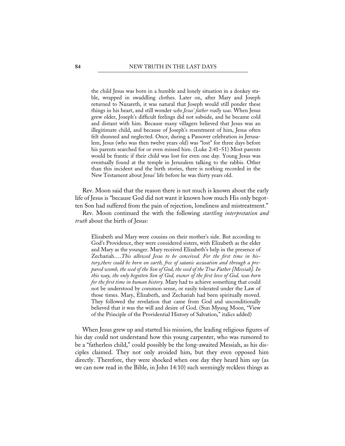the child Jesus was born in a humble and lonely situation in a donkey stable, wrapped in swaddling clothes. Later on, after Mary and Joseph returned to Nazareth, it was natural that Joseph would still ponder these things in his heart, and still wonder *who Jesus' father really was*. When Jesus grew older, Joseph's difficult feelings did not subside, and he became cold and distant with him. Because many villagers believed that Jesus was an illegitimate child, and because of Joseph's resentment of him, Jesus often felt shunned and neglected. Once, during a Passover celebration in Jerusalem, Jesus (who was then twelve years old) was "lost" for three days before his parents searched for or even missed him. (Luke 2:41–51) Most parents would be frantic if their child was lost for even one day. Young Jesus was eventually found at the temple in Jerusalem talking to the rabbis. Other than this incident and the birth stories, there is nothing recorded in the New Testament about Jesus' life before he was thirty years old.

Rev. Moon said that the reason there is not much is known about the early life of Jesus is "because God did not want it known how much His only begotten Son had suffered from the pain of rejection, loneliness and mistreatment." Rev. Moon continued the with the following *startling interpretation and truth* about the birth of Jesus:

Elizabeth and Mary were cousins on their mother's side. But according to God's Providence, they were considered sisters, with Elizabeth as the elder and Mary as the younger. Mary received Elizabeth's help in the presence of Zechariah.…*This allowed Jesus to be conceived. For the first time in history,there could be born on earth, free of satanic accusation and through a prepared womb, the seed of the Son of God, the seed of the True Father [Messiah]. In this way, the only begotten Son of God, owner of the first love of God, was born for the first time in human history.* Mary had to achieve something that could not be understood by common sense, or easily tolerated under the Law of those times. Mary, Elizabeth, and Zechariah had been spiritually moved. They followed the revelation that came from God and unconditionally believed that it was the will and desire of God. (Sun Myung Moon, "View of the Principle of the Providential History of Salvation," italics added)

When Jesus grew up and started his mission, the leading religious figures of his day could not understand how this young carpenter, who was rumored to be a "fatherless child," could possibly be the long-awaited Messiah, as his disciples claimed. They not only avoided him, but they even opposed him directly. Therefore, they were shocked when one day they heard him say (as we can now read in the Bible, in John 14:10) such seemingly reckless things as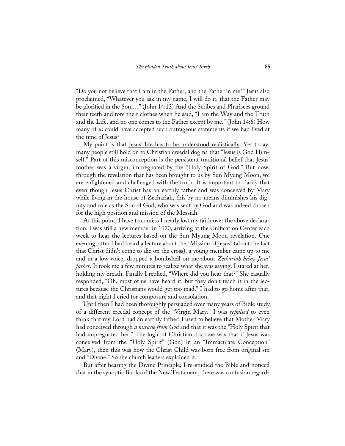"Do you not believe that I am in the Father, and the Father in me?" Jesus also proclaimed, "Whatever you ask in my name, I will do it, that the Father may be glorified in the Son.…" (John 14:13) And the Scribes and Pharisees ground their teeth and tore their clothes when he said, "I am the Way and the Truth and the Life, and no one comes to the Father except by me." (John 14:6) How many of *us* could have accepted such outrageous statements if we had lived at the time of Jesus?

My point is that Jesus' life has to be understood realistically. Yet today, many people still hold on to Christian creedal dogma that "Jesus is God Himself." Part of this misconception is the persistent traditional belief that Jesus' mother was a virgin, impregnated by the "Holy Spirit of God." But now, through the revelation that has been brought to us by Sun Myung Moon, we are enlightened and challenged with the truth. It is important to clarify that even though Jesus Christ has an earthly father and was conceived by Mary while living in the house of Zechariah, this by no means diminishes his dignity and role as the Son of God, who was sent by God and was indeed chosen for the high position and mission of the Messiah.

At this point, I have to confess I nearly lost my faith over the above declaration. I was still a new member in 1970, arriving at the Unification Center each week to hear the lectures based on the Sun Myung Moon revelation. One evening, after I had heard a lecture about the "Mission of Jesus" (about the fact that Christ didn't come to die on the cross), a young member came up to me and in a low voice, dropped a bombshell on me about *Zechariah being Jesus' father*. It took me a few minutes to realize what she was saying. I stared at her, holding my breath. Finally I replied, "Where did you hear that?" She casually responded, "Oh, most of us have heard it, but they don't teach it in the lectures because the Christians would get too mad." I had to go home after that, and that night I cried for composure and consolation.

Until then I had been thoroughly persuaded over many years of Bible study of a different creedal concept of the "Virgin Mary." I was *repulsed* to even think that my Lord had an earthly father! I used to believe that Mother Mary had conceived through *a miracle from God* and that it was the "Holy Spirit that had impregnated her." The logic of Christian doctrine was that if Jesus was conceived from the "Holy Spirit" (God) in an "Immaculate Conception" (Mary), then this was how the Christ Child was born free from original sin and "Divine." So the church leaders explained it.

But after hearing the Divine Principle, I re-studied the Bible and noticed that in the synoptic Books of the New Testament, there was confusion regard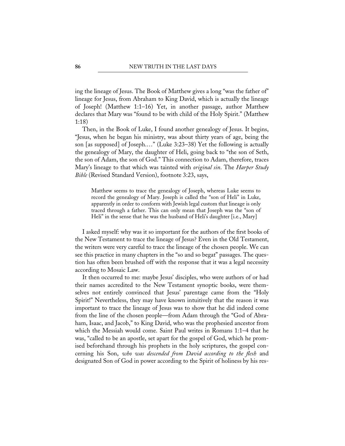ing the lineage of Jesus. The Book of Matthew gives a long "was the father of" lineage for Jesus, from Abraham to King David, which is actually the lineage of Joseph! (Matthew 1:1–16) Yet, in another passage, author Matthew declares that Mary was "found to be with child of the Holy Spirit." (Matthew 1:18)

Then, in the Book of Luke, I found another genealogy of Jesus. It begins, "Jesus, when he began his ministry, was about thirty years of age, being the son [as supposed] of Joseph.…" (Luke 3:23–38) Yet the following is actually the genealogy of Mary, the daughter of Heli, going back to "the son of Seth, the son of Adam, the son of God." This connection to Adam, therefore, traces Mary's lineage to that which was tainted with *original sin*. The *Harper Study Bible* (Revised Standard Version), footnote 3:23, says,

Matthew seems to trace the genealogy of Joseph, whereas Luke seems to record the genealogy of Mary. Joseph is called the "son of Heli" in Luke, apparently in order to conform with Jewish legal custom that lineage is only traced through a father. This can only mean that Joseph was the "son of Heli" in the sense that he was the husband of Heli's daughter [i.e., Mary]

I asked myself: why was it so important for the authors of the first books of the New Testament to trace the lineage of Jesus? Even in the Old Testament, the writers were very careful to trace the lineage of the chosen people. We can see this practice in many chapters in the "so and so begat" passages. The question has often been brushed off with the response that it was a legal necessity according to Mosaic Law.

It then occurred to me: maybe Jesus' disciples, who were authors of or had their names accredited to the New Testament synoptic books, were themselves not entirely convinced that Jesus' parentage came from the "Holy Spirit!" Nevertheless, they may have known intuitively that the reason it was important to trace the lineage of Jesus was to show that he did indeed come from the line of the chosen people—from Adam through the "God of Abraham, Isaac, and Jacob," to King David, who was the prophesied ancestor from which the Messiah would come. Saint Paul writes in Romans 1:1–4 that he was, "called to be an apostle, set apart for the gospel of God, which he promised beforehand through his prophets in the holy scriptures, the gospel concerning his Son, *who was descended from David according to the flesh* and designated Son of God in power according to the Spirit of holiness by his res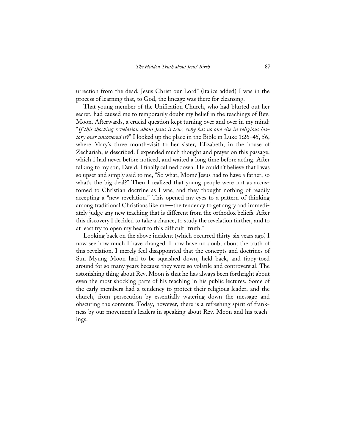urrection from the dead, Jesus Christ our Lord" (italics added) I was in the process of learning that, to God, the lineage was there for cleansing.

That young member of the Unification Church, who had blurted out her secret, had caused me to temporarily doubt my belief in the teachings of Rev. Moon. Afterwards, a crucial question kept turning over and over in my mind: "*If this shocking revelation about Jesus is true, why has no one else in religious history ever uncovered it?*" I looked up the place in the Bible in Luke 1:26–45, 56, where Mary's three month-visit to her sister, Elizabeth, in the house of Zechariah, is described. I expended much thought and prayer on this passage, which I had never before noticed, and waited a long time before acting. After talking to my son, David, I finally calmed down. He couldn't believe that I was so upset and simply said to me, "So what, Mom? Jesus had to have a father, so what's the big deal?" Then I realized that young people were not as accustomed to Christian doctrine as I was, and they thought nothing of readily accepting a "new revelation." This opened my eyes to a pattern of thinking among traditional Christians like me—the tendency to get angry and immediately judge any new teaching that is different from the orthodox beliefs. After this discovery I decided to take a chance, to study the revelation further, and to at least try to open my heart to this difficult "truth."

Looking back on the above incident (which occurred thirty-six years ago) I now see how much I have changed. I now have no doubt about the truth of this revelation. I merely feel disappointed that the concepts and doctrines of Sun Myung Moon had to be squashed down, held back, and tippy-toed around for so many years because they were so volatile and controversial. The astonishing thing about Rev. Moon is that he has always been forthright about even the most shocking parts of his teaching in his public lectures. Some of the early members had a tendency to protect their religious leader, and the church, from persecution by essentially watering down the message and obscuring the contents. Today, however, there is a refreshing spirit of frankness by our movement's leaders in speaking about Rev. Moon and his teachings.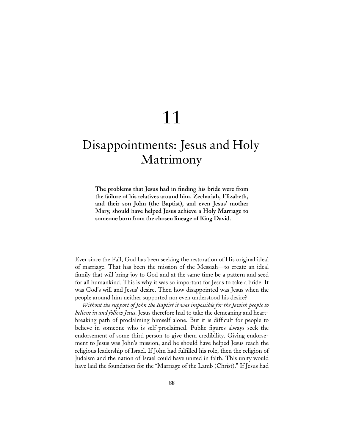## 11

#### Disappointments: Jesus and Holy Matrimony

**The problems that Jesus had in finding his bride were from the failure of his relatives around him. Zechariah, Elizabeth, and their son John (the Baptist), and even Jesus' mother Mary, should have helped Jesus achieve a Holy Marriage to someone born from the chosen lineage of King David.**

Ever since the Fall, God has been seeking the restoration of His original ideal of marriage. That has been the mission of the Messiah—to create an ideal family that will bring joy to God and at the same time be a pattern and seed for all humankind. This is why it was so important for Jesus to take a bride. It was God's will and Jesus' desire. Then how disappointed was Jesus when the people around him neither supported nor even understood his desire?

*Without the support of John the Baptist it was impossible for the Jewish people to believe in and follow Jesus*. Jesus therefore had to take the demeaning and heartbreaking path of proclaiming himself alone. But it is difficult for people to believe in someone who is self-proclaimed. Public figures always seek the endorsement of some third person to give them credibility. Giving endorsement to Jesus was John's mission, and he should have helped Jesus reach the religious leadership of Israel. If John had fulfilled his role, then the religion of Judaism and the nation of Israel could have united in faith. This unity would have laid the foundation for the "Marriage of the Lamb (Christ)." If Jesus had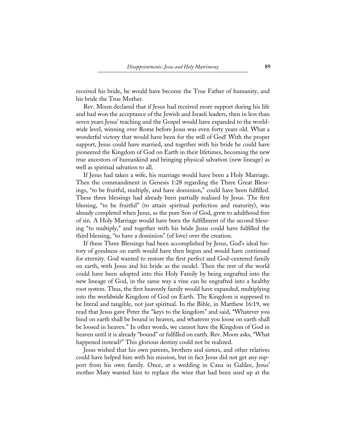received his bride, he would have become the True Father of humanity, and his bride the True Mother.

Rev. Moon declared that if Jesus had received more support during his life and had won the acceptance of the Jewish and Israeli leaders, then in less than seven years Jesus' teaching and the Gospel would have expanded to the worldwide level, winning over Rome before Jesus was even forty years old. What a wonderful victory that would have been for the will of God! With the proper support, Jesus could have married, and together with his bride he could have pioneered the Kingdom of God on Earth in their lifetimes, becoming the new true ancestors of humankind and bringing physical salvation (new lineage) as well as spiritual salvation to all.

If Jesus had taken a wife, his marriage would have been a Holy Marriage. Then the commandment in Genesis 1:28 regarding the Three Great Blessings, "to be fruitful, multiply, and have dominion," could have been fulfilled. These three blessings had already been partially realized by Jesus. The first blessing, "to be fruitful" (to attain spiritual perfection and maturity), was already completed when Jesus, as the pure Son of God, grew to adulthood free of sin. A Holy Marriage would have been the fulfillment of the second blessing "to multiply," and together with his bride Jesus could have fulfilled the third blessing, "to have a dominion" (of love) over the creation.

If these Three Blessings had been accomplished by Jesus, God's ideal history of goodness on earth would have then begun and would have continued for eternity. God wanted to restore the first perfect and God-centered family on earth, with Jesus and his bride as the model. Then the rest of the world could have been adopted into this Holy Family by being engrafted into the new lineage of God, in the same way a vine can be engrafted into a healthy root system. Thus, the first heavenly family would have expanded, multiplying into the worldwide Kingdom of God on Earth. The Kingdom is supposed to be literal and tangible, not just spiritual. In the Bible, in Matthew 16:19, we read that Jesus gave Peter the "keys to the kingdom" and said, "Whatever you bind on earth shall be bound in heaven, and whatever you loose on earth shall be loosed in heaven." In other words, we cannot have the Kingdom of God in heaven until it is already "bound" or fulfilled on earth. Rev. Moon asks, "What happened instead?" This glorious destiny could not be realized.

Jesus wished that his own parents, brothers and sisters, and other relatives could have helped him with his mission, but in fact Jesus did not get any support from his own family. Once, at a wedding in Cana in Galilee, Jesus' mother Mary wanted him to replace the wine that had been used up at the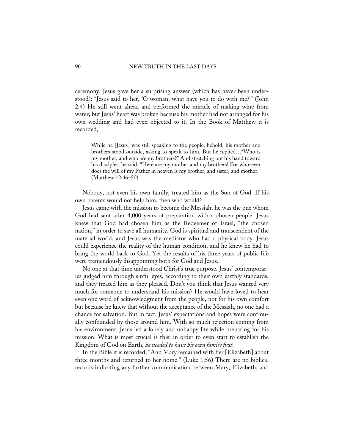ceremony. Jesus gave her a surprising answer (which has never been understood): "Jesus said to her, 'O woman, what have you to do with me?'" (John 2:4) He still went ahead and performed the miracle of making wine from water, but Jesus' heart was broken because his mother had not arranged for his own wedding and had even objected to it. In the Book of Matthew it is recorded,

While he [Jesus] was still speaking to the people, behold, his mother and brothers stood outside, asking to speak to him. But he replied…"Who is my mother, and who are my brothers?" And stretching out his hand toward his disciples, he said, "Here are my mother and my brothers! For who-ever does the will of my Father in heaven is my brother, and sister, and mother." (Matthew 12:46–50)

Nobody, not even his own family, treated him as the Son of God. If his own parents would not help him, then who would?

Jesus came with the mission to become the Messiah; he was the one whom God had sent after 4,000 years of preparation with a chosen people. Jesus knew that God had chosen him as the Redeemer of Israel, "the chosen nation," in order to save all humanity. God is spiritual and transcendent of the material world, and Jesus was the mediator who had a physical body. Jesus could experience the reality of the human condition, and he knew he had to bring the world back to God. Yet the results of his three years of public life were tremendously disappointing both for God and Jesus.

No one at that time understood Christ's true purpose. Jesus' contemporaries judged him through sinful eyes, according to their own earthly standards, and they treated him as they pleased. Don't you think that Jesus wanted very much for someone to understand his mission? He would have loved to hear even one word of acknowledgment from the people, not for his own comfort but because he knew that without the acceptance of the Messiah, no one had a chance for salvation. But in fact, Jesus' expectations and hopes were continually confounded by those around him. With so much rejection coming from his environment, Jesus led a lonely and unhappy life while preparing for his mission. What is most crucial is this: in order to even start to establish the Kingdom of God on Earth, *he needed to have his own family first*!

In the Bible it is recorded, "And Mary remained with her [Elizabeth] about three months and returned to her home." (Luke 1:56) There are no biblical records indicating any further communication between Mary, Elizabeth, and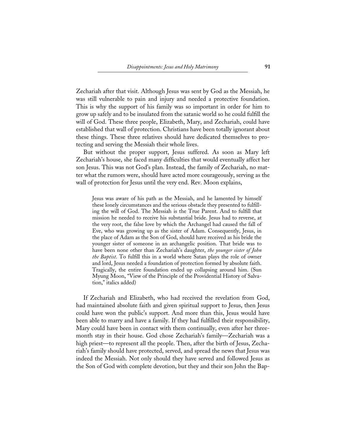Zechariah after that visit. Although Jesus was sent by God as the Messiah, he was still vulnerable to pain and injury and needed a protective foundation. This is why the support of his family was so important in order for him to grow up safely and to be insulated from the satanic world so he could fulfill the will of God. These three people, Elizabeth, Mary, and Zechariah, could have established that wall of protection. Christians have been totally ignorant about these things. These three relatives should have dedicated themselves to protecting and serving the Messiah their whole lives.

But without the proper support, Jesus suffered. As soon as Mary left Zechariah's house, she faced many difficulties that would eventually affect her son Jesus. This was not God's plan. Instead, the family of Zechariah, no matter what the rumors were, should have acted more courageously, serving as the wall of protection for Jesus until the very end. Rev. Moon explains,

Jesus was aware of his path as the Messiah, and he lamented by himself these lonely circumstances and the serious obstacle they presented to fulfilling the will of God. The Messiah is the True Parent. And to fulfill that mission he needed to receive his substantial bride. Jesus had to reverse, at the very root, the false love by which the Archangel had caused the fall of Eve, who was growing up as the sister of Adam. Consequently, Jesus, in the place of Adam as the Son of God, should have received as his bride the younger sister of someone in an archangelic position. That bride was to have been none other than Zechariah's daughter, *the younger sister of John the Baptist*. To fulfill this in a world where Satan plays the role of owner and lord, Jesus needed a foundation of protection formed by absolute faith. Tragically, the entire foundation ended up collapsing around him. (Sun Myung Moon, "View of the Principle of the Providential History of Salvation," italics added)

If Zechariah and Elizabeth, who had received the revelation from God, had maintained absolute faith and given spiritual support to Jesus, then Jesus could have won the public's support. And more than this, Jesus would have been able to marry and have a family. If they had fulfilled their responsibility, Mary could have been in contact with them continually, even after her threemonth stay in their house. God chose Zechariah's family—Zechariah was a high priest—to represent all the people. Then, after the birth of Jesus, Zechariah's family should have protected, served, and spread the news that Jesus was indeed the Messiah. Not only should they have served and followed Jesus as the Son of God with complete devotion, but they and their son John the Bap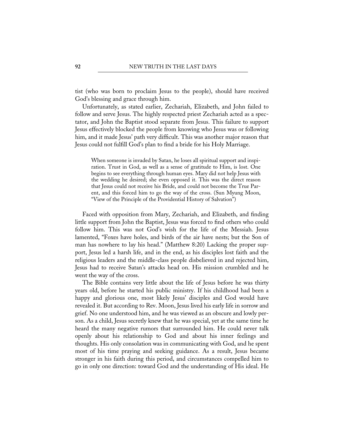tist (who was born to proclaim Jesus to the people), should have received God's blessing and grace through him.

Unfortunately, as stated earlier, Zechariah, Elizabeth, and John failed to follow and serve Jesus. The highly respected priest Zechariah acted as a spectator, and John the Baptist stood separate from Jesus. This failure to support Jesus effectively blocked the people from knowing who Jesus was or following him, and it made Jesus' path very difficult. This was another major reason that Jesus could not fulfill God's plan to find a bride for his Holy Marriage.

When someone is invaded by Satan, he loses all spiritual support and inspiration. Trust in God, as well as a sense of gratitude to Him, is lost. One begins to see everything through human eyes. Mary did not help Jesus with the wedding he desired; she even opposed it. This was the direct reason that Jesus could not receive his Bride, and could not become the True Parent, and this forced him to go the way of the cross. (Sun Myung Moon, "View of the Principle of the Providential History of Salvation")

Faced with opposition from Mary, Zechariah, and Elizabeth, and finding little support from John the Baptist, Jesus was forced to find others who could follow him. This was not God's wish for the life of the Messiah. Jesus lamented, "Foxes have holes, and birds of the air have nests; but the Son of man has nowhere to lay his head." (Matthew 8:20) Lacking the proper support, Jesus led a harsh life, and in the end, as his disciples lost faith and the religious leaders and the middle-class people disbelieved in and rejected him, Jesus had to receive Satan's attacks head on. His mission crumbled and he went the way of the cross.

The Bible contains very little about the life of Jesus before he was thirty years old, before he started his public ministry. If his childhood had been a happy and glorious one, most likely Jesus' disciples and God would have revealed it. But according to Rev. Moon, Jesus lived his early life in sorrow and grief. No one understood him, and he was viewed as an obscure and lowly person. As a child, Jesus secretly knew that he was special, yet at the same time he heard the many negative rumors that surrounded him. He could never talk openly about his relationship to God and about his inner feelings and thoughts. His only consolation was in communicating with God, and he spent most of his time praying and seeking guidance. As a result, Jesus became stronger in his faith during this period, and circumstances compelled him to go in only one direction: toward God and the understanding of His ideal. He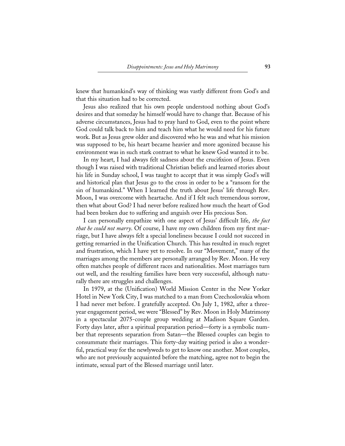knew that humankind's way of thinking was vastly different from God's and that this situation had to be corrected.

Jesus also realized that his own people understood nothing about God's desires and that someday he himself would have to change that. Because of his adverse circumstances, Jesus had to pray hard to God, even to the point where God could talk back to him and teach him what he would need for his future work. But as Jesus grew older and discovered who he was and what his mission was supposed to be, his heart became heavier and more agonized because his environment was in such stark contrast to what he knew God wanted it to be.

In my heart, I had always felt sadness about the crucifixion of Jesus. Even though I was raised with traditional Christian beliefs and learned stories about his life in Sunday school, I was taught to accept that it was simply God's will and historical plan that Jesus go to the cross in order to be a "ransom for the sin of humankind." When I learned the truth about Jesus' life through Rev. Moon, I was overcome with heartache. And if I felt such tremendous sorrow, then what about God? I had never before realized how much the heart of God had been broken due to suffering and anguish over His precious Son.

I can personally empathize with one aspect of Jesus' difficult life, *the fact that he could not marry*. Of course, I have my own children from my first marriage, but I have always felt a special loneliness because I could not succeed in getting remarried in the Unification Church. This has resulted in much regret and frustration, which I have yet to resolve. In our "Movement," many of the marriages among the members are personally arranged by Rev. Moon. He very often matches people of different races and nationalities. Most marriages turn out well, and the resulting families have been very successful, although naturally there are struggles and challenges.

In 1979, at the (Unification) World Mission Center in the New Yorker Hotel in New York City, I was matched to a man from Czechoslovakia whom I had never met before. I gratefully accepted. On July 1, 1982, after a threeyear engagement period, we were "Blessed" by Rev. Moon in Holy Matrimony in a spectacular 2075-couple group wedding at Madison Square Garden. Forty days later, after a spiritual preparation period—forty is a symbolic number that represents separation from Satan—the Blessed couples can begin to consummate their marriages. This forty-day waiting period is also a wonderful, practical way for the newlyweds to get to know one another. Most couples, who are not previously acquainted before the matching, agree not to begin the intimate, sexual part of the Blessed marriage until later.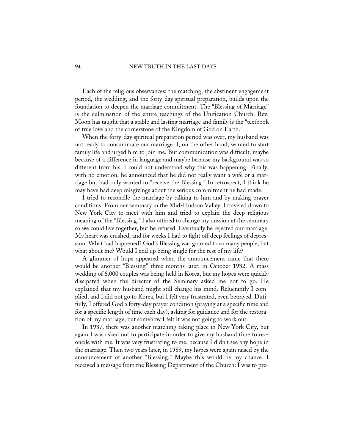Each of the religious observances: the matching, the abstinent engagement period, the wedding, and the forty-day spiritual preparation, builds upon the foundation to deepen the marriage commitment. The "Blessing of Marriage" is the culmination of the entire teachings of the Unification Church. Rev. Moon has taught that a stable and lasting marriage and family is the "textbook of true love and the cornerstone of the Kingdom of God on Earth."

When the forty-day spiritual preparation period was over, my husband was not ready to consummate our marriage. I, on the other hand, wanted to start family life and urged him to join me. But communication was difficult, maybe because of a difference in language and maybe because my background was so different from his. I could not understand why this was happening. Finally, with no emotion, he announced that he did not really want a wife or a marriage but had only wanted to "receive the Blessing." In retrospect, I think he may have had deep misgivings about the serious commitment he had made.

I tried to reconcile the marriage by talking to him and by making prayer conditions. From our seminary in the Mid-Hudson Valley, I traveled down to New York City to meet with him and tried to explain the deep religious meaning of the "Blessing." I also offered to change my mission at the seminary so we could live together, but he refused. Eventually he rejected our marriage. My heart was crushed, and for weeks I had to fight off deep feelings of depression. What had happened? God's Blessing was granted to so many people, but what about me? Would I end up being single for the rest of my life?

A glimmer of hope appeared when the announcement came that there would be another "Blessing" three months later, in October 1982. A mass wedding of 6,000 couples was being held in Korea, but my hopes were quickly dissipated when the director of the Seminary asked me not to go. He explained that my husband might still change his mind. Reluctantly I complied, and I did not go to Korea, but I felt very frustrated, even betrayed. Dutifully, I offered God a forty-day prayer condition (praying at a specific time and for a specific length of time each day), asking for guidance and for the restoration of my marriage, but somehow I felt it was not going to work out.

In 1987, there was another matching taking place in New York City, but again I was asked not to participate in order to give my husband time to reconcile with me. It was very frustrating to me, because I didn't see any hope in the marriage. Then two years later, in 1989, my hopes were again raised by the announcement of another "Blessing." Maybe this would be my chance. I received a message from the Blessing Department of the Church: I was to pre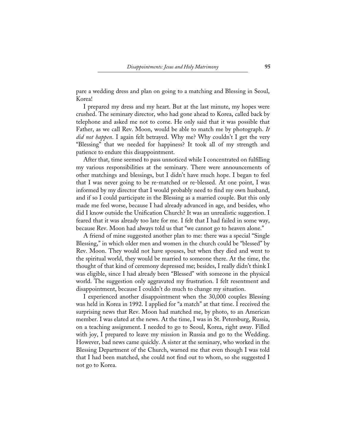pare a wedding dress and plan on going to a matching and Blessing in Seoul, Korea!

I prepared my dress and my heart. But at the last minute, my hopes were crushed. The seminary director, who had gone ahead to Korea, called back by telephone and asked me not to come. He only said that it was possible that Father, as we call Rev. Moon, would be able to match me by photograph. *It did not happen*. I again felt betrayed. Why me? Why couldn't I get the very "Blessing" that we needed for happiness? It took all of my strength and patience to endure this disappointment.

After that, time seemed to pass unnoticed while I concentrated on fulfilling my various responsibilities at the seminary. There were announcements of other matchings and blessings, but I didn't have much hope. I began to feel that I was never going to be re-matched or re-blessed. At one point, I was informed by my director that I would probably need to find my own husband, and if so I could participate in the Blessing as a married couple. But this only made me feel worse, because I had already advanced in age, and besides, who did I know outside the Unification Church? It was an unrealistic suggestion. I feared that it was already too late for me. I felt that I had failed in some way, because Rev. Moon had always told us that "we cannot go to heaven alone."

A friend of mine suggested another plan to me: there was a special "Single Blessing," in which older men and women in the church could be "blessed" by Rev. Moon. They would not have spouses, but when they died and went to the spiritual world, they would be married to someone there. At the time, the thought of that kind of ceremony depressed me; besides, I really didn't think I was eligible, since I had already been "Blessed" with someone in the physical world. The suggestion only aggravated my frustration. I felt resentment and disappointment, because I couldn't do much to change my situation.

I experienced another disappointment when the 30,000 couples Blessing was held in Korea in 1992. I applied for "a match" at that time. I received the surprising news that Rev. Moon had matched me, by photo, to an American member. I was elated at the news. At the time, I was in St. Petersburg, Russia, on a teaching assignment. I needed to go to Seoul, Korea, right away. Filled with joy, I prepared to leave my mission in Russia and go to the Wedding. However, bad news came quickly. A sister at the seminary, who worked in the Blessing Department of the Church, warned me that even though I was told that I had been matched, she could not find out to whom, so she suggested I not go to Korea.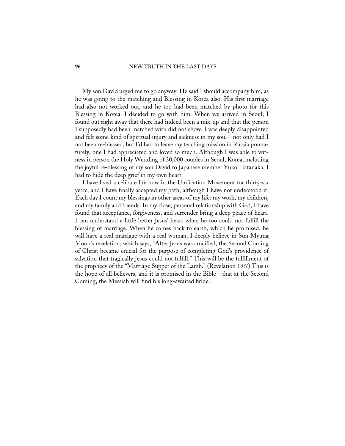My son David urged me to go anyway. He said I should accompany him, as he was going to the matching and Blessing in Korea also. His first marriage had also not worked out, and he too had been matched by photo for this Blessing in Korea. I decided to go with him. When we arrived in Seoul, I found out right away that there had indeed been a mix-up and that the person I supposedly had been matched with did not show. I was deeply disappointed and felt some kind of spiritual injury and sickness in my soul—not only had I not been re-blessed, but I'd had to leave my teaching mission in Russia prematurely, one I had appreciated and loved so much. Although I was able to witness in person the Holy Wedding of 30,000 couples in Seoul, Korea, including the joyful re-blessing of my son David to Japanese member Yuko Hatanaka, I had to hide the deep grief in my own heart.

I have lived a celibate life now in the Unification Movement for thirty-six years, and I have finally accepted my path, although I have not understood it. Each day I count my blessings in other areas of my life: my work, my children, and my family and friends. In my close, personal relationship with God, I have found that acceptance, forgiveness, and surrender bring a deep peace of heart. I can understand a little better Jesus' heart when he too could not fulfill the blessing of marriage. When he comes back to earth, which he promised, he will have a real marriage with a real woman. I deeply believe in Sun Myung Moon's revelation, which says, "After Jesus was crucified, the Second Coming of Christ became crucial for the purpose of completing God's providence of salvation that tragically Jesus could not fulfill." This will be the fulfillment of the prophecy of the "Marriage Supper of the Lamb." (Revelation 19:7) This is the hope of all believers, and it is promised in the Bible—that at the Second Coming, the Messiah will find his long-awaited bride.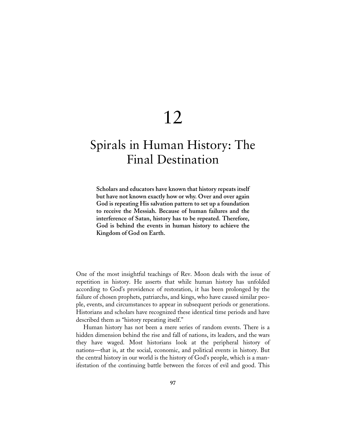# 12

## Spirals in Human History: The Final Destination

**Scholars and educators have known that history repeats itself but have not known exactly how or why. Over and over again God is repeating His salvation pattern to set up a foundation to receive the Messiah. Because of human failures and the interference of Satan, history has to be repeated. Therefore, God is behind the events in human history to achieve the Kingdom of God on Earth.**

One of the most insightful teachings of Rev. Moon deals with the issue of repetition in history. He asserts that while human history has unfolded according to God's providence of restoration, it has been prolonged by the failure of chosen prophets, patriarchs, and kings, who have caused similar people, events, and circumstances to appear in subsequent periods or generations. Historians and scholars have recognized these identical time periods and have described them as "history repeating itself."

Human history has not been a mere series of random events. There is a hidden dimension behind the rise and fall of nations, its leaders, and the wars they have waged. Most historians look at the peripheral history of nations—that is, at the social, economic, and political events in history. But the central history in our world is the history of God's people, which is a manifestation of the continuing battle between the forces of evil and good. This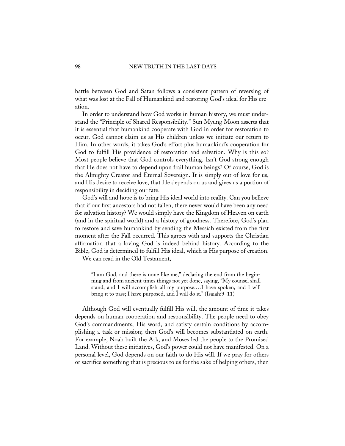battle between God and Satan follows a consistent pattern of reversing of what was lost at the Fall of Humankind and restoring God's ideal for His creation.

In order to understand how God works in human history, we must understand the "Principle of Shared Responsibility." Sun Myung Moon asserts that it is essential that humankind cooperate with God in order for restoration to occur. God cannot claim us as His children unless we initiate our return to Him. In other words, it takes God's effort plus humankind's cooperation for God to fulfill His providence of restoration and salvation. Why is this so? Most people believe that God controls everything. Isn't God strong enough that He does not have to depend upon frail human beings? Of course, God is the Almighty Creator and Eternal Sovereign. It is simply out of love for us, and His desire to receive love, that He depends on us and gives us a portion of responsibility in deciding our fate.

God's will and hope is to bring His ideal world into reality. Can you believe that if our first ancestors had not fallen, there never would have been any need for salvation history? We would simply have the Kingdom of Heaven on earth (and in the spiritual world) and a history of goodness. Therefore, God's plan to restore and save humankind by sending the Messiah existed from the first moment after the Fall occurred. This agrees with and supports the Christian affirmation that a loving God is indeed behind history. According to the Bible, God is determined to fulfill His ideal, which is His purpose of creation.

We can read in the Old Testament,

"I am God, and there is none like me," declaring the end from the beginning and from ancient times things not yet done, saying, "My counsel shall stand, and I will accomplish all my purpose.…I have spoken, and I will bring it to pass; I have purposed, and I will do it." (Isaiah:9–11)

Although God will eventually fulfill His will, the amount of time it takes depends on human cooperation and responsibility. The people need to obey God's commandments, His word, and satisfy certain conditions by accomplishing a task or mission; then God's will becomes substantiated on earth. For example, Noah built the Ark, and Moses led the people to the Promised Land. Without these initiatives, God's power could not have manifested. On a personal level, God depends on our faith to do His will. If we pray for others or sacrifice something that is precious to us for the sake of helping others, then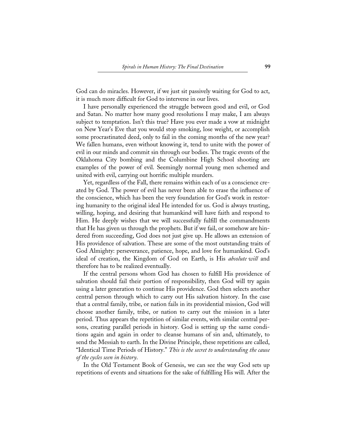God can do miracles. However, if we just sit passively waiting for God to act, it is much more difficult for God to intervene in our lives.

I have personally experienced the struggle between good and evil, or God and Satan. No matter how many good resolutions I may make, I am always subject to temptation. Isn't this true? Have you ever made a vow at midnight on New Year's Eve that you would stop smoking, lose weight, or accomplish some procrastinated deed, only to fail in the coming months of the new year? We fallen humans, even without knowing it, tend to unite with the power of evil in our minds and commit sin through our bodies. The tragic events of the Oklahoma City bombing and the Columbine High School shooting are examples of the power of evil. Seemingly normal young men schemed and united with evil, carrying out horrific multiple murders.

Yet, regardless of the Fall, there remains within each of us a conscience created by God. The power of evil has never been able to erase the influence of the conscience, which has been the very foundation for God's work in restoring humanity to the original ideal He intended for us. God is always trusting, willing, hoping, and desiring that humankind will have faith and respond to Him. He deeply wishes that we will successfully fulfill the commandments that He has given us through the prophets. But if we fail, or somehow are hindered from succeeding, God does not just give up. He allows an extension of His providence of salvation. These are some of the most outstanding traits of God Almighty: perseverance, patience, hope, and love for humankind. God's ideal of creation, the Kingdom of God on Earth, is His *absolute will* and therefore has to be realized eventually.

If the central persons whom God has chosen to fulfill His providence of salvation should fail their portion of responsibility, then God will try again using a later generation to continue His providence. God then selects another central person through which to carry out His salvation history. In the case that a central family, tribe, or nation fails in its providential mission, God will choose another family, tribe, or nation to carry out the mission in a later period. Thus appears the repetition of similar events, with similar central persons, creating parallel periods in history. God is setting up the same conditions again and again in order to cleanse humans of sin and, ultimately, to send the Messiah to earth. In the Divine Principle, these repetitions are called, "Identical Time Periods of History." *This is the secret to understanding the cause of the cycles seen in history*.

In the Old Testament Book of Genesis, we can see the way God sets up repetitions of events and situations for the sake of fulfilling His will. After the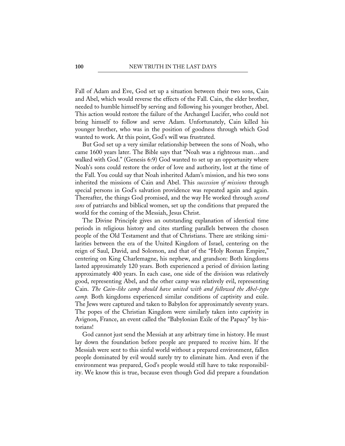Fall of Adam and Eve, God set up a situation between their two sons, Cain and Abel, which would reverse the effects of the Fall. Cain, the elder brother, needed to humble himself by serving and following his younger brother, Abel. This action would restore the failure of the Archangel Lucifer, who could not bring himself to follow and serve Adam. Unfortunately, Cain killed his younger brother, who was in the position of goodness through which God wanted to work. At this point, God's will was frustrated.

But God set up a very similar relationship between the sons of Noah, who came 1600 years later. The Bible says that "Noah was a righteous man…and walked with God." (Genesis 6:9) God wanted to set up an opportunity where Noah's sons could restore the order of love and authority, lost at the time of the Fall. You could say that Noah inherited Adam's mission, and his two sons inherited the missions of Cain and Abel. This *succession of missions* through special persons in God's salvation providence was repeated again and again. Thereafter, the things God promised, and the way He worked through *second sons* of patriarchs and biblical women, set up the conditions that prepared the world for the coming of the Messiah, Jesus Christ.

The Divine Principle gives an outstanding explanation of identical time periods in religious history and cites startling parallels between the chosen people of the Old Testament and that of Christians. There are striking similarities between the era of the United Kingdom of Israel, centering on the reign of Saul, David, and Solomon, and that of the "Holy Roman Empire," centering on King Charlemagne, his nephew, and grandson: Both kingdoms lasted approximately 120 years. Both experienced a period of division lasting approximately 400 years. In each case, one side of the division was relatively good, representing Abel, and the other camp was relatively evil, representing Cain. *The Cain-like camp should have united with and followed the Abel-type camp.* Both kingdoms experienced similar conditions of captivity and exile. The Jews were captured and taken to Babylon for approximately seventy years. The popes of the Christian Kingdom were similarly taken into captivity in Avignon, France, an event called the "Babylonian Exile of the Papacy" by historians!

God cannot just send the Messiah at any arbitrary time in history. He must lay down the foundation before people are prepared to receive him. If the Messiah were sent to this sinful world without a prepared environment, fallen people dominated by evil would surely try to eliminate him. And even if the environment was prepared, God's people would still have to take responsibility. We know this is true, because even though God did prepare a foundation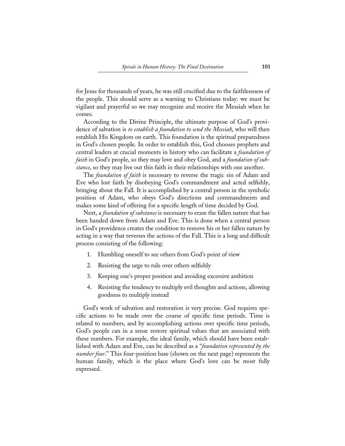for Jesus for thousands of years, he was still crucified due to the faithlessness of the people. This should serve as a warning to Christians today: we must be vigilant and prayerful so we may recognize and receive the Messiah when he comes.

According to the Divine Principle, the ultimate purpose of God's providence of salvation is *to establish a foundation to send the Messiah*, who will then establish His Kingdom on earth. This foundation is the spiritual preparedness in God's chosen people. In order to establish this, God chooses prophets and central leaders at crucial moments in history who can facilitate a *foundation of faith* in God's people, so they may love and obey God, and a *foundation of substance*, so they may live out this faith in their relationships with one another.

The *foundation of faith* is necessary to reverse the tragic sin of Adam and Eve who lost faith by disobeying God's commandment and acted selfishly, bringing about the Fall. It is accomplished by a central person in the symbolic position of Adam, who obeys God's directions and commandments and makes some kind of offering for a specific length of time decided by God.

Next, a *foundation of substance* is necessary to erase the fallen nature that has been handed down from Adam and Eve. This is done when a central person in God's providence creates the condition to remove his or her fallen nature by acting in a way that reverses the actions of the Fall. This is a long and difficult process consisting of the following:

- 1. Humbling oneself to see others from God's point of view
- 2. Resisting the urge to rule over others selfishly
- 3. Keeping one's proper position and avoiding excessive ambition
- 4. Resisting the tendency to multiply evil thoughts and actions, allowing goodness to multiply instead

God's work of salvation and restoration is very precise. God requires specific actions to be made over the course of specific time periods. Time is related to numbers, and by accomplishing actions over specific time periods, God's people can in a sense restore spiritual values that are associated with these numbers. For example, the ideal family, which should have been established with Adam and Eve, can be described as a "*foundation represented by the number four.*" This four-position base (shown on the next page) represents the human family, which is the place where God's love can be most fully expressed.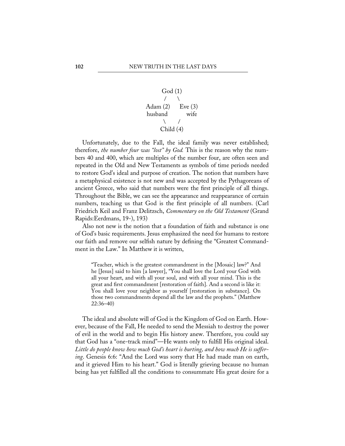God (1)  $\prime$ Adam (2) Eve (3) husband wife  $\setminus$ Child (4)

Unfortunately, due to the Fall, the ideal family was never established; therefore, *the number four was "lost" by God.* This is the reason why the numbers 40 and 400, which are multiples of the number four, are often seen and repeated in the Old and New Testaments as symbols of time periods needed to restore God's ideal and purpose of creation. The notion that numbers have a metaphysical existence is not new and was accepted by the Pythagoreans of ancient Greece, who said that numbers were the first principle of all things. Throughout the Bible, we can see the appearance and reappearance of certain numbers, teaching us that God is the first principle of all numbers. (Carl Friedrich Keil and Franz Delitzsch, *Commentary on the Old Testament* (Grand Rapids:Eerdmans, 19-), 193)

Also not new is the notion that a foundation of faith and substance is one of God's basic requirements. Jesus emphasized the need for humans to restore our faith and remove our selfish nature by defining the "Greatest Commandment in the Law." In Matthew it is written,

"Teacher, which is the greatest commandment in the [Mosaic] law?" And he [Jesus] said to him [a lawyer], "You shall love the Lord your God with all your heart, and with all your soul, and with all your mind. This is the great and first commandment [restoration of faith]. And a second is like it: You shall love your neighbor as yourself [restoration in substance]. On those two commandments depend all the law and the prophets." (Matthew 22:36–40)

The ideal and absolute will of God is the Kingdom of God on Earth. However, because of the Fall, He needed to send the Messiah to destroy the power of evil in the world and to begin His history anew. Therefore, you could say that God has a "one-track mind"—He wants only to fulfill His original ideal. *Little do people know how much God's heart is hurting, and how much He is suffering*. Genesis 6:6: "And the Lord was sorry that He had made man on earth, and it grieved Him to his heart." God is literally grieving because no human being has yet fulfilled all the conditions to consummate His great desire for a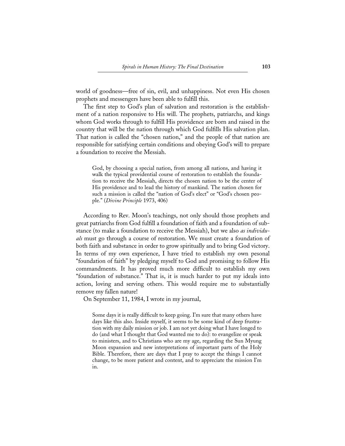world of goodness—free of sin, evil, and unhappiness. Not even His chosen prophets and messengers have been able to fulfill this.

The first step to God's plan of salvation and restoration is the establishment of a nation responsive to His will. The prophets, patriarchs, and kings whom God works through to fulfill His providence are born and raised in the country that will be the nation through which God fulfills His salvation plan. That nation is called the "chosen nation," and the people of that nation are responsible for satisfying certain conditions and obeying God's will to prepare a foundation to receive the Messiah.

God, by choosing a special nation, from among all nations, and having it walk the typical providential course of restoration to establish the foundation to receive the Messiah, directs the chosen nation to be the center of His providence and to lead the history of mankind. The nation chosen for such a mission is called the "nation of God's elect" or "God's chosen people." (*Divine Principle* 1973, 406)

According to Rev. Moon's teachings, not only should those prophets and great patriarchs from God fulfill a foundation of faith and a foundation of substance (to make a foundation to receive the Messiah), but we also *as individuals* must go through a course of restoration. We must create a foundation of both faith and substance in order to grow spiritually and to bring God victory. In terms of my own experience, I have tried to establish my own pesonal "foundation of faith" by pledging myself to God and promising to follow His commandments. It has proved much more difficult to establish my own "foundation of substance." That is, it is much harder to put my ideals into action, loving and serving others. This would require me to substantially remove my fallen nature!

On September 11, 1984, I wrote in my journal,

Some days it is really difficult to keep going. I'm sure that many others have days like this also. Inside myself, it seems to be some kind of deep frustration with my daily mission or job. I am not yet doing what I have longed to do (and what I thought that God wanted me to do): to evangelize or speak to ministers, and to Christians who are my age, regarding the Sun Myung Moon expansion and new interpretations of important parts of the Holy Bible. Therefore, there are days that I pray to accept the things I cannot change, to be more patient and content, and to appreciate the mission I'm in.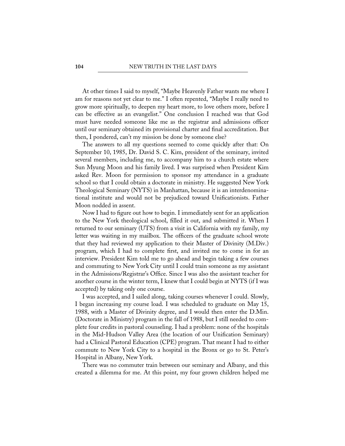At other times I said to myself, "Maybe Heavenly Father wants me where I am for reasons not yet clear to me." I often repented, "Maybe I really need to grow more spiritually, to deepen my heart more, to love others more, before I can be effective as an evangelist." One conclusion I reached was that God must have needed someone like me as the registrar and admissions officer until our seminary obtained its provisional charter and final accreditation. But then, I pondered, can't my mission be done by someone else?

The answers to all my questions seemed to come quickly after that: On September 10, 1985, Dr. David S. C. Kim, president of the seminary, invited several members, including me, to accompany him to a church estate where Sun Myung Moon and his family lived. I was surprised when President Kim asked Rev. Moon for permission to sponsor my attendance in a graduate school so that I could obtain a doctorate in ministry. He suggested New York Theological Seminary (NYTS) in Manhattan, because it is an interdenominational institute and would not be prejudiced toward Unificationists. Father Moon nodded in assent.

Now I had to figure out how to begin. I immediately sent for an application to the New York theological school, filled it out, and submitted it. When I returned to our seminary (UTS) from a visit in California with my family, my letter was waiting in my mailbox. The officers of the graduate school wrote that they had reviewed my application to their Master of Divinity (M.Div.) program, which I had to complete first, and invited me to come in for an interview. President Kim told me to go ahead and begin taking a few courses and commuting to New York City until I could train someone as my assistant in the Admissions/Registrar's Office. Since I was also the assistant teacher for another course in the winter term, I knew that I could begin at NYTS (if I was accepted) by taking only one course.

I was accepted, and I sailed along, taking courses whenever I could. Slowly, I began increasing my course load. I was scheduled to graduate on May 15, 1988, with a Master of Divinity degree, and I would then enter the D.Min. (Doctorate in Ministry) program in the fall of 1988, but I still needed to complete four credits in pastoral counseling. I had a problem: none of the hospitals in the Mid-Hudson Valley Area (the location of our Unification Seminary) had a Clinical Pastoral Education (CPE) program. That meant I had to either commute to New York City to a hospital in the Bronx or go to St. Peter's Hospital in Albany, New York.

There was no commuter train between our seminary and Albany, and this created a dilemma for me. At this point, my four grown children helped me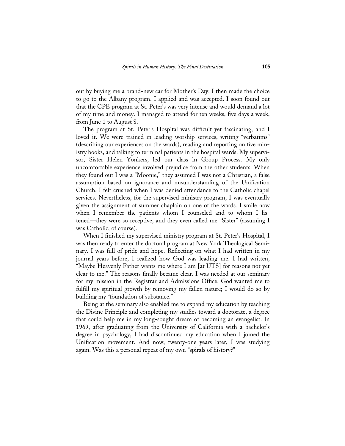out by buying me a brand-new car for Mother's Day. I then made the choice to go to the Albany program. I applied and was accepted. I soon found out that the CPE program at St. Peter's was very intense and would demand a lot of my time and money. I managed to attend for ten weeks, five days a week, from June 1 to August 8.

The program at St. Peter's Hospital was difficult yet fascinating, and I loved it. We were trained in leading worship services, writing "verbatims" (describing our experiences on the wards), reading and reporting on five ministry books, and talking to terminal patients in the hospital wards. My supervisor, Sister Helen Yonkers, led our class in Group Process. My only uncomfortable experience involved prejudice from the other students. When they found out I was a "Moonie," they assumed I was not a Christian, a false assumption based on ignorance and misunderstanding of the Unification Church. I felt crushed when I was denied attendance to the Catholic chapel services. Nevertheless, for the supervised ministry program, I was eventually given the assignment of summer chaplain on one of the wards. I smile now when I remember the patients whom I counseled and to whom I listened—they were so receptive, and they even called me "Sister" (assuming I was Catholic, of course).

When I finished my supervised ministry program at St. Peter's Hospital, I was then ready to enter the doctoral program at New York Theological Seminary. I was full of pride and hope. Reflecting on what I had written in my journal years before, I realized how God was leading me. I had written, "Maybe Heavenly Father wants me where I am [at UTS] for reasons not yet clear to me." The reasons finally became clear. I was needed at our seminary for my mission in the Registrar and Admissions Office. God wanted me to fulfill my spiritual growth by removing my fallen nature; I would do so by building my "foundation of substance."

Being at the seminary also enabled me to expand my education by teaching the Divine Principle and completing my studies toward a doctorate, a degree that could help me in my long-sought dream of becoming an evangelist. In 1969, after graduating from the University of California with a bachelor's degree in psychology, I had discontinued my education when I joined the Unification movement. And now, twenty-one years later, I was studying again. Was this a personal repeat of my own "spirals of history?"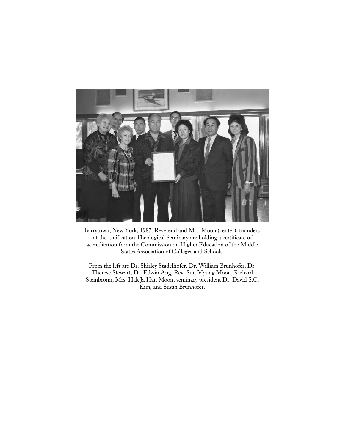

Barrytown, New York, 1987. Reverend and Mrs. Moon (center), founders of the Unification Theological Seminary are holding a certificate of accreditation from the Commission on Higher Education of the Middle States Association of Colleges and Schools.

From the left are Dr. Shirley Stadelhofer, Dr. William Brunhofer, Dr. Therese Stewart, Dr. Edwin Ang, Rev. Sun Myung Moon, Richard Steinbronn, Mrs. Hak Ja Han Moon, seminary president Dr. David S.C. Kim, and Susan Brunhofer.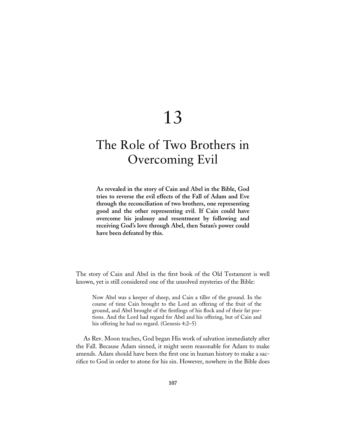# 13

## The Role of Two Brothers in Overcoming Evil

**As revealed in the story of Cain and Abel in the Bible, God tries to reverse the evil effects of the Fall of Adam and Eve through the reconciliation of two brothers, one representing good and the other representing evil. If Cain could have overcome his jealousy and resentment by following and receiving God's love through Abel, then Satan's power could have been defeated by this.**

The story of Cain and Abel in the first book of the Old Testament is well known, yet is still considered one of the unsolved mysteries of the Bible:

Now Abel was a keeper of sheep, and Cain a tiller of the ground. In the course of time Cain brought to the Lord an offering of the fruit of the ground, and Abel brought of the firstlings of his flock and of their fat portions. And the Lord had regard for Abel and his offering, but of Cain and his offering he had no regard. (Genesis 4:2–5)

As Rev. Moon teaches, God began His work of salvation immediately after the Fall. Because Adam sinned, it might seem reasonable for Adam to make amends. Adam should have been the first one in human history to make a sacrifice to God in order to atone for his sin. However, nowhere in the Bible does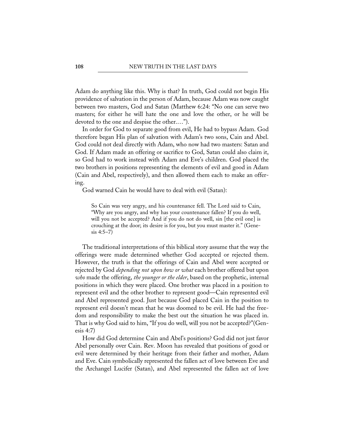Adam do anything like this. Why is that? In truth, God could not begin His providence of salvation in the person of Adam, because Adam was now caught between two masters, God and Satan (Matthew 6:24: "No one can serve two masters; for either he will hate the one and love the other, or he will be devoted to the one and despise the other.…").

In order for God to separate good from evil, He had to bypass Adam. God therefore began His plan of salvation with Adam's two sons, Cain and Abel. God could not deal directly with Adam, who now had two masters: Satan and God. If Adam made an offering or sacrifice to God, Satan could also claim it, so God had to work instead with Adam and Eve's children. God placed the two brothers in positions representing the elements of evil and good in Adam (Cain and Abel, respectively), and then allowed them each to make an offering.

God warned Cain he would have to deal with evil (Satan):

So Cain was very angry, and his countenance fell. The Lord said to Cain, "Why are you angry, and why has your countenance fallen? If you do well, will you not be accepted? And if you do not do well, sin [the evil one] is crouching at the door; its desire is for you, but you must master it." (Genesis 4:5–7)

The traditional interpretations of this biblical story assume that the way the offerings were made determined whether God accepted or rejected them. However, the truth is that the offerings of Cain and Abel were accepted or rejected by God *depending not upon how or what* each brother offered but upon *who* made the offering, *the younger or the elder*, based on the prophetic, internal positions in which they were placed. One brother was placed in a position to represent evil and the other brother to represent good—Cain represented evil and Abel represented good. Just because God placed Cain in the position to represent evil doesn't mean that he was doomed to be evil. He had the freedom and responsibility to make the best out the situation he was placed in. That is why God said to him, "If you do well, will you not be accepted?"(Genesis 4:7)

How did God determine Cain and Abel's positions? God did not just favor Abel personally over Cain. Rev. Moon has revealed that positions of good or evil were determined by their heritage from their father and mother, Adam and Eve. Cain symbolically represented the fallen act of love between Eve and the Archangel Lucifer (Satan), and Abel represented the fallen act of love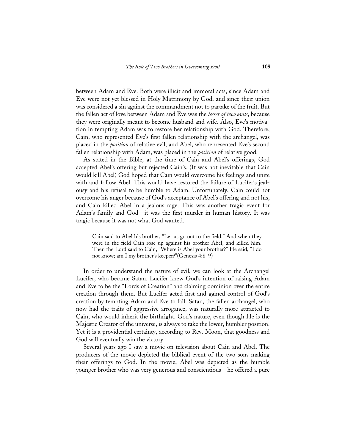between Adam and Eve. Both were illicit and immoral acts, since Adam and Eve were not yet blessed in Holy Matrimony by God, and since their union was considered a sin against the commandment not to partake of the fruit. But the fallen act of love between Adam and Eve was the *lesser of two evils*, because they were originally meant to become husband and wife. Also, Eve's motivation in tempting Adam was to restore her relationship with God. Therefore, Cain, who represented Eve's first fallen relationship with the archangel, was placed in the *position* of relative evil, and Abel, who represented Eve's second fallen relationship with Adam, was placed in the *position* of relative good.

As stated in the Bible, at the time of Cain and Abel's offerings, God accepted Abel's offering but rejected Cain's. (It was not inevitable that Cain would kill Abel) God hoped that Cain would overcome his feelings and unite with and follow Abel. This would have restored the failure of Lucifer's jealousy and his refusal to be humble to Adam. Unfortunately, Cain could not overcome his anger because of God's acceptance of Abel's offering and not his, and Cain killed Abel in a jealous rage. This was another tragic event for Adam's family and God—it was the first murder in human history. It was tragic because it was not what God wanted.

Cain said to Abel his brother, "Let us go out to the field." And when they were in the field Cain rose up against his brother Abel, and killed him. Then the Lord said to Cain, "Where is Abel your brother?" He said, "I do not know; am I my brother's keeper?"(Genesis 4:8–9)

In order to understand the nature of evil, we can look at the Archangel Lucifer, who became Satan. Lucifer knew God's intention of raising Adam and Eve to be the "Lords of Creation" and claiming dominion over the entire creation through them. But Lucifer acted first and gained control of God's creation by tempting Adam and Eve to fall. Satan, the fallen archangel, who now had the traits of aggressive arrogance, was naturally more attracted to Cain, who would inherit the birthright. God's nature, even though He is the Majestic Creator of the universe, is always to take the lower, humbler position. Yet it is a providential certainty, according to Rev. Moon, that goodness and God will eventually win the victory.

Several years ago I saw a movie on television about Cain and Abel. The producers of the movie depicted the biblical event of the two sons making their offerings to God. In the movie, Abel was depicted as the humble younger brother who was very generous and conscientious—he offered a pure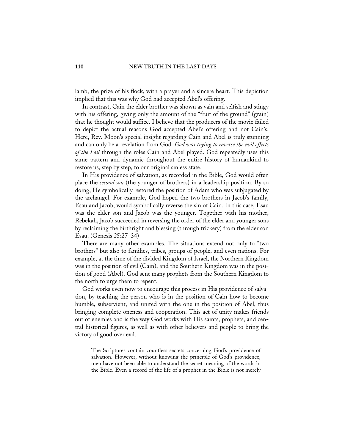lamb, the prize of his flock, with a prayer and a sincere heart. This depiction implied that this was why God had accepted Abel's offering.

In contrast, Cain the elder brother was shown as vain and selfish and stingy with his offering, giving only the amount of the "fruit of the ground" (grain) that he thought would suffice. I believe that the producers of the movie failed to depict the actual reasons God accepted Abel's offering and not Cain's. Here, Rev. Moon's special insight regarding Cain and Abel is truly stunning and can only be a revelation from God. *God was trying to reverse the evil effects of the Fall* through the roles Cain and Abel played. God repeatedly uses this same pattern and dynamic throughout the entire history of humankind to restore us, step by step, to our original sinless state.

In His providence of salvation, as recorded in the Bible, God would often place the *second son* (the younger of brothers) in a leadership position. By so doing, He symbolically restored the position of Adam who was subjugated by the archangel. For example, God hoped the two brothers in Jacob's family, Esau and Jacob, would symbolically reverse the sin of Cain. In this case, Esau was the elder son and Jacob was the younger. Together with his mother, Rebekah, Jacob succeeded in reversing the order of the elder and younger sons by reclaiming the birthright and blessing (through trickery) from the elder son Esau. (Genesis 25:27–34)

There are many other examples. The situations extend not only to "two brothers" but also to families, tribes, groups of people, and even nations. For example, at the time of the divided Kingdom of Israel, the Northern Kingdom was in the position of evil (Cain), and the Southern Kingdom was in the position of good (Abel). God sent many prophets from the Southern Kingdom to the north to urge them to repent.

God works even now to encourage this process in His providence of salvation, by teaching the person who is in the position of Cain how to become humble, subservient, and united with the one in the position of Abel, thus bringing complete oneness and cooperation. This act of unity makes friends out of enemies and is the way God works with His saints, prophets, and central historical figures, as well as with other believers and people to bring the victory of good over evil.

The Scriptures contain countless secrets concerning God's providence of salvation. However, without knowing the principle of God's providence, men have not been able to understand the secret meaning of the words in the Bible. Even a record of the life of a prophet in the Bible is not merely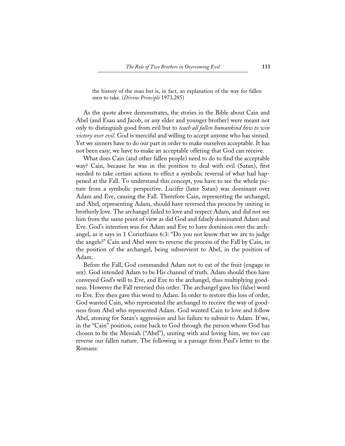the history of the man but is, in fact, an explanation of the way for fallen men to take. (*Divine Principle* 1973*,*285)

As the quote above demonstrates, the stories in the Bible about Cain and Abel (and Esau and Jacob, or any elder and younger brother) were meant not only to distinguish good from evil but to *teach all fallen humankind how to win victory over evil*. God is merciful and willing to accept anyone who has sinned. Yet we sinners have to do our part in order to make ourselves acceptable. It has not been easy; we have to make an acceptable offering that God can receive.

What does Cain (and other fallen people) need to do to find the acceptable way? Cain, because he was in the position to deal with evil (Satan), first needed to take certain actions to effect a symbolic reversal of what had happened at the Fall. To understand this concept, you have to see the whole picture from a symbolic perspective. Lucifer (later Satan) was dominant over Adam and Eve, causing the Fall. Therefore Cain, representing the archangel, and Abel, representing Adam, should have reversed this process by uniting in brotherly love. The archangel failed to love and respect Adam, and did not see him from the same point of view as did God and falsely dominated Adam and Eve. God's intention was for Adam and Eve to have dominion over the archangel, as it says in 1 Corinthians 6:3: "Do you not know that we are to judge the angels?" Cain and Abel were to reverse the process of the Fall by Cain, in the position of the archangel, being subservient to Abel, in the position of Adam.

Before the Fall, God commanded Adam not to eat of the fruit (engage in sex). God intended Adam to be His channel of truth. Adam should then have conveyed God's will to Eve, and Eve to the archangel, thus multiplying goodness. However the Fall reversed this order. The archangel gave his (false) word to Eve. Eve then gave this word to Adam. In order to restore this loss of order, God wanted Cain, who represented the archangel to receive the way of goodness from Abel who represented Adam. God wanted Cain to love and follow Abel, atoning for Satan's aggression and his failure to submit to Adam. If we, in the "Cain" position, come back to God through the person whom God has chosen to be the Messiah ("Abel"), uniting with and loving him, we too can reverse our fallen nature. The following is a passage from Paul's letter to the Romans: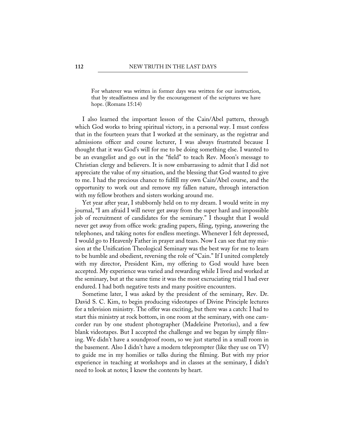For whatever was written in former days was written for our instruction, that by steadfastness and by the encouragement of the scriptures we have hope. (Romans 15:14)

I also learned the important lesson of the Cain/Abel pattern, through which God works to bring spiritual victory, in a personal way. I must confess that in the fourteen years that I worked at the seminary, as the registrar and admissions officer and course lecturer, I was always frustrated because I thought that it was God's will for me to be doing something else. I wanted to be an evangelist and go out in the "field" to teach Rev. Moon's message to Christian clergy and believers. It is now embarrassing to admit that I did not appreciate the value of my situation, and the blessing that God wanted to give to me. I had the precious chance to fulfill my own Cain/Abel course, and the opportunity to work out and remove my fallen nature, through interaction with my fellow brothers and sisters working around me.

Yet year after year, I stubbornly held on to my dream. I would write in my journal, "I am afraid I will never get away from the super hard and impossible job of recruitment of candidates for the seminary." I thought that I would never get away from office work: grading papers, filing, typing, answering the telephones, and taking notes for endless meetings. Whenever I felt depressed, I would go to Heavenly Father in prayer and tears. Now I can see that my mission at the Unification Theological Seminary was the best way for me to learn to be humble and obedient, reversing the role of "Cain." If I united completely with my director, President Kim, my offering to God would have been accepted. My experience was varied and rewarding while I lived and worked at the seminary, but at the same time it was the most excruciating trial I had ever endured. I had both negative tests and many positive encounters.

Sometime later, I was asked by the president of the seminary, Rev. Dr. David S. C. Kim, to begin producing videotapes of Divine Principle lectures for a television ministry. The offer was exciting, but there was a catch: I had to start this ministry at rock bottom, in one room at the seminary, with one camcorder run by one student photographer (Madeleine Pretorius), and a few blank videotapes. But I accepted the challenge and we began by simply filming. We didn't have a soundproof room, so we just started in a small room in the basement. Also I didn't have a modern teleprompter (like they use on TV) to guide me in my homilies or talks during the filming. But with my prior experience in teaching at workshops and in classes at the seminary, I didn't need to look at notes; I knew the contents by heart.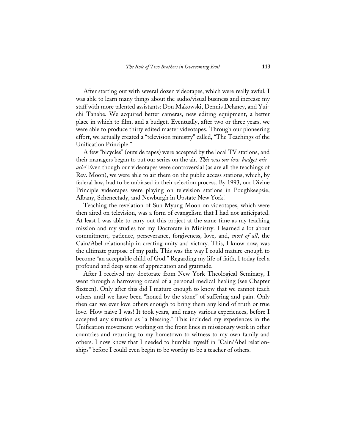After starting out with several dozen videotapes, which were really awful, I was able to learn many things about the audio/visual business and increase my staff with more talented assistants: Don Makowski, Dennis Delaney, and Yuichi Tanabe. We acquired better cameras, new editing equipment, a better place in which to film, and a budget. Eventually, after two or three years, we were able to produce thirty edited master videotapes. Through our pioneering effort, we actually created a "television ministry" called, "The Teachings of the Unification Principle."

A few "bicycles" (outside tapes) were accepted by the local TV stations, and their managers began to put our series on the air. *This was our low-budget miracle!* Even though our videotapes were controversial (as are all the teachings of Rev. Moon), we were able to air them on the public access stations, which, by federal law, had to be unbiased in their selection process. By 1993, our Divine Principle videotapes were playing on television stations in Poughkeepsie, Albany, Schenectady, and Newburgh in Upstate New York!

Teaching the revelation of Sun Myung Moon on videotapes, which were then aired on television, was a form of evangelism that I had not anticipated. At least I was able to carry out this project at the same time as my teaching mission and my studies for my Doctorate in Ministry. I learned a lot about commitment, patience, perseverance, forgiveness, love, and, *most of all*, the Cain/Abel relationship in creating unity and victory. This, I know now, was the ultimate purpose of my path. This was the way I could mature enough to become "an acceptable child of God." Regarding my life of faith, I today feel a profound and deep sense of appreciation and gratitude.

After I received my doctorate from New York Theological Seminary, I went through a harrowing ordeal of a personal medical healing (see Chapter Sixteen). Only after this did I mature enough to know that we cannot teach others until we have been "honed by the stone" of suffering and pain. Only then can we ever love others enough to bring them any kind of truth or true love. How naive I was! It took years, and many various experiences, before I accepted any situation as "a blessing." This included my experiences in the Unification movement: working on the front lines in missionary work in other countries and returning to my hometown to witness to my own family and others. I now know that I needed to humble myself in "Cain/Abel relationships" before I could even begin to be worthy to be a teacher of others.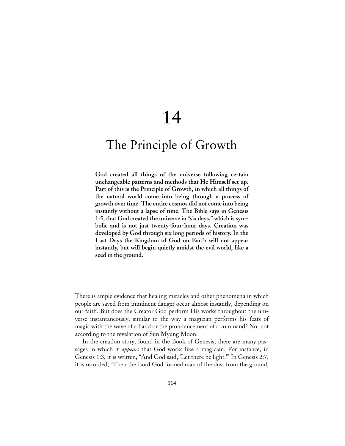## 14

#### The Principle of Growth

**God created all things of the universe following certain unchangeable patterns and methods that He Himself set up. Part of this is the Principle of Growth, in which all things of the natural world come into being through a process of growth over time. The entire cosmos did not come into being instantly without a lapse of time. The Bible says in Genesis 1:5, that God created the universe in "six days," which is symbolic and is not just twenty-four-hour days. Creation was developed by God through six long periods of history. In the Last Days the Kingdom of God on Earth will not appear instantly, but will begin quietly amidst the evil world, like a seed in the ground.**

There is ample evidence that healing miracles and other phenomena in which people are saved from imminent danger occur almost instantly, depending on our faith. But does the Creator God perform His works throughout the universe instantaneously, similar to the way a magician performs his feats of magic with the wave of a hand or the pronouncement of a command? No, not according to the revelation of Sun Myung Moon.

In the creation story, found in the Book of Genesis, there are many passages in which it *appears* that God works like a magician. For instance, in Genesis 1:3, it is written, "And God said, 'Let there be light.'" In Genesis 2:7, it is recorded, "Then the Lord God formed man of the dust from the ground,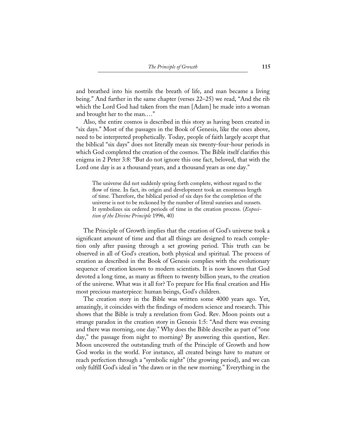and breathed into his nostrils the breath of life, and man became a living being." And further in the same chapter (verses 22–25) we read, "And the rib which the Lord God had taken from the man [Adam] he made into a woman and brought her to the man.…"

Also, the entire cosmos is described in this story as having been created in "six days." Most of the passages in the Book of Genesis, like the ones above, need to be interpreted prophetically. Today, people of faith largely accept that the biblical "six days" does not literally mean six twenty-four-hour periods in which God completed the creation of the cosmos. The Bible itself clarifies this enigma in 2 Peter 3:8: "But do not ignore this one fact, beloved, that with the Lord one day is as a thousand years, and a thousand years as one day."

The universe did not suddenly spring forth complete, without regard to the flow of time. In fact, its origin and development took an enormous length of time. Therefore, the biblical period of six days for the completion of the universe is not to be reckoned by the number of literal sunrises and sunsets. It symbolizes six ordered periods of time in the creation process. (*Exposition of the Divine Principle* 1996, 40)

The Principle of Growth implies that the creation of God's universe took a significant amount of time and that all things are designed to reach completion only after passing through a set growing period. This truth can be observed in all of God's creation, both physical and spiritual. The process of creation as described in the Book of Genesis complies with the evolutionary sequence of creation known to modern scientists. It is now known that God devoted a long time, as many as fifteen to twenty billion years, to the creation of the universe. What was it all for? To prepare for His final creation and His most precious masterpiece: human beings, God's children.

The creation story in the Bible was written some 4000 years ago. Yet, amazingly, it coincides with the findings of modern science and research. This shows that the Bible is truly a revelation from God. Rev. Moon points out a strange paradox in the creation story in Genesis 1:5: "And there was evening and there was morning, one day." Why does the Bible describe as part of "one day," the passage from night to morning? By answering this question, Rev. Moon uncovered the outstanding truth of the Principle of Growth and how God works in the world. For instance, all created beings have to mature or reach perfection through a "symbolic night" (the growing period), and we can only fulfill God's ideal in "the dawn or in the new morning." Everything in the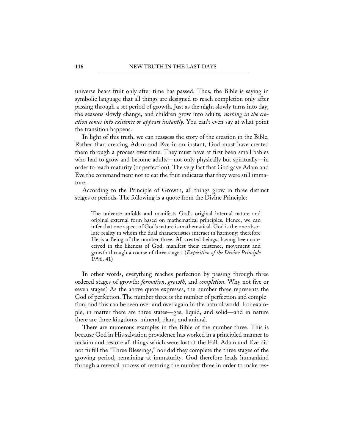universe bears fruit only after time has passed. Thus, the Bible is saying in symbolic language that all things are designed to reach completion only after passing through a set period of growth. Just as the night slowly turns into day, the seasons slowly change, and children grow into adults, *nothing in the creation comes into existence or appears instantly*. You can't even say at what point the transition happens.

In light of this truth, we can reassess the story of the creation in the Bible. Rather than creating Adam and Eve in an instant, God must have created them through a process over time. They must have at first been small babies who had to grow and become adults—not only physically but spiritually—in order to reach maturity (or perfection). The very fact that God gave Adam and Eve the commandment not to eat the fruit indicates that they were still immature.

According to the Principle of Growth, all things grow in three distinct stages or periods. The following is a quote from the Divine Principle:

The universe unfolds and manifests God's original internal nature and original external form based on mathematical principles. Hence, we can infer that one aspect of God's nature is mathematical. God is the one absolute reality in whom the dual characteristics interact in harmony; therefore He is a Being of the number three. All created beings, having been conceived in the likeness of God, manifest their existence, movement and growth through a course of three stages. (*Exposition of the Divine Principle* 1996, 41)

In other words, everything reaches perfection by passing through three ordered stages of growth: *formation*, *growth*, and *completion*. Why not five or seven stages? As the above quote expresses, the number three represents the God of perfection. The number three is the number of perfection and completion, and this can be seen over and over again in the natural world. For example, in matter there are three states—gas, liquid, and solid—and in nature there are three kingdoms: mineral, plant, and animal.

There are numerous examples in the Bible of the number three. This is because God in His salvation providence has worked in a principled manner to reclaim and restore all things which were lost at the Fall. Adam and Eve did not fulfill the "Three Blessings," nor did they complete the three stages of the growing period, remaining at immaturity. God therefore leads humankind through a reversal process of restoring the number three in order to make res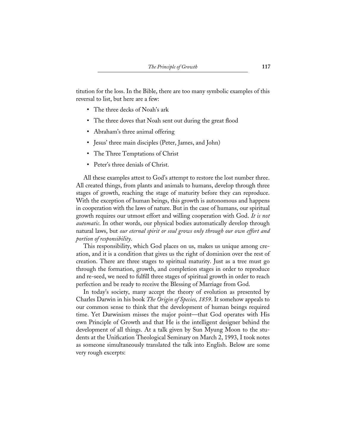titution for the loss. In the Bible, there are too many symbolic examples of this reversal to list, but here are a few:

- **•** The three decks of Noah's ark
- **•** The three doves that Noah sent out during the great flood
- **•** Abraham's three animal offering
- **•** Jesus' three main disciples (Peter, James, and John)
- **•** The Three Temptations of Christ
- **•** Peter's three denials of Christ.

All these examples attest to God's attempt to restore the lost number three. All created things, from plants and animals to humans, develop through three stages of growth, reaching the stage of maturity before they can reproduce. With the exception of human beings, this growth is autonomous and happens in cooperation with the laws of nature. But in the case of humans, our spiritual growth requires our utmost effort and willing cooperation with God. *It is not automatic*. In other words, our physical bodies automatically develop through natural laws, but *our eternal spirit or soul grows only through our own effort and portion of responsibility*.

This responsibility, which God places on us, makes us unique among creation, and it is a condition that gives us the right of dominion over the rest of creation. There are three stages to spiritual maturity. Just as a tree must go through the formation, growth, and completion stages in order to reproduce and re-seed, we need to fulfill three stages of spiritual growth in order to reach perfection and be ready to receive the Blessing of Marriage from God.

In today's society, many accept the theory of evolution as presented by Charles Darwin in his book *The Origin of Species, 1859*. It somehow appeals to our common sense to think that the development of human beings required time. Yet Darwinism misses the major point—that God operates with His own Principle of Growth and that He is the intelligent designer behind the development of all things. At a talk given by Sun Myung Moon to the students at the Unification Theological Seminary on March 2, 1993, I took notes as someone simultaneously translated the talk into English. Below are some very rough excerpts: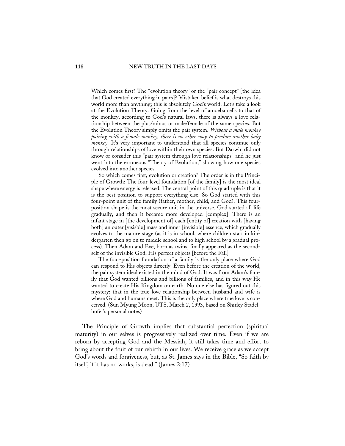Which comes first? The "evolution theory" or the "pair concept" [the idea that God created everything in pairs]? Mistaken belief is what destroys this world more than anything; this is absolutely God's world. Let's take a look at the Evolution Theory. Going from the level of amoeba cells to that of the monkey, according to God's natural laws, there is always a love relationship between the plus/minus or male/female of the same species. But the Evolution Theory simply omits the pair system. *Without a male monkey pairing with a female monkey, there is no other way to produce another baby monkey*. It's very important to understand that all species continue only through relationships of love within their own species. But Darwin did not know or consider this "pair system through love relationships" and he just went into the erroneous "Theory of Evolution," showing how one species evolved into another species.

So which comes first, evolution or creation? The order is in the Principle of Growth: The four-level foundation [of the family] is the most ideal shape where energy is released. The central point of this quadruple is that it is the best position to support everything else. So God started with this four-point unit of the family (father, mother, child, and God). This fourposition shape is the most secure unit in the universe. God started all life gradually, and then it became more developed [complex]. There is an infant stage in [the development of] each [entity of] creation with [having both] an outer [visisble] mass and inner [invisible] essence, which gradually evolves to the mature stage (as it is in school, where children start in kindergarten then go on to middle school and to high school by a gradual process). Then Adam and Eve, born as twins, finally appeared as the secondself of the invisible God, His perfect objects [before the Fall]

The four-position foundation of a family is the only place where God can respond to His objects directly. Even before the creation of the world, the pair system ideal existed in the mind of God. It was from Adam's family that God wanted billions and billions of families, and in this way He wanted to create His Kingdom on earth. No one else has figured out this mystery: that in the true love relationship between husband and wife is where God and humans meet. This is the only place where true love is conceived. (Sun Myung Moon, UTS, March 2, 1993, based on Shirley Stadelhofer's personal notes)

The Principle of Growth implies that substantial perfection (spiritual maturity) in our selves is progressively realized over time. Even if we are reborn by accepting God and the Messiah, it still takes time and effort to bring about the fruit of our rebirth in our lives. We receive grace as we accept God's words and forgiveness, but, as St. James says in the Bible, "So faith by itself, if it has no works, is dead." (James 2:17)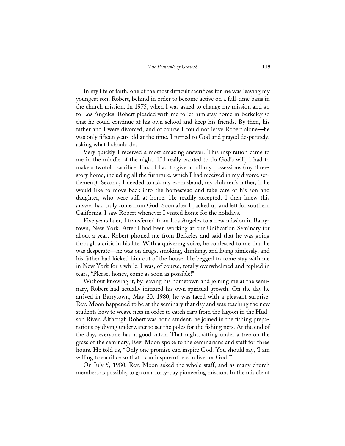In my life of faith, one of the most difficult sacrifices for me was leaving my youngest son, Robert, behind in order to become active on a full-time basis in the church mission. In 1975, when I was asked to change my mission and go to Los Angeles, Robert pleaded with me to let him stay home in Berkeley so that he could continue at his own school and keep his friends. By then, his father and I were divorced, and of course I could not leave Robert alone—he was only fifteen years old at the time. I turned to God and prayed desperately, asking what I should do.

Very quickly I received a most amazing answer. This inspiration came to me in the middle of the night. If I really wanted to do God's will, I had to make a twofold sacrifice. First, I had to give up all my possessions (my threestory home, including all the furniture, which I had received in my divorce settlement). Second, I needed to ask my ex-husband, my children's father, if he would like to move back into the homestead and take care of his son and daughter, who were still at home. He readily accepted. I then knew this answer had truly come from God. Soon after I packed up and left for southern California. I saw Robert whenever I visited home for the holidays.

Five years later, I transferred from Los Angeles to a new mission in Barrytown, New York. After I had been working at our Unification Seminary for about a year, Robert phoned me from Berkeley and said that he was going through a crisis in his life. With a quivering voice, he confessed to me that he was desperate—he was on drugs, smoking, drinking, and living aimlessly, and his father had kicked him out of the house. He begged to come stay with me in New York for a while. I was, of course, totally overwhelmed and replied in tears, "Please, honey, come as soon as possible!"

Without knowing it, by leaving his hometown and joining me at the seminary, Robert had actually initiated his own spiritual growth. On the day he arrived in Barrytown, May 20, 1980, he was faced with a pleasant surprise. Rev. Moon happened to be at the seminary that day and was teaching the new students how to weave nets in order to catch carp from the lagoon in the Hudson River. Although Robert was not a student, he joined in the fishing preparations by diving underwater to set the poles for the fishing nets. At the end of the day, everyone had a good catch. That night, sitting under a tree on the grass of the seminary, Rev. Moon spoke to the seminarians and staff for three hours. He told us, "Only one promise can inspire God. You should say, 'I am willing to sacrifice so that I can inspire others to live for God."

On July 5, 1980, Rev. Moon asked the whole staff, and as many church members as possible, to go on a forty-day pioneering mission. In the middle of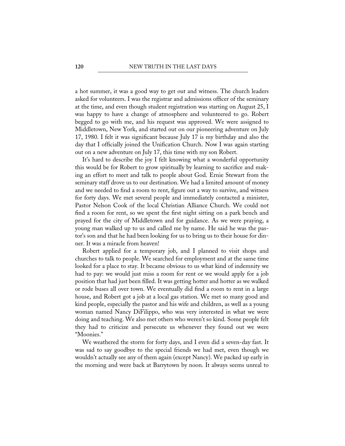a hot summer, it was a good way to get out and witness. The church leaders asked for volunteers. I was the registrar and admissions officer of the seminary at the time, and even though student registration was starting on August 25, I was happy to have a change of atmosphere and volunteered to go. Robert begged to go with me, and his request was approved. We were assigned to Middletown, New York, and started out on our pioneering adventure on July 17, 1980. I felt it was significant because July 17 is my birthday and also the day that I officially joined the Unification Church. Now I was again starting out on a new adventure on July 17, this time with my son Robert.

It's hard to describe the joy I felt knowing what a wonderful opportunity this would be for Robert to grow spiritually by learning to sacrifice and making an effort to meet and talk to people about God. Ernie Stewart from the seminary staff drove us to our destination. We had a limited amount of money and we needed to find a room to rent, figure out a way to survive, and witness for forty days. We met several people and immediately contacted a minister, Pastor Nelson Cook of the local Christian Alliance Church. We could not find a room for rent, so we spent the first night sitting on a park bench and prayed for the city of Middletown and for guidance. As we were praying, a young man walked up to us and called me by name. He said he was the pastor's son and that he had been looking for us to bring us to their house for dinner. It was a miracle from heaven!

Robert applied for a temporary job, and I planned to visit shops and churches to talk to people. We searched for employment and at the same time looked for a place to stay. It became obvious to us what kind of indemnity we had to pay: we would just miss a room for rent or we would apply for a job position that had just been filled. It was getting hotter and hotter as we walked or rode buses all over town. We eventually did find a room to rent in a large house, and Robert got a job at a local gas station. We met so many good and kind people, especially the pastor and his wife and children, as well as a young woman named Nancy DiFilippo, who was very interested in what we were doing and teaching. We also met others who weren't so kind. Some people felt they had to criticize and persecute us whenever they found out we were "Moonies."

We weathered the storm for forty days, and I even did a seven-day fast. It was sad to say goodbye to the special friends we had met, even though we wouldn't actually see any of them again (except Nancy). We packed up early in the morning and were back at Barrytown by noon. It always seems unreal to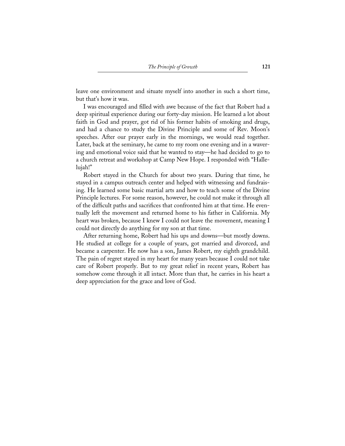leave one environment and situate myself into another in such a short time, but that's how it was.

I was encouraged and filled with awe because of the fact that Robert had a deep spiritual experience during our forty-day mission. He learned a lot about faith in God and prayer, got rid of his former habits of smoking and drugs, and had a chance to study the Divine Principle and some of Rev. Moon's speeches. After our prayer early in the mornings, we would read together. Later, back at the seminary, he came to my room one evening and in a wavering and emotional voice said that he wanted to stay—he had decided to go to a church retreat and workshop at Camp New Hope. I responded with "Hallelujah!"

Robert stayed in the Church for about two years. During that time, he stayed in a campus outreach center and helped with witnessing and fundraising. He learned some basic martial arts and how to teach some of the Divine Principle lectures. For some reason, however, he could not make it through all of the difficult paths and sacrifices that confronted him at that time. He eventually left the movement and returned home to his father in California. My heart was broken, because I knew I could not leave the movement, meaning I could not directly do anything for my son at that time.

After returning home, Robert had his ups and downs—but mostly downs. He studied at college for a couple of years, got married and divorced, and became a carpenter. He now has a son, James Robert, my eighth grandchild. The pain of regret stayed in my heart for many years because I could not take care of Robert properly. But to my great relief in recent years, Robert has somehow come through it all intact. More than that, he carries in his heart a deep appreciation for the grace and love of God.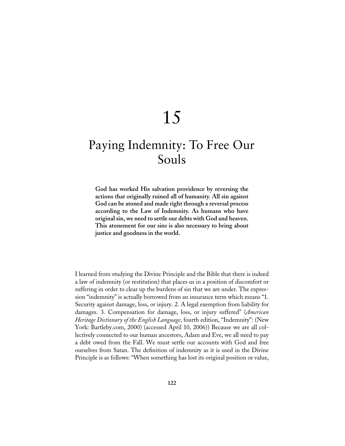# 15

## Paying Indemnity: To Free Our Souls

**God has worked His salvation providence by reversing the actions that originally ruined all of humanity. All sin against God can be atoned and made right through a reversal process according to the Law of Indemnity. As humans who have original sin, we need to settle our debts with God and heaven. This atonement for our sins is also necessary to bring about justice and goodness in the world.**

I learned from studying the Divine Principle and the Bible that there is indeed a law of indemnity (or restitution) that places us in a position of discomfort or suffering in order to clear up the burdens of sin that we are under. The expression "indemnity" is actually borrowed from an insurance term which means "1. Security against damage, loss, or injury. 2. A legal exemption from liability for damages. 3. Compensation for damage, loss, or injury suffered" (*American Heritage Dictionary of the English Language*, fourth edition, "Indemnity": (New York: Bartleby.com, 2000) (accessed April 10, 2006)) Because we are all collectively connected to our human ancestors, Adam and Eve, we all need to pay a debt owed from the Fall. We must settle our accounts with God and free ourselves from Satan. The definition of indemnity as it is used in the Divine Principle is as follows: "When something has lost its original position or value,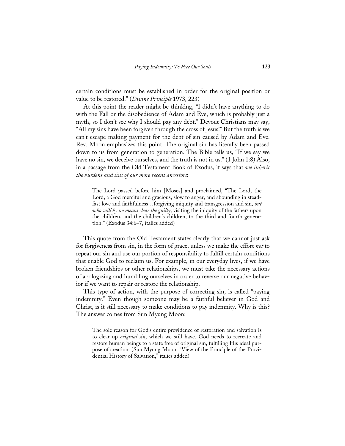certain conditions must be established in order for the original position or value to be restored." (*Divine Principle* 1973*,* 223)

At this point the reader might be thinking, "I didn't have anything to do with the Fall or the disobedience of Adam and Eve, which is probably just a myth, so I don't see why I should pay any debt." Devout Christians may say, "All my sins have been forgiven through the cross of Jesus!" But the truth is we can't escape making payment for the debt of sin caused by Adam and Eve. Rev. Moon emphasizes this point. The original sin has literally been passed down to us from generation to generation. The Bible tells us, "If we say we have no sin, we deceive ourselves, and the truth is not in us." (1 John 1:8) Also, in a passage from the Old Testament Book of Exodus, it says that *we inherit the burdens and sins of our more recent ancestors*:

The Lord passed before him [Moses] and proclaimed, "The Lord, the Lord, a God merciful and gracious, slow to anger, and abounding in steadfast love and faithfulness…forgiving iniquity and transgression and sin, *but who will by no means clear the guilty*, visiting the iniquity of the fathers upon the children, and the children's children, to the third and fourth generation." (Exodus 34:6–7, italics added)

This quote from the Old Testament states clearly that we cannot just ask for forgiveness from sin, in the form of grace, unless we make the effort *not* to repeat our sin and use our portion of responsibility to fulfill certain conditions that enable God to reclaim us. For example, in our everyday lives, if we have broken friendships or other relationships, we must take the necessary actions of apologizing and humbling ourselves in order to reverse our negative behavior if we want to repair or restore the relationship.

This type of action, with the purpose of correcting sin, is called "paying indemnity." Even though someone may be a faithful believer in God and Christ, is it still necessary to make conditions to pay indemnity. Why is this? The answer comes from Sun Myung Moon:

The sole reason for God's entire providence of restoration and salvation is to clear up *original sin*, which we still have. God needs to recreate and restore human beings to a state free of original sin, fulfilling His ideal purpose of creation. (Sun Myung Moon: "View of the Principle of the Providential History of Salvation," italics added)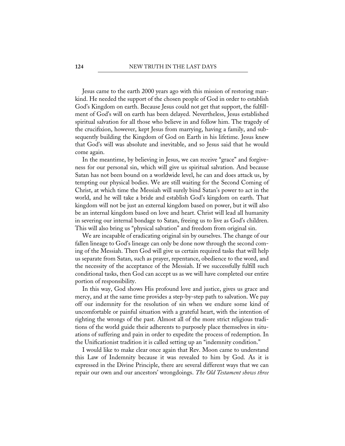Jesus came to the earth 2000 years ago with this mission of restoring mankind. He needed the support of the chosen people of God in order to establish God's Kingdom on earth. Because Jesus could not get that support, the fulfillment of God's will on earth has been delayed. Nevertheless, Jesus established spiritual salvation for all those who believe in and follow him. The tragedy of the crucifixion, however, kept Jesus from marrying, having a family, and subsequently building the Kingdom of God on Earth in his lifetime. Jesus knew that God's will was absolute and inevitable, and so Jesus said that he would come again.

In the meantime, by believing in Jesus, we can receive "grace" and forgiveness for our personal sin, which will give us spiritual salvation. And because Satan has not been bound on a worldwide level, he can and does attack us, by tempting our physical bodies. We are still waiting for the Second Coming of Christ, at which time the Messiah will surely bind Satan's power to act in the world, and he will take a bride and establish God's kingdom on earth. That kingdom will not be just an external kingdom based on power, but it will also be an internal kingdom based on love and heart. Christ will lead all humanity in severing our internal bondage to Satan, freeing us to live as God's children. This will also bring us "physical salvation" and freedom from original sin.

We are incapable of eradicating original sin by ourselves. The change of our fallen lineage to God's lineage can only be done now through the second coming of the Messiah. Then God will give us certain required tasks that will help us separate from Satan, such as prayer, repentance, obedience to the word, and the necessity of the acceptance of the Messiah. If we successfully fulfill such conditional tasks, then God can accept us as we will have completed our entire portion of responsibility.

In this way, God shows His profound love and justice, gives us grace and mercy, and at the same time provides a step-by-step path to salvation. We pay off our indemnity for the resolution of sin when we endure some kind of uncomfortable or painful situation with a grateful heart, with the intention of righting the wrongs of the past. Almost all of the more strict religious traditions of the world guide their adherents to purposely place themselves in situations of suffering and pain in order to expedite the process of redemption. In the Unificationist tradition it is called setting up an "indemnity condition."

I would like to make clear once again that Rev. Moon came to understand this Law of Indemnity because it was revealed to him by God. As it is expressed in the Divine Principle, there are several different ways that we can repair our own and our ancestors' wrongdoings. *The Old Testament shows three*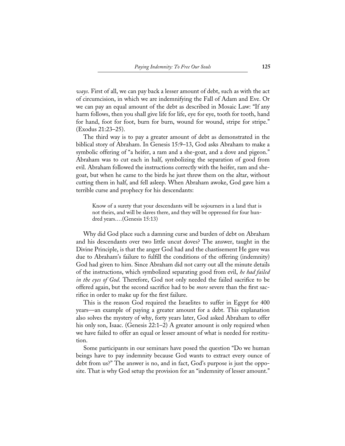*ways*. First of all, we can pay back a lesser amount of debt, such as with the act of circumcision, in which we are indemnifying the Fall of Adam and Eve. Or we can pay an equal amount of the debt as described in Mosaic Law: "If any harm follows, then you shall give life for life, eye for eye, tooth for tooth, hand for hand, foot for foot, burn for burn, wound for wound, stripe for stripe." (Exodus 21:23–25).

The third way is to pay a greater amount of debt as demonstrated in the biblical story of Abraham. In Genesis 15:9–13, God asks Abraham to make a symbolic offering of "a heifer, a ram and a she-goat, and a dove and pigeon." Abraham was to cut each in half, symbolizing the separation of good from evil. Abraham followed the instructions correctly with the heifer, ram and shegoat, but when he came to the birds he just threw them on the altar, without cutting them in half, and fell asleep. When Abraham awoke, God gave him a terrible curse and prophecy for his descendants:

Know of a surety that your descendants will be sojourners in a land that is not theirs, and will be slaves there, and they will be oppressed for four hundred years.…(Genesis 15:13)

Why did God place such a damning curse and burden of debt on Abraham and his descendants over two little uncut doves? The answer, taught in the Divine Principle, is that the anger God had and the chastisement He gave was due to Abraham's failure to fulfill the conditions of the offering (indemnity) God had given to him. Since Abraham did not carry out all the minute details of the instructions, which symbolized separating good from evil, *he had failed in the eyes of God*. Therefore, God not only needed the failed sacrifice to be offered again, but the second sacrifice had to be *more* severe than the first sacrifice in order to make up for the first failure.

This is the reason God required the Israelites to suffer in Egypt for 400 years—an example of paying a greater amount for a debt. This explanation also solves the mystery of why, forty years later, God asked Abraham to offer his only son, Isaac. (Genesis 22:1–2) A greater amount is only required when we have failed to offer an equal or lesser amount of what is needed for restitution.

Some participants in our seminars have posed the question "Do we human beings have to pay indemnity because God wants to extract every ounce of debt from us?" The answer is no, and in fact, God's purpose is just the opposite. That is why God setup the provision for an "indemnity of lesser amount."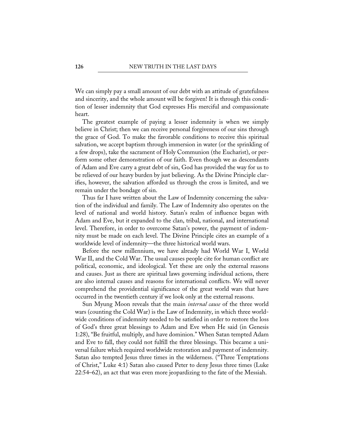We can simply pay a small amount of our debt with an attitude of gratefulness and sincerity, and the whole amount will be forgiven! It is through this condition of lesser indemnity that God expresses His merciful and compassionate heart.

The greatest example of paying a lesser indemnity is when we simply believe in Christ; then we can receive personal forgiveness of our sins through the grace of God. To make the favorable conditions to receive this spiritual salvation, we accept baptism through immersion in water (or the sprinkling of a few drops), take the sacrament of Holy Communion (the Eucharist), or perform some other demonstration of our faith. Even though we as descendants of Adam and Eve carry a great debt of sin, God has provided the way for us to be relieved of our heavy burden by just believing. As the Divine Principle clarifies, however, the salvation afforded us through the cross is limited, and we remain under the bondage of sin.

Thus far I have written about the Law of Indemnity concerning the salvation of the individual and family. The Law of Indemnity also operates on the level of national and world history. Satan's realm of influence began with Adam and Eve, but it expanded to the clan, tribal, national, and international level. Therefore, in order to overcome Satan's power, the payment of indemnity must be made on each level. The Divine Principle cites an example of a worldwide level of indemnity—the three historical world wars.

Before the new millennium, we have already had World War I, World War II, and the Cold War. The usual causes people cite for human conflict are political, economic, and ideological. Yet these are only the external reasons and causes. Just as there are spiritual laws governing individual actions, there are also internal causes and reasons for international conflicts. We will never comprehend the providential significance of the great world wars that have occurred in the twentieth century if we look only at the external reasons.

Sun Myung Moon reveals that the main *internal cause* of the three world wars (counting the Cold War) is the Law of Indemnity, in which three worldwide conditions of indemnity needed to be satisfied in order to restore the loss of God's three great blessings to Adam and Eve when He said (in Genesis 1:28), "Be fruitful, multiply, and have dominion." When Satan tempted Adam and Eve to fall, they could not fulfill the three blessings. This became a universal failure which required worldwide restoration and payment of indemnity. Satan also tempted Jesus three times in the wilderness. ("Three Temptations of Christ," Luke 4:1) Satan also caused Peter to deny Jesus three times (Luke 22:54–62), an act that was even more jeopardizing to the fate of the Messiah.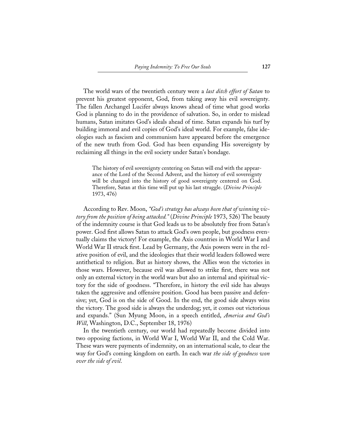The world wars of the twentieth century were a *last ditch effort of Satan* to prevent his greatest opponent, God, from taking away his evil sovereignty. The fallen Archangel Lucifer always knows ahead of time what good works God is planning to do in the providence of salvation. So, in order to mislead humans, Satan imitates God's ideals ahead of time. Satan expands his turf by building immoral and evil copies of God's ideal world. For example, false ideologies such as fascism and communism have appeared before the emergence of the new truth from God. God has been expanding His sovereignty by reclaiming all things in the evil society under Satan's bondage.

The history of evil sovereignty centering on Satan will end with the appearance of the Lord of the Second Advent, and the history of evil sovereignty will be changed into the history of good sovereignty centered on God. Therefore, Satan at this time will put up his last struggle. (*Divine Principle* 1973, 476)

According to Rev. Moon, *"God's strategy has always been that of winning victory from the position of being attacked."* (*Divine Principle* 1973, 526) The beauty of the indemnity course is that God leads us to be absolutely free from Satan's power. God first allows Satan to attack God's own people, but goodness eventually claims the victory! For example, the Axis countries in World War I and World War II struck first. Lead by Germany, the Axis powers were in the relative position of evil, and the ideologies that their world leaders followed were antithetical to religion. But as history shows, the Allies won the victories in those wars. However, because evil was allowed to strike first, there was not only an external victory in the world wars but also an internal and spiritual victory for the side of goodness. "Therefore, in history the evil side has always taken the aggressive and offensive position. Good has been passive and defensive; yet, God is on the side of Good. In the end, the good side always wins the victory. The good side is always the underdog; yet, it comes out victorious and expands." (Sun Myung Moon, in a speech entitled, *America and God's Will*, Washington, D.C., September 18, 1976)

In the twentieth century, our world had repeatedly become divided into two opposing factions, in World War I, World War II, and the Cold War. These wars were payments of indemnity, on an international scale, to clear the way for God's coming kingdom on earth. In each war *the side of goodness won over the side of evil*.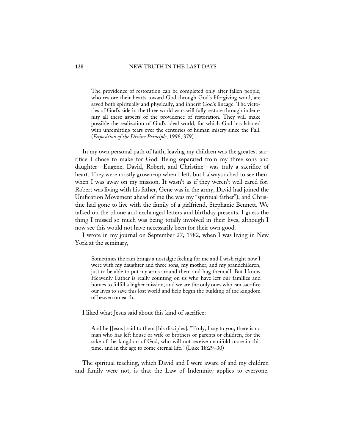The providence of restoration can be completed only after fallen people, who restore their hearts toward God through God's life-giving word, are saved both spiritually and physically, and inherit God's lineage. The victories of God's side in the three world wars will fully restore through indemnity all these aspects of the providence of restoration. They will make possible the realization of God's ideal world, for which God has labored with unremitting tears over the centuries of human misery since the Fall. (*Exposition of the Divine Principle*, 1996, 379)

In my own personal path of faith, leaving my children was the greatest sacrifice I chose to make for God. Being separated from my three sons and daughter—Eugene, David, Robert, and Christine—was truly a sacrifice of heart. They were mostly grown-up when I left, but I always ached to see them when I was away on my mission. It wasn't as if they weren't well cared for. Robert was living with his father, Gene was in the army, David had joined the Unification Movement ahead of me (he was my "spiritual father"), and Christine had gone to live with the family of a girlfriend, Stephanie Bennett. We talked on the phone and exchanged letters and birthday presents. I guess the thing I missed so much was being totally involved in their lives, although I now see this would not have necessarily been for their own good.

I wrote in my journal on September 27, 1982, when I was living in New York at the seminary,

Sometimes the rain brings a nostalgic feeling for me and I wish right now I were with my daughter and three sons, my mother, and my grandchildren, just to be able to put my arms around them and hug them all. But I know Heavenly Father is really counting on us who have left our families and homes to fulfill a higher mission, and we are the only ones who can sacrifice our lives to save this lost world and help begin the building of the kingdom of heaven on earth.

I liked what Jesus said about this kind of sacrifice:

And he [Jesus] said to them [his disciples], "Truly, I say to you, there is no man who has left house or wife or brothers or parents or children, for the sake of the kingdom of God, who will not receive manifold more in this time, and in the age to come eternal life." (Luke 18:29–30)

The spiritual teaching, which David and I were aware of and my children and family were not, is that the Law of Indemnity applies to everyone.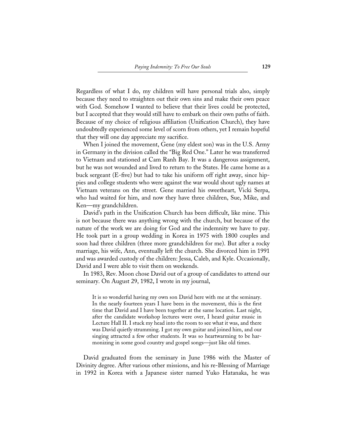Regardless of what I do, my children will have personal trials also, simply because they need to straighten out their own sins and make their own peace with God. Somehow I wanted to believe that their lives could be protected, but I accepted that they would still have to embark on their own paths of faith. Because of my choice of religious affiliation (Unification Church), they have undoubtedly experienced some level of scorn from others, yet I remain hopeful that they will one day appreciate my sacrifice.

When I joined the movement, Gene (my eldest son) was in the U.S. Army in Germany in the division called the "Big Red One." Later he was transferred to Vietnam and stationed at Cam Ranh Bay. It was a dangerous assignment, but he was not wounded and lived to return to the States. He came home as a buck sergeant (E-five) but had to take his uniform off right away, since hippies and college students who were against the war would shout ugly names at Vietnam veterans on the street. Gene married his sweetheart, Vicki Serpa, who had waited for him, and now they have three children, Sue, Mike, and Ken—my grandchildren.

David's path in the Unification Church has been difficult, like mine. This is not because there was anything wrong with the church, but because of the nature of the work we are doing for God and the indemnity we have to pay. He took part in a group wedding in Korea in 1975 with 1800 couples and soon had three children (three more grandchildren for me). But after a rocky marriage, his wife, Ann, eventually left the church. She divorced him in 1991 and was awarded custody of the children: Jessa, Caleb, and Kyle. Occasionally, David and I were able to visit them on weekends.

In 1983, Rev. Moon chose David out of a group of candidates to attend our seminary. On August 29, 1982, I wrote in my journal,

It is so wonderful having my own son David here with me at the seminary. In the nearly fourteen years I have been in the movement, this is the first time that David and I have been together at the same location. Last night, after the candidate workshop lectures were over, I heard guitar music in Lecture Hall II. I stuck my head into the room to see what it was, and there was David quietly strumming. I got my own guitar and joined him, and our singing attracted a few other students. It was so heartwarming to be harmonizing in some good country and gospel songs—just like old times.

David graduated from the seminary in June 1986 with the Master of Divinity degree. After various other missions, and his re-Blessing of Marriage in 1992 in Korea with a Japanese sister named Yuko Hatanaka, he was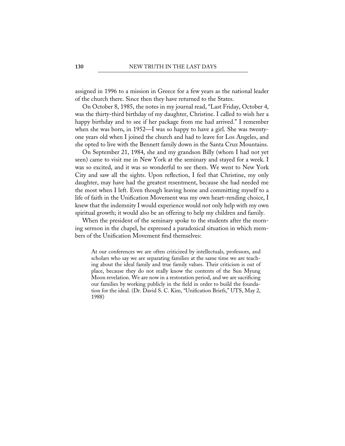assigned in 1996 to a mission in Greece for a few years as the national leader of the church there. Since then they have returned to the States.

On October 8, 1985, the notes in my journal read, "Last Friday, October 4, was the thirty-third birthday of my daughter, Christine. I called to wish her a happy birthday and to see if her package from me had arrived." I remember when she was born, in 1952—I was so happy to have a girl. She was twentyone years old when I joined the church and had to leave for Los Angeles, and she opted to live with the Bennett family down in the Santa Cruz Mountains.

On September 21, 1984, she and my grandson Billy (whom I had not yet seen) came to visit me in New York at the seminary and stayed for a week. I was so excited, and it was so wonderful to see them. We went to New York City and saw all the sights. Upon reflection, I feel that Christine, my only daughter, may have had the greatest resentment, because she had needed me the most when I left. Even though leaving home and committing myself to a life of faith in the Unification Movement was my own heart-rending choice, I knew that the indemnity I would experience would not only help with my own spiritual growth; it would also be an offering to help my children and family.

When the president of the seminary spoke to the students after the morning sermon in the chapel, he expressed a paradoxical situation in which members of the Unification Movement find themselves:

At our conferences we are often criticized by intellectuals, professors, and scholars who say we are separating families at the same time we are teaching about the ideal family and true family values. Their criticism is out of place, because they do not really know the contents of the Sun Myung Moon revelation. We are now in a restoration period, and we are sacrificing our families by working publicly in the field in order to build the foundation for the ideal. (Dr. David S. C. Kim, "Unification Briefs," UTS, May 2, 1988)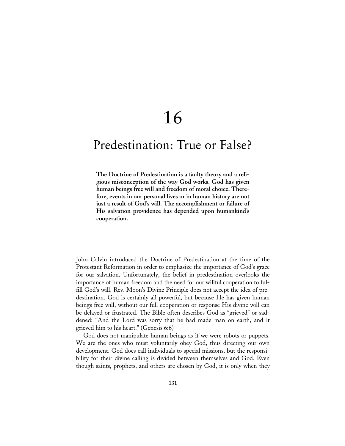# 16

### Predestination: True or False?

**The Doctrine of Predestination is a faulty theory and a religious misconception of the way God works. God has given human beings free will and freedom of moral choice. Therefore, events in our personal lives or in human history are not just a result of God's will. The accomplishment or failure of His salvation providence has depended upon humankind's cooperation.**

John Calvin introduced the Doctrine of Predestination at the time of the Protestant Reformation in order to emphasize the importance of God's grace for our salvation. Unfortunately, the belief in predestination overlooks the importance of human freedom and the need for our willful cooperation to fulfill God's will. Rev. Moon's Divine Principle does not accept the idea of predestination. God is certainly all powerful, but because He has given human beings free will, without our full cooperation or response His divine will can be delayed or frustrated. The Bible often describes God as "grieved" or saddened: "And the Lord was sorry that he had made man on earth, and it grieved him to his heart." (Genesis 6:6)

God does not manipulate human beings as if we were robots or puppets. We are the ones who must voluntarily obey God, thus directing our own development. God does call individuals to special missions, but the responsibility for their divine calling is divided between themselves and God. Even though saints, prophets, and others are chosen by God, it is only when they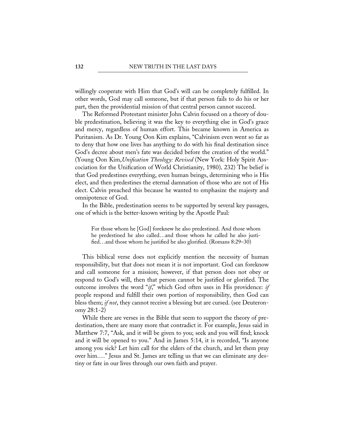willingly cooperate with Him that God's will can be completely fulfilled. In other words, God may call someone, but if that person fails to do his or her part, then the providential mission of that central person cannot succeed.

The Reformed Protestant minister John Calvin focused on a theory of double predestination, believing it was the key to everything else in God's grace and mercy, regardless of human effort. This became known in America as Puritanism. As Dr. Young Oon Kim explains, "Calvinism even went so far as to deny that how one lives has anything to do with his final destination since God's decree about men's fate was decided before the creation of the world." (Young Oon Kim,*Unification Theology: Revised* (New York: Holy Spirit Asscociation for the Unification of World Christianity, 1980)*,* 232) The belief is that God predestines everything, even human beings, determining who is His elect, and then predestines the eternal damnation of those who are not of His elect. Calvin preached this because he wanted to emphasize the majesty and omnipotence of God.

In the Bible, predestination seems to be supported by several key passages, one of which is the better-known writing by the Apostle Paul:

For those whom he [God] foreknew he also predestined. And those whom he predestined he also called…and those whom he called he also justified…and those whom he justified he also glorified. (Romans 8:29–30)

This biblical verse does not explicitly mention the necessity of human responsibility, but that does not mean it is not important. God can foreknow and call someone for a mission; however, if that person does not obey or respond to God's will, then that person cannot be justified or glorified. The outcome involves the word "*if*," which God often uses in His providence: *if* people respond and fulfill their own portion of responsibility, then God can bless them; *if not*, they cannot receive a blessing but are cursed. (see Deuteronomy 28:1-2)

While there are verses in the Bible that seem to support the theory of predestination, there are many more that contradict it. For example, Jesus said in Matthew 7:7, "Ask, and it will be given to you; seek and you will find; knock and it will be opened to you." And in James 5:14, it is recorded, "Is anyone among you sick? Let him call for the elders of the church, and let them pray over him.…" Jesus and St. James are telling us that we can eliminate any destiny or fate in our lives through our own faith and prayer.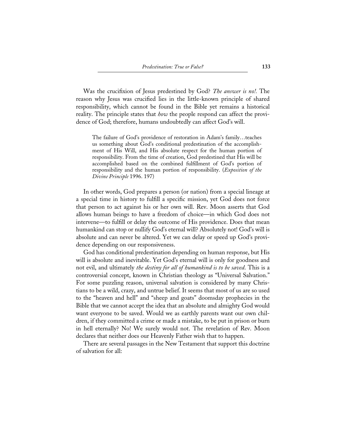Was the crucifixion of Jesus predestined by God? *The answer is no!.* The reason why Jesus was crucified lies in the little-known principle of shared responsibility, which cannot be found in the Bible yet remains a historical reality. The principle states that *how* the people respond can affect the providence of God; therefore, humans undoubtedly can affect God's will.

The failure of God's providence of restoration in Adam's family…teaches us something about God's conditional predestination of the accomplishment of His Will, and His absolute respect for the human portion of responsibility. From the time of creation, God predestined that His will be accomplished based on the combined fulfillment of God's portion of responsibility and the human portion of responsibility. (*Exposition of the Divine Principle* 1996. 197)

In other words, God prepares a person (or nation) from a special lineage at a special time in history to fulfill a specific mission, yet God does not force that person to act against his or her own will. Rev. Moon asserts that God allows human beings to have a freedom of choice—in which God does not intervene—to fulfill or delay the outcome of His providence. Does that mean humankind can stop or nullify God's eternal will? Absolutely not! God's will is absolute and can never be altered. Yet we can delay or speed up God's providence depending on our responsiveness.

God has conditional predestination depending on human response, but His will is absolute and inevitable. Yet God's eternal will is only for goodness and not evil, and ultimately *the destiny for all of humankind is to be saved*. This is a controversial concept, known in Christian theology as "Universal Salvation." For some puzzling reason, universal salvation is considered by many Christians to be a wild, crazy, and untrue belief. It seems that most of us are so used to the "heaven and hell" and "sheep and goats" doomsday prophecies in the Bible that we cannot accept the idea that an absolute and almighty God would want everyone to be saved. Would we as earthly parents want our own children, if they committed a crime or made a mistake, to be put in prison or burn in hell eternally? No! We surely would not. The revelation of Rev. Moon declares that neither does our Heavenly Father wish that to happen.

There are several passages in the New Testament that support this doctrine of salvation for all: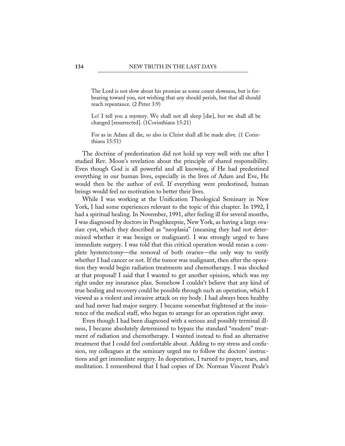The Lord is not slow about his promise as some count slowness, but is forbearing toward you, not wishing that any should perish, but that all should reach repentance. (2 Peter 3:9)

Lo! I tell you a mystery. We shall not all sleep [die], but we shall all be changed [resurrected]. (1Corinthians 15:21)

For as in Adam all die, so also in Christ shall all be made alive. (1 Corinthians 15:51)

The doctrine of predestination did not hold up very well with me after I studied Rev. Moon's revelation about the principle of shared responsibility. Even though God is all powerful and all knowing, if He had predestined everything in our human lives, especially in the lives of Adam and Eve, He would then be the author of evil. If everything were predestined, human beings would feel no motivation to better their lives.

While I was working at the Unification Theological Seminary in New York, I had some experiences relevant to the topic of this chapter. In 1992, I had a spiritual healing. In November, 1991, after feeling ill for several months, I was diagnosed by doctors in Poughkeepsie, New York, as having a large ovarian cyst, which they described as "neoplasia" (meaning they had not determined whether it was benign or malignant). I was strongly urged to have immediate surgery. I was told that this critical operation would mean a complete hysterectomy—the removal of both ovaries—the only way to verify whether I had cancer or not. If the tumor was malignant, then after the operation they would begin radiation treatments and chemotherapy. I was shocked at that proposal! I said that I wanted to get another opinion, which was my right under my insurance plan. Somehow I couldn't believe that any kind of true healing and recovery could be possible through such an operation, which I viewed as a violent and invasive attack on my body. I had always been healthy and had never had major surgery. I became somewhat frightened at the insistence of the medical staff, who began to arrange for an operation right away.

Even though I had been diagnosed with a serious and possibly terminal illness, I became absolutely determined to bypass the standard "modern" treatment of radiation and chemotherapy. I wanted instead to find an alternative treatment that I could feel comfortable about. Adding to my stress and confusion, my colleagues at the seminary urged me to follow the doctors' instructions and get immediate surgery. In desperation, I turned to prayer, tears, and meditation. I remembered that I had copies of Dr. Norman Vincent Peale's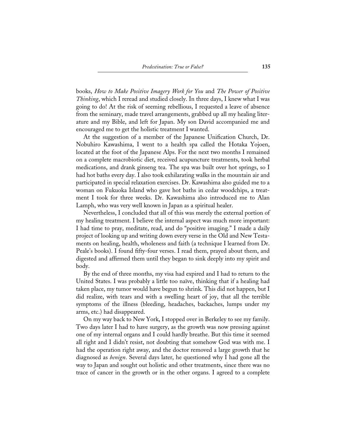books, *How to Make Positive Imagery Work for You* and *The Power of Positive Thinking*, which I reread and studied closely. In three days, I knew what I was going to do! At the risk of seeming rebellious, I requested a leave of absence from the seminary, made travel arrangements, grabbed up all my healing literature and my Bible, and left for Japan. My son David accompanied me and encouraged me to get the holistic treatment I wanted.

At the suggestion of a member of the Japanese Unification Church, Dr. Nobuhiro Kawashima, I went to a health spa called the Hotaka Yojoen, located at the foot of the Japanese Alps. For the next two months I remained on a complete macrobiotic diet, received acupuncture treatments, took herbal medications, and drank ginseng tea. The spa was built over hot springs, so I had hot baths every day. I also took exhilarating walks in the mountain air and participated in special relaxation exercises. Dr. Kawashima also guided me to a woman on Fukuoka Island who gave hot baths in cedar woodchips, a treatment I took for three weeks. Dr. Kawashima also introduced me to Alan Lamph, who was very well known in Japan as a spiritual healer.

Nevertheless, I concluded that all of this was merely the external portion of my healing treatment. I believe the internal aspect was much more important: I had time to pray, meditate, read, and do "positive imaging." I made a daily project of looking up and writing down every verse in the Old and New Testaments on healing, health, wholeness and faith (a technique I learned from Dr. Peale's books). I found fifty-four verses. I read them, prayed about them, and digested and affirmed them until they began to sink deeply into my spirit and body.

By the end of three months, my visa had expired and I had to return to the United States. I was probably a little too naïve, thinking that if a healing had taken place, my tumor would have begun to shrink. This did not happen, but I did realize, with tears and with a swelling heart of joy, that all the terrible symptoms of the illness (bleeding, headaches, backaches, lumps under my arms, etc.) had disappeared.

On my way back to New York, I stopped over in Berkeley to see my family. Two days later I had to have surgery, as the growth was now pressing against one of my internal organs and I could hardly breathe. But this time it seemed all right and I didn't resist, not doubting that somehow God was with me. I had the operation right away, and the doctor removed a large growth that he diagnosed as *benign*. Several days later, he questioned why I had gone all the way to Japan and sought out holistic and other treatments, since there was no trace of cancer in the growth or in the other organs. I agreed to a complete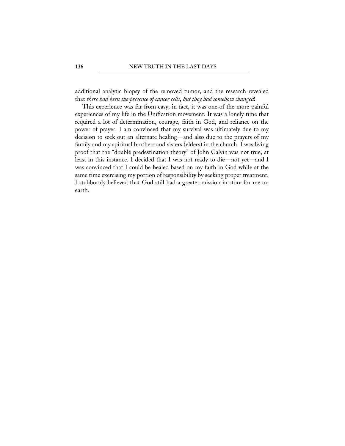additional analytic biopsy of the removed tumor, and the research revealed that *there had been the presence of cancer cells*, *but they had somehow changed*!

This experience was far from easy; in fact, it was one of the more painful experiences of my life in the Unification movement. It was a lonely time that required a lot of determination, courage, faith in God, and reliance on the power of prayer. I am convinced that my survival was ultimately due to my decision to seek out an alternate healing—and also due to the prayers of my family and my spiritual brothers and sisters (elders) in the church. I was living proof that the "double predestination theory" of John Calvin was not true, at least in this instance. I decided that I was not ready to die—not yet—and I was convinced that I could be healed based on my faith in God while at the same time exercising my portion of responsibility by seeking proper treatment. I stubbornly believed that God still had a greater mission in store for me on earth.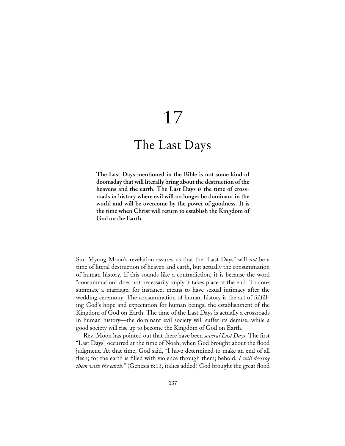### 17

#### The Last Days

**The Last Days mentioned in the Bible is not some kind of doomsday that will literally bring about the destruction of the heavens and the earth. The Last Days is the time of crossroads in history where evil will no longer be dominant in the world and will be overcome by the power of goodness. It is the time when Christ will return to establish the Kingdom of God on the Earth***.*

Sun Myung Moon's revelation assures us that the "Last Days" will *not* be a time of literal destruction of heaven and earth, but actually the consummation of human history. If this sounds like a contradiction, it is because the word "consummation" does not necessarily imply it takes place at the end. To consummate a marriage, for instance, means to have sexual intimacy after the wedding ceremony. The consummation of human history is the act of fulfilling God's hope and expectation for human beings, the establishment of the Kingdom of God on Earth. The time of the Last Days is actually a crossroads in human history—the dominant evil society will suffer its demise, while a good society will rise up to become the Kingdom of God on Earth.

Rev. Moon has pointed out that there have been *several Last Days*. The first "Last Days" occurred at the time of Noah, when God brought about the flood judgment. At that time, God said, "I have determined to make an end of all flesh; for the earth is filled with violence through them; behold, *I will destroy them with the earth*." (Genesis 6:13, italics added) God brought the great flood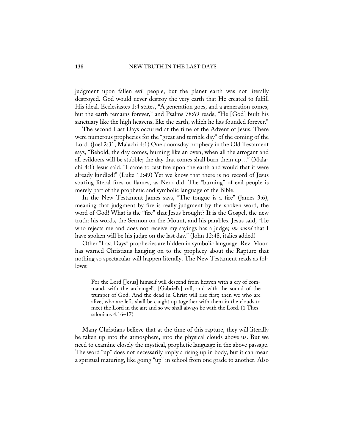judgment upon fallen evil people, but the planet earth was not literally destroyed. God would never destroy the very earth that He created to fulfill His ideal. Ecclesiastes 1:4 states, "A generation goes, and a generation comes, but the earth remains forever," and Psalms 78:69 reads, "He [God] built his sanctuary like the high heavens, like the earth, which he has founded forever."

The second Last Days occurred at the time of the Advent of Jesus. There were numerous prophecies for the "great and terrible day" of the coming of the Lord. (Joel 2:31, Malachi 4:1) One doomsday prophecy in the Old Testament says, "Behold, the day comes, burning like an oven, when all the arrogant and all evildoers will be stubble; the day that comes shall burn them up…" (Malachi 4:1) Jesus said, "I came to cast fire upon the earth and would that it were already kindled!" (Luke 12:49) Yet we know that there is no record of Jesus starting literal fires or flames, as Nero did. The "burning" of evil people is merely part of the prophetic and symbolic language of the Bible.

In the New Testament James says, "The tongue is a fire" (James 3:6), meaning that judgment by fire is really judgment by the spoken word, the word of God! What is the "fire" that Jesus brought? It is the Gospel, the new truth: his words, the Sermon on the Mount, and his parables. Jesus said, "He who rejects me and does not receive my sayings has a judge; *the word* that I have spoken will be his judge on the last day." (John 12:48, italics added)

Other "Last Days" prophecies are hidden in symbolic language. Rev. Moon has warned Christians hanging on to the prophecy about the Rapture that nothing so spectacular will happen literally. The New Testament reads as follows:

For the Lord [Jesus] himself will descend from heaven with a cry of command, with the archangel's [Gabriel's] call, and with the sound of the trumpet of God. And the dead in Christ will rise first; then we who are alive, who are left, shall be caught up together with them in the clouds to meet the Lord in the air; and so we shall always be with the Lord. (1 Thessalonians 4:16–17)

Many Christians believe that at the time of this rapture, they will literally be taken up into the atmosphere, into the physical clouds above us. But we need to examine closely the mystical, prophetic language in the above passage. The word "up" does not necessarily imply a rising up in body, but it can mean a spiritual maturing, like going "up" in school from one grade to another. Also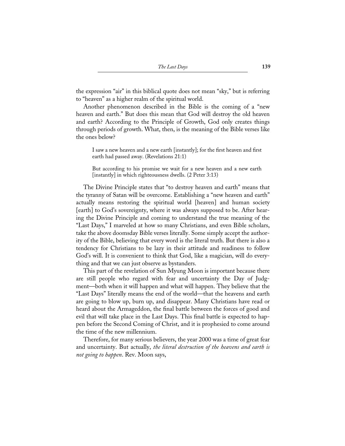the expression "air" in this biblical quote does not mean "sky," but is referring to "heaven" as a higher realm of the spiritual world.

Another phenomenon described in the Bible is the coming of a "new heaven and earth." But does this mean that God will destroy the old heaven and earth? According to the Principle of Growth, God only creates things through periods of growth. What, then, is the meaning of the Bible verses like the ones below?

I saw a new heaven and a new earth [instantly]; for the first heaven and first earth had passed away. (Revelations 21:1)

But according to his promise we wait for a new heaven and a new earth [instantly] in which righteousness dwells. (2 Peter 3:13)

The Divine Principle states that "to destroy heaven and earth" means that the tyranny of Satan will be overcome. Establishing a "new heaven and earth" actually means restoring the spiritual world [heaven] and human society [earth] to God's sovereignty, where it was always supposed to be. After hearing the Divine Principle and coming to understand the true meaning of the "Last Days," I marveled at how so many Christians, and even Bible scholars, take the above doomsday Bible verses literally. Some simply accept the authority of the Bible, believing that every word is the literal truth. But there is also a tendency for Christians to be lazy in their attitude and readiness to follow God's will. It is convenient to think that God, like a magician, will do everything and that we can just observe as bystanders.

This part of the revelation of Sun Myung Moon is important because there are still people who regard with fear and uncertainty the Day of Judgment—both when it will happen and what will happen. They believe that the "Last Days" literally means the end of the world—that the heavens and earth are going to blow up, burn up, and disappear. Many Christians have read or heard about the Armageddon, the final battle between the forces of good and evil that will take place in the Last Days. This final battle is expected to happen before the Second Coming of Christ, and it is prophesied to come around the time of the new millennium.

Therefore, for many serious believers, the year 2000 was a time of great fear and uncertainty. But actually, *the literal destruction of the heavens and earth is not going to happen*. Rev. Moon says,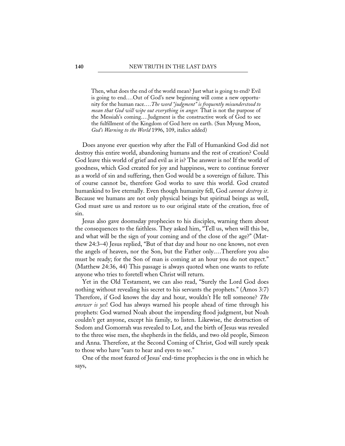Then, what does the end of the world mean? Just what is going to end? Evil is going to end.…Out of God's new beginning will come a new opportunity for the human race.…*The word "judgment" is frequently misunderstood to mean that God will wipe out everything in anger.* That is not the purpose of the Messiah's coming.…Judgment is the constructive work of God to see the fulfillment of the Kingdom of God here on earth. (Sun Myung Moon, *God's Warning to the World* 1996, 109, italics added)

Does anyone ever question why after the Fall of Humankind God did not destroy this entire world, abandoning humans and the rest of creation? Could God leave this world of grief and evil as it is? The answer is no! If the world of goodness, which God created for joy and happiness, were to continue forever as a world of sin and suffering, then God would be a sovereign of failure. This of course cannot be, therefore God works to save this world. God created humankind to live eternally. Even though humanity fell, God *cannot destroy it*. Because we humans are not only physical beings but spiritual beings as well, God must save us and restore us to our original state of the creation, free of sin.

Jesus also gave doomsday prophecies to his disciples, warning them about the consequences to the faithless. They asked him, "Tell us, when will this be, and what will be the sign of your coming and of the close of the age?" (Matthew 24:3–4) Jesus replied, "But of that day and hour no one knows, not even the angels of heaven, nor the Son, but the Father only.…Therefore you also must be ready; for the Son of man is coming at an hour you do not expect." (Matthew 24:36, 44) This passage is always quoted when one wants to refute anyone who tries to foretell when Christ will return.

Yet in the Old Testament, we can also read, "Surely the Lord God does nothing without revealing his secret to his servants the prophets." (Amos 3:7) Therefore, if God knows the day and hour, wouldn't He tell someone? *The answer is yes*! God has always warned his people ahead of time through his prophets: God warned Noah about the impending flood judgment, but Noah couldn't get anyone, except his family, to listen. Likewise, the destruction of Sodom and Gomorrah was revealed to Lot, and the birth of Jesus was revealed to the three wise men, the shepherds in the fields, and two old people, Simeon and Anna. Therefore, at the Second Coming of Christ, God will surely speak to those who have "ears to hear and eyes to see."

One of the most feared of Jesus' end-time prophecies is the one in which he says,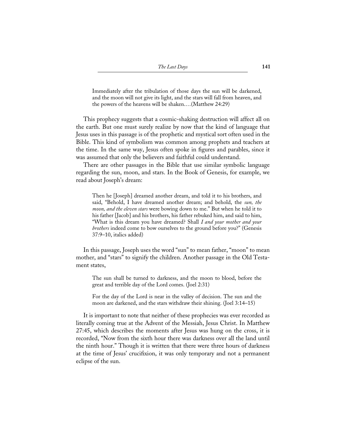Immediately after the tribulation of those days the sun will be darkened, and the moon will not give its light, and the stars will fall from heaven, and the powers of the heavens will be shaken.…(Matthew 24:29)

This prophecy suggests that a cosmic-shaking destruction will affect all on the earth. But one must surely realize by now that the kind of language that Jesus uses in this passage is of the prophetic and mystical sort often used in the Bible. This kind of symbolism was common among prophets and teachers at the time. In the same way, Jesus often spoke in figures and parables, since it was assumed that only the believers and faithful could understand.

There are other passages in the Bible that use similar symbolic language regarding the sun, moon, and stars. In the Book of Genesis, for example, we read about Joseph's dream:

Then he [Joseph] dreamed another dream, and told it to his brothers, and said, "Behold, I have dreamed another dream; and behold, the *sun, the moon, and the eleven stars* were bowing down to me." But when he told it to his father [Jacob] and his brothers, his father rebuked him, and said to him, "What is this dream you have dreamed? Shall *I and your mother and your brothers* indeed come to bow ourselves to the ground before you?" (Genesis 37:9–10, italics added)

In this passage, Joseph uses the word "sun" to mean father, "moon" to mean mother, and "stars" to signify the children. Another passage in the Old Testament states,

The sun shall be turned to darkness, and the moon to blood, before the great and terrible day of the Lord comes. (Joel 2:31)

For the day of the Lord is near in the valley of decision. The sun and the moon are darkened, and the stars withdraw their shining. (Joel 3:14–15)

It is important to note that neither of these prophecies was ever recorded as literally coming true at the Advent of the Messiah, Jesus Christ. In Matthew 27:45, which describes the moments after Jesus was hung on the cross, it is recorded, "Now from the sixth hour there was darkness over all the land until the ninth hour." Though it is written that there were three hours of darkness at the time of Jesus' crucifixion, it was only temporary and not a permanent eclipse of the sun.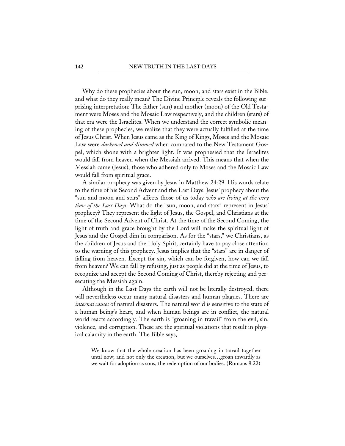Why do these prophecies about the sun, moon, and stars exist in the Bible, and what do they really mean? The Divine Principle reveals the following surprising interpretation: The father (sun) and mother (moon) of the Old Testament were Moses and the Mosaic Law respectively, and the children (stars) of that era were the Israelites. When we understand the correct symbolic meaning of these prophecies, we realize that they were actually fulfilled at the time of Jesus Christ. When Jesus came as the King of Kings, Moses and the Mosaic Law were *darkened and dimmed* when compared to the New Testament Gospel, which shone with a brighter light. It was prophesied that the Israelites would fall from heaven when the Messiah arrived. This means that when the Messiah came (Jesus), those who adhered only to Moses and the Mosaic Law would fall from spiritual grace.

A similar prophecy was given by Jesus in Matthew 24:29. His words relate to the time of his Second Advent and the Last Days. Jesus' prophecy about the "sun and moon and stars" affects those of us today *who are living at the very time of the Last Days*. What do the "sun, moon, and stars" represent in Jesus' prophecy? They represent the light of Jesus, the Gospel, and Christians at the time of the Second Advent of Christ. At the time of the Second Coming, the light of truth and grace brought by the Lord will make the spiritual light of Jesus and the Gospel dim in comparison. As for the "stars," we Christians, as the children of Jesus and the Holy Spirit, certainly have to pay close attention to the warning of this prophecy. Jesus implies that the "stars" are in danger of falling from heaven. Except for sin, which can be forgiven, how can we fall from heaven? We can fall by refusing, just as people did at the time of Jesus, to recognize and accept the Second Coming of Christ, thereby rejecting and persecuting the Messiah again.

Although in the Last Days the earth will not be literally destroyed, there will nevertheless occur many natural disasters and human plagues. There are *internal causes* of natural disasters. The natural world is sensitive to the state of a human being's heart, and when human beings are in conflict, the natural world reacts accordingly. The earth is "groaning in travail" from the evil, sin, violence, and corruption. These are the spiritual violations that result in physical calamity in the earth. The Bible says,

We know that the whole creation has been groaning in travail together until now; and not only the creation, but we ourselves…groan inwardly as we wait for adoption as sons, the redemption of our bodies. (Romans 8:22)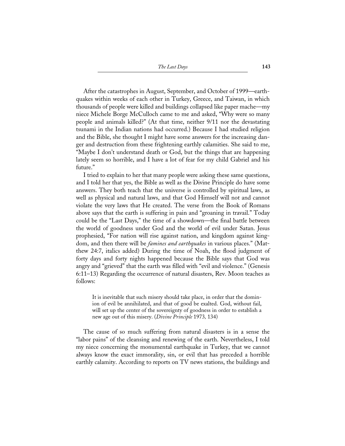*The Last Days* **143**

After the catastrophes in August, September, and October of 1999—earthquakes within weeks of each other in Turkey, Greece, and Taiwan, in which thousands of people were killed and buildings collapsed like paper mache—my niece Michele Borge McCulloch came to me and asked, "Why were so many people and animals killed?" (At that time, neither 9/11 nor the devastating tsunami in the Indian nations had occurred.) Because I had studied religion and the Bible, she thought I might have some answers for the increasing danger and destruction from these frightening earthly calamities. She said to me, "Maybe I don't understand death or God, but the things that are happening lately seem so horrible, and I have a lot of fear for my child Gabriel and his future."

I tried to explain to her that many people were asking these same questions, and I told her that yes, the Bible as well as the Divine Principle do have some answers. They both teach that the universe is controlled by spiritual laws, as well as physical and natural laws, and that God Himself will not and cannot violate the very laws that He created. The verse from the Book of Romans above says that the earth is suffering in pain and "groaning in travail." Today could be the "Last Days," the time of a showdown—the final battle between the world of goodness under God and the world of evil under Satan. Jesus prophesied, "For nation will rise against nation, and kingdom against kingdom, and then there will be *famines and earthquakes* in various places." (Matthew 24:7, italics added) During the time of Noah, the flood judgment of forty days and forty nights happened because the Bible says that God was angry and "grieved" that the earth was filled with "evil and violence." (Genesis 6:11–13) Regarding the occurrence of natural disasters, Rev. Moon teaches as follows:

It is inevitable that such misery should take place, in order that the dominion of evil be annihilated, and that of good be exalted. God, without fail, will set up the center of the sovereignty of goodness in order to establish a new age out of this misery. (*Divine Principle* 1973*,* 134)

The cause of so much suffering from natural disasters is in a sense the "labor pains" of the cleansing and renewing of the earth. Nevertheless, I told my niece concerning the monumental earthquake in Turkey, that we cannot always know the exact immorality, sin, or evil that has preceded a horrible earthly calamity. According to reports on TV news stations, the buildings and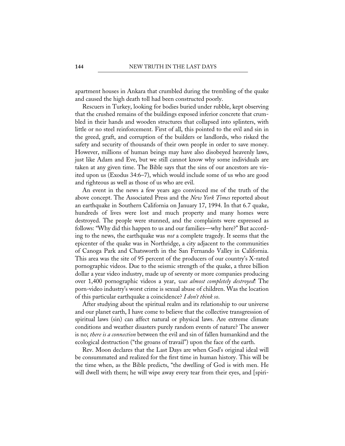apartment houses in Ankara that crumbled during the trembling of the quake and caused the high death toll had been constructed poorly.

Rescuers in Turkey, looking for bodies buried under rubble, kept observing that the crushed remains of the buildings exposed inferior concrete that crumbled in their hands and wooden structures that collapsed into splinters, with little or no steel reinforcement. First of all, this pointed to the evil and sin in the greed, graft, and corruption of the builders or landlords, who risked the safety and security of thousands of their own people in order to save money. However, millions of human beings may have also disobeyed heavenly laws, just like Adam and Eve, but we still cannot know why some individuals are taken at any given time. The Bible says that the sins of our ancestors are visited upon us (Exodus 34:6–7), which would include some of us who are good and righteous as well as those of us who are evil.

An event in the news a few years ago convinced me of the truth of the above concept. The Associated Press and the *New York Times* reported about an earthquake in Southern California on January 17, 1994. In that 6.7 quake, hundreds of lives were lost and much property and many homes were destroyed. The people were stunned, and the complaints were expressed as follows: "Why did this happen to us and our families—why here?" But according to the news, the earthquake was *not* a complete tragedy. It seems that the epicenter of the quake was in Northridge, a city adjacent to the communities of Canoga Park and Chatsworth in the San Fernando Valley in California. This area was the site of 95 percent of the producers of our country's X-rated pornographic videos. Due to the seismic strength of the quake, a three billion dollar a year video industry, made up of seventy or more companies producing over 1,400 pornographic videos a year, *was almost completely destroyed*! The porn-video industry's worst crime is sexual abuse of children. Was the location of this particular earthquake a coincidence? *I don't think so*.

After studying about the spiritual realm and its relationship to our universe and our planet earth, I have come to believe that the collective transgression of spiritual laws (sin) can affect natural or physical laws. Are extreme climate conditions and weather disasters purely random events of nature? The answer is no; *there is a connection* between the evil and sin of fallen humankind and the ecological destruction ("the groans of travail") upon the face of the earth.

Rev. Moon declares that the Last Days are when God's original ideal will be consummated and realized for the first time in human history. This will be the time when, as the Bible predicts, "the dwelling of God is with men. He will dwell with them; he will wipe away every tear from their eyes, and [spiri-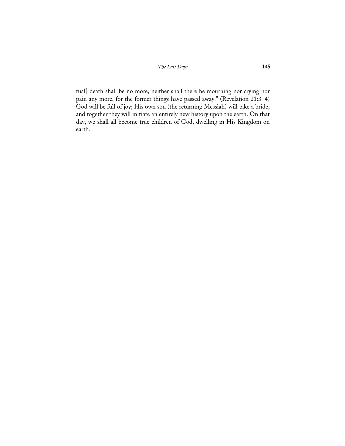tual] death shall be no more, neither shall there be mourning nor crying nor pain any more, for the former things have passed away." (Revelation 21:3–4) God will be full of joy; His own son (the returning Messiah) will take a bride, and together they will initiate an entirely new history upon the earth. On that day, we shall all become true children of God, dwelling in His Kingdom on earth.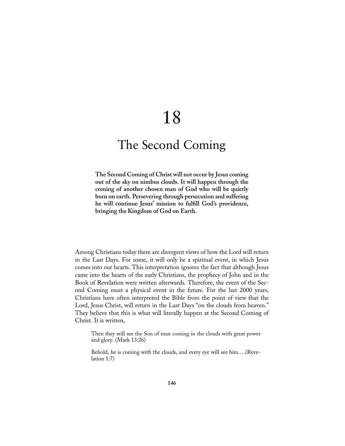## 18

### The Second Coming

**The Second Coming of Christ will not occur by Jesus coming out of the sky on nimbus clouds. It will happen through the coming of another chosen man of God who will be quietly born on earth. Persevering through persecution and suffering he will continue Jesus' mission to fulfill God's providence, bringing the Kingdom of God on Earth.**

Among Christians today there are divergent views of how the Lord will return in the Last Days. For some, it will only be a spiritual event, in which Jesus comes into our hearts. This interpretation ignores the fact that although Jesus came into the hearts of the early Christians, the prophecy of John and in the Book of Revelation were written afterwards. Therefore, the event of the Second Coming must a physical event in the future. For the last 2000 years, Christians have often interpreted the Bible from the point of view that the Lord, Jesus Christ, will return in the Last Days "on the clouds from heaven." They believe that this is what will literally happen at the Second Coming of Christ. It is written,

Then they will see the Son of man coming in the clouds with great power and glory. (Mark 13:26)

Behold, he is coming with the clouds, and every eye will see him.…(Revelation 1:7)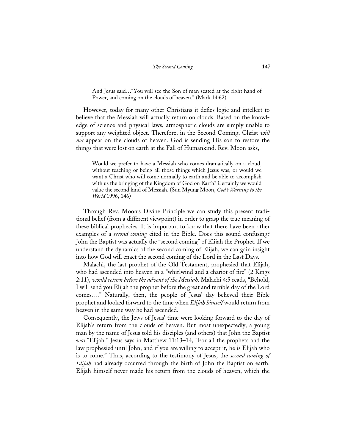And Jesus said…"You will see the Son of man seated at the right hand of Power, and coming on the clouds of heaven." (Mark 14:62)

However, today for many other Christians it defies logic and intellect to believe that the Messiah will actually return on clouds. Based on the knowledge of science and physical laws, atmospheric clouds are simply unable to support any weighted object. Therefore, in the Second Coming, Christ *will not* appear on the clouds of heaven. God is sending His son to restore the things that were lost on earth at the Fall of Humankind. Rev. Moon asks,

Would we prefer to have a Messiah who comes dramatically on a cloud, without teaching or being all those things which Jesus was, or would we want a Christ who will come normally to earth and be able to accomplish with us the bringing of the Kingdom of God on Earth? Certainly we would value the second kind of Messiah. (Sun Myung Moon, *God's Warning to the World* 1996, 146)

Through Rev. Moon's Divine Principle we can study this present traditional belief (from a different viewpoint) in order to grasp the true meaning of these biblical prophecies. It is important to know that there have been other examples of a *second coming* cited in the Bible. Does this sound confusing? John the Baptist was actually the "second coming" of Elijah the Prophet. If we understand the dynamics of the second coming of Elijah, we can gain insight into how God will enact the second coming of the Lord in the Last Days.

Malachi, the last prophet of the Old Testament, prophesied that Elijah, who had ascended into heaven in a "whirlwind and a chariot of fire" (2 Kings 2:11), *would return before the advent of the Messiah*. Malachi 4:5 reads, "Behold, I will send you Elijah the prophet before the great and terrible day of the Lord comes.…" Naturally, then, the people of Jesus' day believed their Bible prophet and looked forward to the time when *Elijah himself* would return from heaven in the same way he had ascended.

Consequently, the Jews of Jesus' time were looking forward to the day of Elijah's return from the clouds of heaven. But most unexpectedly, a young man by the name of Jesus told his disciples (and others) that John the Baptist *was* "Elijah." Jesus says in Matthew 11:13–14, "For all the prophets and the law prophesied until John; and if you are willing to accept it, he is Elijah who is to come." Thus, according to the testimony of Jesus, the *second coming of Elijah* had already occurred through the birth of John the Baptist on earth. Elijah himself never made his return from the clouds of heaven, which the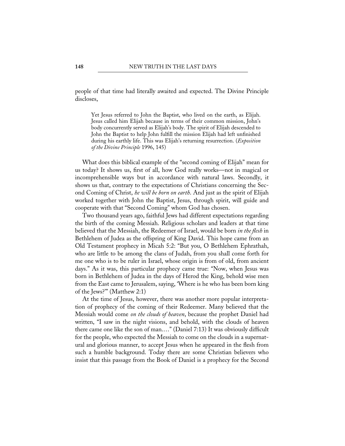people of that time had literally awaited and expected. The Divine Principle discloses,

Yet Jesus referred to John the Baptist, who lived on the earth, as Elijah. Jesus called him Elijah because in terms of their common mission, John's body concurrently served as Elijah's body. The spirit of Elijah descended to John the Baptist to help John fulfill the mission Elijah had left unfinished during his earthly life. This was Elijah's returning resurrection. (*Exposition of the Divine Principle* 1996, 145)

What does this biblical example of the "second coming of Elijah" mean for us today? It shows us, first of all, how God really works—not in magical or incomprehensible ways but in accordance with natural laws. Secondly, it shows us that, contrary to the expectations of Christians concerning the Second Coming of Christ, *he will be born on earth*. And just as the spirit of Elijah worked together with John the Baptist, Jesus, through spirit, will guide and cooperate with that "Second Coming" whom God has chosen.

Two thousand years ago, faithful Jews had different expectations regarding the birth of the coming Messiah. Religious scholars and leaders at that time believed that the Messiah, the Redeemer of Israel, would be born *in the flesh* in Bethlehem of Judea as the offspring of King David. This hope came from an Old Testament prophecy in Micah 5:2: "But you, O Bethlehem Ephrathah, who are little to be among the clans of Judah, from you shall come forth for me one who is to be ruler in Israel, whose origin is from of old, from ancient days." As it was, this particular prophecy came true: "Now, when Jesus was born in Bethlehem of Judea in the days of Herod the King, behold wise men from the East came to Jerusalem, saying, 'Where is he who has been born king of the Jews?'" (Matthew 2:1)

At the time of Jesus, however, there was another more popular interpretation of prophecy of the coming of their Redeemer. Many believed that the Messiah would come *on the clouds of heaven*, because the prophet Daniel had written, "I saw in the night visions, and behold, with the clouds of heaven there came one like the son of man.…" (Daniel 7:13) It was obviously difficult for the people, who expected the Messiah to come on the clouds in a supernatural and glorious manner, to accept Jesus when he appeared in the flesh from such a humble background. Today there are some Christian believers who insist that this passage from the Book of Daniel is a prophecy for the Second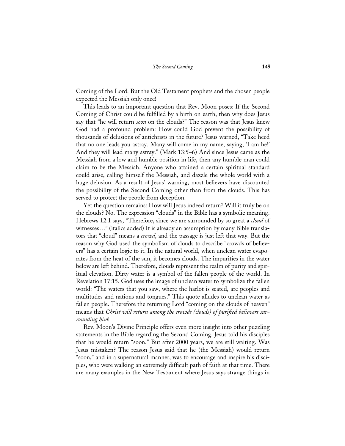Coming of the Lord. But the Old Testament prophets and the chosen people expected the Messiah only once!

This leads to an important question that Rev. Moon poses: If the Second Coming of Christ could be fulfilled by a birth on earth, then why does Jesus say that "he will return *soon* on the clouds?" The reason was that Jesus knew God had a profound problem: How could God prevent the possibility of thousands of delusions of antichrists in the future? Jesus warned, "Take heed that no one leads you astray. Many will come in my name, saying, 'I am he!' And they will lead many astray." (Mark 13:5–6) And since Jesus came as the Messiah from a low and humble position in life, then any humble man could claim to be the Messiah. Anyone who attained a certain spiritual standard could arise, calling himself the Messiah, and dazzle the whole world with a huge delusion. As a result of Jesus' warning, most believers have discounted the possibility of the Second Coming other than from the clouds. This has served to protect the people from deception.

Yet the question remains: How will Jesus indeed return? Will it truly be on the clouds? No. The expression "clouds" in the Bible has a symbolic meaning. Hebrews 12:1 says, "Therefore, since we are surrounded by so great a *cloud* of witnesses…" (italics added) It is already an assumption by many Bible translators that "cloud" means a *crowd*, and the passage is just left that way. But the reason why God used the symbolism of clouds to describe "crowds of believers" has a certain logic to it. In the natural world, when unclean water evaporates from the heat of the sun, it becomes clouds. The impurities in the water below are left behind. Therefore, clouds represent the realm of purity and spiritual elevation. Dirty water is a symbol of the fallen people of the world. In Revelation 17:15, God uses the image of unclean water to symbolize the fallen world: "The waters that you saw, where the harlot is seated, are peoples and multitudes and nations and tongues." This quote alludes to unclean water as fallen people. Therefore the returning Lord "coming on the clouds of heaven" means that *Christ will return among the crowds (clouds) of purified believers surrounding him*!

Rev. Moon's Divine Principle offers even more insight into other puzzling statements in the Bible regarding the Second Coming. Jesus told his disciples that he would return "soon." But after 2000 years, we are still waiting. Was Jesus mistaken? The reason Jesus said that he (the Messiah) would return "soon," and in a supernatural manner, was to encourage and inspire his disciples, who were walking an extremely difficult path of faith at that time. There are many examples in the New Testament where Jesus says strange things in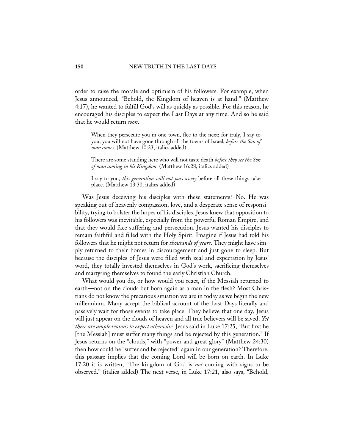order to raise the morale and optimism of his followers. For example, when Jesus announced, "Behold, the Kingdom of heaven is at hand!" (Matthew 4:17), he wanted to fulfill God's will as quickly as possible. For this reason, he encouraged his disciples to expect the Last Days at any time. And so he said that he would return *soon*.

When they persecute you in one town, flee to the next; for truly, I say to you, you will not have gone through all the towns of Israel, *before the Son of man comes*. (Matthew 10:23, italics added)

There are some standing here who will not taste death *before they see the Son of man coming in his Kingdom*. (Matthew 16:28, italics added)

I say to you, *this generation will not pass away* before all these things take place. (Matthew 13:30, italics added)

Was Jesus deceiving his disciples with these statements? No. He was speaking out of heavenly compassion, love, and a desperate sense of responsibility, trying to bolster the hopes of his disciples. Jesus knew that opposition to his followers was inevitable, especially from the powerful Roman Empire, and that they would face suffering and persecution. Jesus wanted his disciples to remain faithful and filled with the Holy Spirit. Imagine if Jesus had told his followers that he might not return for *thousands of years*. They might have simply returned to their homes in discouragement and just gone to sleep. But because the disciples of Jesus were filled with zeal and expectation by Jesus' word, they totally invested themselves in God's work, sacrificing themselves and martyring themselves to found the early Christian Church.

What would you do, or how would you react, if the Messiah returned to earth—not on the clouds but born again as a man in the flesh? Most Christians do not know the precarious situation we are in today as we begin the new millennium. Many accept the biblical account of the Last Days literally and passively wait for those events to take place. They believe that one day, Jesus will just appear on the clouds of heaven and all true believers will be saved. *Yet there are ample reasons to expect otherwise*. Jesus said in Luke 17:25, "But first he [the Messiah] must suffer many things and be rejected by this generation." If Jesus returns on the "clouds," with "power and great glory" (Matthew 24:30) then how could he "suffer and be rejected" again in our generation? Therefore, this passage implies that the coming Lord will be born on earth. In Luke 17:20 it is written, "The kingdom of God is *not* coming with signs to be observed." (italics added) The next verse, in Luke 17:21, also says, "Behold,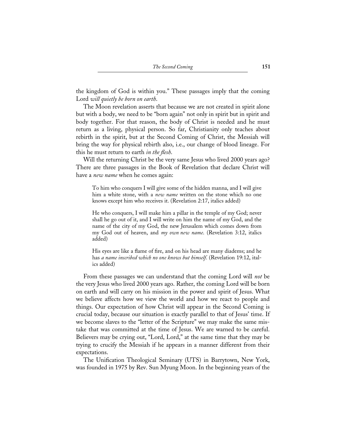the kingdom of God is within you." These passages imply that the coming Lord *will quietly be born on earth*.

The Moon revelation asserts that because we are not created in spirit alone but with a body, we need to be "born again" not only in spirit but in spirit and body together. For that reason, the body of Christ is needed and he must return as a living, physical person. So far, Christianity only teaches about rebirth in the spirit, but at the Second Coming of Christ, the Messiah will bring the way for physical rebirth also, i.e., our change of blood lineage. For this he must return to earth *in the flesh*.

Will the returning Christ be the very same Jesus who lived 2000 years ago? There are three passages in the Book of Revelation that declare Christ will have a *new name* when he comes again:

To him who conquers I will give some of the hidden manna, and I will give him a white stone, with a *new name* written on the stone which no one knows except him who receives it. (Revelation 2:17, italics added)

He who conquers, I will make him a pillar in the temple of my God; never shall he go out of it, and I will write on him the name of my God, and the name of the city of my God, the new Jerusalem which comes down from my God out of heaven, and *my own new name*. (Revelation 3:12, italics added)

His eyes are like a flame of fire, and on his head are many diadems; and he has *a name inscribed which no one knows but himself*. (Revelation 19:12, italics added)

From these passages we can understand that the coming Lord will *not* be the very Jesus who lived 2000 years ago. Rather, the coming Lord will be born on earth and will carry on his mission in the power and spirit of Jesus. What we believe affects how we view the world and how we react to people and things. Our expectation of how Christ will appear in the Second Coming is crucial today, because our situation is exactly parallel to that of Jesus' time. If we become slaves to the "letter of the Scripture" we may make the same mistake that was committed at the time of Jesus. We are warned to be careful. Believers may be crying out, "Lord, Lord," at the same time that they may be trying to crucify the Messiah if he appears in a manner different from their expectations.

The Unification Theological Seminary (UTS) in Barrytown, New York, was founded in 1975 by Rev. Sun Myung Moon. In the beginning years of the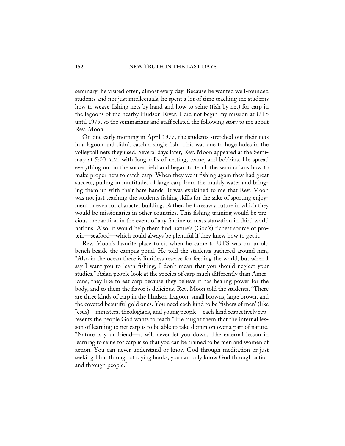seminary, he visited often, almost every day. Because he wanted well-rounded students and not just intellectuals, he spent a lot of time teaching the students how to weave fishing nets by hand and how to seine (fish by net) for carp in the lagoons of the nearby Hudson River. I did not begin my mission at UTS until 1979, so the seminarians and staff related the following story to me about Rev. Moon.

On one early morning in April 1977, the students stretched out their nets in a lagoon and didn't catch a single fish. This was due to huge holes in the volleyball nets they used. Several days later, Rev. Moon appeared at the Seminary at 5:00 A.M. with long rolls of netting, twine, and bobbins. He spread everything out in the soccer field and began to teach the seminarians how to make proper nets to catch carp. When they went fishing again they had great success, pulling in multitudes of large carp from the muddy water and bringing them up with their bare hands. It was explained to me that Rev. Moon was not just teaching the students fishing skills for the sake of sporting enjoyment or even for character building. Rather, he foresaw a future in which they would be missionaries in other countries. This fishing training would be precious preparation in the event of any famine or mass starvation in third world nations. Also, it would help them find nature's (God's) richest source of protein—seafood—which could always be plentiful if they knew how to get it.

Rev. Moon's favorite place to sit when he came to UTS was on an old bench beside the campus pond. He told the students gathered around him, "Also in the ocean there is limitless reserve for feeding the world, but when I say I want you to learn fishing, I don't mean that you should neglect your studies." Asian people look at the species of carp much differently than Americans; they like to eat carp because they believe it has healing power for the body, and to them the flavor is delicious. Rev. Moon told the students, "There are three kinds of carp in the Hudson Lagoon: small browns, large brown, and the coveted beautiful gold ones. You need each kind to be 'fishers of men' (like Jesus)—ministers, theologians, and young people—each kind respectively represents the people God wants to reach." He taught them that the internal lesson of learning to net carp is to be able to take dominion over a part of nature. "Nature is your friend—it will never let you down. The external lesson in learning to seine for carp is so that you can be trained to be men and women of action. You can never understand or know God through meditation or just seeking Him through studying books, you can only know God through action and through people."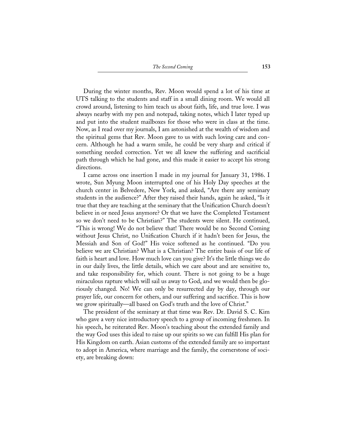During the winter months, Rev. Moon would spend a lot of his time at UTS talking to the students and staff in a small dining room. We would all crowd around, listening to him teach us about faith, life, and true love. I was always nearby with my pen and notepad, taking notes, which I later typed up and put into the student mailboxes for those who were in class at the time. Now, as I read over my journals, I am astonished at the wealth of wisdom and the spiritual gems that Rev. Moon gave to us with such loving care and concern. Although he had a warm smile, he could be very sharp and critical if something needed correction. Yet we all knew the suffering and sacrificial path through which he had gone, and this made it easier to accept his strong directions.

I came across one insertion I made in my journal for January 31, 1986. I wrote, Sun Myung Moon interrupted one of his Holy Day speeches at the church center in Belvedere, New York, and asked, "Are there any seminary students in the audience?" After they raised their hands, again he asked, "Is it true that they are teaching at the seminary that the Unification Church doesn't believe in or need Jesus anymore? Or that we have the Completed Testament so we don't need to be Christian?" The students were silent. He continued, "This is wrong! We do not believe that! There would be no Second Coming without Jesus Christ, no Unification Church if it hadn't been for Jesus, the Messiah and Son of God!" His voice softened as he continued. "Do you believe we are Christian? What is a Christian? The entire basis of our life of faith is heart and love. How much love can you give? It's the little things we do in our daily lives, the little details, which we care about and are sensitive to, and take responsibility for, which count. There is not going to be a huge miraculous rapture which will sail us away to God, and we would then be gloriously changed. No! We can only be resurrected day by day, through our prayer life, our concern for others, and our suffering and sacrifice. This is how we grow spiritually—all based on God's truth and the love of Christ."

The president of the seminary at that time was Rev. Dr. David S. C. Kim who gave a very nice introductory speech to a group of incoming freshmen. In his speech, he reiterated Rev. Moon's teaching about the extended family and the way God uses this ideal to raise up our spirits so we can fulfill His plan for His Kingdom on earth. Asian customs of the extended family are so important to adopt in America, where marriage and the family, the cornerstone of society, are breaking down: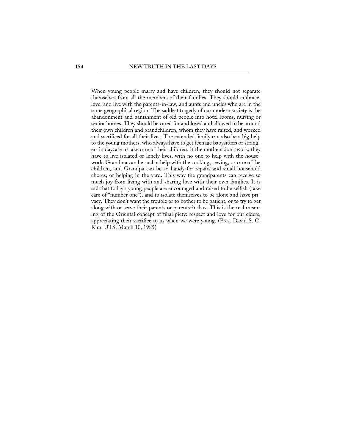When young people marry and have children, they should not separate themselves from all the members of their families. They should embrace, love, and live with the parents-in-law, and aunts and uncles who are in the same geographical region. The saddest tragedy of our modern society is the abandonment and banishment of old people into hotel rooms, nursing or senior homes. They should be cared for and loved and allowed to be around their own children and grandchildren, whom they have raised, and worked and sacrificed for all their lives. The extended family can also be a big help to the young mothers, who always have to get teenage babysitters or strangers in daycare to take care of their children. If the mothers don't work, they have to live isolated or lonely lives, with no one to help with the housework. Grandma can be such a help with the cooking, sewing, or care of the children, and Grandpa can be so handy for repairs and small household chores, or helping in the yard. This way the grandparents can receive so much joy from living with and sharing love with their own families. It is sad that today's young people are encouraged and raised to be selfish (take care of "number one"), and to isolate themselves to be alone and have privacy. They don't want the trouble or to bother to be patient, or to try to get along with or serve their parents or parents-in-law. This is the real meaning of the Oriental concept of filial piety: respect and love for our elders, appreciating their sacrifice to us when we were young. (Pres. David S. C. Kim, UTS, March 10, 1985)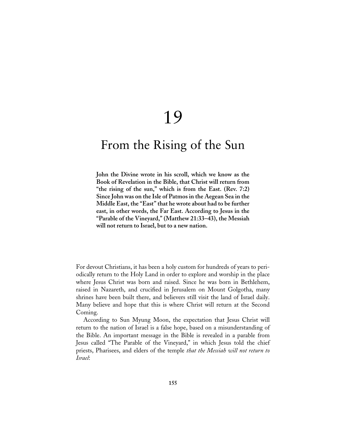19

### From the Rising of the Sun

**John the Divine wrote in his scroll, which we know as the Book of Revelation in the Bible, that Christ will return from "the rising of the sun," which is from the East. (Rev. 7:2) Since John was on the Isle of Patmos in the Aegean Sea in the Middle East, the "East" that he wrote about had to be further east, in other words, the Far East. According to Jesus in the "Parable of the Vineyard," (Matthew 21:33–43), the Messiah will not return to Israel, but to a new nation.**

For devout Christians, it has been a holy custom for hundreds of years to periodically return to the Holy Land in order to explore and worship in the place where Jesus Christ was born and raised. Since he was born in Bethlehem, raised in Nazareth, and crucified in Jerusalem on Mount Golgotha, many shrines have been built there, and believers still visit the land of Israel daily. Many believe and hope that this is where Christ will return at the Second Coming.

According to Sun Myung Moon, the expectation that Jesus Christ will return to the nation of Israel is a false hope, based on a misunderstanding of the Bible. An important message in the Bible is revealed in a parable from Jesus called "The Parable of the Vineyard," in which Jesus told the chief priests, Pharisees, and elders of the temple *that the Messiah will not return to Israel*: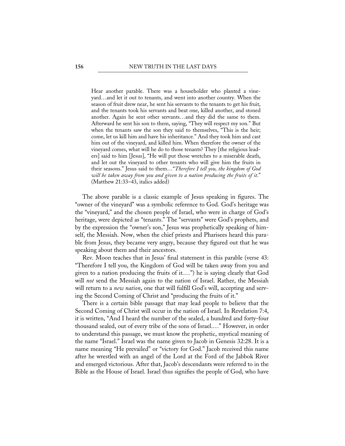Hear another parable. There was a householder who planted a vineyard…and let it out to tenants, and went into another country. When the season of fruit drew near, he sent his servants to the tenants to get his fruit, and the tenants took his servants and beat one, killed another, and stoned another. Again he sent other servants…and they did the same to them. Afterward he sent his son to them, saying, "They will respect my son." But when the tenants saw the son they said to themselves, "This is the heir; come, let us kill him and have his inheritance." And they took him and cast him out of the vineyard, and killed him. When therefore the owner of the vineyard comes, what will he do to those tenants? They [the religious leaders] said to him [Jesus], "He will put those wretches to a miserable death, and let out the vineyard to other tenants who will give him the fruits in their seasons." Jesus said to them…"*Therefore I tell you, the kingdom of God will be taken away from you and given to a nation producing the fruits of it*." (Matthew 21:33–43, italics added)

The above parable is a classic example of Jesus speaking in figures. The "owner of the vineyard" was a symbolic reference to God. God's heritage was the "vineyard," and the chosen people of Israel, who were in charge of God's heritage, were depicted as "tenants." The "servants" were God's prophets, and by the expression the "owner's son," Jesus was prophetically speaking of himself, the Messiah. Now, when the chief priests and Pharisees heard this parable from Jesus, they became very angry, because they figured out that he was speaking about them and their ancestors.

Rev. Moon teaches that in Jesus' final statement in this parable (verse 43: "Therefore I tell you, the Kingdom of God will be taken away from you and given to a nation producing the fruits of it.…") he is saying clearly that God will *not* send the Messiah again to the nation of Israel. Rather, the Messiah will return to a *new nation*, one that will fulfill God's will, accepting and serving the Second Coming of Christ and "producing the fruits of it."

There is a certain bible passage that may lead people to believe that the Second Coming of Christ will occur in the nation of Israel. In Revelation 7:4, it is written, "And I heard the number of the sealed, a hundred and forty-four thousand sealed, out of every tribe of the sons of Israel.…" However, in order to understand this passage, we must know the prophetic, mystical meaning of the name "Israel." Israel was the name given to Jacob in Genesis 32:28. It is a name meaning "He prevailed" or "victory for God." Jacob received this name after he wrestled with an angel of the Lord at the Ford of the Jabbok River and emerged victorious. After that, Jacob's descendants were referred to in the Bible as the House of Israel. Israel thus signifies the people of God, who have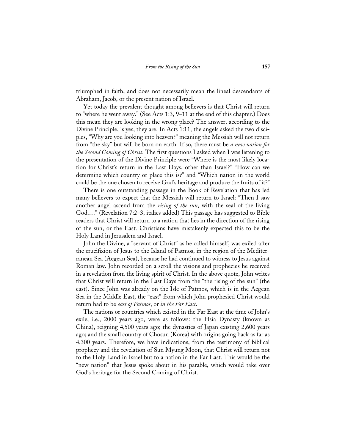triumphed in faith, and does not necessarily mean the lineal descendants of Abraham, Jacob, or the present nation of Israel.

Yet today the prevalent thought among believers is that Christ will return to "where he went away." (See Acts 1:3, 9–11 at the end of this chapter.) Does this mean they are looking in the wrong place? The answer, according to the Divine Principle, is yes, they are. In Acts 1:11, the angels asked the two disciples, "Why are you looking into heaven?" meaning the Messiah will not return from "the sky" but will be born on earth. If so, there must be *a new nation for the Second Coming of Christ*. The first questions I asked when I was listening to the presentation of the Divine Principle were "Where is the most likely location for Christ's return in the Last Days, other than Israel?" "How can we determine which country or place this is?" and "Which nation in the world could be the one chosen to receive God's heritage and produce the fruits of it?"

There is one outstanding passage in the Book of Revelation that has led many believers to expect that the Messiah will return to Israel: "Then I saw another angel ascend from the *rising of the sun*, with the seal of the living God.…" (Revelation 7:2–3, italics added) This passage has suggested to Bible readers that Christ will return to a nation that lies in the direction of the rising of the sun, or the East. Christians have mistakenly expected this to be the Holy Land in Jerusalem and Israel.

John the Divine, a "servant of Christ" as he called himself, was exiled after the crucifixion of Jesus to the Island of Patmos, in the region of the Mediterranean Sea (Aegean Sea), because he had continued to witness to Jesus against Roman law. John recorded on a scroll the visions and prophecies he received in a revelation from the living spirit of Christ. In the above quote, John writes that Christ will return in the Last Days from the "the rising of the sun" (the east). Since John was already on the Isle of Patmos, which is in the Aegean Sea in the Middle East, the "east" from which John prophesied Christ would return had to be *east of Patmos*, or *in the Far East*.

The nations or countries which existed in the Far East at the time of John's exile, i.e., 2000 years ago, were as follows: the Hsia Dynasty (known as China), reigning 4,500 years ago; the dynasties of Japan existing 2,600 years ago; and the small country of Chosun (Korea) with origins going back as far as 4,300 years. Therefore, we have indications, from the testimony of biblical prophecy and the revelation of Sun Myung Moon, that Christ will return not to the Holy Land in Israel but to a nation in the Far East. This would be the "new nation" that Jesus spoke about in his parable, which would take over God's heritage for the Second Coming of Christ.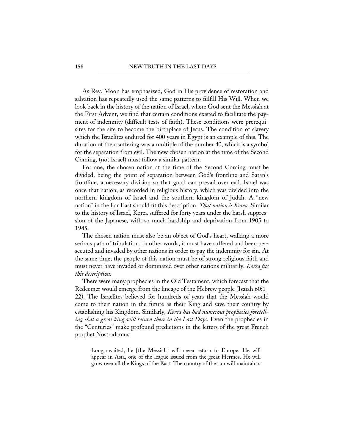As Rev. Moon has emphasized, God in His providence of restoration and salvation has repeatedly used the same patterns to fulfill His Will. When we look back in the history of the nation of Israel, where God sent the Messiah at the First Advent, we find that certain conditions existed to facilitate the payment of indemnity (difficult tests of faith). These conditions were prerequisites for the site to become the birthplace of Jesus. The condition of slavery which the Israelites endured for 400 years in Egypt is an example of this. The duration of their suffering was a multiple of the number 40, which is a symbol for the separation from evil. The new chosen nation at the time of the Second Coming, (not Israel) must follow a similar pattern.

For one, the chosen nation at the time of the Second Coming must be divided, being the point of separation between God's frontline and Satan's frontline, a necessary division so that good can prevail over evil. Israel was once that nation, as recorded in religious history, which was divided into the northern kingdom of Israel and the southern kingdom of Judah. A "new nation" in the Far East should fit this description. *That nation is Korea.* Similar to the history of Israel, Korea suffered for forty years under the harsh suppression of the Japanese, with so much hardship and deprivation from 1905 to 1945.

The chosen nation must also be an object of God's heart, walking a more serious path of tribulation. In other words, it must have suffered and been persecuted and invaded by other nations in order to pay the indemnity for sin. At the same time, the people of this nation must be of strong religious faith and must never have invaded or dominated over other nations militarily. *Korea fits this description*.

There were many prophecies in the Old Testament, which forecast that the Redeemer would emerge from the lineage of the Hebrew people (Isaiah 60:1– 22). The Israelites believed for hundreds of years that the Messiah would come to their nation in the future as their King and save their country by establishing his Kingdom. Similarly, *Korea has had numerous prophecies foretelling that a great king will return there in the Last Days*. Even the prophecies in the "Centuries" make profound predictions in the letters of the great French prophet Nostradamus:

Long awaited, he [the Messiah] will never return to Europe. He will appear in Asia, one of the league issued from the great Hermes. He will grow over all the Kings of the East. The country of the sun will maintain a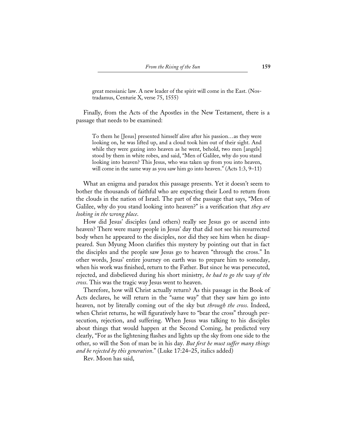great messianic law. A new leader of the spirit will come in the East. (Nostradamus, Centurie X, verse 75, 1555)

Finally, from the Acts of the Apostles in the New Testament, there is a passage that needs to be examined:

To them he [Jesus] presented himself alive after his passion…as they were looking on, he was lifted up, and a cloud took him out of their sight. And while they were gazing into heaven as he went, behold, two men [angels] stood by them in white robes, and said, "Men of Galilee, why do you stand looking into heaven? This Jesus, who was taken up from you into heaven, will come in the same way as you saw him go into heaven." (Acts 1:3, 9–11)

What an enigma and paradox this passage presents. Yet it doesn't seem to bother the thousands of faithful who are expecting their Lord to return from the clouds in the nation of Israel. The part of the passage that says, "Men of Galilee, why do you stand looking into heaven?" is a verification that *they are looking in the wrong place*.

How did Jesus' disciples (and others) really see Jesus go or ascend into heaven? There were many people in Jesus' day that did not see his resurrected body when he appeared to the disciples, nor did they see him when he disappeared. Sun Myung Moon clarifies this mystery by pointing out that in fact the disciples and the people saw Jesus go to heaven "through the cross." In other words, Jesus' entire journey on earth was to prepare him to someday, when his work was finished, return to the Father. But since he was persecuted, rejected, and disbelieved during his short ministry, *he had to go the way of the cross*. This was the tragic way Jesus went to heaven.

Therefore, how will Christ actually return? As this passage in the Book of Acts declares, he will return in the "same way" that they saw him go into heaven, not by literally coming out of the sky but *through the cross*. Indeed, when Christ returns, he will figuratively have to "bear the cross" through persecution, rejection, and suffering. When Jesus was talking to his disciples about things that would happen at the Second Coming, he predicted very clearly, "For as the lightening flashes and lights up the sky from one side to the other, so will the Son of man be in his day. *But first he must suffer many things and be rejected by this generation*." (Luke 17:24–25, italics added)

Rev. Moon has said,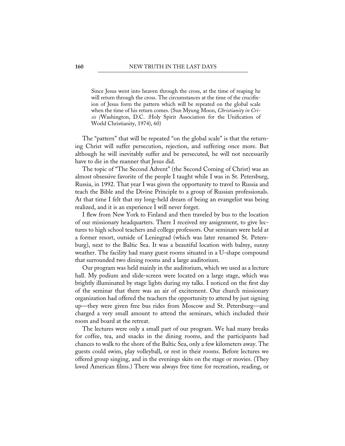Since Jesus went into heaven through the cross, at the time of reaping he will return through the cross. The circumstances at the time of the crucifixion of Jesus form the pattern which will be repeated on the global scale when the time of his return comes. (Sun Myung Moon, *Christianity in Crisis (*Washington, D.C. :Holy Spirit Association for the Unification of World Christianity, 1974), 60)

The "pattern" that will be repeated "on the global scale" is that the returning Christ will suffer persecution, rejection, and suffering once more. But although he will inevitably suffer and be persecuted, he will not necessarily have to die in the manner that Jesus did.

The topic of "The Second Advent" (the Second Coming of Christ) was an almost obsessive favorite of the people I taught while I was in St. Petersburg, Russia, in 1992. That year I was given the opportunity to travel to Russia and teach the Bible and the Divine Principle to a group of Russian professionals. At that time I felt that my long-held dream of being an evangelist was being realized, and it is an experience I will never forget.

I flew from New York to Finland and then traveled by bus to the location of our missionary headquarters. There I received my assignment, to give lectures to high school teachers and college professors. Our seminars were held at a former resort, outside of Leningrad (which was later renamed St. Petersburg), next to the Baltic Sea. It was a beautiful location with balmy, sunny weather. The facility had many guest rooms situated in a U-shape compound that surrounded two dining rooms and a large auditorium.

Our program was held mainly in the auditorium, which we used as a lecture hall. My podium and slide-screen were located on a large stage, which was brightly illuminated by stage lights during my talks. I noticed on the first day of the seminar that there was an air of excitement. Our church missionary organization had offered the teachers the opportunity to attend by just signing up—they were given free bus rides from Moscow and St. Petersburg—and charged a very small amount to attend the seminars, which included their room and board at the retreat.

The lectures were only a small part of our program. We had many breaks for coffee, tea, and snacks in the dining rooms, and the participants had chances to walk to the shore of the Baltic Sea, only a few kilometers away. The guests could swim, play volleyball, or rest in their rooms. Before lectures we offered group singing, and in the evenings skits on the stage or movies. (They loved American films.) There was always free time for recreation, reading, or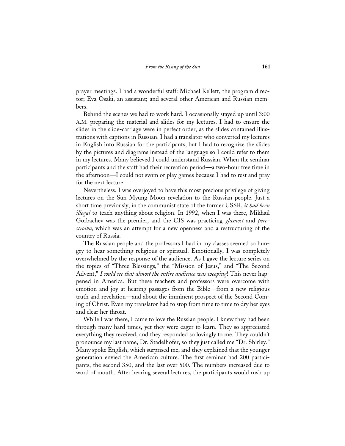prayer meetings. I had a wonderful staff: Michael Kellett, the program director; Eva Osaki, an assistant; and several other American and Russian members.

Behind the scenes we had to work hard. I occasionally stayed up until 3:00 A.M. preparing the material and slides for my lectures. I had to ensure the slides in the slide-carriage were in perfect order, as the slides contained illustrations with captions in Russian. I had a translator who converted my lectures in English into Russian for the participants, but I had to recognize the slides by the pictures and diagrams instead of the language so I could refer to them in my lectures. Many believed I could understand Russian. When the seminar participants and the staff had their recreation period—a two-hour free time in the afternoon—I could not swim or play games because I had to rest and pray for the next lecture.

Nevertheless, I was overjoyed to have this most precious privilege of giving lectures on the Sun Myung Moon revelation to the Russian people. Just a short time previously, in the communist state of the former USSR, *it had been illegal* to teach anything about religion. In 1992, when I was there, Mikhail Gorbachev was the premier, and the CIS was practicing *glasnost* and *perestroika*, which was an attempt for a new openness and a restructuring of the country of Russia.

The Russian people and the professors I had in my classes seemed so hungry to hear something religious or spiritual. Emotionally, I was completely overwhelmed by the response of the audience. As I gave the lecture series on the topics of "Three Blessings," the "Mission of Jesus," and "The Second Advent," *I could see that almost the entire audience was weeping*! This never happened in America. But these teachers and professors were overcome with emotion and joy at hearing passages from the Bible—from a new religious truth and revelation—and about the imminent prospect of the Second Coming of Christ. Even my translator had to stop from time to time to dry her eyes and clear her throat.

While I was there, I came to love the Russian people. I knew they had been through many hard times, yet they were eager to learn. They so appreciated everything they received, and they responded so lovingly to me. They couldn't pronounce my last name, Dr. Stadelhofer, so they just called me "Dr. Shirley." Many spoke English, which surprised me, and they explained that the younger generation envied the American culture. The first seminar had 200 participants, the second 350, and the last over 500. The numbers increased due to word of mouth. After hearing several lectures, the participants would rush up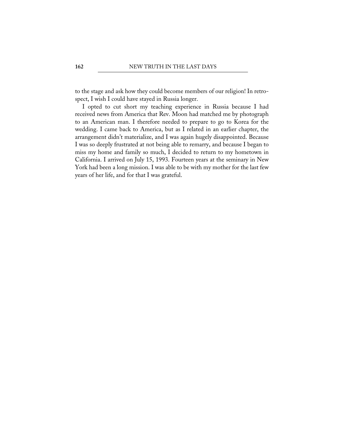to the stage and ask how they could become members of our religion! In retrospect, I wish I could have stayed in Russia longer.

I opted to cut short my teaching experience in Russia because I had received news from America that Rev. Moon had matched me by photograph to an American man. I therefore needed to prepare to go to Korea for the wedding. I came back to America, but as I related in an earlier chapter, the arrangement didn't materialize, and I was again hugely disappointed. Because I was so deeply frustrated at not being able to remarry, and because I began to miss my home and family so much, I decided to return to my hometown in California. I arrived on July 15, 1993. Fourteen years at the seminary in New York had been a long mission. I was able to be with my mother for the last few years of her life, and for that I was grateful.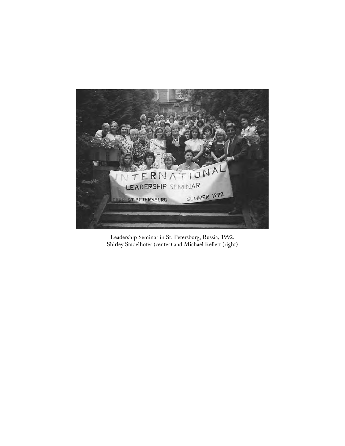

Leadership Seminar in St. Petersburg, Russia, 1992. Shirley Stadelhofer (center) and Michael Kellett (right)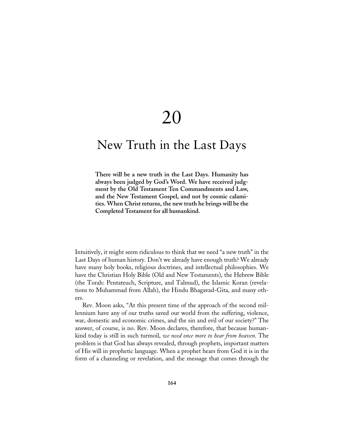## 20

#### New Truth in the Last Days

**There will be a new truth in the Last Days. Humanity has always been judged by God's Word. We have received judgment by the Old Testament Ten Commandments and Law, and the New Testament Gospel, and not by cosmic calamities. When Christ returns, the new truth he brings will be the Completed Testament for all humankind.**

Intuitively, it might seem ridiculous to think that we need "a new truth" in the Last Days of human history. Don't we already have enough truth? We already have many holy books, religious doctrines, and intellectual philosophies. We have the Christian Holy Bible (Old and New Testaments), the Hebrew Bible (the Torah: Pentateuch, Scripture, and Talmud), the Islamic Koran (revelations to Muhammad from Allah), the Hindu Bhagavad-Gita, and many others.

Rev. Moon asks, "At this present time of the approach of the second millennium have any of our truths saved our world from the suffering, violence, war, domestic and economic crimes, and the sin and evil of our society?" The answer, of course, is no. Rev. Moon declares, therefore, that because humankind today is still in such turmoil, *we need once more to hear from heaven*. The problem is that God has always revealed, through prophets, important matters of His will in prophetic language. When a prophet hears from God it is in the form of a channeling or revelation, and the message that comes through the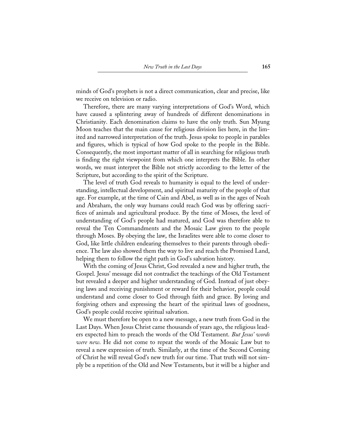minds of God's prophets is not a direct communication, clear and precise, like we receive on television or radio.

Therefore, there are many varying interpretations of God's Word, which have caused a splintering away of hundreds of different denominations in Christianity. Each denomination claims to have the only truth. Sun Myung Moon teaches that the main cause for religious division lies here, in the limited and narrowed interpretation of the truth. Jesus spoke to people in parables and figures, which is typical of how God spoke to the people in the Bible. Consequently, the most important matter of all in searching for religious truth is finding the right viewpoint from which one interprets the Bible. In other words, we must interpret the Bible not strictly according to the letter of the Scripture, but according to the spirit of the Scripture.

The level of truth God reveals to humanity is equal to the level of understanding, intellectual development, and spiritual maturity of the people of that age. For example, at the time of Cain and Abel, as well as in the ages of Noah and Abraham, the only way humans could reach God was by offering sacrifices of animals and agricultural produce. By the time of Moses, the level of understanding of God's people had matured, and God was therefore able to reveal the Ten Commandments and the Mosaic Law given to the people through Moses. By obeying the law, the Israelites were able to come closer to God, like little children endearing themselves to their parents through obedience. The law also showed them the way to live and reach the Promised Land, helping them to follow the right path in God's salvation history.

With the coming of Jesus Christ, God revealed a new and higher truth, the Gospel. Jesus' message did not contradict the teachings of the Old Testament but revealed a deeper and higher understanding of God. Instead of just obeying laws and receiving punishment or reward for their behavior, people could understand and come closer to God through faith and grace. By loving and forgiving others and expressing the heart of the spiritual laws of goodness, God's people could receive spiritual salvation.

We must therefore be open to a new message, a new truth from God in the Last Days. When Jesus Christ came thousands of years ago, the religious leaders expected him to preach the words of the Old Testament. *But Jesus' words were new*. He did not come to repeat the words of the Mosaic Law but to reveal a new expression of truth. Similarly, at the time of the Second Coming of Christ he will reveal God's new truth for our time. That truth will not simply be a repetition of the Old and New Testaments, but it will be a higher and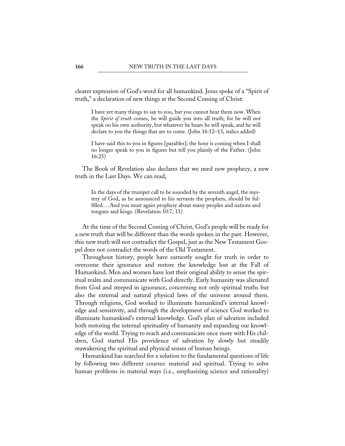clearer expression of God's word for all humankind. Jesus spoke of a "Spirit of truth," a declaration of new things at the Second Coming of Christ:

I have yet many things to say to you, but you cannot bear them now. When the *Spirit of truth* comes, he will guide you into all truth; for he will not speak on his own authority, but whatever he hears he will speak, and he will declare to you the things that are to come. (John 16:12–13, italics added)

I have said this to you in figures [parables]; the hour is coming when I shall no longer speak to you in figures but tell you plainly of the Father. (John 16:25)

The Book of Revelation also declares that we need new prophecy, a new truth in the Last Days. We can read,

In the days of the trumpet call to be sounded by the seventh angel, the mystery of God, as he announced to his servants the prophets, should be fulfilled.…And you must again prophesy about many peoples and nations and tongues and kings. (Revelation 10:7, 11)

At the time of the Second Coming of Christ, God's people will be ready for a new truth that will be different than the words spoken in the past. However, this new truth will not contradict the Gospel, just as the New Testament Gospel does not contradict the words of the Old Testament.

Throughout history, people have earnestly sought for truth in order to overcome their ignorance and restore the knowledge lost at the Fall of Humankind. Men and women have lost their original ability to sense the spiritual realm and communicate with God directly. Early humanity was alienated from God and steeped in ignorance, concerning not only spiritual truths but also the external and natural physical laws of the universe around them. Through religions, God worked to illuminate humankind's internal knowledge and sensitivity, and through the development of science God worked to illuminate humankind's external knowledge. God's plan of salvation included both restoring the internal spirituality of humanity and expanding our knowledge of the world. Trying to reach and communicate once more with His children, God started His providence of salvation by slowly but steadily reawakening the spiritual and physical senses of human beings.

Humankind has searched for a solution to the fundamental questions of life by following two different courses: material and spiritual. Trying to solve human problems in material ways (i.e., emphasizing science and rationality)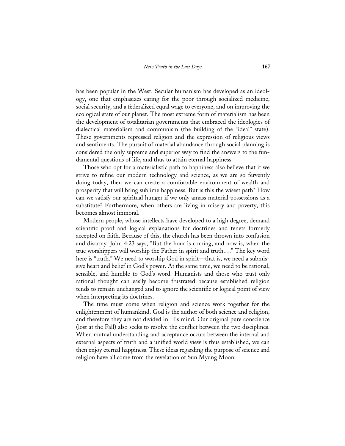has been popular in the West. Secular humanism has developed as an ideology, one that emphasizes caring for the poor through socialized medicine, social security, and a federalized equal wage to everyone, and on improving the ecological state of our planet. The most extreme form of materialism has been the development of totalitarian governments that embraced the ideologies of dialectical materialism and communism (the building of the "ideal" state). These governments repressed religion and the expression of religious views and sentiments. The pursuit of material abundance through social planning is considered the only supreme and superior way to find the answers to the fundamental questions of life, and thus to attain eternal happiness.

Those who opt for a materialistic path to happiness also believe that if we strive to refine our modern technology and science, as we are so fervently doing today, then we can create a comfortable environment of wealth and prosperity that will bring sublime happiness. But is this the wisest path? How can we satisfy our spiritual hunger if we only amass material possessions as a substitute? Furthermore, when others are living in misery and poverty, this becomes almost immoral.

Modern people, whose intellects have developed to a high degree, demand scientific proof and logical explanations for doctrines and tenets formerly accepted on faith. Because of this, the church has been thrown into confusion and disarray. John 4:23 says, "But the hour is coming, and now is, when the true worshippers will worship the Father in spirit and truth.…" The key word here is "truth." We need to worship God in spirit—that is, we need a submissive heart and belief in God's power. At the same time, we need to be rational, sensible, and humble to God's word. Humanists and those who trust only rational thought can easily become frustrated because established religion tends to remain unchanged and to ignore the scientific or logical point of view when interpreting its doctrines.

The time must come when religion and science work together for the enlightenment of humankind. God is the author of both science and religion, and therefore they are not divided in His mind. Our original pure conscience (lost at the Fall) also seeks to resolve the conflict between the two disciplines. When mutual understanding and acceptance occurs between the internal and external aspects of truth and a unified world view is thus established, we can then enjoy eternal happiness. These ideas regarding the purpose of science and religion have all come from the revelation of Sun Myung Moon: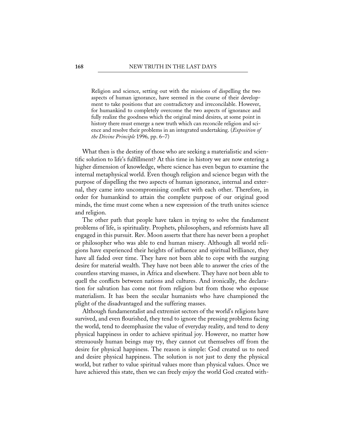Religion and science, setting out with the missions of dispelling the two aspects of human ignorance, have seemed in the course of their development to take positions that are contradictory and irreconcilable. However, for humankind to completely overcome the two aspects of ignorance and fully realize the goodness which the original mind desires, at some point in history there must emerge a new truth which can reconcile religion and science and resolve their problems in an integrated undertaking. (*Exposition of the Divine Principle* 1996*,* pp. 6–7)

What then is the destiny of those who are seeking a materialistic and scientific solution to life's fulfillment? At this time in history we are now entering a higher dimension of knowledge, where science has even begun to examine the internal metaphysical world. Even though religion and science began with the purpose of dispelling the two aspects of human ignorance, internal and external, they came into uncompromising conflict with each other. Therefore, in order for humankind to attain the complete purpose of our original good minds, the time must come when a new expression of the truth unites science and religion.

The other path that people have taken in trying to solve the fundament problems of life, is spirituality. Prophets, philosophers, and reformists have all engaged in this pursuit. Rev. Moon asserts that there has never been a prophet or philosopher who was able to end human misery. Although all world religions have experienced their heights of influence and spiritual brilliance, they have all faded over time. They have not been able to cope with the surging desire for material wealth. They have not been able to answer the cries of the countless starving masses, in Africa and elsewhere. They have not been able to quell the conflicts between nations and cultures. And ironically, the declaration for salvation has come not from religion but from those who espouse materialism. It has been the secular humanists who have championed the plight of the disadvantaged and the suffering masses.

Although fundamentalist and extremist sectors of the world's religions have survived, and even flourished, they tend to ignore the pressing problems facing the world, tend to deemphasize the value of everyday reality, and tend to deny physical happiness in order to achieve spiritual joy. However, no matter how strenuously human beings may try, they cannot cut themselves off from the desire for physical happiness. The reason is simple: God created us to need and desire physical happiness. The solution is not just to deny the physical world, but rather to value spiritual values more than physical values. Once we have achieved this state, then we can freely enjoy the world God created with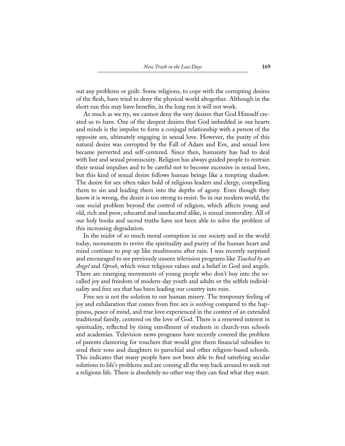out any problems or guilt. Some religions, to cope with the corrupting desires of the flesh, have tried to deny the physical world altogether. Although in the short run this may have benefits, in the long run it will not work.

As much as we try, we cannot deny the very desires that God Himself created us to have. One of the deepest desires that God imbedded in our hearts and minds is the impulse to form a conjugal relationship with a person of the opposite sex, ultimately engaging in sexual love. However, the purity of this natural desire was corrupted by the Fall of Adam and Eve, and sexual love became perverted and self-centered. Since then, humanity has had to deal with lust and sexual promiscuity. Religion has always guided people to restrain their sexual impulses and to be careful not to become excessive in sexual love, but this kind of sexual desire follows human beings like a tempting shadow. The desire for sex often takes hold of religious leaders and clergy, compelling them to sin and leading them into the depths of agony. Even though they know it is wrong, the desire is too strong to resist. So in our modern world, the one social problem beyond the control of religion, which affects young and old, rich and poor, educated and uneducated alike, is sexual immorality. All of our holy books and sacred truths have not been able to solve the problem of this increasing degradation.

In the midst of so much moral corruption in our society and in the world today, movements to revive the spirituality and purity of the human heart and mind continue to pop up like mushrooms after rain. I was recently surprised and encouraged to see previously unseen television programs like *Touched by an Angel* and *Oprah*, which voice religious values and a belief in God and angels. There are emerging movements of young people who don't buy into the socalled joy and freedom of modern-day youth and adults or the selfish individuality and free sex that has been leading our country into ruin.

Free sex is not the solution to our human misery. The temporary feeling of joy and exhilaration that comes from free sex is *nothing* compared to the happiness, peace of mind, and true love experienced in the context of an extended traditional family, centered on the love of God. There is a renewed interest in spirituality, reflected by rising enrollment of students in church-run schools and academies. Television news programs have recently covered the problem of parents clamoring for vouchers that would give them financial subsidies to send their sons and daughters to parochial and other religion-based schools. This indicates that many people have not been able to find satisfying secular solutions to life's problems and are coming all the way back around to seek out a religious life. There is absolutely no other way they can find what they want.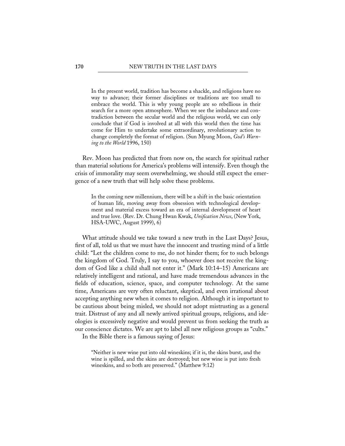In the present world, tradition has become a shackle, and religions have no way to advance; their former disciplines or traditions are too small to embrace the world. This is why young people are so rebellious in their search for a more open atmosphere. When we see the imbalance and contradiction between the secular world and the religious world, we can only conclude that if God is involved at all with this world then the time has come for Him to undertake some extraordinary, revolutionary action to change completely the format of religion. (Sun Myung Moon, *God's Warning to the World* 1996, 150)

Rev. Moon has predicted that from now on, the search for spiritual rather than material solutions for America's problems will intensify. Even though the crisis of immorality may seem overwhelming, we should still expect the emergence of a new truth that will help solve these problems.

In the coming new millennium, there will be a shift in the basic orientation of human life, moving away from obsession with technological development and material excess toward an era of internal development of heart and true love. (Rev. Dr. Chung Hwan Kwak, *Unification News*, (New York, HSA-UWC, August 1999), 6)

What attitude should we take toward a new truth in the Last Days? Jesus, first of all, told us that we must have the innocent and trusting mind of a little child: "Let the children come to me, do not hinder them; for to such belongs the kingdom of God. Truly, I say to you, whoever does not receive the kingdom of God like a child shall not enter it." (Mark 10:14–15) Americans are relatively intelligent and rational, and have made tremendous advances in the fields of education, science, space, and computer technology. At the same time, Americans are very often reluctant, skeptical, and even irrational about accepting anything new when it comes to religion. Although it is important to be cautious about being misled, we should not adopt mistrusting as a general trait. Distrust of any and all newly arrived spiritual groups, religions, and ideologies is excessively negative and would prevent us from seeking the truth as our conscience dictates. We are apt to label all new religious groups as "cults."

In the Bible there is a famous saying of Jesus:

"Neither is new wine put into old wineskins; if it is, the skins burst, and the wine is spilled, and the skins are destroyed; but new wine is put into fresh wineskins, and so both are preserved." (Matthew 9:12)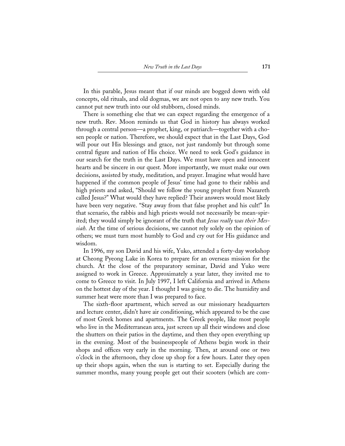In this parable, Jesus meant that if our minds are bogged down with old concepts, old rituals, and old dogmas, we are not open to any new truth. You cannot put new truth into our old stubborn, closed minds.

There is something else that we can expect regarding the emergence of a new truth. Rev. Moon reminds us that God in history has always worked through a central person—a prophet, king, or patriarch—together with a chosen people or nation. Therefore, we should expect that in the Last Days, God will pour out His blessings and grace, not just randomly but through some central figure and nation of His choice. We need to seek God's guidance in our search for the truth in the Last Days. We must have open and innocent hearts and be sincere in our quest. More importantly, we must make our own decisions, assisted by study, meditation, and prayer. Imagine what would have happened if the common people of Jesus' time had gone to their rabbis and high priests and asked, "Should we follow the young prophet from Nazareth called Jesus?" What would they have replied? Their answers would most likely have been very negative. "Stay away from that false prophet and his cult!" In that scenario, the rabbis and high priests would not necessarily be mean-spirited; they would simply be ignorant of the truth that *Jesus really was their Messiah*. At the time of serious decisions, we cannot rely solely on the opinion of others; we must turn most humbly to God and cry out for His guidance and wisdom.

In 1996, my son David and his wife, Yuko, attended a forty-day workshop at Cheong Pyeong Lake in Korea to prepare for an overseas mission for the church. At the close of the preparatory seminar, David and Yuko were assigned to work in Greece. Approximately a year later, they invited me to come to Greece to visit. In July 1997, I left California and arrived in Athens on the hottest day of the year. I thought I was going to die. The humidity and summer heat were more than I was prepared to face.

The sixth-floor apartment, which served as our missionary headquarters and lecture center, didn't have air conditioning, which appeared to be the case of most Greek homes and apartments. The Greek people, like most people who live in the Mediterranean area, just screen up all their windows and close the shutters on their patios in the daytime, and then they open everything up in the evening. Most of the businesspeople of Athens begin work in their shops and offices very early in the morning. Then, at around one or two o'clock in the afternoon, they close up shop for a few hours. Later they open up their shops again, when the sun is starting to set. Especially during the summer months, many young people get out their scooters (which are com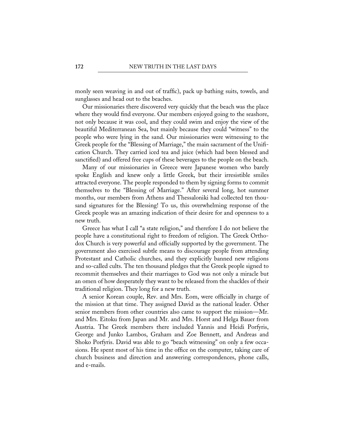monly seen weaving in and out of traffic), pack up bathing suits, towels, and sunglasses and head out to the beaches.

Our missionaries there discovered very quickly that the beach was the place where they would find everyone. Our members enjoyed going to the seashore, not only because it was cool, and they could swim and enjoy the view of the beautiful Mediterranean Sea, but mainly because they could "witness" to the people who were lying in the sand. Our missionaries were witnessing to the Greek people for the "Blessing of Marriage," the main sacrament of the Unification Church. They carried iced tea and juice (which had been blessed and sanctified) and offered free cups of these beverages to the people on the beach.

Many of our missionaries in Greece were Japanese women who barely spoke English and knew only a little Greek, but their irresistible smiles attracted everyone. The people responded to them by signing forms to commit themselves to the "Blessing of Marriage." After several long, hot summer months, our members from Athens and Thessaloniki had collected ten thousand signatures for the Blessing! To us, this overwhelming response of the Greek people was an amazing indication of their desire for and openness to a new truth.

Greece has what I call "a state religion," and therefore I do not believe the people have a constitutional right to freedom of religion. The Greek Orthodox Church is very powerful and officially supported by the government. The government also exercised subtle means to discourage people from attending Protestant and Catholic churches, and they explicitly banned new religions and so-called cults. The ten thousand pledges that the Greek people signed to recommit themselves and their marriages to God was not only a miracle but an omen of how desperately they want to be released from the shackles of their traditional religion. They long for a new truth.

A senior Korean couple, Rev. and Mrs. Eom, were officially in charge of the mission at that time. They assigned David as the national leader. Other senior members from other countries also came to support the mission—Mr. and Mrs. Eitoku from Japan and Mr. and Mrs. Horst and Helga Bauer from Austria. The Greek members there included Yannis and Heidi Porfyris, George and Junko Lambos, Graham and Zoe Bennett, and Andreas and Shoko Porfyris. David was able to go "beach witnessing" on only a few occasions. He spent most of his time in the office on the computer, taking care of church business and direction and answering correspondences, phone calls, and e-mails.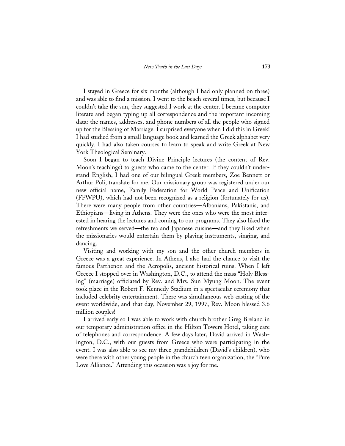I stayed in Greece for six months (although I had only planned on three) and was able to find a mission. I went to the beach several times, but because I couldn't take the sun, they suggested I work at the center. I became computer literate and began typing up all correspondence and the important incoming data: the names, addresses, and phone numbers of all the people who signed up for the Blessing of Marriage. I surprised everyone when I did this in Greek! I had studied from a small language book and learned the Greek alphabet very quickly. I had also taken courses to learn to speak and write Greek at New York Theological Seminary.

Soon I began to teach Divine Principle lectures (the content of Rev. Moon's teachings) to guests who came to the center. If they couldn't understand English, I had one of our bilingual Greek members, Zoe Bennett or Arthur Poli, translate for me. Our missionary group was registered under our new official name, Family Federation for World Peace and Unification (FFWPU), which had not been recognized as a religion (fortunately for us). There were many people from other countries—Albanians, Pakistanis, and Ethiopians—living in Athens. They were the ones who were the most interested in hearing the lectures and coming to our programs. They also liked the refreshments we served—the tea and Japanese cuisine—and they liked when the missionaries would entertain them by playing instruments, singing, and dancing.

Visiting and working with my son and the other church members in Greece was a great experience. In Athens, I also had the chance to visit the famous Parthenon and the Acropolis, ancient historical ruins. When I left Greece I stopped over in Washington, D.C., to attend the mass "Holy Blessing" (marriage) officiated by Rev. and Mrs. Sun Myung Moon. The event took place in the Robert F. Kennedy Stadium in a spectacular ceremony that included celebrity entertainment. There was simultaneous web casting of the event worldwide, and that day, November 29, 1997, Rev. Moon blessed 3.6 million couples!

I arrived early so I was able to work with church brother Greg Breland in our temporary administration office in the Hilton Towers Hotel, taking care of telephones and correspondence. A few days later, David arrived in Washington, D.C., with our guests from Greece who were participating in the event. I was also able to see my three grandchildren (David's children), who were there with other young people in the church teen organization, the "Pure Love Alliance." Attending this occasion was a joy for me.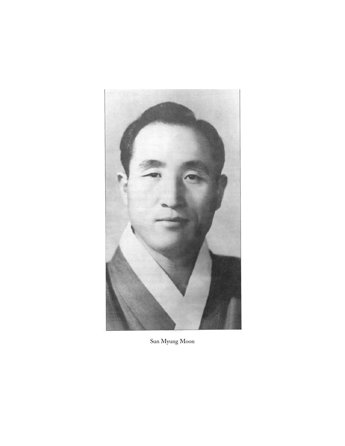

Sun Myung Moon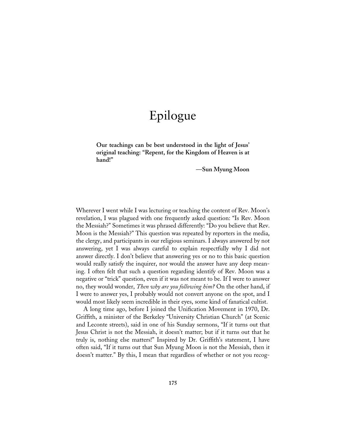**Our teachings can be best understood in the light of Jesus' original teaching: "Repent, for the Kingdom of Heaven is at hand!"**

—**Sun Myung Moon**

Wherever I went while I was lecturing or teaching the content of Rev. Moon's revelation, I was plagued with one frequently asked question: "Is Rev. Moon the Messiah?" Sometimes it was phrased differently: "Do you believe that Rev. Moon is the Messiah?" This question was repeated by reporters in the media, the clergy, and participants in our religious seminars. I always answered by not answering, yet I was always careful to explain respectfully why I did not answer directly. I don't believe that answering yes or no to this basic question would really satisfy the inquirer, nor would the answer have any deep meaning. I often felt that such a question regarding identify of Rev. Moon was a negative or "trick" question, even if it was not meant to be. If I were to answer no, they would wonder, *Then why are you following him?* On the other hand, if I were to answer yes, I probably would not convert anyone on the spot, and I would most likely seem incredible in their eyes, some kind of fanatical cultist.

A long time ago, before I joined the Unification Movement in 1970, Dr. Griffith, a minister of the Berkeley "University Christian Church" (at Scenic and Leconte streets), said in one of his Sunday sermons, "If it turns out that Jesus Christ is not the Messiah, it doesn't matter; but if it turns out that he truly is, nothing else matters!" Inspired by Dr. Griffith's statement, I have often said, "If it turns out that Sun Myung Moon is not the Messiah, then it doesn't matter." By this, I mean that regardless of whether or not you recog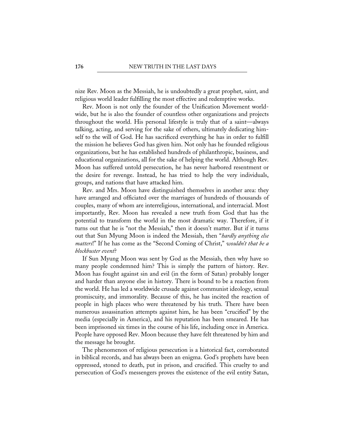nize Rev. Moon as the Messiah, he is undoubtedly a great prophet, saint, and religious world leader fulfilling the most effective and redemptive works.

Rev. Moon is not only the founder of the Unification Movement worldwide, but he is also the founder of countless other organizations and projects throughout the world. His personal lifestyle is truly that of a saint—always talking, acting, and serving for the sake of others, ultimately dedicating himself to the will of God. He has sacrificed everything he has in order to fulfill the mission he believes God has given him. Not only has he founded religious organizations, but he has established hundreds of philanthropic, business, and educational organizations, all for the sake of helping the world. Although Rev. Moon has suffered untold persecution, he has never harbored resentment or the desire for revenge. Instead, he has tried to help the very individuals, groups, and nations that have attacked him.

Rev. and Mrs. Moon have distinguished themselves in another area: they have arranged and officiated over the marriages of hundreds of thousands of couples, many of whom are interreligious, international, and interracial. Most importantly, Rev. Moon has revealed a new truth from God that has the potential to transform the world in the most dramatic way. Therefore, if it turns out that he is "not the Messiah," then it doesn't matter. But if it turns out that Sun Myung Moon is indeed the Messiah, then "*hardly anything else matters*!" If he has come as the "Second Coming of Christ," *wouldn't that be a blockbuster event*?

If Sun Myung Moon was sent by God as the Messiah, then why have so many people condemned him? This is simply the pattern of history. Rev. Moon has fought against sin and evil (in the form of Satan) probably longer and harder than anyone else in history. There is bound to be a reaction from the world. He has led a worldwide crusade against communist ideology, sexual promiscuity, and immorality. Because of this, he has incited the reaction of people in high places who were threatened by his truth. There have been numerous assassination attempts against him, he has been "crucified" by the media (especially in America), and his reputation has been smeared. He has been imprisoned six times in the course of his life, including once in America. People have opposed Rev. Moon because they have felt threatened by him and the message he brought.

The phenomenon of religious persecution is a historical fact, corroborated in biblical records, and has always been an enigma. God's prophets have been oppressed, stoned to death, put in prison, and crucified. This cruelty to and persecution of God's messengers proves the existence of the evil entity Satan,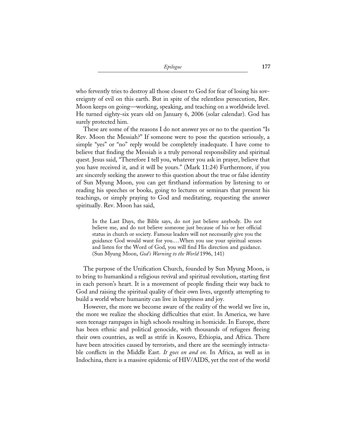who fervently tries to destroy all those closest to God for fear of losing his sovereignty of evil on this earth. But in spite of the relentless persecution, Rev. Moon keeps on going—working, speaking, and teaching on a worldwide level. He turned eighty-six years old on January 6, 2006 (solar calendar). God has surely protected him.

These are some of the reasons I do not answer yes or no to the question "Is Rev. Moon the Messiah?" If someone were to pose the question seriously, a simple "yes" or "no" reply would be completely inadequate. I have come to believe that finding the Messiah is a truly personal responsibility and spiritual quest. Jesus said, "Therefore I tell you, whatever you ask in prayer, believe that you have received it, and it will be yours." (Mark 11:24) Furthermore, if you are sincerely seeking the answer to this question about the true or false identity of Sun Myung Moon, you can get firsthand information by listening to or reading his speeches or books, going to lectures or seminars that present his teachings, or simply praying to God and meditating, requesting the answer spiritually. Rev. Moon has said,

In the Last Days, the Bible says, do not just believe anybody. Do not believe me, and do not believe someone just because of his or her official status in church or society. Famous leaders will not necessarily give you the guidance God would want for you.…When you use your spiritual senses and listen for the Word of God, you will find His direction and guidance. (Sun Myung Moon, *God's Warning to the World* 1996, 141)

The purpose of the Unification Church, founded by Sun Myung Moon, is to bring to humankind a religious revival and spiritual revolution, starting first in each person's heart. It is a movement of people finding their way back to God and raising the spiritual quality of their own lives, urgently attempting to build a world where humanity can live in happiness and joy.

However, the more we become aware of the reality of the world we live in, the more we realize the shocking difficulties that exist. In America, we have seen teenage rampages in high schools resulting in homicide. In Europe, there has been ethnic and political genocide, with thousands of refugees fleeing their own countries, as well as strife in Kosovo, Ethiopia, and Africa. There have been atrocities caused by terrorists, and there are the seemingly intractable conflicts in the Middle East. *It goes on and on*. In Africa, as well as in Indochina, there is a massive epidemic of HIV/AIDS, yet the rest of the world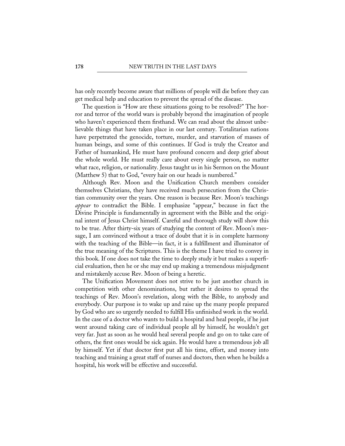has only recently become aware that millions of people will die before they can get medical help and education to prevent the spread of the disease.

The question is "How are these situations going to be resolved?" The horror and terror of the world wars is probably beyond the imagination of people who haven't experienced them firsthand. We can read about the almost unbelievable things that have taken place in our last century. Totalitarian nations have perpetrated the genocide, torture, murder, and starvation of masses of human beings, and some of this continues. If God is truly the Creator and Father of humankind, He must have profound concern and deep grief about the whole world. He must really care about every single person, no matter what race, religion, or nationality. Jesus taught us in his Sermon on the Mount (Matthew 5) that to God, "every hair on our heads is numbered."

Although Rev. Moon and the Unification Church members consider themselves Christians, they have received much persecution from the Christian community over the years. One reason is because Rev. Moon's teachings *appear* to contradict the Bible. I emphasize "appear," because in fact the Divine Principle is fundamentally in agreement with the Bible and the original intent of Jesus Christ himself. Careful and thorough study will show this to be true. After thirty-six years of studying the content of Rev. Moon's message, I am convinced without a trace of doubt that it is in complete harmony with the teaching of the Bible—in fact, it is a fulfillment and illuminator of the true meaning of the Scriptures. This is the theme I have tried to convey in this book. If one does not take the time to deeply study it but makes a superficial evaluation, then he or she may end up making a tremendous misjudgment and mistakenly accuse Rev. Moon of being a heretic.

The Unification Movement does not strive to be just another church in competition with other denominations, but rather it desires to spread the teachings of Rev. Moon's revelation, along with the Bible, to anybody and everybody. Our purpose is to wake up and raise up the many people prepared by God who are so urgently needed to fulfill His unfinished work in the world. In the case of a doctor who wants to build a hospital and heal people, if he just went around taking care of individual people all by himself, he wouldn't get very far. Just as soon as he would heal several people and go on to take care of others, the first ones would be sick again. He would have a tremendous job all by himself. Yet if that doctor first put all his time, effort, and money into teaching and training a great staff of nurses and doctors, then when he builds a hospital, his work will be effective and successful.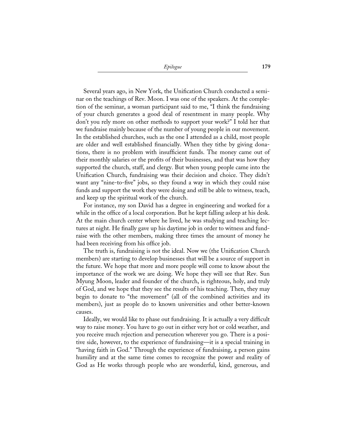Several years ago, in New York, the Unification Church conducted a seminar on the teachings of Rev. Moon. I was one of the speakers. At the completion of the seminar, a woman participant said to me, "I think the fundraising of your church generates a good deal of resentment in many people. Why don't you rely more on other methods to support your work?" I told her that we fundraise mainly because of the number of young people in our movement. In the established churches, such as the one I attended as a child, most people are older and well established financially. When they tithe by giving donations, there is no problem with insufficient funds. The money came out of their monthly salaries or the profits of their businesses, and that was how they supported the church, staff, and clergy. But when young people came into the Unification Church, fundraising was their decision and choice. They didn't want any "nine-to-five" jobs, so they found a way in which they could raise funds and support the work they were doing and still be able to witness, teach, and keep up the spiritual work of the church.

For instance, my son David has a degree in engineering and worked for a while in the office of a local corporation. But he kept falling asleep at his desk. At the main church center where he lived, he was studying and teaching lectures at night. He finally gave up his daytime job in order to witness and fundraise with the other members, making three times the amount of money he had been receiving from his office job.

The truth is, fundraising is not the ideal. Now we (the Unification Church members) are starting to develop businesses that will be a source of support in the future. We hope that more and more people will come to know about the importance of the work we are doing. We hope they will see that Rev. Sun Myung Moon, leader and founder of the church, is righteous, holy, and truly of God, and we hope that they see the results of his teaching. Then, they may begin to donate to "the movement" (all of the combined activities and its members), just as people do to known universities and other better-known causes.

Ideally, we would like to phase out fundraising. It is actually a very difficult way to raise money. You have to go out in either very hot or cold weather, and you receive much rejection and persecution wherever you go. There is a positive side, however, to the experience of fundraising—it is a special training in "having faith in God." Through the experience of fundraising, a person gains humility and at the same time comes to recognize the power and reality of God as He works through people who are wonderful, kind, generous, and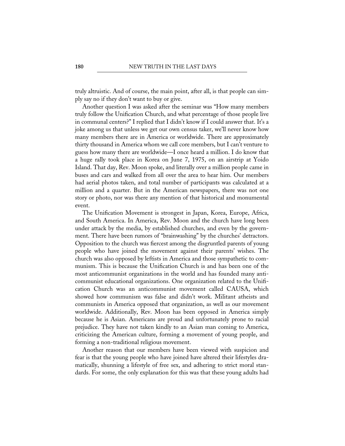truly altruistic. And of course, the main point, after all, is that people can simply say no if they don't want to buy or give.

Another question I was asked after the seminar was "How many members truly follow the Unification Church, and what percentage of those people live in communal centers?" I replied that I didn't know if I could answer that. It's a joke among us that unless we get our own census taker, we'll never know how many members there are in America or worldwide. There are approximately thirty thousand in America whom we call core members, but I can't venture to guess how many there are worldwide—I once heard a million. I do know that a huge rally took place in Korea on June 7, 1975, on an airstrip at Yoido Island. That day, Rev. Moon spoke, and literally over a million people came in buses and cars and walked from all over the area to hear him. Our members had aerial photos taken, and total number of participants was calculated at a million and a quarter. But in the American newspapers, there was not one story or photo, nor was there any mention of that historical and monumental event.

The Unification Movement is strongest in Japan, Korea, Europe, Africa, and South America. In America, Rev. Moon and the church have long been under attack by the media, by established churches, and even by the government. There have been rumors of "brainwashing" by the churches' detractors. Opposition to the church was fiercest among the disgruntled parents of young people who have joined the movement against their parents' wishes. The church was also opposed by leftists in America and those sympathetic to communism. This is because the Unification Church is and has been one of the most anticommunist organizations in the world and has founded many anticommunist educational organizations. One organization related to the Unification Church was an anticommunist movement called CAUSA, which showed how communism was false and didn't work. Militant atheists and communists in America opposed that organization, as well as our movement worldwide. Additionally, Rev. Moon has been opposed in America simply because he is Asian. Americans are proud and unfortunately prone to racial prejudice. They have not taken kindly to an Asian man coming to America, criticizing the American culture, forming a movement of young people, and forming a non-traditional religious movement.

Another reason that our members have been viewed with suspicion and fear is that the young people who have joined have altered their lifestyles dramatically, shunning a lifestyle of free sex, and adhering to strict moral standards. For some, the only explanation for this was that these young adults had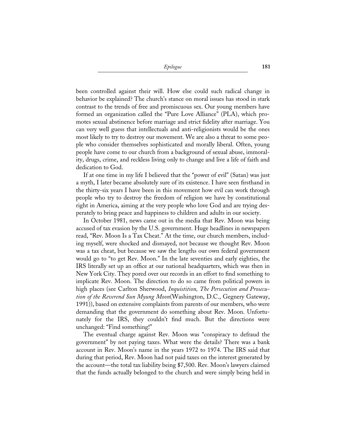been controlled against their will. How else could such radical change in behavior be explained? The church's stance on moral issues has stood in stark contrast to the trends of free and promiscuous sex. Our young members have formed an organization called the "Pure Love Alliance" (PLA), which promotes sexual abstinence before marriage and strict fidelity after marriage. You can very well guess that intellectuals and anti-religionists would be the ones most likely to try to destroy our movement. We are also a threat to some people who consider themselves sophisticated and morally liberal. Often, young people have come to our church from a background of sexual abuse, immorality, drugs, crime, and reckless living only to change and live a life of faith and dedication to God.

If at one time in my life I believed that the "power of evil" (Satan) was just a myth, I later became absolutely sure of its existence. I have seen firsthand in the thirty-six years I have been in this movement how evil can work through people who try to destroy the freedom of religion we have by constitutional right in America, aiming at the very people who love God and are trying desperately to bring peace and happiness to children and adults in our society.

In October 1981, news came out in the media that Rev. Moon was being accused of tax evasion by the U.S. government. Huge headlines in newspapers read, "Rev. Moon Is a Tax Cheat." At the time, our church members, including myself, were shocked and dismayed, not because we thought Rev. Moon was a tax cheat, but because we saw the lengths our own federal government would go to "to get Rev. Moon." In the late seventies and early eighties, the IRS literally set up an office at our national headquarters, which was then in New York City. They pored over our records in an effort to find something to implicate Rev. Moon. The direction to do so came from political powers in high places (see Carlton Sherwood, *Inquistition, The Persecution and Prosecution of the Reverend Sun Myung Moon*(Washington, D.C., Gegnery Gateway, 1991)), based on extensive complaints from parents of our members, who were demanding that the government do something about Rev. Moon. Unfortunately for the IRS, they couldn't find much. But the directions were unchanged: "Find something!"

The eventual charge against Rev. Moon was "conspiracy to defraud the government" by not paying taxes. What were the details? There was a bank account in Rev. Moon's name in the years 1972 to 1974. The IRS said that during that period, Rev. Moon had not paid taxes on the interest generated by the account—the total tax liability being \$7,500. Rev. Moon's lawyers claimed that the funds actually belonged to the church and were simply being held in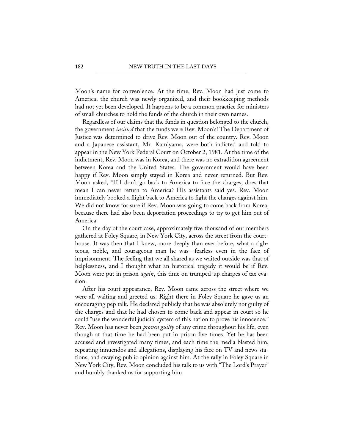Moon's name for convenience. At the time, Rev. Moon had just come to America, the church was newly organized, and their bookkeeping methods had not yet been developed. It happens to be a common practice for ministers of small churches to hold the funds of the church in their own names.

Regardless of our claims that the funds in question belonged to the church, the government *insisted* that the funds were Rev. Moon's! The Department of Justice was determined to drive Rev. Moon out of the country. Rev. Moon and a Japanese assistant, Mr. Kamiyama, were both indicted and told to appear in the New York Federal Court on October 2, 1981. At the time of the indictment, Rev. Moon was in Korea, and there was no extradition agreement between Korea and the United States. The government would have been happy if Rev. Moon simply stayed in Korea and never returned. But Rev. Moon asked, "If I don't go back to America to face the charges, does that mean I can never return to America? His assistants said yes. Rev. Moon immediately booked a flight back to America to fight the charges against him. We did not know for sure if Rev. Moon was going to come back from Korea, because there had also been deportation proceedings to try to get him out of America.

On the day of the court case, approximately five thousand of our members gathered at Foley Square, in New York City, across the street from the courthouse. It was then that I knew, more deeply than ever before, what a righteous, noble, and courageous man he was—fearless even in the face of imprisonment. The feeling that we all shared as we waited outside was that of helplessness, and I thought what an historical tragedy it would be if Rev. Moon were put in prison *again*, this time on trumped-up charges of tax evasion.

After his court appearance, Rev. Moon came across the street where we were all waiting and greeted us. Right there in Foley Square he gave us an encouraging pep talk. He declared publicly that he was absolutely not guilty of the charges and that he had chosen to come back and appear in court so he could "use the wonderful judicial system of this nation to prove his innocence." Rev. Moon has never been *proven guilty* of any crime throughout his life, even though at that time he had been put in prison five times. Yet he has been accused and investigated many times, and each time the media blasted him, repeating innuendos and allegations, displaying his face on TV and news stations, and swaying public opinion against him. At the rally in Foley Square in New York City, Rev. Moon concluded his talk to us with "The Lord's Prayer" and humbly thanked us for supporting him.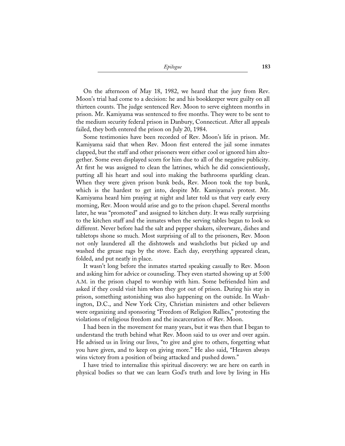On the afternoon of May 18, 1982, we heard that the jury from Rev. Moon's trial had come to a decision: he and his bookkeeper were guilty on all thirteen counts. The judge sentenced Rev. Moon to serve eighteen months in prison. Mr. Kamiyama was sentenced to five months. They were to be sent to the medium security federal prison in Danbury, Connecticut. After all appeals failed, they both entered the prison on July 20, 1984.

Some testimonies have been recorded of Rev. Moon's life in prison. Mr. Kamiyama said that when Rev. Moon first entered the jail some inmates clapped, but the staff and other prisoners were either cool or ignored him altogether. Some even displayed scorn for him due to all of the negative publicity. At first he was assigned to clean the latrines, which he did conscientiously, putting all his heart and soul into making the bathrooms sparkling clean. When they were given prison bunk beds, Rev. Moon took the top bunk, which is the hardest to get into, despite Mr. Kamiyama's protest. Mr. Kamiyama heard him praying at night and later told us that very early every morning, Rev. Moon would arise and go to the prison chapel. Several months later, he was "promoted" and assigned to kitchen duty. It was really surprising to the kitchen staff and the inmates when the serving tables began to look so different. Never before had the salt and pepper shakers, silverware, dishes and tabletops shone so much. Most surprising of all to the prisoners, Rev. Moon not only laundered all the dishtowels and washcloths but picked up and washed the grease rags by the stove. Each day, everything appeared clean, folded, and put neatly in place.

It wasn't long before the inmates started speaking casually to Rev. Moon and asking him for advice or counseling. They even started showing up at 5:00 A.M. in the prison chapel to worship with him. Some befriended him and asked if they could visit him when they got out of prison. During his stay in prison, something astonishing was also happening on the outside. In Washington, D.C., and New York City, Christian ministers and other believers were organizing and sponsoring "Freedom of Religion Rallies," protesting the violations of religious freedom and the incarceration of Rev. Moon.

I had been in the movement for many years, but it was then that I began to understand the truth behind what Rev. Moon said to us over and over again. He advised us in living our lives, "to give and give to others, forgetting what you have given, and to keep on giving more." He also said, "Heaven always wins victory from a position of being attacked and pushed down."

I have tried to internalize this spiritual discovery: we are here on earth in physical bodies so that we can learn God's truth and love by living in His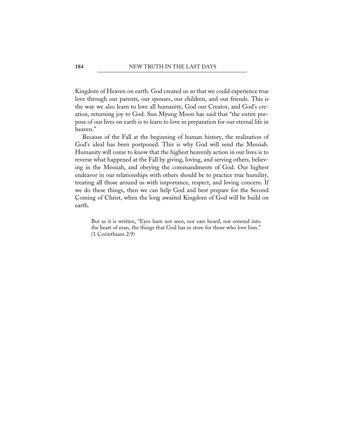Kingdom of Heaven on earth. God created us so that we could experience true love through our parents, our spouses, our children, and our friends. This is the way we also learn to love all humanity, God our Creator, and God's creation, returning joy to God. Sun Myung Moon has said that "the entire purpose of our lives on earth is to learn to love in preparation for our eternal life in heaven."

Because of the Fall at the beginning of human history, the realization of God's ideal has been postponed. This is why God will send the Messiah. Humanity will come to know that the highest heavenly action in our lives is to reverse what happened at the Fall by giving, loving, and serving others, believing in the Messiah, and obeying the commandments of God. Our highest endeavor in our relationships with others should be to practice true humility, treating all those around us with importance, respect, and loving concern. If we do these things, then we can help God and best prepare for the Second Coming of Christ, when the long awaited Kingdom of God will be build on earth.

But as it is written, "Eyes have not seen, nor ears heard, nor entered into the heart of man, the things that God has in store for those who love him." (1 Corinthians 2:9)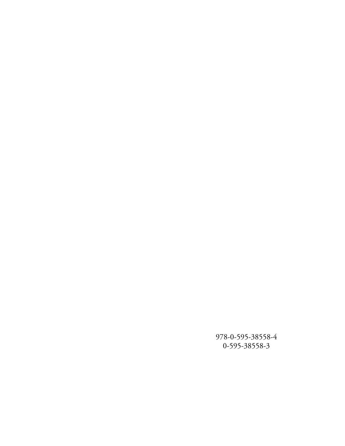978-0-595-38558-4 0-595-38558-3